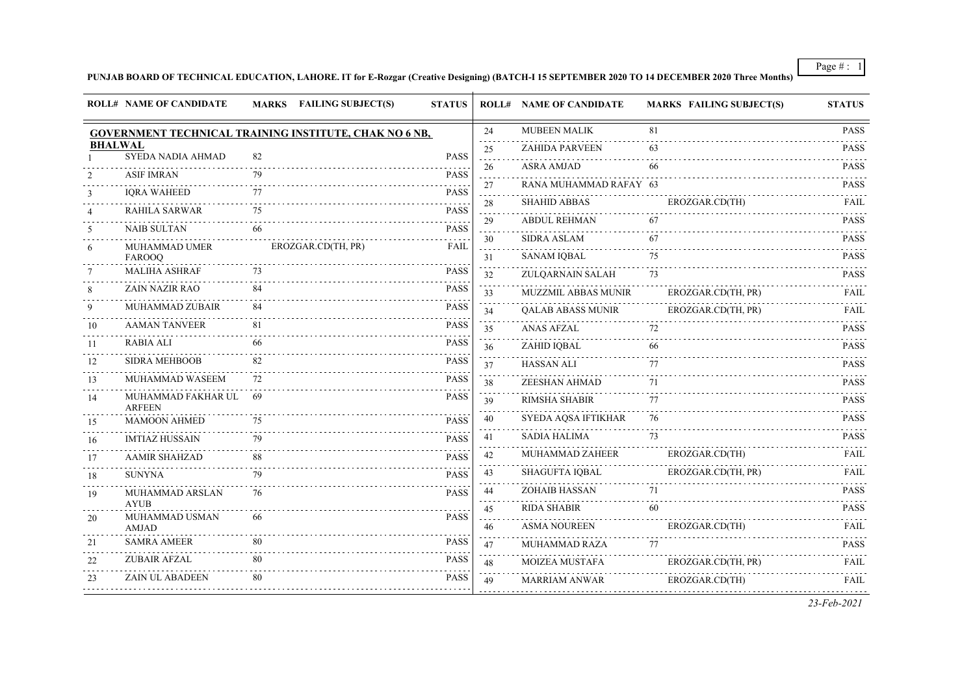### **PUNJAB BOARD OF TECHNICAL EDUCATION, LAHORE. IT for E-Rozgar (Creative Designing) (BATCH-I 15 SEPTEMBER 2020 TO 14 DECEMBER 2020 Three Months)**

|                 | <b>ROLL# NAME OF CANDIDATE</b>      | MARKS FAILING SUBJECT(S)                               | <b>STATUS</b> |                            | <b>ROLL# NAME OF CANDIDATE</b> | <b>MARKS FAILING SUBJECT(S)</b> | <b>STATUS</b> |
|-----------------|-------------------------------------|--------------------------------------------------------|---------------|----------------------------|--------------------------------|---------------------------------|---------------|
|                 |                                     | GOVERNMENT TECHNICAL TRAINING INSTITUTE, CHAK NO 6 NB, |               | 24                         | <b>MUBEEN MALIK</b>            | 81                              | <b>PASS</b>   |
| <b>BHALWAL</b>  | <b>SYEDA NADIA AHMAD</b>            | 82                                                     | <b>PASS</b>   | 25                         | <b>ZAHIDA PARVEEN</b>          | 63                              | <b>PASS</b>   |
|                 |                                     |                                                        |               | .<br>26                    | <b>ASRA AMJAD</b>              | 66                              | <b>PASS</b>   |
| 2               | <b>ASIF IMRAN</b>                   | 79                                                     | <b>PASS</b>   | 27                         | RANA MUHAMMAD RAFAY 63         |                                 | <b>PASS</b>   |
| 3               | <b>IORA WAHEED</b>                  | 77                                                     | <b>PASS</b>   | $\sim$ $\sim$ $\sim$<br>28 | <b>SHAHID ABBAS</b>            | EROZGAR.CD(TH)                  | <b>FAIL</b>   |
| $\overline{4}$  | <b>RAHILA SARWAR</b>                | 75                                                     | <b>PASS</b>   | .<br>29                    | <b>ABDUL REHMAN</b>            | 67                              | <b>PASS</b>   |
| 5               | <b>NAIB SULTAN</b>                  | 66                                                     | <b>PASS</b>   | $\sim 100$<br>30           | <b>SIDRA ASLAM</b>             | 67                              | <b>PASS</b>   |
| 6               | <b>MUHAMMAD UMER</b><br>FAROOQ      | EROZGAR.CD(TH, PR)                                     | <b>FAIL</b>   | 31                         | <b>SANAM IQBAL</b>             | 75                              | <b>PASS</b>   |
| $7\phantom{.0}$ | <b>MALIHA ASHRAF</b>                | 73                                                     | <b>PASS</b>   | 32                         | ZULQARNAIN SALAH               | 73                              | <b>PASS</b>   |
| 8               | <b>ZAIN NAZIR RAO</b>               | 84                                                     | <b>PASS</b>   | 33                         | MUZZMIL ABBAS MUNIR            | EROZGAR.CD(TH, PR)              | FAIL          |
| 9               | MUHAMMAD ZUBAIR                     | 84                                                     | <b>PASS</b>   | 34                         | <b>QALAB ABASS MUNIR</b>       | EROZGAR.CD(TH, PR)              | <b>FAIL</b>   |
| 10              | <b>AAMAN TANVEER</b>                | 81                                                     | <b>PASS</b>   | 35                         | <b>ANAS AFZAL</b>              | 72                              | <b>PASS</b>   |
| 11              | <b>RABIA ALI</b>                    | 66                                                     | <b>PASS</b>   | 36                         | ZAHID IQBAL                    | 66                              | <b>PASS</b>   |
| 12              | <b>SIDRA MEHBOOB</b>                | 82                                                     | <b>PASS</b>   | 37                         | <b>HASSAN ALI</b>              | 77                              | <b>PASS</b>   |
| 13              | MUHAMMAD WASEEM                     | 72                                                     | <b>PASS</b>   | 38                         | ZEESHAN AHMAD                  | 71                              | <b>PASS</b>   |
| 14              | MUHAMMAD FAKHAR UL<br><b>ARFEEN</b> | -69                                                    | <b>PASS</b>   | 39                         | <b>RIMSHA SHABIR</b>           | 77                              | <b>PASS</b>   |
| 15              | MAMOON AHMED                        | 75                                                     | <b>PASS</b>   | 40                         | SYEDA AQSA IFTIKHAR            | 76                              | <b>PASS</b>   |
| 16              | <b>IMTIAZ HUSSAIN</b>               | 79                                                     | <b>PASS</b>   | 41                         | <b>SADIA HALIMA</b>            | 73                              | <b>PASS</b>   |
| 17              | <b>AAMIR SHAHZAD</b>                | 88                                                     | <b>PASS</b>   | 42                         | MUHAMMAD ZAHEER                | EROZGAR.CD(TH)                  | FAIL          |
| 18              | <b>SUNYNA</b>                       | 79                                                     | <b>PASS</b>   | 43                         | <b>SHAGUFTA IOBAL</b>          | EROZGAR.CD(TH, PR)              | <b>FAIL</b>   |
| 19              | MUHAMMAD ARSLAN                     | 76                                                     | <b>PASS</b>   | 44                         | ZOHAIB HASSAN                  | 71                              | <b>PASS</b>   |
| 20              | <b>AYUB</b><br>MUHAMMAD USMAN       | 66                                                     | <b>PASS</b>   | 45<br>.                    | <b>RIDA SHABIR</b>             | 60                              | <b>PASS</b>   |
|                 | <b>AMJAD</b>                        |                                                        |               | 46                         | <b>ASMA NOUREEN</b>            | EROZGAR.CD(TH)                  | <b>FAIL</b>   |
| 21              | <b>SAMRA AMEER</b>                  | 80                                                     | <b>PASS</b>   | 47                         | MUHAMMAD RAZA                  | 77                              | <b>PASS</b>   |
| 22              | <b>ZUBAIR AFZAL</b>                 | 80                                                     | <b>PASS</b>   | $\sim$ $\sim$ $\sim$<br>48 | <b>MOIZEA MUSTAFA</b>          | EROZGAR.CD(TH, PR)              | FAIL          |
| 23              | ZAIN UL ABADEEN                     | 80                                                     | <b>PASS</b>   | 49                         | MARRIAM ANWAR                  | EROZGAR.CD(TH)                  | FAIL          |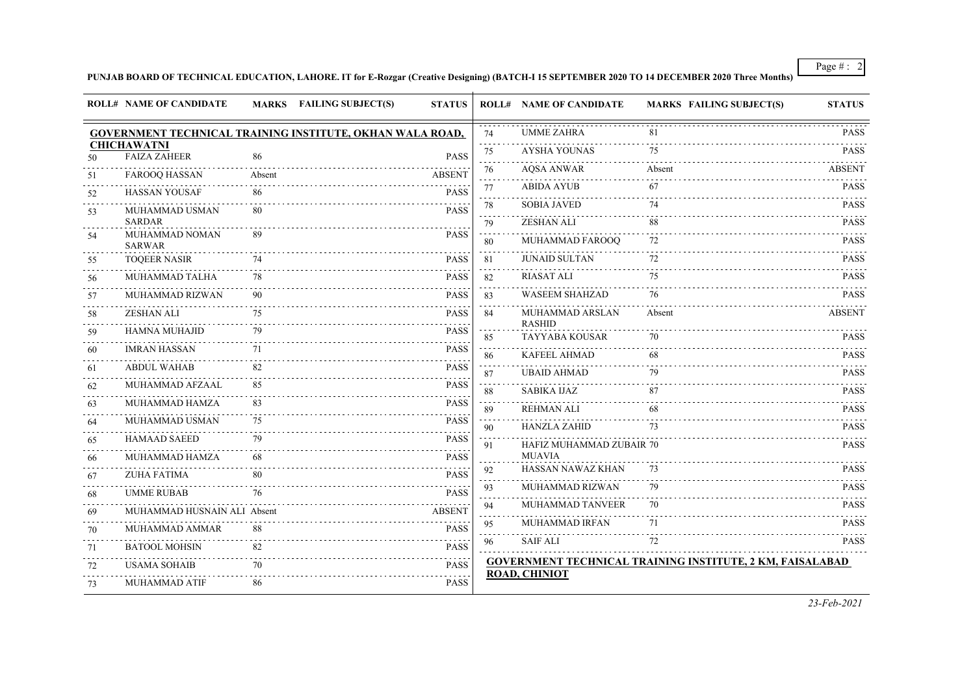### **PUNJAB BOARD OF TECHNICAL EDUCATION, LAHORE. IT for E-Rozgar (Creative Designing) (BATCH-I 15 SEPTEMBER 2020 TO 14 DECEMBER 2020 Three Months)**

|                            | <b>ROLL# NAME OF CANDIDATE</b>            |        | MARKS FAILING SUBJECT(S)                                  | <b>STATUS</b> |         | <b>ROLL# NAME OF CANDIDATE</b>         | <b>MARKS FAILING SUBJECT(S)</b>                                  | <b>STATUS</b> |
|----------------------------|-------------------------------------------|--------|-----------------------------------------------------------|---------------|---------|----------------------------------------|------------------------------------------------------------------|---------------|
|                            |                                           |        | GOVERNMENT TECHNICAL TRAINING INSTITUTE, OKHAN WALA ROAD, |               | 74      | <b>UMME ZAHRA</b>                      | 81                                                               | <b>PASS</b>   |
| 50                         | <b>CHICHAWATNI</b><br><b>FAIZA ZAHEER</b> | 86     |                                                           | <b>PASS</b>   | 75<br>. | <b>AYSHA YOUNAS</b>                    | 75                                                               | <b>PASS</b>   |
| 51                         | <b>FAROOQ HASSAN</b>                      | Absent |                                                           | <b>ABSENT</b> | 76      | <b>AQSA ANWAR</b>                      | Absent                                                           | <b>ABSENT</b> |
| 52                         | <b>HASSAN YOUSAF</b>                      | 86     |                                                           | <b>PASS</b>   | 77      | <b>ABIDA AYUB</b>                      | 67                                                               | <b>PASS</b>   |
| 53                         | MUHAMMAD USMAN                            | 80     |                                                           | <b>PASS</b>   | 78      | <b>SOBIA JAVED</b>                     | 74                                                               | PASS          |
|                            | <b>SARDAR</b>                             |        |                                                           |               | 79      | <b>ZESHAN ALI</b>                      | 88                                                               | <b>PASS</b>   |
| 54                         | MUHAMMAD NOMAN<br><b>SARWAR</b>           | 89     |                                                           | <b>PASS</b>   | 80      | MUHAMMAD FAROOQ                        | 72                                                               | <b>PASS</b>   |
| 55                         | <b>TOQEER NASIR</b>                       | 74     |                                                           | <b>PASS</b>   | 81      | <b>JUNAID SULTAN</b>                   | 72                                                               | <b>PASS</b>   |
| 56                         | MUHAMMAD TALHA                            | 78     |                                                           | <b>PASS</b>   | 82      | <b>RIASAT ALI</b>                      | 75                                                               | <b>PASS</b>   |
| 57                         | <b>MUHAMMAD RIZWAN</b>                    | 90     |                                                           | <b>PASS</b>   | 83      | <b>WASEEM SHAHZAD</b>                  | 76                                                               | <b>PASS</b>   |
| 58                         | <b>ZESHAN ALI</b>                         | 75     |                                                           | <b>PASS</b>   | 84      | MUHAMMAD ARSLAN                        | Absent                                                           | <b>ABSENT</b> |
| 59                         | HAMNA MUHAJID                             | 79     |                                                           | <b>PASS</b>   | 85      | <b>RASHID</b><br><b>TAYYABA KOUSAR</b> | 70                                                               | PASS          |
| 60                         | <b>IMRAN HASSAN</b>                       | 71     |                                                           | <b>PASS</b>   | 86      | <b>KAFEEL AHMAD</b>                    | 68                                                               | <b>PASS</b>   |
| 61                         | <b>ABDUL WAHAB</b>                        | 82     |                                                           | <b>PASS</b>   | 87      | <b>UBAID AHMAD</b>                     | 79                                                               | <b>PASS</b>   |
| $\sim$ $\sim$ $\sim$<br>62 | <b>MUHAMMAD AFZAAL</b>                    | 85     |                                                           | <b>PASS</b>   | 88      | SABIKA IJAZ                            |                                                                  | <b>PASS</b>   |
| 63                         | MUHAMMAD HAMZA                            | 83     |                                                           | <b>PASS</b>   | 89      | <b>REHMAN ALI</b>                      |                                                                  | <b>PASS</b>   |
| 64<br>$\sim$ $\sim$ $\sim$ | MUHAMMAD USMAN                            | 75     |                                                           | <b>PASS</b>   | 90      | <b>HANZLA ZAHID</b>                    | 73                                                               | <b>PASS</b>   |
| 65                         | <b>HAMAAD SAEED</b>                       | 79     |                                                           | <b>PASS</b>   | 91      | HAFIZ MUHAMMAD ZUBAIR 70               |                                                                  | <b>PASS</b>   |
| 66                         | MUHAMMAD HAMZA                            | 68     |                                                           | <b>PASS</b>   |         | <b>MUAVIA</b>                          |                                                                  |               |
| 67                         | <b>ZUHA FATIMA</b>                        | 80     |                                                           | <b>PASS</b>   | 92      | HASSAN NAWAZ KHAN                      | 73                                                               | <b>PASS</b>   |
| $\sim 100$<br>68           | <b>UMME RUBAB</b>                         | 76     |                                                           | <b>PASS</b>   | 93      | <b>MUHAMMAD RIZWAN</b>                 | 79                                                               | <b>PASS</b>   |
| 69                         | MUHAMMAD HUSNAIN ALI Absent               |        |                                                           | <b>ABSENT</b> | 94      | <b>MUHAMMAD TANVEER</b>                | 70                                                               | <b>PASS</b>   |
| 70                         | MUHAMMAD AMMAR                            | 88     |                                                           | PASS          | 95      | MUHAMMAD IRFAN                         | 71                                                               | <b>PASS</b>   |
| 71                         | <b>BATOOL MOHSIN</b>                      | 82     |                                                           | <b>PASS</b>   | 96      | <b>SAIF ALI</b>                        | 72                                                               | <b>PASS</b>   |
| 72                         | <b>USAMA SOHAIB</b>                       | 70     |                                                           | <b>PASS</b>   |         |                                        | <b>GOVERNMENT TECHNICAL TRAINING INSTITUTE, 2 KM, FAISALABAD</b> |               |
| 73                         | MUHAMMAD ATIF                             | 86     |                                                           | <b>PASS</b>   |         | <b>ROAD, CHINIOT</b>                   |                                                                  |               |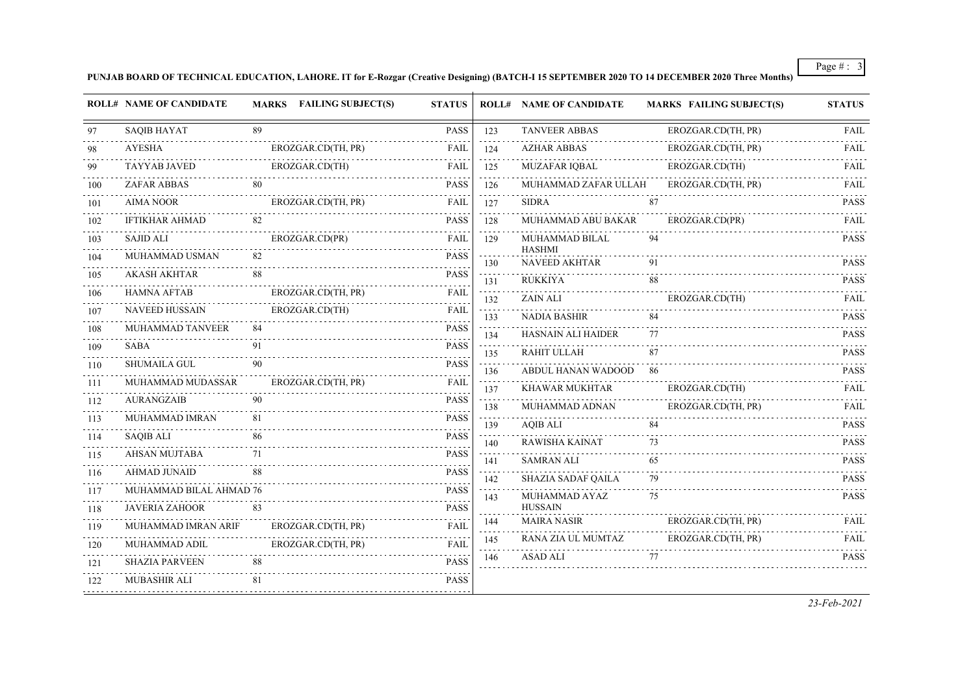**PUNJAB BOARD OF TECHNICAL EDUCATION, LAHORE. IT for E-Rozgar (Creative Designing) (BATCH-I 15 SEPTEMBER 2020 TO 14 DECEMBER 2020 Three Months)**

|          | <b>ROLL# NAME OF CANDIDATE</b>  |    | MARKS FAILING SUBJECT(S) | <b>STATUS</b> |                                       | <b>ROLL# NAME OF CANDIDATE</b> | <b>MARKS FAILING SUBJECT(S)</b> | <b>STATUS</b>                                |
|----------|---------------------------------|----|--------------------------|---------------|---------------------------------------|--------------------------------|---------------------------------|----------------------------------------------|
| 97       | <b>SAOIB HAYAT</b>              | 89 |                          | <b>PASS</b>   | 123                                   | <b>TANVEER ABBAS</b>           | EROZGAR.CD(TH, PR)              | <b>FAIL</b>                                  |
| 98       | <b>AYESHA</b>                   |    | EROZGAR.CD(TH, PR)       | <b>FAIL</b>   | 124                                   | <b>AZHAR ABBAS</b>             | EROZGAR.CD(TH, PR)              | FAIL                                         |
| 99       | TAYYAB JAVED                    |    | EROZGAR.CD(TH)           | FAIL          | .<br>125                              | <b>MUZAFAR IQBAL</b>           | EROZGAR.CD(TH)                  | <b>FAIL</b>                                  |
| 100      | ZAFAR ABBAS                     | 80 |                          | <b>PASS</b>   | 126                                   | MUHAMMAD ZAFAR ULLAH           | EROZGAR.CD(TH, PR)              | FAIL                                         |
| 101      | <b>AIMA NOOR</b>                |    | EROZGAR.CD(TH, PR)       | <b>FAIL</b>   | 127                                   | <b>SIDRA</b>                   | 87                              | <b>PASS</b>                                  |
| 102      | <b>IFTIKHAR AHMAD</b>           | 82 |                          | <b>PASS</b>   | $\sim 100$ km s $^{-1}$<br>128        | MUHAMMAD ABU BAKAR             | EROZGAR.CD(PR)                  | <b>FAIL</b>                                  |
| 103      | <b>SAJID ALI</b>                |    | EROZGAR.CD(PR)           | FAIL          | 129                                   | MUHAMMAD BILAL                 | 94                              | <b>PASS</b>                                  |
| 104      | MUHAMMAD USMAN                  | 82 |                          | <b>PASS</b>   | 130                                   | <b>HASHMI</b><br>NAVEED AKHTAR | 91                              | <b>PASS</b>                                  |
| 105      | <b>AKASH AKHTAR</b>             | 88 |                          | <b>PASS</b>   | $\omega$ is $\omega$ in<br>131        | <b>RUKKIYA</b>                 | 88                              | $\omega$ is a single $\omega$<br><b>PASS</b> |
| 106      | <b>HAMNA AFTAB</b>              |    | EROZGAR.CD(TH, PR)       | <b>FAIL</b>   | 132                                   | <b>ZAIN ALI</b>                | EROZGAR.CD(TH)                  | FAIL                                         |
| 107      | <b>NAVEED HUSSAIN</b>           |    | EROZGAR.CD(TH)           | <b>FAIL</b>   | 133                                   | <b>NADIA BASHIR</b>            | 84                              | <b>PASS</b>                                  |
| 108      | MUHAMMAD TANVEER                | 84 |                          | <b>PASS</b>   | $\alpha$ , $\alpha$ , $\alpha$<br>134 | HASNAIN ALI HAIDER             | 77                              | $\omega$ is a single<br><b>PASS</b>          |
| 109      | SABA                            | 91 |                          | <b>PASS</b>   | 135                                   | RAHIT ULLAH                    | 87                              | <b>PASS</b>                                  |
| 110      | SHUMAILA GUL                    | 90 |                          | <b>PASS</b>   | 136                                   | ABDUL HANAN WADOOD 86          |                                 | <b>PASS</b>                                  |
| 111      | MUHAMMAD MUDASSAR               |    | EROZGAR.CD(TH, PR)       | FAIL          | 137                                   | .<br>KHAWAR MUKHTAR            | EROZGAR.CD(TH)                  | <b>FAIL</b>                                  |
| 112<br>. | <b>AURANGZAIB</b>               | 90 |                          | <b>PASS</b>   | 138                                   | MUHAMMAD ADNAN                 | EROZGAR.CD(TH, PR)              | <b>FAIL</b>                                  |
| 113      | MUHAMMAD IMRAN                  | 81 |                          | <b>PASS</b>   | 139                                   | <b>AQIB ALI</b>                | 84                              | <b>PASS</b>                                  |
| 114      | <b>SAQIB ALI</b>                | 86 |                          | <b>PASS</b>   | 140                                   | RAWISHA KAINAT                 | 73                              | <b>PASS</b>                                  |
| 115      | AHSAN MUJTABA<br>de de decembre | 71 |                          | <b>PASS</b>   | 141                                   | <b>SAMRAN ALI</b>              | 65                              | <b>PASS</b>                                  |
| 116      | AHMAD JUNAID                    | 88 |                          | <b>PASS</b>   | 142                                   | SHAZIA SADAF QAILA             | 79                              | <b>PASS</b>                                  |
| 117      | MUHAMMAD BILAL AHMAD 76         |    |                          | <b>PASS</b>   | $\sim$ $\sim$ $\sim$<br>143           | MUHAMMAD AYAZ                  | 75                              | <b>PASS</b>                                  |
| 118      | <b>JAVERIA ZAHOOR</b>           | 83 |                          | <b>PASS</b>   |                                       | <b>HUSSAIN</b>                 |                                 |                                              |
| 119      | MUHAMMAD IMRAN ARIF<br>.        |    | EROZGAR.CD(TH, PR)       | FAIL          | 144<br>.                              | <b>MAIRA NASIR</b>             | EROZGAR.CD(TH, PR)              | FAIL                                         |
| 120      | MUHAMMAD ADIL                   |    | EROZGAR.CD(TH, PR)       | FAIL          | 145<br>.                              | RANA ZIA UL MUMTAZ             | EROZGAR.CD(TH, PR)              | <b>FAIL</b>                                  |
| 121      | <b>SHAZIA PARVEEN</b>           | 88 |                          | <b>PASS</b>   | 146                                   | <b>ASAD ALI</b>                | 77                              | <b>PASS</b>                                  |
| 122      | <b>MUBASHIR ALI</b>             | 81 |                          | <b>PASS</b>   |                                       |                                |                                 |                                              |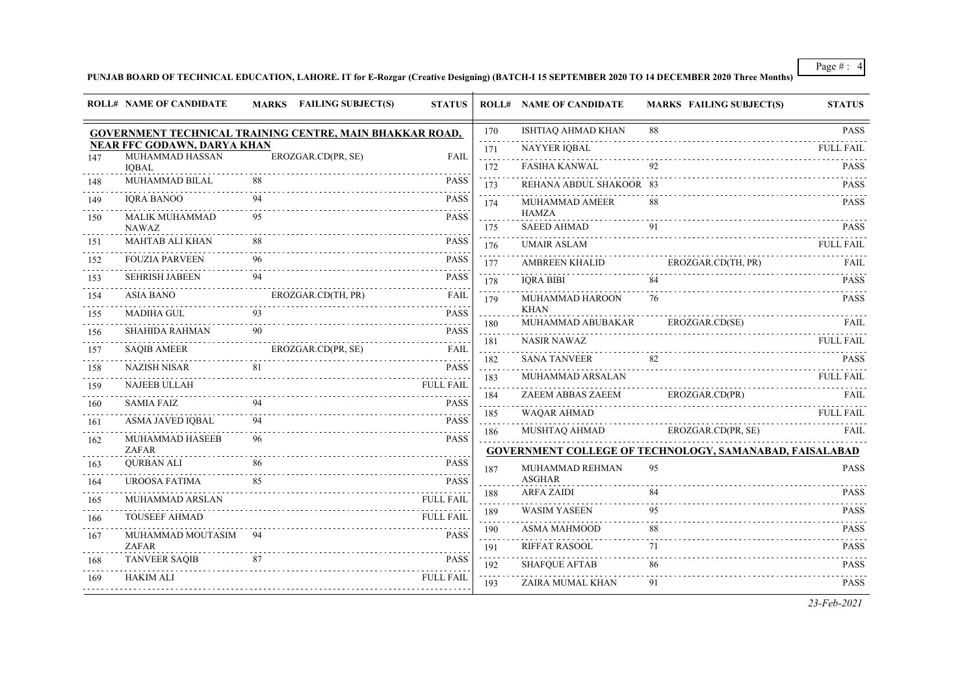#### **PUNJAB BOARD OF TECHNICAL EDUCATION, LAHORE. IT for E-Rozgar (Creative Designing) (BATCH-I 15 SEPTEMBER 2020 TO 14 DECEMBER 2020 Three Months)**

|                     | <b>ROLL# NAME OF CANDIDATE</b>                        | MARKS FAILING SUBJECT(S)                                        | <b>STATUS</b>    |                 | <b>ROLL# NAME OF CANDIDATE</b>     | <b>MARKS FAILING SUBJECT(S)</b>                                | <b>STATUS</b>    |
|---------------------|-------------------------------------------------------|-----------------------------------------------------------------|------------------|-----------------|------------------------------------|----------------------------------------------------------------|------------------|
|                     |                                                       | <b>GOVERNMENT TECHNICAL TRAINING CENTRE, MAIN BHAKKAR ROAD,</b> |                  | 170             | <b>ISHTIAQ AHMAD KHAN</b>          | 88                                                             | <b>PASS</b>      |
| 147                 | <b>NEAR FFC GODAWN, DARYA KHAN</b><br>MUHAMMAD HASSAN | EROZGAR.CD(PR, SE)                                              | FAIL             | 171             | NAYYER IQBAL                       |                                                                | <b>FULL FAIL</b> |
|                     | <b>IQBAL</b>                                          |                                                                 |                  | .<br>172        | <b>FASIHA KANWAL</b>               |                                                                | <b>PASS</b>      |
| 148                 | MUHAMMAD BILAL                                        | 88                                                              | <b>PASS</b>      | 173             | REHANA ABDUL SHAKOOR 83            |                                                                | <b>PASS</b>      |
| 149                 | <b>IQRA BANOO</b>                                     | 94                                                              | <b>PASS</b>      | 174             | MUHAMMAD AMEER                     |                                                                | <b>PASS</b>      |
| 150                 | <b>MALIK MUHAMMAD</b><br><b>NAWAZ</b>                 | 95                                                              | <b>PASS</b>      | 175             | <b>HAMZA</b><br><b>SAEED AHMAD</b> | 91                                                             | <b>PASS</b>      |
| 151                 | <b>MAHTAB ALI KHAN</b>                                | 88                                                              | <b>PASS</b>      | 176             | <b>UMAIR ASLAM</b>                 |                                                                | <b>FULL FAIL</b> |
| 152                 | <b>FOUZIA PARVEEN</b>                                 | 96                                                              | <b>PASS</b>      | المتمام<br>177  | <b>AMBREEN KHALID</b>              | EROZGAR.CD(TH, PR)                                             | <b>FAIL</b>      |
| 153                 | <b>SEHRISH JABEEN</b>                                 | 94                                                              | <b>PASS</b>      | is sis s<br>178 | <b>IQRA BIBI</b>                   | 84                                                             | <b>PASS</b>      |
| 154                 | <b>ASIA BANO</b>                                      | EROZGAR.CD(TH, PR)                                              | <b>FAIL</b>      | 179             | MUHAMMAD HAROON                    | 76                                                             | <b>PASS</b>      |
| المتمامين<br>155    | <b>MADIHA GUL</b>                                     | 93                                                              | <b>PASS</b>      |                 | <b>KHAN</b>                        |                                                                |                  |
| 156                 | <b>SHAHIDA RAHMAN</b>                                 | 90                                                              | <b>PASS</b>      | 180<br>.        | MUHAMMAD ABUBAKAR                  | EROZGAR.CD(SE)                                                 | <b>FAIL</b>      |
| 157                 | <b>SAQIB AMEER</b>                                    | EROZGAR.CD(PR, SE)                                              | <b>FAIL</b>      | 181<br>.        | <b>NASIR NAWAZ</b>                 |                                                                | <b>FULL FAIL</b> |
| المالم عامان<br>158 | <b>NAZISH NISAR</b>                                   | 81                                                              | <b>PASS</b>      | 182<br>.        | <b>SANA TANVEER</b>                | 82                                                             | <b>PASS</b>      |
| 159                 | NAJEEB ULLAH                                          |                                                                 | <b>FULL FAIL</b> | 183<br>.        | MUHAMMAD ARSALAN                   |                                                                | <b>FULL FAIL</b> |
| 160                 | <b>SAMIA FAIZ</b>                                     | 94                                                              | <b>PASS</b>      | 184             |                                    | ZAEEM ABBAS ZAEEM EROZGAR.CD(PR) FAIL                          |                  |
| 161                 | ASMA JAVED IQBAL                                      | 94                                                              | PASS             | 185<br>.        | WAQAR AHMAD                        | MUSHTAQ AHMAD EROZGAR.CD(PR, SE) FAIL                          | <b>FULL FAIL</b> |
| 162                 | MUHAMMAD HASEEB<br>ZAFAR                              | 96                                                              | <b>PASS</b>      | 186<br>.        |                                    |                                                                |                  |
| 163                 | <b>OURBAN ALI</b>                                     | 86                                                              | <b>PASS</b>      |                 |                                    | <b>GOVERNMENT COLLEGE OF TECHNOLOGY, SAMANABAD, FAISALABAD</b> |                  |
| 164                 | UROOSA FATIMA                                         | 85                                                              | <b>PASS</b>      | 187             | MUHAMMAD REHMAN<br><b>ASGHAR</b>   | 95                                                             | <b>PASS</b>      |
| 165                 | MUHAMMAD ARSLAN                                       |                                                                 | <b>FULL FAIL</b> | 188             | <b>ARFA ZAIDI</b>                  | 84                                                             | <b>PASS</b>      |
| 166                 | <b>TOUSEEF AHMAD</b>                                  |                                                                 | <b>FULL FAIL</b> | 189<br>.        | <b>WASIM YASEEN</b>                | 95                                                             | <b>PASS</b>      |
| 167                 | MUHAMMAD MOUTASIM                                     | 94                                                              | <b>PASS</b>      | 190<br>.        | <b>ASMA MAHMOOD</b>                | 88                                                             | <b>PASS</b>      |
|                     | <b>ZAFAR</b>                                          |                                                                 |                  | 191             | RIFFAT RASOOL                      | 71                                                             | <b>PASS</b>      |
| 168                 | <b>TANVEER SAQIB</b>                                  | 87                                                              | <b>PASS</b>      | 192             | <b>SHAFQUE AFTAB</b>               | 86                                                             | <b>PASS</b>      |
| 169                 | <b>HAKIM ALI</b>                                      |                                                                 | <b>FULL FAIL</b> | 193             | ZAIRA MUMAL KHAN                   | 91                                                             | <b>PASS</b>      |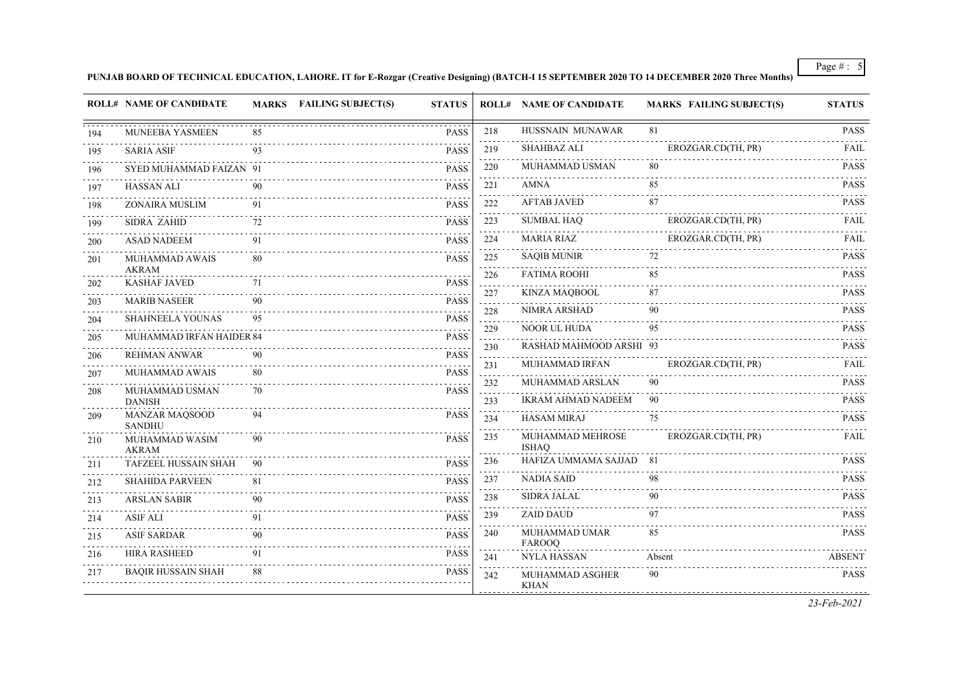#### **PUNJAB BOARD OF TECHNICAL EDUCATION, LAHORE. IT for E-Rozgar (Creative Designing) (BATCH-I 15 SEPTEMBER 2020 TO 14 DECEMBER 2020 Three Months)**

|     | <b>ROLL# NAME OF CANDIDATE</b>         |    | MARKS FAILING SUBJECT(S) | <b>STATUS</b>                       |                                              | <b>ROLL# NAME OF CANDIDATE</b>   | <b>MARKS FAILING SUBJECT(S)</b> | <b>STATUS</b>    |
|-----|----------------------------------------|----|--------------------------|-------------------------------------|----------------------------------------------|----------------------------------|---------------------------------|------------------|
| 194 | MUNEEBA YASMEEN                        |    |                          | <b>PASS</b>                         | 218                                          | HUSSNAIN MUNAWAR                 | 81                              | <b>PASS</b>      |
| 195 | <b>SARIA ASIF</b>                      | 93 |                          | <b>PASS</b>                         | 219                                          | <b>SHAHBAZ ALI</b>               | EROZGAR.CD(TH, PR)              | <b>FAIL</b>      |
| 196 | SYED MUHAMMAD FAIZAN 91                |    |                          | <b>PASS</b>                         | .<br>220                                     | MUHAMMAD USMAN                   | 80                              | <b>PASS</b>      |
| 197 | HASSAN ALI                             | 90 |                          | <b>PASS</b>                         | 221                                          | <b>AMNA</b>                      | 85                              | <b>PASS</b>      |
| 198 | ZONAIRA MUSLIM                         | 91 |                          | <b>PASS</b>                         | $\alpha$ , $\alpha$ , $\alpha$<br>222        | <b>AFTAB JAVED</b>               | 87                              | .<br><b>PASS</b> |
| 199 | <b>SIDRA ZAHID</b>                     | 72 |                          | <b>PASS</b>                         | $\sim$<br>223                                | <b>SUMBAL HAQ</b>                | EROZGAR.CD(TH, PR)              | <b>FAIL</b>      |
| 200 | <b>ASAD NADEEM</b>                     | 91 |                          | <b>PASS</b>                         | $\sim$ $\sim$ $\sim$ $\sim$<br>224<br>$\sim$ | MARIA RIAZ                       | EROZGAR.CD(TH, PR)              | <b>FAIL</b>      |
| 201 | MUHAMMAD AWAIS                         | 80 |                          | <b>PASS</b>                         | 225                                          | <b>SAQIB MUNIR</b>               | 72                              | <b>PASS</b>      |
| 202 | <b>AKRAM</b><br><b>KASHAF JAVED</b>    | 71 |                          | $\omega$ is a set of<br><b>PASS</b> | 226<br>$\sim$                                | <b>FATIMA ROOHI</b><br>.         | 85                              | <b>PASS</b>      |
| 203 | <b>MARIB NASEER</b>                    | 90 |                          | <b>PASS</b>                         | 227<br>a sa sa                               | KINZA MAQBOOL                    | 87                              | <b>PASS</b>      |
| 204 | <b>SHAHNEELA YOUNAS</b>                | 95 |                          | <b>PASS</b>                         | 228<br>$\sim$ $\sim$ $\sim$                  | NIMRA ARSHAD                     | 90                              | <b>PASS</b>      |
| 205 | MUHAMMAD IRFAN HAIDER 84               |    |                          | <b>PASS</b>                         | 229<br>د د د د د                             | NOOR UL HUDA                     | 95                              | <b>PASS</b>      |
| 206 | REHMAN ANWAR                           | 90 |                          | <b>PASS</b>                         | 230<br>a sa sa                               | RASHAD MAHMOOD ARSHI 93          |                                 | <b>PASS</b><br>. |
| 207 | MUHAMMAD AWAIS                         | 80 |                          | <b>PASS</b>                         | 231<br>.                                     | MUHAMMAD IRFAN                   | EROZGAR.CD(TH, PR)              | FAIL             |
| 208 | MUHAMMAD USMAN                         | 70 |                          | .<br><b>PASS</b>                    | 232                                          | MUHAMMAD ARSLAN                  | 90                              | <b>PASS</b>      |
|     | <b>DANISH</b>                          |    |                          |                                     | 233<br>a sa sa                               | <b>IKRAM AHMAD NADEEM</b>        | 90                              | <b>PASS</b>      |
| 209 | <b>MANZAR MAQSOOD</b><br><b>SANDHU</b> | 94 |                          | <b>PASS</b>                         | 234                                          | <b>HASAM MIRAJ</b>               | 75                              | <b>PASS</b>      |
| 210 | MUHAMMAD WASIM<br><b>AKRAM</b>         | 90 |                          | <b>PASS</b>                         | 235                                          | MUHAMMAD MEHROSE<br><b>ISHAQ</b> | EROZGAR.CD(TH, PR)              | FAIL             |
| 211 | TAFZEEL HUSSAIN SHAH                   | 90 |                          | <b>PASS</b>                         | 236<br>$\sim 100$                            | HAFIZA UMMAMA SAJJAD 81          |                                 | <b>PASS</b>      |
| 212 | <b>SHAHIDA PARVEEN</b>                 | 81 |                          | <b>PASS</b>                         | 237<br>$\omega_{\rm{eff}}$ and               | <b>NADIA SAID</b>                | 98                              | <b>PASS</b>      |
| 213 | <b>ARSLAN SABIR</b>                    | 90 |                          | <b>PASS</b>                         | 238<br>$\sim 100$                            | <b>SIDRA JALAL</b>               | 90                              | <b>PASS</b>      |
| 214 | <b>ASIF ALI</b>                        | 91 |                          | <b>PASS</b>                         | 239                                          | <b>ZAID DAUD</b>                 | 97<br>.                         | <b>PASS</b>      |
| 215 | .<br><b>ASIF SARDAR</b>                | 90 |                          | <b>PASS</b>                         | 240                                          | MUHAMMAD UMAR<br>FAROOQ          | 85                              | <b>PASS</b>      |
| 216 | <b>HIRA RASHEED</b>                    | 91 |                          | .<br>PASS                           | 241                                          | <b>NYLA HASSAN</b>               | Absent                          | <b>ABSENT</b>    |
| 217 | <b>BAOIR HUSSAIN SHAH</b>              | 88 |                          | <b>PASS</b>                         | 242                                          | MUHAMMAD ASGHER<br><b>KHAN</b>   | 90                              | <b>PASS</b>      |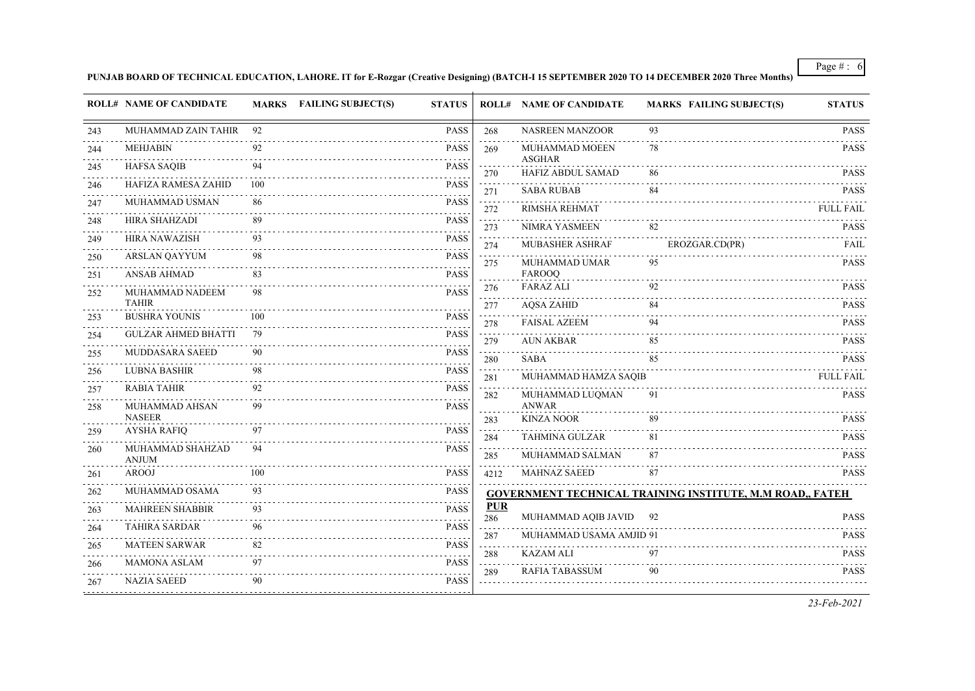**PUNJAB BOARD OF TECHNICAL EDUCATION, LAHORE. IT for E-Rozgar (Creative Designing) (BATCH-I 15 SEPTEMBER 2020 TO 14 DECEMBER 2020 Three Months)**

|     | <b>ROLL# NAME OF CANDIDATE</b>      |     | MARKS FAILING SUBJECT(S) | <b>STATUS</b>    |                                                    | <b>ROLL# NAME OF CANDIDATE</b>          | <b>MARKS FAILING SUBJECT(S)</b>                                  | <b>STATUS</b>                   |
|-----|-------------------------------------|-----|--------------------------|------------------|----------------------------------------------------|-----------------------------------------|------------------------------------------------------------------|---------------------------------|
| 243 | MUHAMMAD ZAIN TAHIR 92              |     |                          | <b>PASS</b>      | 268                                                | <b>NASREEN MANZOOR</b>                  | 93                                                               | <b>PASS</b>                     |
| 244 | <b>MEHJABIN</b>                     | 92  |                          | <b>PASS</b>      | 269                                                | MUHAMMAD MOEEN                          | 78                                                               | <b>PASS</b>                     |
| 245 | <b>HAFSA SAQIB</b>                  |     |                          | <b>PASS</b>      | 270                                                | <b>ASGHAR</b><br>HAFIZ ABDUL SAMAD      | 86                                                               | <b>PASS</b>                     |
| 246 | HAFIZA RAMESA ZAHID                 | 100 |                          | <b>PASS</b>      | 271                                                | <b>SABA RUBAB</b>                       | 84                                                               | <b>PASS</b>                     |
| 247 | MUHAMMAD USMAN                      | 86  |                          | <b>PASS</b>      | $\sim 100$<br>272                                  | RIMSHA REHMAT                           |                                                                  | <b>FULL FAIL</b>                |
| 248 | HIRA SHAHZADI                       | 89  |                          | <b>PASS</b>      | $\omega_{\rm{eff}}$ and $\omega_{\rm{eff}}$<br>273 | NIMRA YASMEEN                           | 82                                                               | <b>PASS</b>                     |
| 249 | <b>HIRA NAWAZISH</b>                | 93  |                          | <b>PASS</b>      | 274                                                | <b>MUBASHER ASHRAF</b>                  | EROZGAR.CD(PR)                                                   | FAIL                            |
| 250 | <b>ARSLAN QAYYUM</b><br>.           | 98  |                          | <b>PASS</b><br>. | 275                                                | MUHAMMAD UMAR                           | 95                                                               | <b>PASS</b>                     |
| 251 | ANSAB AHMAD                         | 83  |                          | <b>PASS</b>      |                                                    | FAROOQ                                  |                                                                  |                                 |
| 252 | MUHAMMAD NADEEM<br><b>TAHIR</b>     | 98  |                          | <b>PASS</b>      | 276<br>.                                           | <b>FARAZ ALI</b>                        | 92                                                               | <b>PASS</b>                     |
| 253 | <b>BUSHRA YOUNIS</b>                | 100 |                          | <b>PASS</b>      | 277<br>.                                           | <b>AQSA ZAHID</b>                       | 84                                                               | <b>PASS</b>                     |
| 254 | GULZAR AHMED BHATTI                 | -79 |                          | <b>PASS</b>      | 278<br>$\sim 1000$ km s $^{-1}$                    | <b>FAISAL AZEEM</b>                     | 94                                                               | <b>PASS</b>                     |
| 255 | MUDDASARA SAEED                     | 90  |                          | <b>PASS</b>      | 279                                                | AUN AKBAR                               | 85<br>85                                                         | <b>PASS</b>                     |
| 256 | <b>LUBNA BASHIR</b>                 | 98  |                          | <b>PASS</b>      | 280<br>$\sim 100$ km s $^{-1}$                     | SABA                                    |                                                                  | <b>PASS</b><br><b>FULL FAIL</b> |
| 257 | RABIA TAHIR                         | 92  |                          | .<br><b>PASS</b> | 281<br>$\sim 1000$                                 | MUHAMMAD HAMZA SAQIB<br>MUHAMMAD LUQMAN | 91                                                               | <b>PASS</b>                     |
| 258 | MUHAMMAD AHSAN                      | 99  |                          | <b>PASS</b>      | 282                                                | <b>ANWAR</b>                            |                                                                  |                                 |
|     | <b>NASEER</b><br><b>AYSHA RAFIO</b> | 97  |                          | <b>PASS</b>      | 283<br>$\sim$ $\sim$ $\sim$                        | <b>KINZA NOOR</b>                       | 89                                                               | <b>PASS</b>                     |
| 259 |                                     |     |                          |                  | 284                                                | <b>TAHMINA GULZAR</b>                   | 81                                                               | <b>PASS</b>                     |
| 260 | MUHAMMAD SHAHZAD<br><b>ANJUM</b>    | 94  |                          | <b>PASS</b>      | 285                                                | MUHAMMAD SALMAN                         | 87                                                               | <b>PASS</b>                     |
| 261 | <b>AROOJ</b>                        | 100 |                          | <b>PASS</b>      | 4212                                               | <b>MAHNAZ SAEED</b>                     | 87                                                               | <b>PASS</b>                     |
| 262 | MUHAMMAD OSAMA                      | 93  |                          | <b>PASS</b>      |                                                    |                                         | <b>GOVERNMENT TECHNICAL TRAINING INSTITUTE, M.M ROAD., FATEH</b> |                                 |
| 263 | <b>MAHREEN SHABBIR</b>              | 93  |                          | <b>PASS</b>      | <b>PUR</b><br>286                                  | MUHAMMAD AQIB JAVID 92                  |                                                                  | <b>PASS</b>                     |
| 264 | <b>TAHIRA SARDAR</b>                | 96  |                          | <b>PASS</b>      | 287                                                | MUHAMMAD USAMA AMJID 91                 |                                                                  | <b>PASS</b>                     |
| 265 | <b>MATEEN SARWAR</b>                | 82  |                          | PASS             | .<br>288                                           | <b>KAZAM ALI</b>                        | 97                                                               | <b>PASS</b>                     |
| 266 | <b>MAMONA ASLAM</b>                 | 97  |                          | <b>PASS</b>      | .<br>289                                           | RAFIA TABASSUM                          | 90                                                               | <b>PASS</b>                     |
| 267 | <b>NAZIA SAEED</b>                  | 90  |                          | <b>PASS</b>      |                                                    |                                         |                                                                  |                                 |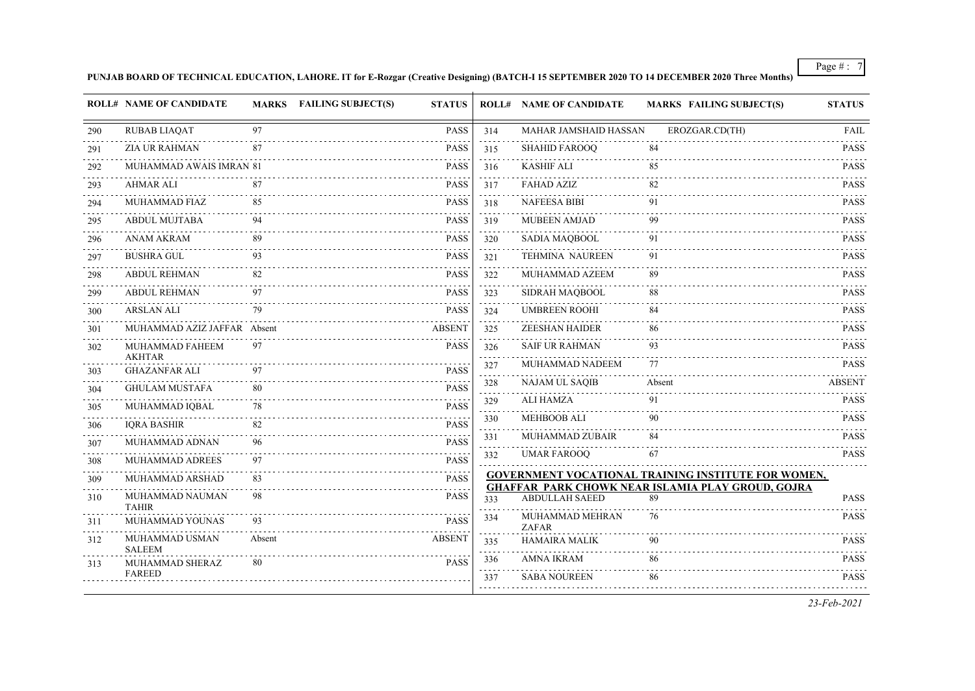**PUNJAB BOARD OF TECHNICAL EDUCATION, LAHORE. IT for E-Rozgar (Creative Designing) (BATCH-I 15 SEPTEMBER 2020 TO 14 DECEMBER 2020 Three Months)**

|     | <b>ROLL# NAME OF CANDIDATE</b>   |        | <b>MARKS</b> FAILING SUBJECT(S) | <b>STATUS</b> |                                                      | <b>ROLL# NAME OF CANDIDATE</b> | <b>MARKS FAILING SUBJECT(S)</b>                                | <b>STATUS</b> |
|-----|----------------------------------|--------|---------------------------------|---------------|------------------------------------------------------|--------------------------------|----------------------------------------------------------------|---------------|
| 290 | <b>RUBAB LIAQAT</b>              | 97     |                                 | <b>PASS</b>   | 314                                                  | MAHAR JAMSHAID HASSAN          | EROZGAR.CD(TH)                                                 | FAIL          |
| 291 | <b>ZIA UR RAHMAN</b>             | 87     |                                 | <b>PASS</b>   | 315                                                  | <b>SHAHID FAROOQ</b>           | 84                                                             | <b>PASS</b>   |
| 292 | MUHAMMAD AWAIS IMRAN 81          |        |                                 | <b>PASS</b>   | $\sim$ $\sim$ $\sim$<br>316                          | <b>KASHIF ALI</b>              | 85                                                             | <b>PASS</b>   |
| 293 | <b>AHMAR ALI</b>                 | 87     |                                 | <b>PASS</b>   | 317                                                  | <b>FAHAD AZIZ</b>              | 82                                                             | <b>PASS</b>   |
| 294 | MUHAMMAD FIAZ                    | 85     |                                 | <b>PASS</b>   | 318                                                  | <b>NAFEESA BIBI</b>            | 91                                                             | <b>PASS</b>   |
| 295 | <b>ABDUL MUJTABA</b>             |        |                                 | <b>PASS</b>   | 319                                                  | <b>MUBEEN AMJAD</b>            | 99                                                             | <b>PASS</b>   |
| 296 | <b>ANAM AKRAM</b>                | 89     |                                 | <b>PASS</b>   | 320                                                  | SADIA MAQBOOL                  | 91                                                             | <b>PASS</b>   |
| 297 | <b>BUSHRA GUL</b>                | 93     |                                 | <b>PASS</b>   | 321                                                  | <b>TEHMINA NAUREEN</b>         | 91                                                             | <b>PASS</b>   |
| 298 | <b>ABDUL REHMAN</b>              | 82     |                                 | <b>PASS</b>   | $\sim 100$<br>322                                    | MUHAMMAD AZEEM                 | 89                                                             | <b>PASS</b>   |
| 299 | <b>ABDUL REHMAN</b>              | 97     |                                 | <b>PASS</b>   | $\omega_{\rm{eff}}$ .<br>323                         | SIDRAH MAQBOOL                 | 88                                                             | <b>PASS</b>   |
| 300 | <b>ARSLAN ALI</b>                | 79     |                                 | <b>PASS</b>   | 324                                                  | <b>UMBREEN ROOHI</b>           | 84                                                             | <b>PASS</b>   |
| 301 | MUHAMMAD AZIZ JAFFAR Absent      |        |                                 | <b>ABSENT</b> | $\sim$ 100 $\pm$<br>325<br>$\sim$ $\sim$ $\sim$      | <b>ZEESHAN HAIDER</b>          | 86                                                             | <b>PASS</b>   |
| 302 | MUHAMMAD FAHEEM<br><b>AKHTAR</b> | 97     |                                 | <b>PASS</b>   | 326                                                  | <b>SAIF UR RAHMAN</b>          | 93                                                             | <b>PASS</b>   |
| 303 | <b>GHAZANFAR ALI</b>             | 97     |                                 | <b>PASS</b>   | 327<br>$\sim$ $\sim$ $\sim$                          | MUHAMMAD NADEEM                | 77                                                             | <b>PASS</b>   |
| 304 | <b>GHULAM MUSTAFA</b>            | 80     |                                 | <b>PASS</b>   | 328<br>المتمالي                                      | <b>NAJAM UL SAQIB</b>          | Absent                                                         | <b>ABSENT</b> |
| 305 | MUHAMMAD IQBAL                   | 78     |                                 | <b>PASS</b>   | 329<br>$\sim$ $\sim$                                 | ALI HAMZA                      | 91                                                             | <b>PASS</b>   |
| 306 | <b>IQRA BASHIR</b>               | 82     |                                 | <b>PASS</b>   | 330                                                  | <b>MEHBOOB ALI</b>             | 90                                                             | <b>PASS</b>   |
| 307 | MUHAMMAD ADNAN                   | 96     |                                 | <b>PASS</b>   | 331<br>$\frac{1}{2}$ . $\frac{1}{2}$ . $\frac{1}{2}$ | MUHAMMAD ZUBAIR                | 84                                                             | <b>PASS</b>   |
| 308 | MUHAMMAD ADREES                  | 97     |                                 | <b>PASS</b>   | 332                                                  | <b>UMAR FAROOQ</b>             | 67                                                             | <b>PASS</b>   |
| 309 | MUHAMMAD ARSHAD                  | 83     |                                 | <b>PASS</b>   |                                                      |                                | <b>GOVERNMENT VOCATIONAL TRAINING INSTITUTE FOR WOMEN,</b>     |               |
| 310 | MUHAMMAD NAUMAN<br><b>TAHIR</b>  | 98     |                                 | <b>PASS</b>   | 333                                                  | <b>ABDULLAH SAEED</b>          | <b>GHAFFAR PARK CHOWK NEAR ISLAMIA PLAY GROUD, GOJRA</b><br>89 | <b>PASS</b>   |
| 311 | MUHAMMAD YOUNAS                  | 93     |                                 | <b>PASS</b>   | 334                                                  | MUHAMMAD MEHRAN<br>ZAFAR       | 76                                                             | <b>PASS</b>   |
| 312 | MUHAMMAD USMAN<br><b>SALEEM</b>  | Absent |                                 | <b>ABSENT</b> | 335                                                  | <b>HAMAIRA MALIK</b>           | 90                                                             | <b>PASS</b>   |
| 313 | MUHAMMAD SHERAZ                  | 80     |                                 | <b>PASS</b>   | 336                                                  | <b>AMNA IKRAM</b>              | 86                                                             | <b>PASS</b>   |
|     | <b>FAREED</b>                    |        |                                 |               | 337                                                  | <b>SABA NOUREEN</b>            | 86                                                             | <b>PASS</b>   |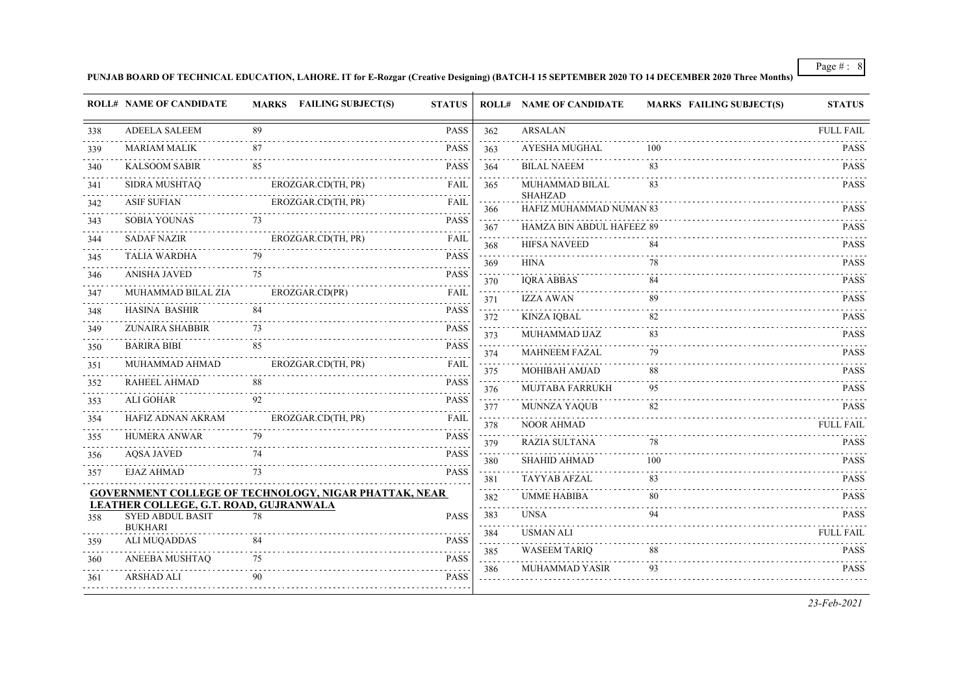#### **PUNJAB BOARD OF TECHNICAL EDUCATION, LAHORE. IT for E-Rozgar (Creative Designing) (BATCH-I 15 SEPTEMBER 2020 TO 14 DECEMBER 2020 Three Months)**

|                  | <b>ROLL# NAME OF CANDIDATE</b>                                    |    | MARKS FAILING SUBJECT(S)                                     | <b>STATUS</b>                       |                                    | <b>ROLL# NAME OF CANDIDATE</b>            | <b>MARKS FAILING SUBJECT(S)</b> | <b>STATUS</b>    |
|------------------|-------------------------------------------------------------------|----|--------------------------------------------------------------|-------------------------------------|------------------------------------|-------------------------------------------|---------------------------------|------------------|
| 338              | <b>ADEELA SALEEM</b>                                              | 89 |                                                              | <b>PASS</b>                         | 362                                | <b>ARSALAN</b>                            |                                 | <b>FULL FAIL</b> |
| والأبادي<br>339  | <b>MARIAM MALIK</b>                                               | 87 |                                                              | <b>PASS</b>                         | $\sim$<br>363                      | <b>AYESHA MUGHAL</b>                      | 100                             | <b>PASS</b>      |
| 340              | <b>KALSOOM SABIR</b>                                              | 85 |                                                              | <b>PASS</b>                         | $\sim$ $\sim$ $\sim$ $\sim$<br>364 | <b>BILAL NAEEM</b>                        | 83                              | <b>PASS</b>      |
| 341              | SIDRA MUSHTAQ                                                     |    | EROZGAR.CD(TH, PR)                                           | <b>FAIL</b>                         | 365                                | MUHAMMAD BILAL                            | 83                              | <b>PASS</b>      |
| 342              | <b>ASIF SUFIAN</b>                                                |    | EROZGAR.CD(TH, PR)                                           | <b>FAIL</b>                         | 366                                | <b>SHAHZAD</b><br>HAFIZ MUHAMMAD NUMAN 83 |                                 | <b>PASS</b>      |
| 343              | <b>SOBIA YOUNAS</b>                                               | 73 |                                                              | <b>PASS</b>                         | .<br>367                           | HAMZA BIN ABDUL HAFEEZ 89                 |                                 | <b>PASS</b>      |
| 344              | <b>SADAF NAZIR</b>                                                |    | EROZGAR.CD(TH, PR)                                           | FAIL                                | 368                                | <b>HIFSA NAVEED</b>                       | 84                              | <b>PASS</b>      |
| 345              | <b>TALIA WARDHA</b>                                               | 79 |                                                              | <b>PASS</b>                         | $\sim 10^{-1}$<br>369              | <b>HINA</b>                               | 78                              | <b>PASS</b>      |
| 346              | <b>ANISHA JAVED</b>                                               | 75 |                                                              | <b>PASS</b>                         | $\sim 100$ km $^{-1}$<br>370       | <b>IQRA ABBAS</b>                         | 84                              | <b>PASS</b>      |
| 347              | MUHAMMAD BILAL ZIA                                                |    | EROZGAR.CD(PR)                                               | FAIL                                | 371                                | <b>IZZA AWAN</b>                          | 89                              | <b>PASS</b>      |
| 348              | <b>HASINA BASHIR</b>                                              | 84 |                                                              | <b>PASS</b>                         | 372                                | <b>KINZA IQBAL</b>                        | 82                              | <b>PASS</b>      |
| 349              | <b>ZUNAIRA SHABBIR</b>                                            | 73 |                                                              | <b>PASS</b>                         | $\sim 100$ km $^{-1}$<br>373       | MUHAMMAD IJAZ                             | 83                              | <b>PASS</b>      |
| 350              | <b>BARIRA BIBI</b>                                                | 85 |                                                              | <b>PASS</b>                         | 374                                | <b>MAHNEEM FAZAL</b>                      | 79                              | <b>PASS</b>      |
| 351              | MUHAMMAD AHMAD                                                    |    | EROZGAR.CD(TH, PR)                                           | <b>FAIL</b>                         | a dia se<br>375                    | <b>MOHIBAH AMJAD</b>                      | 88                              | <b>PASS</b>      |
| 352              | <b>RAHEEL AHMAD</b>                                               | 88 |                                                              | <b>PASS</b>                         | وعاعات<br>376                      | <b>MUJTABA FARRUKH</b>                    | 95                              | <b>PASS</b>      |
| 353              | <b>ALI GOHAR</b>                                                  | 92 |                                                              | <b>PASS</b>                         | $\sim$ $\sim$ $\sim$ $\sim$<br>377 | MUNNZA YAQUB                              | 82                              | <b>PASS</b>      |
| 354              | HAFIZ ADNAN AKRAM                                                 |    | EROZGAR.CD(TH, PR)                                           | FAIL                                | وتوتون<br>378                      | <b>NOOR AHMAD</b>                         |                                 | <b>FULL FAIL</b> |
| 355<br>د د د د . | <b>HUMERA ANWAR</b>                                               | 79 |                                                              | <b>PASS</b><br>$\omega$ is a single | 379                                | <b>RAZIA SULTANA</b>                      | 78                              | <b>PASS</b>      |
| 356              | <b>AQSA JAVED</b>                                                 | 74 |                                                              | <b>PASS</b>                         | 380                                | <b>SHAHID AHMAD</b>                       | 100                             | <b>PASS</b>      |
| 357              | <b>EJAZ AHMAD</b>                                                 | 73 |                                                              | <b>PASS</b>                         | 381                                | TAYYAB AFZAL                              | 83                              | <b>PASS</b>      |
|                  |                                                                   |    | <b>GOVERNMENT COLLEGE OF TECHNOLOGY, NIGAR PHATTAK, NEAR</b> |                                     | a sa s<br>382                      | <b>UMME HABIBA</b>                        | 80                              | <b>PASS</b>      |
| 358              | LEATHER COLLEGE, G.T. ROAD, GUJRANWALA<br><b>SYED ABDUL BASIT</b> | 78 |                                                              | <b>PASS</b>                         | .<br>383                           | <b>UNSA</b>                               | 94                              | <b>PASS</b>      |
|                  | <b>BUKHARI</b>                                                    |    |                                                              |                                     | .<br>384                           | <b>USMAN ALI</b>                          |                                 | <b>FULL FAIL</b> |
| 359              | ALI MUQADDAS                                                      | 84 |                                                              | <b>PASS</b>                         | .<br>385                           | <b>WASEEM TARIO</b>                       | 88                              | <b>PASS</b>      |
| 360              | ANEEBA MUSHTAQ                                                    | 75 |                                                              | <b>PASS</b>                         | .<br>386                           | <b>MUHAMMAD YASIR</b>                     | 93                              | <b>PASS</b>      |
| 361              | <b>ARSHAD ALI</b>                                                 | 90 |                                                              | <b>PASS</b>                         | .                                  |                                           |                                 |                  |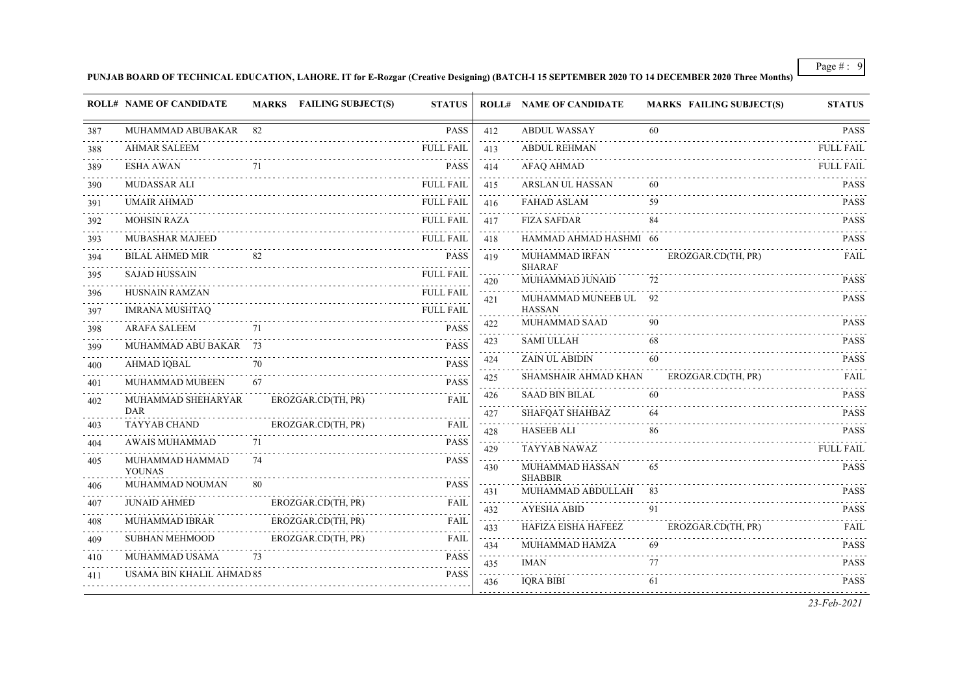**PUNJAB BOARD OF TECHNICAL EDUCATION, LAHORE. IT for E-Rozgar (Creative Designing) (BATCH-I 15 SEPTEMBER 2020 TO 14 DECEMBER 2020 Three Months)**

|     | <b>ROLL# NAME OF CANDIDATE</b> |    | <b>MARKS</b> FAILING SUBJECT(S) | <b>STATUS</b>    |                                    | <b>ROLL# NAME OF CANDIDATE</b>    | <b>MARKS FAILING SUBJECT(S)</b> | <b>STATUS</b>         |
|-----|--------------------------------|----|---------------------------------|------------------|------------------------------------|-----------------------------------|---------------------------------|-----------------------|
| 387 | MUHAMMAD ABUBAKAR              | 82 |                                 | <b>PASS</b>      | 412                                | <b>ABDUL WASSAY</b>               | 60                              | <b>PASS</b>           |
| 388 | <b>AHMAR SALEEM</b>            |    |                                 | <b>FULL FAIL</b> | 413                                | <b>ABDUL REHMAN</b>               |                                 | .<br><b>FULL FAIL</b> |
| 389 | <b>ESHA AWAN</b>               | 71 |                                 | <b>PASS</b>      | $\sim 100$<br>414                  | <b>AFAQ AHMAD</b>                 |                                 | <b>FULL FAIL</b>      |
| 390 | MUDASSAR ALI                   |    |                                 | <b>FULL FAIL</b> | 415                                | ARSLAN UL HASSAN                  | 60                              | <b>PASS</b>           |
| 391 | <b>UMAIR AHMAD</b>             |    |                                 | <b>FULL FAIL</b> | 416                                | <b>FAHAD ASLAM</b>                | 59                              | <b>PASS</b>           |
| 392 | <b>MOHSIN RAZA</b>             |    |                                 | <b>FULL FAIL</b> | 417                                | <b>FIZA SAFDAR</b>                | 84                              | <b>PASS</b>           |
| 393 | <b>MUBASHAR MAJEED</b>         |    |                                 | <b>FULL FAIL</b> | 418                                | HAMMAD AHMAD HASHMI 66            |                                 | <b>PASS</b>           |
| 394 | <b>BILAL AHMED MIR</b>         | 82 |                                 | <b>PASS</b>      | 419                                | MUHAMMAD IRFAN                    | EROZGAR.CD(TH, PR)              | FAIL                  |
| 395 | <b>SAJAD HUSSAIN</b>           |    |                                 | <b>FULL FAIL</b> | 420                                | <b>SHARAF</b><br>MUHAMMAD JUNAID  | 72                              | <b>PASS</b>           |
| 396 | <b>HUSNAIN RAMZAN</b>          |    |                                 | <b>FULL FAIL</b> | 421                                | MUHAMMAD MUNEEB UL 92             |                                 | <b>PASS</b>           |
| 397 | <b>IMRANA MUSHTAQ</b>          |    |                                 | <b>FULL FAIL</b> |                                    | <b>HASSAN</b>                     |                                 |                       |
| 398 | <b>ARAFA SALEEM</b>            | 71 |                                 | <b>PASS</b>      | 422                                | MUHAMMAD SAAD                     | 90                              | <b>PASS</b>           |
| 399 | MUHAMMAD ABU BAKAR 73          |    |                                 | <b>PASS</b>      | 423<br>$\sim$ $\sim$ $\sim$        | <b>SAMI ULLAH</b>                 | 68                              | <b>PASS</b>           |
| 400 | .<br>AHMAD IQBAL               | 70 |                                 | <b>PASS</b>      | 424                                | <b>ZAIN UL ABIDIN</b>             | 60                              | <b>PASS</b>           |
| 401 | MUHAMMAD MUBEEN                | 67 |                                 | <b>PASS</b>      | 425<br>$\sim 100$                  | SHAMSHAIR AHMAD KHAN              | EROZGAR.CD(TH, PR)              | FAII.                 |
| 402 | MUHAMMAD SHEHARYAR             |    | EROZGAR.CD(TH, PR)              | <b>FAIL</b>      | 426<br>$\sim$ $\sim$ $\sim$        | <b>SAAD BIN BILAL</b>             | 60                              | <b>PASS</b>           |
| 403 | DAR<br><b>TAYYAB CHAND</b>     |    | EROZGAR.CD(TH, PR)              | <b>FAIL</b>      | 427<br>$\sim$ $\sim$ $\sim$        | SHAFQAT SHAHBAZ                   | 64                              | <b>PASS</b>           |
| 404 | <b>AWAIS MUHAMMAD</b>          | 71 |                                 | <b>PASS</b>      | 428<br>$\sim$ $\sim$ $\sim$        | <b>HASEEB ALI</b>                 | 86                              | <b>PASS</b>           |
| 405 | MUHAMMAD HAMMAD                | 74 |                                 | <b>PASS</b>      | 429                                | TAYYAB NAWAZ                      |                                 | <b>FULL FAIL</b>      |
|     | <b>YOUNAS</b>                  |    |                                 |                  | 430                                | MUHAMMAD HASSAN<br><b>SHABBIR</b> | 65                              | <b>PASS</b>           |
| 406 | MUHAMMAD NOUMAN                | 80 |                                 | <b>PASS</b>      | 431                                | MUHAMMAD ABDULLAH                 | 83                              | <b>PASS</b>           |
| 407 | <b>JUNAID AHMED</b>            |    | EROZGAR.CD(TH, PR)              | <b>FAIL</b>      | 432                                | <b>AYESHA ABID</b>                | 91                              | <b>PASS</b>           |
| 408 | <b>MUHAMMAD IBRAR</b>          |    | EROZGAR.CD(TH, PR)              | FAIL             | $\sim$ $\sim$ $\sim$ $\sim$<br>433 | HAFIZA EISHA HAFEEZ               | EROZGAR.CD(TH, PR)              | .<br>FAIL             |
| 409 | <b>SUBHAN MEHMOOD</b>          |    | EROZGAR.CD(TH, PR)              | <b>FAIL</b>      | $\sim$ $\sim$ $\sim$<br>434        | MUHAMMAD HAMZA                    | 69                              | <b>PASS</b>           |
| 410 | MUHAMMAD USAMA                 | 73 |                                 | <b>PASS</b>      | 435                                | <b>IMAN</b>                       | 77                              | <b>PASS</b>           |
| 411 | USAMA BIN KHALIL AHMAD 85      |    |                                 | <b>PASS</b>      | $\sim 100$<br>436                  | <b>IORA BIBI</b>                  | 61                              | <b>PASS</b>           |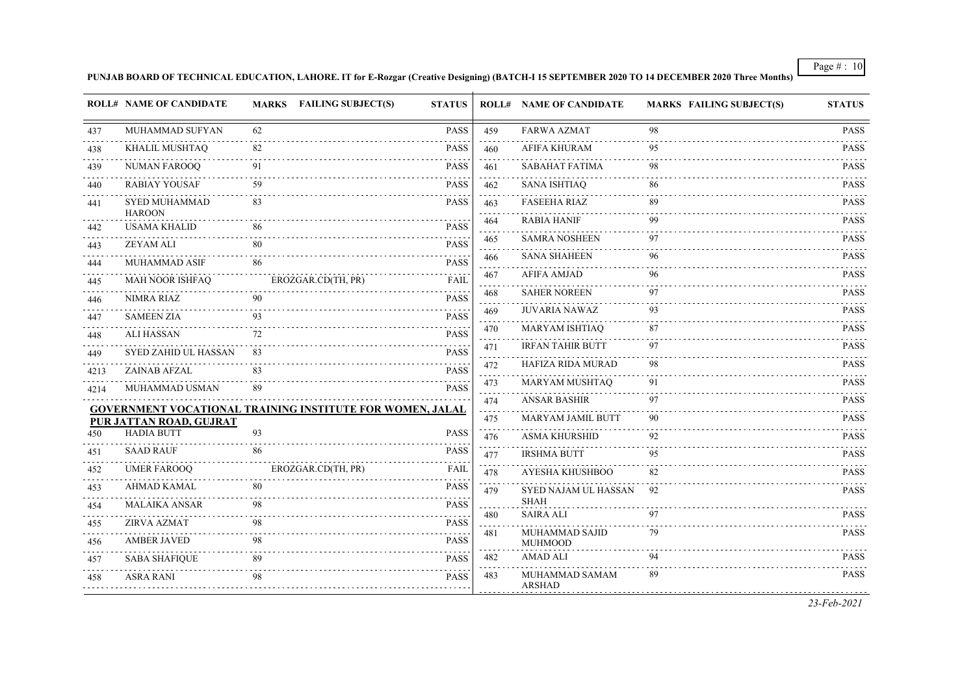**PUNJAB BOARD OF TECHNICAL EDUCATION, LAHORE. IT for E-Rozgar (Creative Designing) (BATCH-I 15 SEPTEMBER 2020 TO 14 DECEMBER 2020 Three Months)**

|          | <b>ROLL# NAME OF CANDIDATE</b>                                   |    | MARKS FAILING SUBJECT(S) | <b>STATUS</b> |     | <b>ROLL# NAME OF CANDIDATE</b>      | <b>MARKS FAILING SUBJECT(S)</b> | <b>STATUS</b>              |
|----------|------------------------------------------------------------------|----|--------------------------|---------------|-----|-------------------------------------|---------------------------------|----------------------------|
| 437      | MUHAMMAD SUFYAN                                                  | 62 |                          | <b>PASS</b>   | 459 | <b>FARWA AZMAT</b>                  | 98                              | <b>PASS</b>                |
| 438      | KHALIL MUSHTAQ                                                   | 82 |                          | <b>PASS</b>   | 460 | <b>AFIFA KHURAM</b>                 | 95                              | <b>PASS</b>                |
| 439      | <b>NUMAN FAROOQ</b>                                              | 91 |                          | <b>PASS</b>   | 461 | <b>SABAHAT FATIMA</b>               | 98                              | <b>PASS</b>                |
| 440      | <b>RABIAY YOUSAF</b>                                             | 59 |                          | PASS          | 462 | <b>SANA ISHTIAQ</b>                 | 86                              | <b>PASS</b>                |
| 441      | <b>SYED MUHAMMAD</b>                                             | 83 |                          | <b>PASS</b>   | 463 | <b>FASEEHA RIAZ</b>                 | 89                              | .<br><b>PASS</b>           |
| 442      | <b>HAROON</b><br><b>USAMA KHALID</b>                             | 86 |                          | <b>PASS</b>   | 464 | <b>RABIA HANIF</b>                  | 99                              | <b>PASS</b>                |
| 443      | <b>ZEYAM ALI</b>                                                 | 80 |                          | <b>PASS</b>   | 465 | <b>SAMRA NOSHEEN</b>                | 97                              | PASS                       |
| 444      | <b>MUHAMMAD ASIF</b>                                             | 86 |                          | <b>PASS</b>   | 466 | <b>SANA SHAHEEN</b>                 | 96                              | <b>PASS</b>                |
| 445      | MAH NOOR ISHFAQ                                                  |    | EROZGAR.CD(TH, PR)       | <b>FAIL</b>   | 467 | <b>AFIFA AMJAD</b>                  | 96                              | <b>PASS</b>                |
| 446      | <b>NIMRA RIAZ</b>                                                | 90 |                          | <b>PASS</b>   | 468 | <b>SAHER NOREEN</b>                 | 97                              | PASS                       |
| 447      | <b>SAMEEN ZIA</b>                                                | 93 |                          | <b>PASS</b>   | 469 | <b>JUVARIA NAWAZ</b>                | 93                              | <b>PASS</b>                |
| 448      | <b>ALI HASSAN</b>                                                | 72 |                          | <b>PASS</b>   | 470 | MARYAM ISHTIAQ                      | 87                              | <b>PASS</b>                |
| 449      | <b>SYED ZAHID UL HASSAN</b>                                      | 83 |                          | <b>PASS</b>   | 471 | <b>IRFAN TAHIR BUTT</b>             | 97                              | <b>PASS</b><br>.           |
| 4213     | ZAINAB AFZAL                                                     | 83 |                          | <b>PASS</b>   | 472 | HAFIZA RIDA MURAD                   | 98                              | <b>PASS</b><br>$- - - - -$ |
| 4214     | MUHAMMAD USMAN                                                   | 89 |                          | <b>PASS</b>   | 473 | MARYAM MUSHTAQ                      | 91                              | <b>PASS</b>                |
|          | <b>GOVERNMENT VOCATIONAL TRAINING INSTITUTE FOR WOMEN, JALAL</b> |    |                          |               | 474 | <b>ANSAR BASHIR</b>                 | 97                              | <b>PASS</b><br>.           |
|          | PUR JATTAN ROAD, GUJRAT                                          |    |                          |               | 475 | MARYAM JAMIL BUTT                   | 90                              | <b>PASS</b>                |
| 450      | <b>HADIA BUTT</b>                                                | 93 |                          | <b>PASS</b>   | 476 | <b>ASMA KHURSHID</b>                | 92                              | <b>PASS</b>                |
| 451      | <b>SAAD RAUF</b>                                                 | 86 |                          | <b>PASS</b>   | 477 | <b>IRSHMA BUTT</b>                  | 95                              | PASS<br>.                  |
| 452      | <b>UMER FAROOQ</b>                                               |    | EROZGAR.CD(TH, PR)       | FAIL          | 478 | AYESHA KHUSHBOO                     | 82                              | <b>PASS</b>                |
| 453      | <b>AHMAD KAMAL</b>                                               | 80 |                          | PASS          | 479 | SYED NAJAM UL HASSAN<br><b>SHAH</b> | 92                              | <b>PASS</b>                |
| 454      | MALAIKA ANSAR                                                    | 98 |                          | <b>PASS</b>   | 480 | <b>SAIRA ALI</b>                    | 97                              | <b>PASS</b>                |
| 455<br>. | ZIRVA AZMAT                                                      | 98 |                          | <b>PASS</b>   | 481 | MUHAMMAD SAJID                      | 79                              | <b>PASS</b>                |
| 456      | <b>AMBER JAVED</b>                                               | 98 |                          | <b>PASS</b>   |     | <b>MUHMOOD</b>                      |                                 |                            |
| 457      | <b>SABA SHAFIQUE</b>                                             | 89 |                          | <b>PASS</b>   | 482 | <b>AMAD ALI</b>                     | 94                              | <b>PASS</b>                |
| 458      | <b>ASRA RANI</b>                                                 | 98 |                          | <b>PASS</b>   | 483 | MUHAMMAD SAMAM<br><b>ARSHAD</b>     | 89                              | <b>PASS</b>                |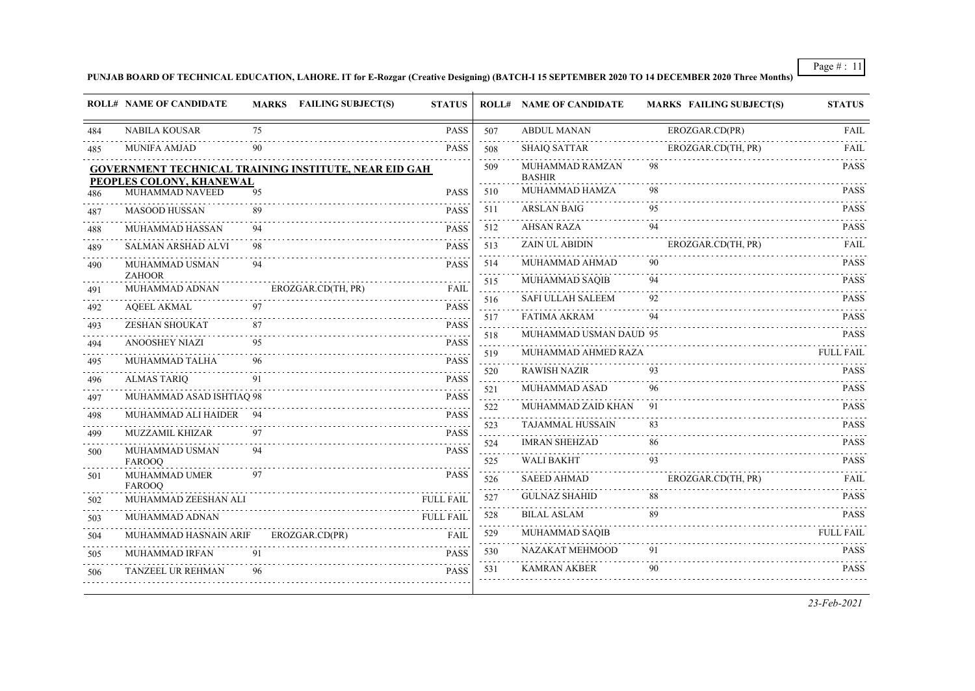#### **PUNJAB BOARD OF TECHNICAL EDUCATION, LAHORE. IT for E-Rozgar (Creative Designing) (BATCH-I 15 SEPTEMBER 2020 TO 14 DECEMBER 2020 Three Months)**

|     | <b>ROLL# NAME OF CANDIDATE</b>                                                           |    | <b>MARKS</b> FAILING SUBJECT(S) | <b>STATUS</b>    |                                       | <b>ROLL# NAME OF CANDIDATE</b>   | <b>MARKS FAILING SUBJECT(S)</b> | <b>STATUS</b>                                |
|-----|------------------------------------------------------------------------------------------|----|---------------------------------|------------------|---------------------------------------|----------------------------------|---------------------------------|----------------------------------------------|
| 484 | <b>NABILA KOUSAR</b>                                                                     | 75 |                                 | <b>PASS</b>      | 507                                   | <b>ABDUL MANAN</b>               | EROZGAR.CD(PR)                  | <b>FAIL</b>                                  |
| 485 | MUNIFA AMJAD                                                                             | 90 |                                 | <b>PASS</b>      | 508                                   | <b>SHAIQ SATTAR</b>              | EROZGAR.CD(TH, PR)              | <b>FAIL</b>                                  |
|     | <b>GOVERNMENT TECHNICAL TRAINING INSTITUTE, NEAR EID GAH</b><br>PEOPLES COLONY, KHANEWAL |    |                                 |                  | 509                                   | MUHAMMAD RAMZAN<br><b>BASHIR</b> | 98                              | <b>PASS</b>                                  |
| 486 | MUHAMMAD NAVEED                                                                          | 95 |                                 | <b>PASS</b>      | 510                                   | MUHAMMAD HAMZA                   | 98                              | <b>PASS</b>                                  |
| 487 | <b>MASOOD HUSSAN</b>                                                                     | 89 |                                 | <b>PASS</b>      | 511                                   | <b>ARSLAN BAIG</b>               | 95                              | <b>PASS</b>                                  |
| 488 | MUHAMMAD HASSAN                                                                          | 94 |                                 | <b>PASS</b>      | $\sim 100$<br>512                     | <b>AHSAN RAZA</b>                | 94                              | <b>PASS</b>                                  |
| 489 | SALMAN ARSHAD ALVI                                                                       | 98 |                                 | <b>PASS</b>      | 513                                   | ZAIN UL ABIDIN                   | EROZGAR.CD(TH, PR)              | FAIL                                         |
| 490 | MUHAMMAD USMAN                                                                           | 94 |                                 | <b>PASS</b>      | 514<br>.                              | MUHAMMAD AHMAD                   | 90                              | <b>PASS</b><br>$\omega$ is a single $\omega$ |
| 491 | <b>ZAHOOR</b><br>MUHAMMAD ADNAN                                                          |    | EROZGAR.CD(TH, PR)              | FAIL             | 515<br>.                              | MUHAMMAD SAQIB                   | 94                              | <b>PASS</b>                                  |
| 492 | <b>AQEEL AKMAL</b>                                                                       | 97 | .                               | <b>PASS</b>      | 516                                   | SAFI ULLAH SALEEM                | 92                              | <b>PASS</b>                                  |
| 493 | <b>ZESHAN SHOUKAT</b>                                                                    | 87 |                                 | <b>PASS</b>      | 517<br>.                              | <b>FATIMA AKRAM</b>              | 94                              | <b>PASS</b>                                  |
| 494 | <b>ANOOSHEY NIAZI</b>                                                                    |    |                                 | <b>PASS</b>      | 518<br>.                              | MUHAMMAD USMAN DAUD 95           |                                 | <b>PASS</b>                                  |
| 495 | MUHAMMAD TALHA                                                                           | 96 |                                 | <b>PASS</b>      | 519<br>$\sim$ $\sim$ $\sim$           | MUHAMMAD AHMED RAZA              |                                 | <b>FULL FAIL</b>                             |
| 496 | <b>ALMAS TARIQ</b>                                                                       | 91 |                                 | <b>PASS</b>      | 520<br>.                              | <b>RAWISH NAZIR</b>              | 93                              | <b>PASS</b><br>.                             |
| 497 | MUHAMMAD ASAD ISHTIAO 98                                                                 |    |                                 | <b>PASS</b>      | 521<br>.                              | MUHAMMAD ASAD                    | 96                              | <b>PASS</b>                                  |
| 498 | MUHAMMAD ALI HAIDER                                                                      |    |                                 | .<br><b>PASS</b> | 522<br>$\sim 10^{-1}$                 | MUHAMMAD ZAID KHAN               | 91                              | <b>PASS</b>                                  |
| 499 | MUZZAMIL KHIZAR                                                                          |    |                                 | <b>PASS</b>      | 523<br>.                              | <b>TAJAMMAL HUSSAIN</b>          | 83                              | <b>PASS</b>                                  |
| 500 | MUHAMMAD USMAN                                                                           |    |                                 | <b>PASS</b>      | 524<br>$\sim$ $\sim$ $\sim$           | <b>IMRAN SHEHZAD</b>             | 86                              | <b>PASS</b>                                  |
|     | <b>FAROOO</b>                                                                            |    |                                 |                  | 525                                   | <b>WALI BAKHT</b>                | 93                              | <b>PASS</b>                                  |
| 501 | MUHAMMAD UMER<br><b>FAROOO</b>                                                           | 97 |                                 | <b>PASS</b>      | 526<br>$\omega$ , $\omega$ , $\omega$ | <b>SAEED AHMAD</b>               | EROZGAR.CD(TH, PR)              | <b>FAIL</b><br>2.2.2.2.2.2                   |
| 502 | MUHAMMAD ZEESHAN ALI                                                                     |    |                                 | <b>FULL FAIL</b> | 527                                   | <b>GULNAZ SHAHID</b>             | 88                              | <b>PASS</b>                                  |
| 503 | MUHAMMAD ADNAN                                                                           |    |                                 | <b>FULL FAIL</b> | 528                                   | <b>BILAL ASLAM</b>               | 89                              | <b>PASS</b>                                  |
| 504 | MUHAMMAD HASNAIN ARIF                                                                    |    | EROZGAR.CD(PR)                  | <b>FAIL</b>      | 529<br>2.2.2.2                        | MUHAMMAD SAQIB                   |                                 | <b>FULL FAIL</b>                             |
| 505 | MUHAMMAD IRFAN                                                                           | 91 |                                 | <b>PASS</b>      | 530                                   | NAZAKAT MEHMOOD                  | 91                              | <b>PASS</b>                                  |
| 506 | TANZEEL UR REHMAN                                                                        | 96 |                                 | <b>PASS</b>      | 531                                   | <b>KAMRAN AKBER</b>              | 90                              | <b>PASS</b>                                  |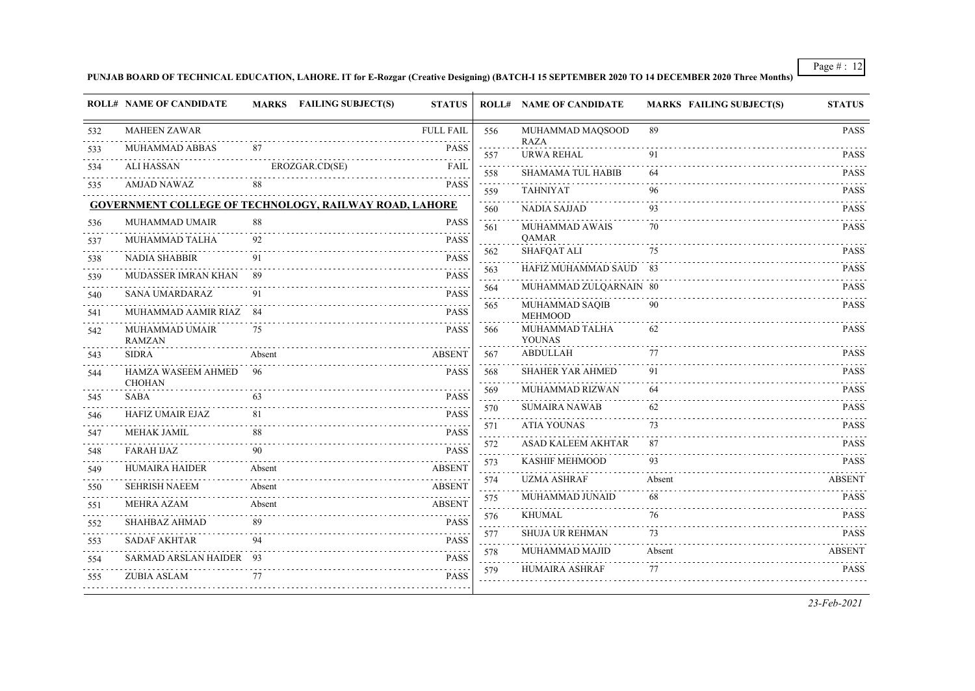#### **PUNJAB BOARD OF TECHNICAL EDUCATION, LAHORE. IT for E-Rozgar (Creative Designing) (BATCH-I 15 SEPTEMBER 2020 TO 14 DECEMBER 2020 Three Months)**

|     | <b>ROLL# NAME OF CANDIDATE</b>      | MARKS FAILING SUBJECT(S)                                      | <b>STATUS</b>    |                                       | <b>ROLL# NAME OF CANDIDATE</b>   | <b>MARKS FAILING SUBJECT(S)</b> | <b>STATUS</b>    |
|-----|-------------------------------------|---------------------------------------------------------------|------------------|---------------------------------------|----------------------------------|---------------------------------|------------------|
| 532 | <b>MAHEEN ZAWAR</b>                 |                                                               | <b>FULL FAIL</b> | 556                                   | MUHAMMAD MAQSOOD                 | 89                              | <b>PASS</b>      |
| 533 | MUHAMMAD ABBAS                      | 87                                                            | <b>PASS</b>      | 557                                   | <b>RAZA</b><br><b>URWA REHAL</b> | 91                              | <b>PASS</b>      |
| 534 | <b>ALI HASSAN</b>                   | EROZGAR.CD(SE)                                                | <b>FAIL</b>      | $\alpha$ , $\alpha$ , $\alpha$<br>558 | <b>SHAMAMA TUL HABIB</b>         | 64                              | .<br><b>PASS</b> |
| 535 | <b>AMJAD NAWAZ</b>                  | 88                                                            | <b>PASS</b>      | $\alpha$ , $\alpha$ , $\alpha$<br>559 | <b>TAHNIYAT</b>                  | 96                              | <b>PASS</b>      |
|     |                                     | <b>GOVERNMENT COLLEGE OF TECHNOLOGY, RAILWAY ROAD, LAHORE</b> |                  | 560                                   | <b>NADIA SAJJAD</b>              | .<br>93                         | <b>PASS</b>      |
| 536 | MUHAMMAD UMAIR                      | 88                                                            | <b>PASS</b>      | $\sim$ $\sim$ $\sim$<br>561           | MUHAMMAD AWAIS                   | 70                              | <b>PASS</b>      |
| 537 | MUHAMMAD TALHA                      | 92                                                            | <b>PASS</b>      |                                       | <b>OAMAR</b>                     |                                 |                  |
| 538 | <b>NADIA SHABBIR</b>                | 91                                                            | <b>PASS</b>      | 562<br>ولايات                         | <b>SHAFQAT ALI</b>               | 75                              | <b>PASS</b>      |
| 539 | MUDASSER IMRAN KHAN                 | 89                                                            | <b>PASS</b>      | 563<br>a sa sa                        | HAFIZ MUHAMMAD SAUD 83           |                                 | <b>PASS</b>      |
| 540 | <b>SANA UMARDARAZ</b>               | 91                                                            | <b>PASS</b>      | 564                                   | MUHAMMAD ZULQARNAIN 80           |                                 | <b>PASS</b>      |
| 541 | MUHAMMAD AAMIR RIAZ 84              |                                                               | <b>PASS</b>      | 565                                   | MUHAMMAD SAQIB<br><b>MEHMOOD</b> | 90                              | <b>PASS</b>      |
| 542 | MUHAMMAD UMAIR<br><b>RAMZAN</b>     | 75                                                            | <b>PASS</b>      | 566                                   | MUHAMMAD TALHA<br><b>YOUNAS</b>  | 62                              | <b>PASS</b>      |
| 543 | <b>SIDRA</b>                        | Absent                                                        | <b>ABSENT</b>    | 567                                   | <b>ABDULLAH</b>                  | 77                              | <b>PASS</b>      |
| 544 | HAMZA WASEEM AHMED<br><b>CHOHAN</b> | 96                                                            | <b>PASS</b>      | 568                                   | <b>SHAHER YAR AHMED</b>          | 91                              | <b>PASS</b>      |
| 545 | <b>SABA</b>                         | 63                                                            | <b>PASS</b>      | 569<br>.                              | MUHAMMAD RIZWAN                  | 64                              | <b>PASS</b>      |
| 546 | HAFIZ UMAIR EJAZ                    | 81                                                            | <b>PASS</b>      | 570<br>$\sim$ $\sim$                  | <b>SUMAIRA NAWAB</b>             | 62                              | <b>PASS</b>      |
| 547 | MEHAK JAMIL                         | 88                                                            | <b>PASS</b>      | 571<br>.                              | <b>ATIA YOUNAS</b>               | 73                              | <b>PASS</b>      |
| 548 | <b>FARAH IJAZ</b>                   | 90                                                            | <b>PASS</b>      | 572<br>.                              | <b>ASAD KALEEM AKHTAR</b>        | 87                              | <b>PASS</b>      |
| 549 | <b>HUMAIRA HAIDER</b>               | Absent                                                        | <b>ABSENT</b>    | 573<br>$\sim$ $\sim$                  | KASHIF MEHMOOD                   | 93                              | <b>PASS</b>      |
| 550 | <b>SEHRISH NAEEM</b>                | Absent                                                        | <b>ABSENT</b>    | 574<br>د د د د .                      | <b>UZMA ASHRAF</b>               | Absent                          | <b>ABSENT</b>    |
| 551 | <b>MEHRA AZAM</b>                   | Absent                                                        | <b>ABSENT</b>    | 575<br>.                              | MUHAMMAD JUNAID                  | 68                              | <b>PASS</b>      |
| 552 | <b>SHAHBAZ AHMAD</b>                | 89                                                            | <b>PASS</b>      | 576<br>.                              | <b>KHUMAL</b>                    | 76                              | <b>PASS</b>      |
| 553 | <b>SADAF AKHTAR</b>                 | 94                                                            | <b>PASS</b>      | 577<br>د د د د .                      | <b>SHUJA UR REHMAN</b>           | 73                              | <b>PASS</b>      |
| 554 | SARMAD ARSLAN HAIDER 93             |                                                               | <b>PASS</b>      | 578<br>.                              | MUHAMMAD MAJID                   | Absent                          | <b>ABSENT</b>    |
| 555 | <b>ZUBIA ASLAM</b>                  | 77                                                            | <b>PASS</b>      | 579<br>.                              | <b>HUMAIRA ASHRAF</b>            | 77                              | <b>PASS</b>      |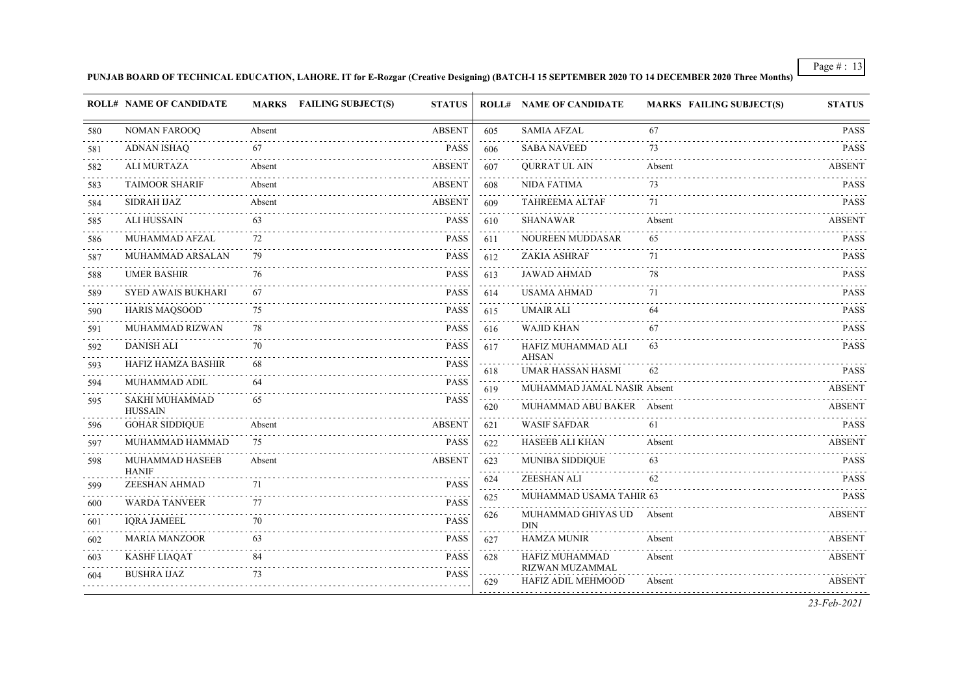#### **PUNJAB BOARD OF TECHNICAL EDUCATION, LAHORE. IT for E-Rozgar (Creative Designing) (BATCH-I 15 SEPTEMBER 2020 TO 14 DECEMBER 2020 Three Months)**

|          | <b>ROLL# NAME OF CANDIDATE</b>          |        | MARKS FAILING SUBJECT(S) | <b>STATUS</b>                       |                                | <b>ROLL# NAME OF CANDIDATE</b>           | <b>MARKS FAILING SUBJECT(S)</b> | <b>STATUS</b>    |
|----------|-----------------------------------------|--------|--------------------------|-------------------------------------|--------------------------------|------------------------------------------|---------------------------------|------------------|
| 580      | <b>NOMAN FAROOO</b>                     | Absent |                          | <b>ABSENT</b>                       | 605                            | <b>SAMIA AFZAL</b>                       | 67                              | <b>PASS</b>      |
| 581      | <b>ADNAN ISHAQ</b>                      | 67     |                          | PASS                                | 606                            | <b>SABA NAVEED</b>                       | 73                              | <b>PASS</b>      |
| .<br>582 | <b>ALI MURTAZA</b>                      | Absent |                          | <b>ABSENT</b>                       | $\sim 100$<br>607              | <b>QURRAT UL AIN</b>                     | Absent                          | <b>ABSENT</b>    |
| 583      | <b>TAIMOOR SHARIF</b>                   | Absent |                          | <b>ABSENT</b>                       | 608                            | <b>NIDA FATIMA</b>                       | 73                              | <b>PASS</b>      |
| 584      | <b>SIDRAH IJAZ</b>                      | Absent |                          | <b>ABSENT</b>                       | $\sim 100$<br>609              | <b>TAHREEMA ALTAF</b>                    | 71                              | <b>PASS</b>      |
| 585      | <b>ALI HUSSAIN</b>                      | 63     |                          | <b>PASS</b>                         | 610                            | <b>SHANAWAR</b>                          | Absent                          | <b>ABSENT</b>    |
| 586      | MUHAMMAD AFZAL                          | 72     |                          | <b>PASS</b>                         | 611                            | NOUREEN MUDDASAR                         | 65                              | <b>PASS</b>      |
| 587      | MUHAMMAD ARSALAN                        | 79     |                          | <b>PASS</b>                         | 612                            | <b>ZAKIA ASHRAF</b>                      | 71                              | <b>PASS</b>      |
| 588      | <b>UMER BASHIR</b>                      | 76     |                          | <b>PASS</b>                         | 613                            | <b>JAWAD AHMAD</b>                       | 78                              | <b>PASS</b>      |
| 589      | <b>SYED AWAIS BUKHARI</b>               | 67     |                          | <b>PASS</b>                         | 614                            | <b>USAMA AHMAD</b>                       | 71                              | <b>PASS</b>      |
| 590      | <b>HARIS MAQSOOD</b>                    | 75     |                          | $\omega$ is a set of<br><b>PASS</b> | .<br>615                       | <b>UMAIR ALI</b>                         | 64                              | .<br><b>PASS</b> |
| 591      | MUHAMMAD RIZWAN                         | 78     |                          | <b>PASS</b>                         | 616                            | <b>WAJID KHAN</b>                        | 67                              | <b>PASS</b>      |
| 592      | <b>DANISH ALI</b>                       | 70     |                          | <b>PASS</b>                         | 617                            | HAFIZ MUHAMMAD ALI                       | 63                              | <b>PASS</b>      |
| 593      | HAFIZ HAMZA BASHIR                      | 68     |                          | <b>PASS</b>                         | 618                            | <b>AHSAN</b><br><b>UMAR HASSAN HASMI</b> | 62                              | <b>PASS</b>      |
| 594      | MUHAMMAD ADIL                           | 64     |                          | <b>PASS</b>                         | 619                            | MUHAMMAD JAMAL NASIR Absent              |                                 | <b>ABSENT</b>    |
| 595      | <b>SAKHI MUHAMMAD</b><br><b>HUSSAIN</b> | 65     |                          | <b>PASS</b>                         | $\sim 100$<br>620              | MUHAMMAD ABU BAKER Absent                |                                 | <b>ABSENT</b>    |
| 596      | <b>GOHAR SIDDIQUE</b>                   | Absent |                          | <b>ABSENT</b>                       | 621                            | <b>WASIF SAFDAR</b>                      | 61                              | <b>PASS</b>      |
| 597      | MUHAMMAD HAMMAD                         | 75     |                          | PASS                                | 622                            | <b>HASEEB ALI KHAN</b>                   | Absent                          | <b>ABSENT</b>    |
| 598      | MUHAMMAD HASEEB<br><b>HANIF</b>         | Absent |                          | <b>ABSENT</b>                       | .<br>623<br>.                  | <b>MUNIBA SIDDIQUE</b>                   | 63                              | <b>PASS</b>      |
| 599      | ZEESHAN AHMAD                           | 71     |                          | <b>PASS</b>                         | 624<br>$\omega_{\rm{eff}}$ and | <b>ZEESHAN ALI</b>                       | 62                              | <b>PASS</b>      |
| 600      | <b>WARDA TANVEER</b>                    | 77     |                          | <b>PASS</b>                         | 625<br>والمحامر                | MUHAMMAD USAMA TAHIR 63                  |                                 | <b>PASS</b>      |
| 601      | <b>IORA JAMEEL</b>                      | 70     |                          | <b>PASS</b>                         | 626                            | MUHAMMAD GHIYAS UD<br><b>DIN</b>         | Absent                          | <b>ABSENT</b>    |
| 602      | <b>MARIA MANZOOR</b>                    | 63     |                          | <b>PASS</b>                         | 627                            | <b>HAMZA MUNIR</b>                       | Absent                          | <b>ABSENT</b>    |
| 603      | <b>KASHF LIAQAT</b>                     |        |                          | PASS                                | 628                            | HAFIZ MUHAMMAD                           | Absent                          | <b>ABSENT</b>    |
| 604      | <b>BUSHRA IJAZ</b>                      | 73     |                          | <b>PASS</b>                         | 629                            | RIZWAN MUZAMMAL<br>HAFIZ ADIL MEHMOOD    | Absent                          | <b>ABSENT</b>    |
|          |                                         |        |                          |                                     |                                |                                          |                                 | $22E_{1}$ $2021$ |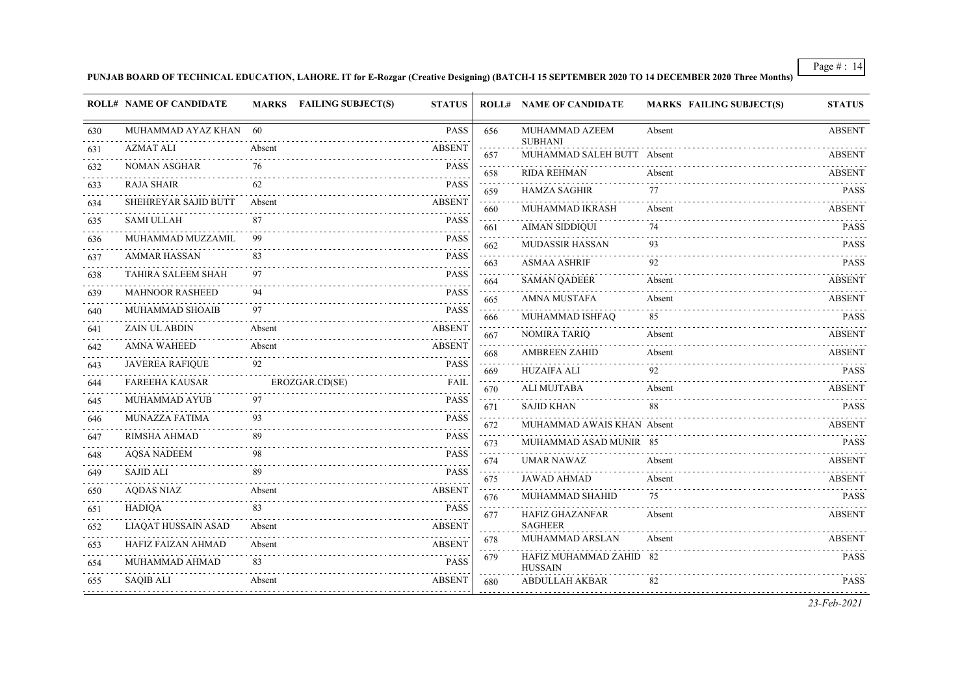**PUNJAB BOARD OF TECHNICAL EDUCATION, LAHORE. IT for E-Rozgar (Creative Designing) (BATCH-I 15 SEPTEMBER 2020 TO 14 DECEMBER 2020 Three Months)**

|     | <b>ROLL# NAME OF CANDIDATE</b> | MARKS FAILING SUBJECT(S) | <b>STATUS</b>                       |                                              | <b>ROLL# NAME OF CANDIDATE</b>               | <b>MARKS FAILING SUBJECT(S)</b> | <b>STATUS</b>      |
|-----|--------------------------------|--------------------------|-------------------------------------|----------------------------------------------|----------------------------------------------|---------------------------------|--------------------|
| 630 | MUHAMMAD AYAZ KHAN 60          |                          | <b>PASS</b>                         | 656                                          | MUHAMMAD AZEEM                               | Absent                          | <b>ABSENT</b>      |
| 631 | AZMAT ALI                      | Absent                   | <b>ABSENT</b>                       | 657                                          | <b>SUBHANI</b><br>MUHAMMAD SALEH BUTT Absent |                                 | .<br><b>ABSENT</b> |
| 632 | <b>NOMAN ASGHAR</b>            | 76                       | <b>PASS</b>                         | 658                                          | <b>RIDA REHMAN</b>                           | Absent                          | <b>ABSENT</b>      |
| 633 | <b>RAJA SHAIR</b>              | 62                       | <b>PASS</b>                         | 659                                          | <b>HAMZA SAGHIR</b>                          | 77                              | <b>PASS</b>        |
| 634 | SHEHREYAR SAJID BUTT           | Absent                   | <b>ABSENT</b>                       | $\sim$ $\sim$ $\sim$<br>660                  | MUHAMMAD IKRASH                              | Absent                          | <b>ABSENT</b>      |
| 635 | <b>SAMI ULLAH</b>              | 87                       | <b>PASS</b>                         | 661                                          | <b>AIMAN SIDDIQUI</b>                        | 74                              | <b>PASS</b>        |
| 636 | MUHAMMAD MUZZAMIL              | 99.                      | <b>PASS</b>                         | 662                                          | <b>MUDASSIR HASSAN</b>                       | 93                              | <b>PASS</b>        |
| 637 | <b>AMMAR HASSAN</b>            | 83                       | <b>PASS</b>                         | 663                                          | <b>ASMAA ASHRIF</b>                          | 92                              | <b>PASS</b>        |
| 638 | <b>TAHIRA SALEEM SHAH</b>      | 97                       | <b>PASS</b><br>$\omega$ is a set of | 664                                          | <b>SAMAN QADEER</b>                          | Absent                          | <b>ABSENT</b>      |
| 639 | <b>MAHNOOR RASHEED</b>         | 94                       | <b>PASS</b>                         | $\sim$ $\sim$ $\sim$<br>665                  | <b>AMNA MUSTAFA</b>                          | Absent                          | <b>ABSENT</b>      |
| 640 | MUHAMMAD SHOAIB                | 97                       | <b>PASS</b>                         | 666                                          | MUHAMMAD ISHFAQ                              | 85                              | <b>PASS</b>        |
| 641 | <b>ZAIN UL ABDIN</b>           | Absent                   | <b>ABSENT</b>                       | $\omega_{\rm c}$ and $\omega_{\rm c}$<br>667 | <b>NOMIRA TARIQ</b>                          | Absent                          | <b>ABSENT</b>      |
| 642 | <b>AMNA WAHEED</b>             | Absent                   | <b>ABSENT</b>                       | 668                                          | <b>AMBREEN ZAHID</b>                         | Absent                          | <b>ABSENT</b>      |
| 643 | <b>JAVEREA RAFIQUE</b>         | 92                       | <b>PASS</b>                         | 669                                          | <b>HUZAIFA ALI</b>                           | 92                              | <b>PASS</b>        |
| 644 | <b>FAREEHA KAUSAR</b>          | EROZGAR.CD(SE)           | FAIL                                | د د د د<br>670                               | ALI MUJTABA                                  | Absent                          | <b>ABSENT</b>      |
| 645 | MUHAMMAD AYUB                  | 97                       | <b>PASS</b>                         | 671                                          | <b>SAJID KHAN</b>                            | 88                              | <b>PASS</b>        |
| 646 | <b>MUNAZZA FATIMA</b>          | 93                       | <b>PASS</b>                         | $\sim$ $\sim$ $\sim$<br>672                  | MUHAMMAD AWAIS KHAN Absent                   |                                 | <b>ABSENT</b>      |
| 647 | RIMSHA AHMAD                   | 89                       | <b>PASS</b>                         | 673                                          | MUHAMMAD ASAD MUNIR 85                       |                                 | <b>PASS</b>        |
| 648 | <b>AOSA NADEEM</b>             | 98                       | <b>PASS</b>                         | 674                                          | <b>UMAR NAWAZ</b>                            | Absent                          | <b>ABSENT</b>      |
| 649 | SAJID ALI                      |                          | <b>PASS</b>                         | $\sim$<br>675                                | <b>JAWAD AHMAD</b>                           | Absent                          | <b>ABSENT</b>      |
| 650 | <b>AODAS NIAZ</b>              | Absent                   | <b>ABSENT</b>                       | 676                                          | MUHAMMAD SHAHID                              | 75                              | <b>PASS</b>        |
| 651 | <b>HADIOA</b>                  | 83                       | <b>PASS</b>                         | 677                                          | <b>HAFIZ GHAZANFAR</b>                       | Absent                          | <b>ABSENT</b>      |
| 652 | LIAQAT HUSSAIN ASAD            | Absent                   | <b>ABSENT</b>                       | 678                                          | <b>SAGHEER</b><br>MUHAMMAD ARSLAN            | Absent                          | <b>ABSENT</b>      |
| 653 | HAFIZ FAIZAN AHMAD             | Absent                   | <b>ABSENT</b>                       | $\sim$ $\sim$ $\sim$                         | HAFIZ MUHAMMAD ZAHID 82                      |                                 | <b>PASS</b>        |
| 654 | MUHAMMAD AHMAD                 | 83                       | <b>PASS</b>                         | 679                                          | <b>HUSSAIN</b>                               |                                 |                    |
| 655 | <b>SAOIB ALI</b>               | Absent                   | <b>ABSENT</b>                       | 680                                          | ABDULLAH AKBAR                               | 82                              | <b>PASS</b>        |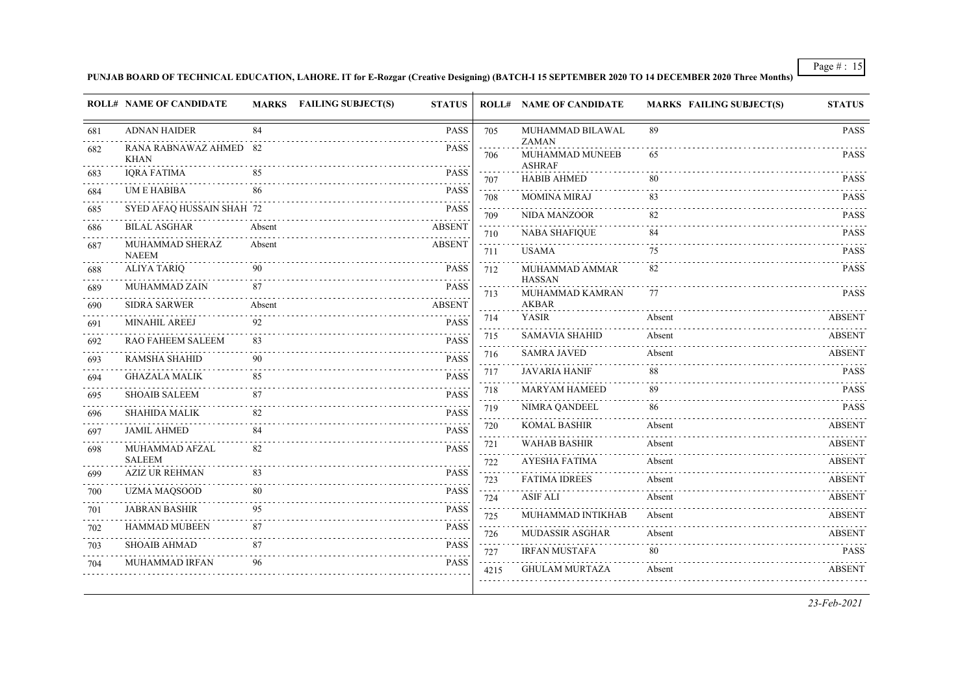**PUNJAB BOARD OF TECHNICAL EDUCATION, LAHORE. IT for E-Rozgar (Creative Designing) (BATCH-I 15 SEPTEMBER 2020 TO 14 DECEMBER 2020 Three Months)**

|     | <b>ROLL# NAME OF CANDIDATE</b>         |        | MARKS FAILING SUBJECT(S) | <b>STATUS</b> |                    | <b>ROLL# NAME OF CANDIDATE</b>   | <b>MARKS FAILING SUBJECT(S)</b> | <b>STATUS</b> |
|-----|----------------------------------------|--------|--------------------------|---------------|--------------------|----------------------------------|---------------------------------|---------------|
| 681 | <b>ADNAN HAIDER</b>                    | 84     |                          | <b>PASS</b>   | 705                | MUHAMMAD BILAWAL<br><b>ZAMAN</b> | 89                              | <b>PASS</b>   |
| 682 | RANA RABNAWAZ AHMED 82<br><b>KHAN</b>  |        |                          | <b>PASS</b>   | 706                | MUHAMMAD MUNEEB<br><b>ASHRAF</b> | 65                              | <b>PASS</b>   |
| 683 | <b>IORA FATIMA</b>                     | 85     |                          | <b>PASS</b>   | 707                | <b>HABIB AHMED</b>               | 80                              | <b>PASS</b>   |
| 684 | <b>UM E HABIBA</b>                     | 86     |                          | <b>PASS</b>   | 708                | <b>MOMINA MIRAJ</b>              | 83                              | <b>PASS</b>   |
| 685 | SYED AFAQ HUSSAIN SHAH 72              |        |                          | <b>PASS</b>   | 709                | <b>NIDA MANZOOR</b>              | 82                              | <b>PASS</b>   |
| 686 | <b>BILAL ASGHAR</b>                    | Absent |                          | ABSENT        | 710                | <b>NABA SHAFIQUE</b>             | 84                              | <b>PASS</b>   |
| 687 | MUHAMMAD SHERAZ<br><b>NAEEM</b>        | Absent |                          | <b>ABSENT</b> | 711                | <b>USAMA</b>                     | 75                              | <b>PASS</b>   |
| 688 | <b>ALIYA TARIO</b>                     | 90     |                          | <b>PASS</b>   | 712                | MUHAMMAD AMMAR                   | 82                              | <b>PASS</b>   |
| 689 | MUHAMMAD ZAIN                          | 87     |                          | <b>PASS</b>   | 713                | <b>HASSAN</b><br>MUHAMMAD KAMRAN | 77                              | <b>PASS</b>   |
| 690 | <b>SIDRA SARWER</b>                    | Absent |                          | <b>ABSENT</b> |                    | <b>AKBAR</b>                     |                                 |               |
| 691 | <b>MINAHIL AREEJ</b>                   | 92     |                          | <b>PASS</b>   | 714                | <b>YASIR</b>                     | Absent                          | <b>ABSENT</b> |
| 692 | RAO FAHEEM SALEEM                      | 83     |                          | <b>PASS</b>   | 715                | <b>SAMAVIA SHAHID</b>            | Absent                          | <b>ABSENT</b> |
| 693 | RAMSHA SHAHID                          | 90     |                          | <b>PASS</b>   | 716                | <b>SAMRA JAVED</b>               | Absent                          | <b>ABSENT</b> |
| 694 | <b>GHAZALA MALIK</b>                   | 85     |                          | <b>PASS</b>   | 717                | <b>JAVARIA HANIF</b>             | 88                              | <b>PASS</b>   |
| 695 | <b>SHOAIB SALEEM</b>                   | 87     |                          | <b>PASS</b>   | 718                | <b>MARYAM HAMEED</b>             | 89                              | <b>PASS</b>   |
| 696 | <b>SHAHIDA MALIK</b>                   | 82     |                          | <b>PASS</b>   | 719                | NIMRA QANDEEL                    | 86                              | <b>PASS</b>   |
| 697 | <b>JAMIL AHMED</b>                     | 84     |                          | <b>PASS</b>   | 720                | <b>KOMAL BASHIR</b>              | Absent                          | <b>ABSENT</b> |
| 698 | MUHAMMAD AFZAL                         | 82     |                          | <b>PASS</b>   | 721<br>$2.2 - 2.2$ | <b>WAHAB BASHIR</b>              | Absent                          | <b>ABSENT</b> |
|     | <b>SALEEM</b><br><b>AZIZ UR REHMAN</b> | 83     |                          | <b>PASS</b>   | 722                | AYESHA FATIMA                    | Absent                          | <b>ABSENT</b> |
| 699 |                                        |        |                          |               | 723                | <b>FATIMA IDREES</b>             | Absent                          | <b>ABSENT</b> |
| 700 | <b>UZMA MAQSOOD</b>                    | 80     |                          | <b>PASS</b>   | 724                | <b>ASIF ALI</b>                  | Absent                          | <b>ABSENT</b> |
| 701 | <b>JABRAN BASHIR</b>                   | 95     |                          | <b>PASS</b>   | 725                | MUHAMMAD INTIKHAB                | Absent                          | <b>ABSENT</b> |
| 702 | <b>HAMMAD MUBEEN</b>                   | 87     |                          | <b>PASS</b>   | 726                | MUDASSIR ASGHAR                  | Absent                          | <b>ABSENT</b> |
| 703 | <b>SHOAIB AHMAD</b>                    | 87     |                          | <b>PASS</b>   | 727                | <b>IRFAN MUSTAFA</b>             | 80                              | PASS          |
| 704 | <b>MUHAMMAD IRFAN</b>                  | 96     |                          | <b>PASS</b>   | 4215               | <b>GHULAM MURTAZA</b>            | .<br>Absent                     | <b>ABSENT</b> |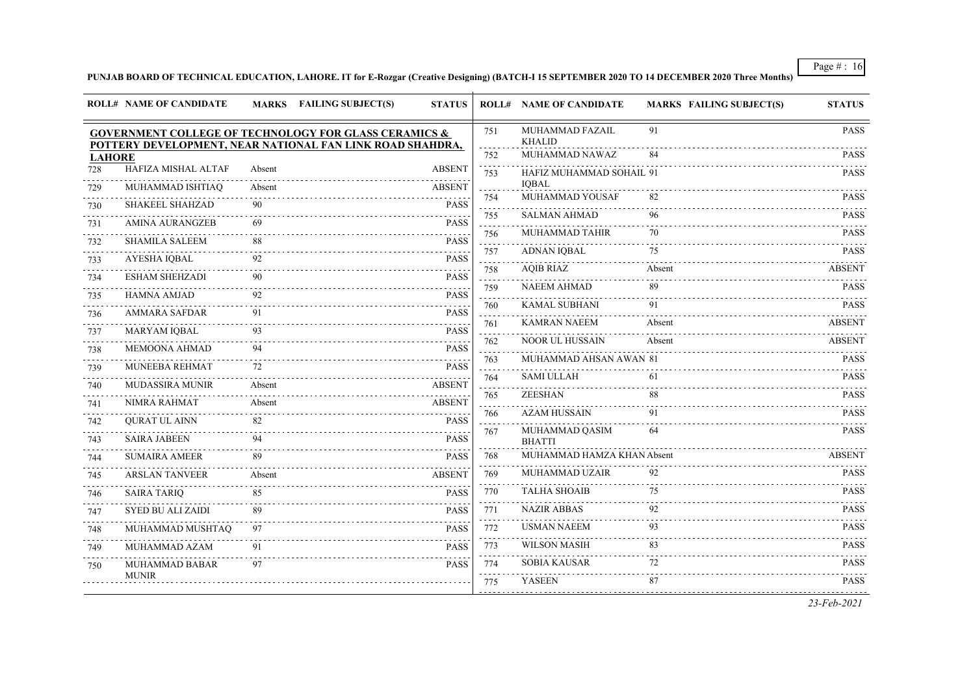## **PUNJAB BOARD OF TECHNICAL EDUCATION, LAHORE. IT for E-Rozgar (Creative Designing) (BATCH-I 15 SEPTEMBER 2020 TO 14 DECEMBER 2020 Three Months)**

|               | <b>ROLL# NAME OF CANDIDATE</b> |        | MARKS FAILING SUBJECT(S)                                                                                                      | <b>STATUS</b> |                                    | <b>ROLL# NAME OF CANDIDATE</b>   | <b>MARKS FAILING SUBJECT(S)</b> | <b>STATUS</b> |
|---------------|--------------------------------|--------|-------------------------------------------------------------------------------------------------------------------------------|---------------|------------------------------------|----------------------------------|---------------------------------|---------------|
|               |                                |        | <b>GOVERNMENT COLLEGE OF TECHNOLOGY FOR GLASS CERAMICS &amp;</b><br>POTTERY DEVELOPMENT, NEAR NATIONAL FAN LINK ROAD SHAHDRA, |               | 751                                | MUHAMMAD FAZAIL<br><b>KHALID</b> | 91                              | <b>PASS</b>   |
| <b>LAHORE</b> |                                |        |                                                                                                                               |               | 752                                | MUHAMMAD NAWAZ                   | 84                              | <b>PASS</b>   |
| 728           | HAFIZA MISHAL ALTAF            | Absent |                                                                                                                               | <b>ABSENT</b> | 753                                | HAFIZ MUHAMMAD SOHAIL 91         |                                 | <b>PASS</b>   |
| 729           | MUHAMMAD ISHTIAQ               | Absent |                                                                                                                               | <b>ABSENT</b> |                                    | <b>IOBAL</b>                     | 82                              |               |
| 730           | <b>SHAKEEL SHAHZAD</b>         | 90     |                                                                                                                               | <b>PASS</b>   | 754                                | <b>MUHAMMAD YOUSAF</b>           |                                 | <b>PASS</b>   |
| 731           | <b>AMINA AURANGZEB</b>         | 69     |                                                                                                                               | <b>PASS</b>   | 755<br>$\sim$                      | <b>SALMAN AHMAD</b>              | 96                              | <b>PASS</b>   |
| 732           | <b>SHAMILA SALEEM</b>          | 88     |                                                                                                                               | <b>PASS</b>   | 756<br>$\sim$                      | MUHAMMAD TAHIR                   | 70                              | <b>PASS</b>   |
| 733           | <b>AYESHA IQBAL</b>            | 92     |                                                                                                                               | <b>PASS</b>   | 757<br>$\omega_{\rm{max}}$         | <b>ADNAN IQBAL</b>               | 75                              | <b>PASS</b>   |
| 734           | <b>ESHAM SHEHZADI</b>          | 90     |                                                                                                                               | <b>PASS</b>   | 758                                | <b>AQIB RIAZ</b>                 | Absent                          | <b>ABSENT</b> |
| 735           | <b>HAMNA AMJAD</b>             | 92     |                                                                                                                               | PASS          | 759<br>and and                     | <b>NAEEM AHMAD</b>               | 89                              | <b>PASS</b>   |
| 736           | <b>AMMARA SAFDAR</b>           | 91     |                                                                                                                               | <b>PASS</b>   | 760                                | <b>KAMAL SUBHANI</b>             | 91                              | <b>PASS</b>   |
| 737           | <b>MARYAM IQBAL</b>            | 93     |                                                                                                                               | <b>PASS</b>   | 761<br>$\sim 100$                  | <b>KAMRAN NAEEM</b>              | Absent                          | <b>ABSENT</b> |
| 738           | <b>MEMOONA AHMAD</b>           | 94     |                                                                                                                               | <b>PASS</b>   | 762                                | NOOR UL HUSSAIN                  | Absent                          | <b>ABSENT</b> |
|               | MUNEEBA REHMAT                 | 72     |                                                                                                                               | <b>PASS</b>   | $\sim$ $\sim$ $\sim$<br>763        | MUHAMMAD AHSAN AWAN 81           |                                 | <b>PASS</b>   |
| 739           |                                |        |                                                                                                                               |               | 764                                | <b>SAMI ULLAH</b>                | 61                              | <b>PASS</b>   |
| 740           | <b>MUDASSIRA MUNIR</b>         | Absent |                                                                                                                               | <b>ABSENT</b> | $\sim 100$ km s $^{-1}$<br>765     | <b>ZEESHAN</b>                   | 88                              | <b>PASS</b>   |
| 741           | NIMRA RAHMAT                   | Absent |                                                                                                                               | <b>ABSENT</b> | 766                                | <b>AZAM HUSSAIN</b>              | 91                              | <b>PASS</b>   |
| 742           | <b>QURAT UL AINN</b>           | 82     |                                                                                                                               | <b>PASS</b>   | $\sim$ $\sim$ $\sim$ $\sim$<br>767 | MUHAMMAD QASIM                   | 64                              | <b>PASS</b>   |
| 743           | <b>SAIRA JABEEN</b>            | 94     |                                                                                                                               | <b>PASS</b>   |                                    | <b>BHATTI</b>                    |                                 |               |
| 744           | <b>SUMAIRA AMEER</b>           | 89     |                                                                                                                               | <b>PASS</b>   | 768                                | MUHAMMAD HAMZA KHAN Absent       |                                 | <b>ABSENT</b> |
| 745           | <b>ARSLAN TANVEER</b>          | Absent |                                                                                                                               | <b>ABSENT</b> | 769<br>.                           | MUHAMMAD UZAIR                   | 92                              | <b>PASS</b>   |
| 746           | <b>SAIRA TARIQ</b>             | 85     |                                                                                                                               | <b>PASS</b>   | 770                                | <b>TALHA SHOAIB</b>              | 75                              | <b>PASS</b>   |
| 747           | <b>SYED BU ALI ZAIDI</b>       | 89     |                                                                                                                               | <b>PASS</b>   | 771<br>a a an                      | <b>NAZIR ABBAS</b>               | 92                              | <b>PASS</b>   |
| 748           | MUHAMMAD MUSHTAO               | 97     |                                                                                                                               | <b>PASS</b>   | 772                                | <b>USMAN NAEEM</b>               | 93                              | <b>PASS</b>   |
| 749           | MUHAMMAD AZAM                  | 91     |                                                                                                                               | <b>PASS</b>   | 773                                | <b>WILSON MASIH</b>              | 83                              | <b>PASS</b>   |
| 750           | <b>MUHAMMAD BABAR</b>          | 97     |                                                                                                                               | <b>PASS</b>   | 774                                | <b>SOBIA KAUSAR</b>              | 72                              | <b>PASS</b>   |
|               | <b>MUNIR</b>                   |        |                                                                                                                               |               | $\sim 100$ km s $^{-1}$<br>775     | <b>YASEEN</b>                    | 87                              | <b>PASS</b>   |
|               |                                |        |                                                                                                                               |               |                                    |                                  |                                 | 23-Feb-2021   |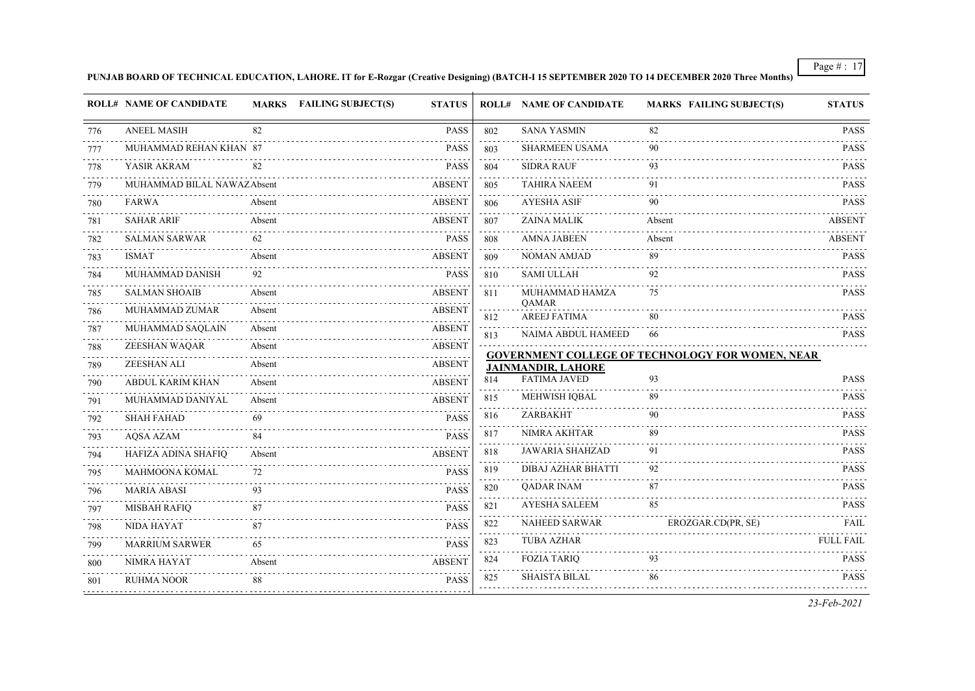**PUNJAB BOARD OF TECHNICAL EDUCATION, LAHORE. IT for E-Rozgar (Creative Designing) (BATCH-I 15 SEPTEMBER 2020 TO 14 DECEMBER 2020 Three Months)**

|          | <b>ROLL# NAME OF CANDIDATE</b> |        | <b>MARKS</b> FAILING SUBJECT(S) | <b>STATUS</b>                            |                             | <b>ROLL# NAME OF CANDIDATE</b> | <b>MARKS FAILING SUBJECT(S)</b>                         | <b>STATUS</b>    |
|----------|--------------------------------|--------|---------------------------------|------------------------------------------|-----------------------------|--------------------------------|---------------------------------------------------------|------------------|
| 776      | <b>ANEEL MASIH</b>             | 82     |                                 | <b>PASS</b>                              | 802                         | <b>SANA YASMIN</b>             | 82                                                      | <b>PASS</b>      |
| 777      | MUHAMMAD REHAN KHAN 87         |        |                                 | <b>PASS</b>                              | 803                         | SHARMEEN USAMA                 | 90                                                      | <b>PASS</b>      |
| 778      | YASIR AKRAM                    | 82     |                                 | <b>PASS</b>                              | $\sim 100$<br>804           | <b>SIDRA RAUF</b>              | 93                                                      | <b>PASS</b>      |
| 779      | MUHAMMAD BILAL NAWAZAbsent     |        |                                 | <b>ABSENT</b>                            | 805                         | <b>TAHIRA NAEEM</b>            | 91                                                      | <b>PASS</b>      |
| 780      | <b>FARWA</b>                   | Absent |                                 | <b>ABSENT</b>                            | 806                         | <b>AYESHA ASIF</b>             | 90                                                      | <b>PASS</b>      |
| 781      | <b>SAHAR ARIF</b>              | Absent |                                 | <b>ABSENT</b>                            | 807                         | <b>ZAINA MALIK</b>             | Absent                                                  | <b>ABSENT</b>    |
| 782      | <b>SALMAN SARWAR</b>           | 62     |                                 | <b>PASS</b>                              | 808                         | <b>AMNA JABEEN</b>             | Absent                                                  | <b>ABSENT</b>    |
| 783      | <b>ISMAT</b>                   | Absent |                                 | <b>ABSENT</b>                            | 809<br>$\sim$ $\sim$ $\sim$ | <b>NOMAN AMJAD</b>             | 89                                                      | <b>PASS</b>      |
| 784      | MUHAMMAD DANISH                | 92     |                                 | <b>PASS</b>                              | 810                         | <b>SAMI ULLAH</b>              | 92                                                      | <b>PASS</b>      |
| 785      | <b>SALMAN SHOAIB</b>           | Absent |                                 | <b>ABSENT</b>                            | 811                         | MUHAMMAD HAMZA                 | 75                                                      | <b>PASS</b>      |
| 786      | MUHAMMAD ZUMAR                 | Absent |                                 | <b>ABSENT</b>                            | 812                         | QAMAR<br><b>AREEJ FATIMA</b>   | 80                                                      | <b>PASS</b>      |
| 787      | MUHAMMAD SAQLAIN               | Absent |                                 | <b>ABSENT</b>                            | 813                         | NAIMA ABDUL HAMEED             | 66                                                      | <b>PASS</b>      |
| 788      | ZEESHAN WAQAR                  | Absent |                                 | <b>ABSENT</b>                            |                             |                                | <b>GOVERNMENT COLLEGE OF TECHNOLOGY FOR WOMEN, NEAR</b> |                  |
| 789      | ZEESHAN ALI                    | Absent |                                 | <b>ABSENT</b>                            |                             | <b>JAINMANDIR, LAHORE</b>      |                                                         |                  |
| 790      | <b>ABDUL KARIM KHAN</b>        | Absent |                                 | <b>ABSENT</b>                            | 814                         | <b>FATIMA JAVED</b>            | 93                                                      | <b>PASS</b>      |
| .<br>791 | MUHAMMAD DANIYAL               | Absent |                                 | <b>ABSENT</b>                            | 815                         | MEHWISH IQBAL                  | 89                                                      | <b>PASS</b>      |
| 792      | <b>SHAH FAHAD</b>              | 69     |                                 | <b>PASS</b>                              | 816                         | ZARBAKHT                       | 90                                                      | <b>PASS</b>      |
| 793      | <b>AOSA AZAM</b>               | 84     |                                 | <b>PASS</b>                              | 817                         | NIMRA AKHTAR                   | 89                                                      | <b>PASS</b>      |
| 794      | HAFIZA ADINA SHAFIQ            | Absent |                                 | <b>ABSENT</b>                            | 818<br>$\sim$ $\sim$ $\sim$ | <b>JAWARIA SHAHZAD</b>         | 91                                                      | <b>PASS</b>      |
| 795      | MAHMOONA KOMAL                 | 72     |                                 | <b>PASS</b>                              | 819                         | DIBAJ AZHAR BHATTI             | 92                                                      | <b>PASS</b>      |
| 796      | <b>MARIA ABASI</b>             | 93     |                                 | <b>PASS</b>                              | 820<br>$\sim$ $\sim$ $\sim$ | <b>QADAR INAM</b>              | 87                                                      | <b>PASS</b>      |
| 797      | <b>MISBAH RAFIQ</b>            | 87     |                                 | $\omega$ is $\omega$ in .<br><b>PASS</b> | 821                         | <b>AYESHA SALEEM</b>           | 85                                                      | <b>PASS</b>      |
| 798      | <b>NIDA HAYAT</b>              |        |                                 | <b>PASS</b>                              | 822                         | <b>NAHEED SARWAR</b>           | EROZGAR.CD(PR, SE)                                      | FAIL             |
| 799      | <b>MARRIUM SARWER</b>          | 65     |                                 | <b>PASS</b>                              | 823                         | <b>TUBA AZHAR</b>              |                                                         | <b>FULL FAIL</b> |
| 800      | NIMRA HAYAT                    | Absent |                                 | <b>ABSENT</b>                            | 824                         | <b>FOZIA TARIQ</b>             | 93                                                      | <b>PASS</b><br>. |
| 801      | <b>RUHMA NOOR</b>              | 88     |                                 | <b>PASS</b>                              | 825                         | <b>SHAISTA BILAL</b>           | 86                                                      | <b>PASS</b>      |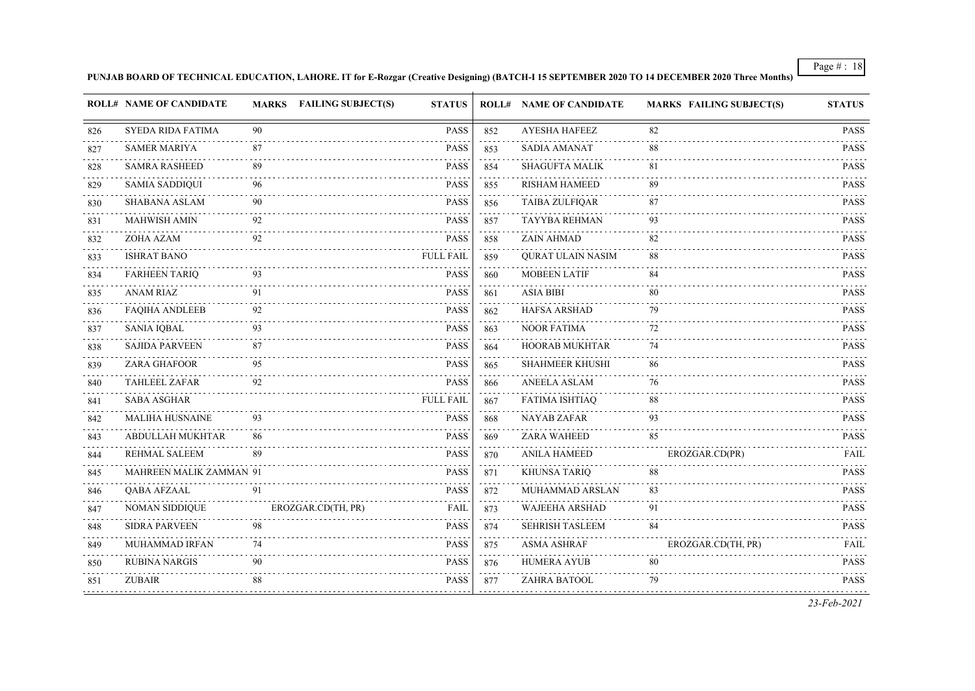**PUNJAB BOARD OF TECHNICAL EDUCATION, LAHORE. IT for E-Rozgar (Creative Designing) (BATCH-I 15 SEPTEMBER 2020 TO 14 DECEMBER 2020 Three Months)**

|     | <b>ROLL# NAME OF CANDIDATE</b> |    | MARKS FAILING SUBJECT(S) | <b>STATUS</b>    |                                       | <b>ROLL# NAME OF CANDIDATE</b> | <b>MARKS FAILING SUBJECT(S)</b> | <b>STATUS</b> |
|-----|--------------------------------|----|--------------------------|------------------|---------------------------------------|--------------------------------|---------------------------------|---------------|
| 826 | SYEDA RIDA FATIMA              | 90 |                          | PASS             | 852                                   | <b>AYESHA HAFEEZ</b>           | 82                              | <b>PASS</b>   |
| 827 | <b>SAMER MARIYA</b>            | 87 |                          | <b>PASS</b>      | 853                                   | <b>SADIA AMANAT</b>            | 88                              | <b>PASS</b>   |
| 828 | <b>SAMRA RASHEED</b>           | 89 |                          | <b>PASS</b>      | 854                                   | <b>SHAGUFTA MALIK</b>          | 81                              | <b>PASS</b>   |
| 829 | <b>SAMIA SADDIQUI</b>          | 96 |                          | <b>PASS</b>      | 855                                   | <b>RISHAM HAMEED</b>           | 89                              | <b>PASS</b>   |
| 830 | <b>SHABANA ASLAM</b>           | 90 |                          | <b>PASS</b>      | 856                                   | <b>TAIBA ZULFIQAR</b>          | 87                              | <b>PASS</b>   |
| 831 | <b>MAHWISH AMIN</b>            | 92 |                          | <b>PASS</b>      | 857                                   | TAYYBA REHMAN                  | 93                              | <b>PASS</b>   |
| 832 | ZOHA AZAM                      | 92 |                          | <b>PASS</b>      | 858                                   | ZAIN AHMAD                     | 82                              | <b>PASS</b>   |
| 833 | <b>ISHRAT BANO</b>             |    |                          | <b>FULL FAIL</b> | 859                                   | <b>QURAT ULAIN NASIM</b>       | 88                              | <b>PASS</b>   |
| 834 | <b>FARHEEN TARIQ</b>           | 93 |                          | <b>PASS</b>      | 860                                   | <b>MOBEEN LATIF</b>            | 84                              | <b>PASS</b>   |
| 835 | <b>ANAM RIAZ</b>               | 91 |                          | <b>PASS</b>      | 861                                   | <b>ASIA BIBI</b>               | 80                              | <b>PASS</b>   |
| 836 | <b>FAQIHA ANDLEEB</b>          | 92 |                          | <b>PASS</b>      | 862                                   | <b>HAFSA ARSHAD</b>            | 79                              | <b>PASS</b>   |
| 837 | <b>SANIA IQBAL</b>             | 93 |                          | <b>PASS</b>      | 863                                   | <b>NOOR FATIMA</b>             | 72                              | <b>PASS</b>   |
| 838 | <b>SAJIDA PARVEEN</b>          | 87 |                          | <b>PASS</b>      | 864<br>$\sim 10^{-1}$                 | HOORAB MUKHTAR                 | 74                              | <b>PASS</b>   |
| 839 | ZARA GHAFOOR                   | 95 |                          | <b>PASS</b>      | 865                                   | <b>SHAHMEER KHUSHI</b>         | 86                              | <b>PASS</b>   |
| 840 | <b>TAHLEEL ZAFAR</b>           | 92 |                          | <b>PASS</b>      | 866                                   | ANEELA ASLAM                   | 76                              | <b>PASS</b>   |
| 841 | <b>SABA ASGHAR</b>             |    |                          | <b>FULL FAIL</b> | 867<br>$\alpha$ , $\alpha$ , $\alpha$ | <b>FATIMA ISHTIAQ</b>          | 88                              | <b>PASS</b>   |
| 842 | <b>MALIHA HUSNAINE</b>         | 93 |                          | <b>PASS</b>      | 868                                   | <b>NAYAB ZAFAR</b>             | 93                              | <b>PASS</b>   |
| 843 | <b>ABDULLAH MUKHTAR</b>        | 86 |                          | <b>PASS</b>      | 869                                   | ZARA WAHEED                    | 85                              | <b>PASS</b>   |
| 844 | REHMAL SALEEM                  | 89 |                          | PASS             | 870<br>$\sim 100$                     | <b>ANILA HAMEED</b>            | EROZGAR.CD(PR)                  | FAIL          |
| 845 | <b>MAHREEN MALIK ZAMMAN 91</b> |    |                          | <b>PASS</b>      | 871                                   | <b>KHUNSA TARIQ</b>            | 88                              | <b>PASS</b>   |
| 846 | QABA AFZAAL                    | 91 |                          | <b>PASS</b>      | 872                                   | MUHAMMAD ARSLAN                | 83                              | <b>PASS</b>   |
| 847 | NOMAN SIDDIQUE                 |    | EROZGAR.CD(TH, PR)       | <b>FAIL</b>      | 873<br>$\sim 1000$                    | <b>WAJEEHA ARSHAD</b>          | 91                              | <b>PASS</b>   |
| 848 | <b>SIDRA PARVEEN</b>           | 98 |                          | <b>PASS</b>      | 874                                   | <b>SEHRISH TASLEEM</b>         | 84                              | <b>PASS</b>   |
| 849 | MUHAMMAD IRFAN                 | 74 |                          | <b>PASS</b>      | 875                                   | <b>ASMA ASHRAF</b>             | EROZGAR.CD(TH, PR)              | FAIL          |
| 850 | <b>RUBINA NARGIS</b>           | 90 |                          | PASS             | 876<br>$\sim 10^{-1}$                 | <b>HUMERA AYUB</b>             | 80                              | <b>PASS</b>   |
| 851 | <b>ZUBAIR</b>                  | 88 |                          | <b>PASS</b>      | 877                                   | ZAHRA BATOOL                   | 79                              | <b>PASS</b>   |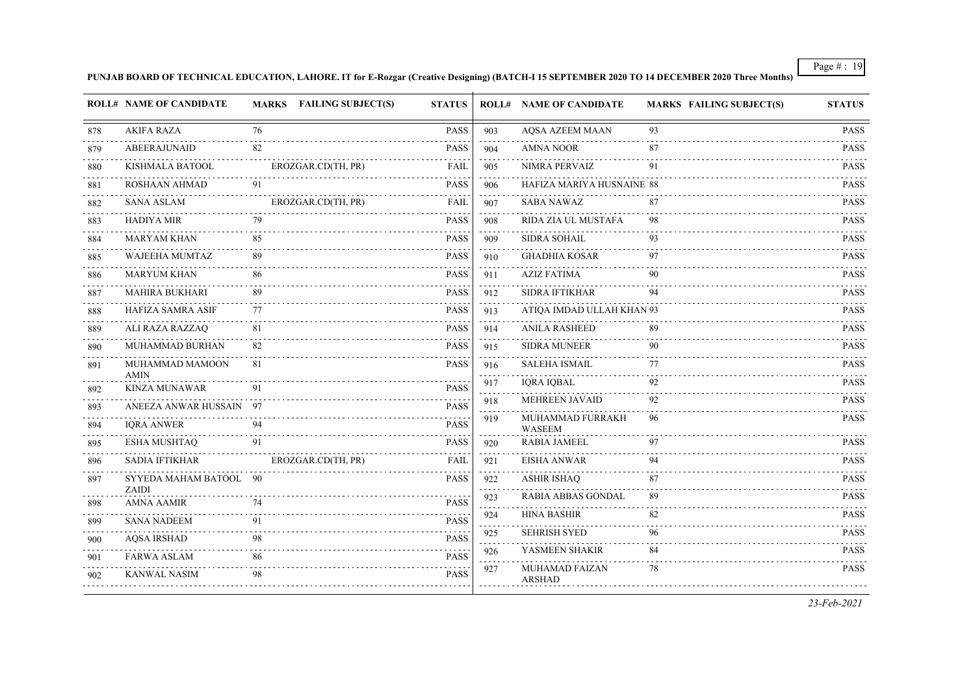#### **PUNJAB BOARD OF TECHNICAL EDUCATION, LAHORE. IT for E-Rozgar (Creative Designing) (BATCH-I 15 SEPTEMBER 2020 TO 14 DECEMBER 2020 Three Months)**

|     | <b>ROLL# NAME OF CANDIDATE</b>      |    | MARKS FAILING SUBJECT(S) | <b>STATUS</b> |          | <b>ROLL# NAME OF CANDIDATE</b>         | <b>MARKS FAILING SUBJECT(S)</b> | <b>STATUS</b>                                            |
|-----|-------------------------------------|----|--------------------------|---------------|----------|----------------------------------------|---------------------------------|----------------------------------------------------------|
| 878 | <b>AKIFA RAZA</b>                   | 76 |                          | PASS          | 903      | <b>AQSA AZEEM MAAN</b>                 | 93                              | <b>PASS</b>                                              |
| 879 | <b>ABEERAJUNAID</b>                 | 82 |                          | <b>PASS</b>   | 904      | AMNA NOOR                              | 87                              | <b>PASS</b>                                              |
| 880 | KISHMALA BATOOL                     |    | EROZGAR.CD(TH, PR)       | FAIL          | 905      | NIMRA PERVAIZ                          | 91                              | <b>PASS</b>                                              |
| 881 | ROSHAAN AHMAD                       | 91 |                          | <b>PASS</b>   | 906      | HAFIZA MARIYA HUSNAINE 88              |                                 | <b>PASS</b>                                              |
| 882 | <b>SANA ASLAM</b>                   |    | EROZGAR.CD(TH, PR)       | FAIL          | 907      | <b>SABA NAWAZ</b>                      | 87                              | <b>PASS</b>                                              |
| 883 | <b>HADIYA MIR</b>                   | 79 |                          | <b>PASS</b>   | 908      | RIDA ZIA UL MUSTAFA                    | 98                              | <b>PASS</b>                                              |
| 884 | <b>MARYAM KHAN</b>                  | 85 |                          | <b>PASS</b>   | 909      | SIDRA SOHAIL                           | 93                              | <b>PASS</b>                                              |
| 885 | <b>WAJEEHA MUMTAZ</b>               | 89 |                          | <b>PASS</b>   | 910      | <b>GHADHIA KOSAR</b>                   | 97                              | <b>PASS</b>                                              |
| 886 | <b>MARYUM KHAN</b>                  | 86 |                          | <b>PASS</b>   | 911      | <b>AZIZ FATIMA</b>                     | 90                              | PASS                                                     |
| 887 | <b>MAHIRA BUKHARI</b>               | 89 |                          | <b>PASS</b>   | 912      | <b>SIDRA IFTIKHAR</b>                  | 94                              | <b>PASS</b>                                              |
| 888 | <b>HAFIZA SAMRA ASIF</b>            | 77 |                          | <b>PASS</b>   | 913      | ATIQA IMDAD ULLAH KHAN 93              |                                 | <b>PASS</b>                                              |
| 889 | ALI RAZA RAZZAQ                     | 81 | .                        | <b>PASS</b>   | 914      | <b>ANILA RASHEED</b>                   | 89                              | $\sim$ $\sim$ $\sim$ $\sim$ $\sim$ $\sim$<br><b>PASS</b> |
| 890 | MUHAMMAD BURHAN                     | 82 |                          | <b>PASS</b>   | 915      | SIDRA MUNEER                           | 90                              | <b>PASS</b>                                              |
| 891 | MUHAMMAD MAMOON                     | 81 |                          | <b>PASS</b>   | 916<br>. | <b>SALEHA ISMAIL</b>                   | 77                              | <b>PASS</b>                                              |
| 892 | <b>AMIN</b><br><b>KINZA MUNAWAR</b> | 91 |                          | <b>PASS</b>   | 917      | <b>IQRA IQBAL</b>                      | 92                              | PASS                                                     |
| 893 | ANEEZA ANWAR HUSSAIN 97             |    |                          | <b>PASS</b>   | 918      | MEHREEN JAVAID                         | 92                              | <b>PASS</b>                                              |
| 894 | <b>IORA ANWER</b>                   | 94 |                          | <b>PASS</b>   | 919      | MUHAMMAD FURRAKH<br><b>WASEEM</b>      | 96                              | PASS                                                     |
| 895 | <b>ESHA MUSHTAQ</b>                 | 91 |                          | <b>PASS</b>   | 920      | <b>RABIA JAMEEL</b>                    | 97                              | <b>PASS</b>                                              |
| 896 | SADIA IFTIKHAR                      |    | EROZGAR.CD(TH, PR)       | FAIL          | 921      | <b>EISHA ANWAR</b>                     | 94                              | <b>PASS</b>                                              |
| 897 | SYYEDA MAHAM BATOOL 90<br>ZAIDI     |    |                          | <b>PASS</b>   | 922      | <b>ASHIR ISHAQ</b>                     | 87                              | <b>PASS</b>                                              |
| 898 | <b>AMNA AAMIR</b>                   | 74 |                          | <b>PASS</b>   | 923      | <b>RABIA ABBAS GONDAL</b>              | 89                              | <b>PASS</b>                                              |
| 899 | <b>SANA NADEEM</b>                  | 91 |                          | <b>PASS</b>   | 924      | <b>HINA BASHIR</b>                     | 82                              | <b>PASS</b>                                              |
| 900 | <b>AQSA IRSHAD</b>                  |    |                          | PASS          | 925      | <b>SEHRISH SYED</b>                    | 96                              | <b>PASS</b>                                              |
| 901 | <b>FARWA ASLAM</b>                  | 86 |                          | <b>PASS</b>   | 926      | YASMEEN SHAKIR                         | 84                              | <b>PASS</b>                                              |
| 902 | <b>KANWAL NASIM</b>                 | 98 |                          | <b>PASS</b>   | 927      | <b>MUHAMAD FAIZAN</b><br><b>ARSHAD</b> | 78                              | <b>PASS</b>                                              |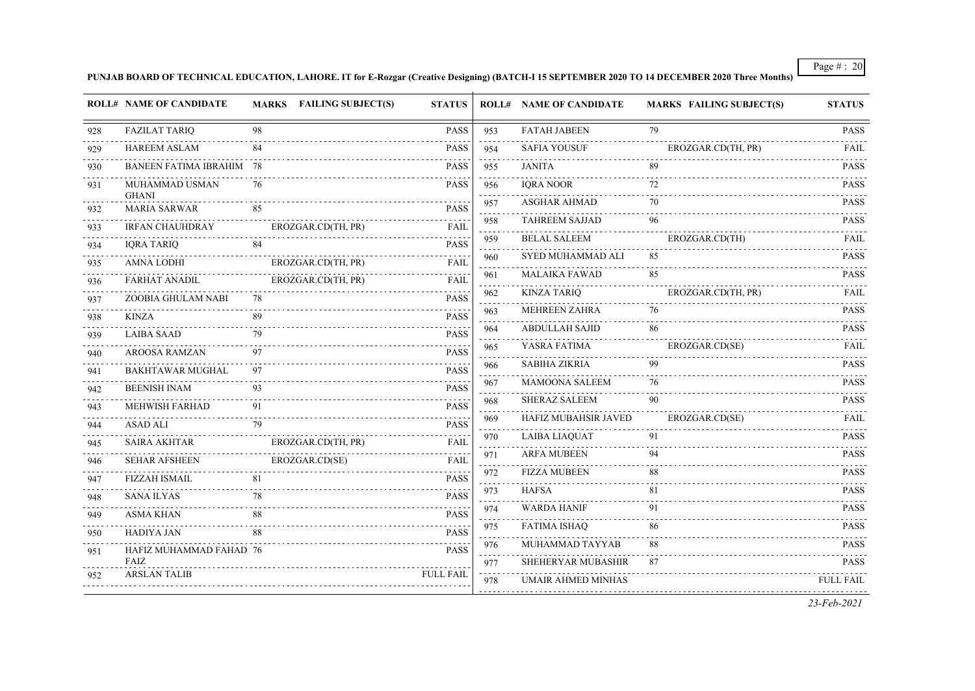**PUNJAB BOARD OF TECHNICAL EDUCATION, LAHORE. IT for E-Rozgar (Creative Designing) (BATCH-I 15 SEPTEMBER 2020 TO 14 DECEMBER 2020 Three Months)**

|     | <b>ROLL# NAME OF CANDIDATE</b>  |    | MARKS FAILING SUBJECT(S) | <b>STATUS</b>    |                                | <b>ROLL# NAME OF CANDIDATE</b> | <b>MARKS FAILING SUBJECT(S)</b> | <b>STATUS</b>    |
|-----|---------------------------------|----|--------------------------|------------------|--------------------------------|--------------------------------|---------------------------------|------------------|
| 928 | <b>FAZILAT TARIQ</b>            | 98 |                          | <b>PASS</b>      | 953                            | <b>FATAH JABEEN</b>            | 79                              | <b>PASS</b>      |
| 929 | <b>HAREEM ASLAM</b>             | 84 |                          | <b>PASS</b>      | $\sim$ $\sim$ $\sim$<br>954    | <b>SAFIA YOUSUF</b>            | EROZGAR.CD(TH, PR)              | <b>FAIL</b>      |
| 930 | <b>BANEEN FATIMA IBRAHIM 78</b> |    |                          | <b>PASS</b>      | 955                            | <b>JANITA</b>                  | 89                              | <b>PASS</b>      |
| 931 | MUHAMMAD USMAN<br><b>GHANI</b>  | 76 |                          | <b>PASS</b>      | 956<br>.                       | <b>IORA NOOR</b>               | 72                              | <b>PASS</b>      |
| 932 | <b>MARIA SARWAR</b>             | 85 |                          | <b>PASS</b>      | 957<br>.                       | <b>ASGHAR AHMAD</b>            | 70                              | <b>PASS</b>      |
| 933 | .<br><b>IRFAN CHAUHDRAY</b>     |    | EROZGAR.CD(TH, PR)       | FAIL             | 958<br>$\sim 100$ km $^{-1}$   | <b>TAHREEM SAJJAD</b>          | 96                              | <b>PASS</b>      |
| 934 | <b>IQRA TARIQ</b>               | 84 |                          | <b>PASS</b>      | 959                            | <b>BELAL SALEEM</b>            | EROZGAR.CD(TH)                  | FAIL             |
| 935 | <b>AMNA LODHI</b>               |    | EROZGAR.CD(TH, PR)       | <b>FAIL</b>      | 960<br>$\sim$ $\sim$ $\sim$    | SYED MUHAMMAD ALI              | 85                              | <b>PASS</b>      |
| 936 | <b>FARHAT ANADIL</b>            |    | EROZGAR.CD(TH, PR)       | FAIL             | 961<br>.                       | <b>MALAIKA FAWAD</b>           | 85                              | <b>PASS</b>      |
| 937 | ZOOBIA GHULAM NABI              | 78 |                          | <b>PASS</b>      | 962<br>.                       | <b>KINZA TARIQ</b>             | EROZGAR.CD(TH, PR)              | <b>FAIL</b>      |
| 938 | KINZA                           | 89 |                          | <b>PASS</b>      | 963<br>$\sim$ $\sim$ $\sim$    | <b>MEHREEN ZAHRA</b>           | 76                              | <b>PASS</b>      |
| 939 | <b>LAIBA SAAD</b>               | 79 |                          | <b>PASS</b>      | 964<br>in an an                | <b>ABDULLAH SAJID</b>          | 86                              | <b>PASS</b>      |
| 940 | AROOSA RAMZAN                   | 97 |                          | <b>PASS</b>      | 965<br>$\sim 100$              | YASRA FATIMA                   | EROZGAR.CD(SE)                  | <b>FAIL</b>      |
| 941 | <b>BAKHTAWAR MUGHAL</b>         | 97 |                          | <b>PASS</b>      | 966<br>$\sim$ $\sim$ $\sim$    | <b>SABIHA ZIKRIA</b>           | 99                              | <b>PASS</b>      |
| 942 | <b>BEENISH INAM</b>             | 93 |                          | <b>PASS</b>      | 967                            | <b>MAMOONA SALEEM</b>          | 76                              | <b>PASS</b>      |
| 943 | <b>MEHWISH FARHAD</b>           | 91 |                          | <b>PASS</b>      | 968<br>المناسب                 | <b>SHERAZ SALEEM</b>           | 90                              | <b>PASS</b>      |
| 944 | <b>ASAD ALI</b>                 | 79 |                          | <b>PASS</b>      | 969<br>.                       | HAFIZ MUBAHSIR JAVED           | EROZGAR.CD(SE)                  | <b>FAIL</b>      |
| 945 | SAIRA AKHTAR                    |    | EROZGAR.CD(TH, PR)       | FAIL             | 970<br>.                       | <b>LAIBA LIAQUAT</b>           | 91                              | <b>PASS</b>      |
| 946 | <b>SEHAR AFSHEEN</b>            |    | EROZGAR.CD(SE)           | FAIL             | 971<br>$\sim 100$              | <b>ARFA MUBEEN</b>             | 94                              | <b>PASS</b>      |
| 947 | <b>FIZZAH ISMAIL</b>            | 81 |                          | <b>PASS</b>      | 972<br>.                       | <b>FIZZA MUBEEN</b>            | 88                              | <b>PASS</b>      |
| 948 | <b>SANA ILYAS</b>               | 78 |                          | <b>PASS</b>      | 973<br>$\sim 100$              | <b>HAFSA</b>                   | 81                              | <b>PASS</b>      |
| 949 | <b>ASMA KHAN</b>                |    |                          | <b>PASS</b>      | 974<br>$\sim 100$ km s $^{-1}$ | <b>WARDA HANIF</b>             | 91                              | <b>PASS</b>      |
| 950 | HADIYA JAN                      | 88 |                          | <b>PASS</b>      | 975                            | <b>FATIMA ISHAQ</b>            | 86                              | <b>PASS</b>      |
| 951 | HAFIZ MUHAMMAD FAHAD 76         |    |                          | <b>PASS</b>      | 976<br>$\omega$ is $\omega$    | MUHAMMAD TAYYAB                | 88                              | <b>PASS</b>      |
|     | FAIZ                            |    |                          |                  | 977                            | SHEHERYAR MUBASHIR             | 87                              | <b>PASS</b>      |
| 952 | ARSLAN TALIB                    |    |                          | <b>FULL FAIL</b> | $\sim 100$ km s $^{-1}$<br>978 | UMAIR AHMED MINHAS             |                                 | <b>FULL FAIL</b> |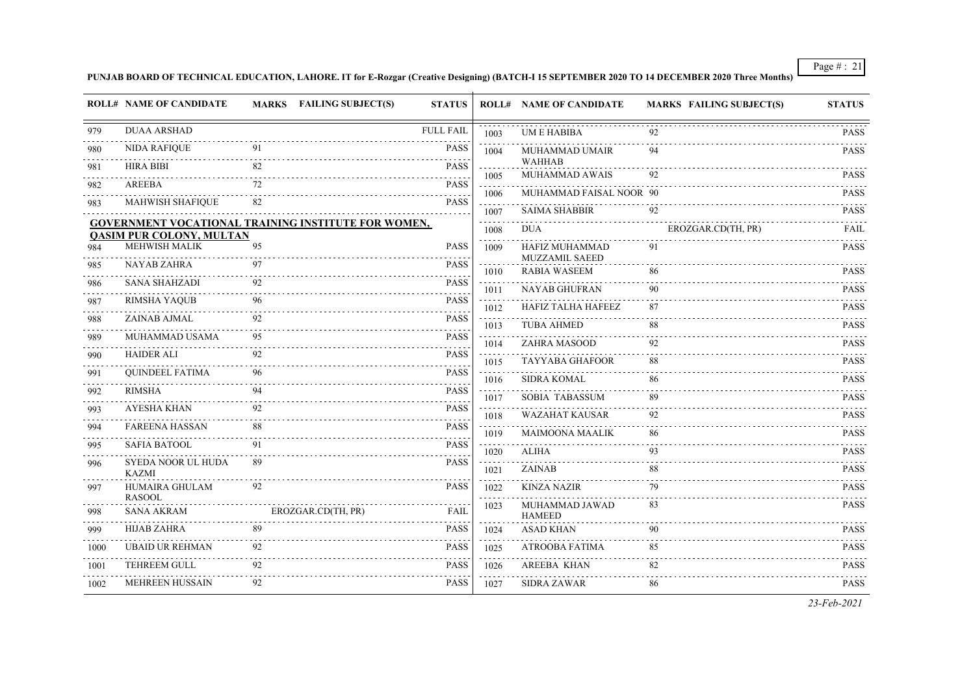**PUNJAB BOARD OF TECHNICAL EDUCATION, LAHORE. IT for E-Rozgar (Creative Designing) (BATCH-I 15 SEPTEMBER 2020 TO 14 DECEMBER 2020 Three Months)**

|      | <b>ROLL# NAME OF CANDIDATE</b>     |    | MARKS FAILING SUBJECT(S)                                   | <b>STATUS</b>    |                                                                                                                                                              | <b>ROLL# NAME OF CANDIDATE</b>          | <b>MARKS FAILING SUBJECT(S)</b> | <b>STATUS</b> |
|------|------------------------------------|----|------------------------------------------------------------|------------------|--------------------------------------------------------------------------------------------------------------------------------------------------------------|-----------------------------------------|---------------------------------|---------------|
| 979  | <b>DUAA ARSHAD</b>                 |    |                                                            | <b>FULL FAIL</b> | 1003                                                                                                                                                         | <b>UM E HABIBA</b>                      |                                 | <b>PASS</b>   |
| 980  | <b>NIDA RAFIQUE</b>                | 91 |                                                            | <b>PASS</b>      | 1004                                                                                                                                                         | <b>MUHAMMAD UMAIR</b>                   | 94                              | <b>PASS</b>   |
| 981  | <b>HIRA BIBI</b>                   | 82 |                                                            | <b>PASS</b>      | 1005                                                                                                                                                         | <b>WAHHAB</b><br>MUHAMMAD AWAIS         | 92                              | <b>PASS</b>   |
| 982  | AREEBA                             | 72 |                                                            | <b>PASS</b>      | $\sim$ $\sim$ $\sim$                                                                                                                                         | MUHAMMAD FAISAL NOOR 90                 |                                 | <b>PASS</b>   |
| 983  | <b>MAHWISH SHAFIQUE</b>            | 82 |                                                            | <b>PASS</b>      | 1006                                                                                                                                                         | <b>SAIMA SHABBIR</b>                    | 92                              | <b>PASS</b>   |
|      |                                    |    | <b>GOVERNMENT VOCATIONAL TRAINING INSTITUTE FOR WOMEN,</b> |                  | 1007<br>د د د د                                                                                                                                              |                                         |                                 |               |
|      | <b>QASIM PUR COLONY, MULTAN</b>    |    |                                                            |                  | 1008                                                                                                                                                         | <b>DUA</b>                              | EROZGAR.CD(TH, PR)              | <b>FAIL</b>   |
| 984  | MEHWISH MALIK                      | 95 |                                                            | <b>PASS</b>      | 1009                                                                                                                                                         | HAFIZ MUHAMMAD<br><b>MUZZAMIL SAEED</b> | 91                              | <b>PASS</b>   |
| 985  | <b>NAYAB ZAHRA</b>                 | 97 |                                                            | <b>PASS</b>      | 1010                                                                                                                                                         | <b>RABIA WASEEM</b>                     | 86                              | <b>PASS</b>   |
| 986  | <b>SANA SHAHZADI</b>               | 92 |                                                            | <b>PASS</b>      | 1011                                                                                                                                                         | NAYAB GHUFRAN                           | 90                              | <b>PASS</b>   |
| 987  | <b>RIMSHA YAQUB</b>                |    |                                                            | <b>PASS</b>      | $\frac{1}{2} \left( \frac{1}{2} \right) \left( \frac{1}{2} \right) \left( \frac{1}{2} \right) \left( \frac{1}{2} \right) \left( \frac{1}{2} \right)$<br>1012 | HAFIZ TALHA HAFEEZ                      | 87                              | <b>PASS</b>   |
| 988  | ZAINAB AJMAL                       | 92 |                                                            | <b>PASS</b>      | 1013                                                                                                                                                         | <b>TUBA AHMED</b>                       | 88                              | <b>PASS</b>   |
| 989  | MUHAMMAD USAMA                     | 95 |                                                            | <b>PASS</b>      | 1014                                                                                                                                                         | ZAHRA MASOOD                            | 92                              | <b>PASS</b>   |
| 990  | <b>HAIDER ALI</b>                  |    |                                                            | <b>PASS</b>      | 1015                                                                                                                                                         | <b>TAYYABA GHAFOOR</b>                  | 88                              | <b>PASS</b>   |
| 991  | <b>QUINDEEL FATIMA</b>             | 96 |                                                            | <b>PASS</b>      | 1016                                                                                                                                                         | <b>SIDRA KOMAL</b>                      | 86                              | <b>PASS</b>   |
| 992  | <b>RIMSHA</b>                      |    |                                                            | <b>PASS</b>      | 1017                                                                                                                                                         | <b>SOBIA TABASSUM</b>                   | 89                              | <b>PASS</b>   |
| 993  | <b>AYESHA KHAN</b>                 |    |                                                            | <b>PASS</b>      | 1018                                                                                                                                                         | <b>WAZAHAT KAUSAR</b>                   | 92                              | <b>PASS</b>   |
| 994  | <b>FAREENA HASSAN</b>              | 88 |                                                            | <b>PASS</b>      | 1019                                                                                                                                                         | <b>MAIMOONA MAALIK</b>                  | 86                              | <b>PASS</b>   |
| 995  | <b>SAFIA BATOOL</b>                | 91 |                                                            | <b>PASS</b>      | 1020                                                                                                                                                         | <b>ALIHA</b>                            | 93                              | <b>PASS</b>   |
| 996  | SYEDA NOOR UL HUDA<br><b>KAZMI</b> | 89 |                                                            | <b>PASS</b>      | 1021                                                                                                                                                         | <b>ZAINAB</b>                           | 88                              | <b>PASS</b>   |
| 997  | HUMAIRA GHULAM<br><b>RASOOL</b>    | 92 |                                                            | <b>PASS</b>      | 1022<br>$\sim$ $\sim$ $\sim$ $\sim$                                                                                                                          | <b>KINZA NAZIR</b>                      | 79                              | <b>PASS</b>   |
| 998  | <b>SANA AKRAM</b>                  |    | EROZGAR.CD(TH, PR)                                         | <b>FAIL</b>      | 1023                                                                                                                                                         | MUHAMMAD JAWAD<br><b>HAMEED</b>         | 83                              | <b>PASS</b>   |
| 999  | <b>HIJAB ZAHRA</b>                 | 89 |                                                            | <b>PASS</b>      | 1024                                                                                                                                                         | <b>ASAD KHAN</b>                        | 90                              | <b>PASS</b>   |
| 1000 | <b>UBAID UR REHMAN</b>             | 92 |                                                            | <b>PASS</b>      | 1025                                                                                                                                                         | ATROOBA FATIMA                          | 85                              | <b>PASS</b>   |
| 1001 | TEHREEM GULL                       | 92 |                                                            | PASS             | 1026                                                                                                                                                         | <b>AREEBA KHAN</b>                      | 82                              | <b>PASS</b>   |
| 1002 | <b>MEHREEN HUSSAIN</b>             | 92 |                                                            | <b>PASS</b>      | 1027                                                                                                                                                         | <b>SIDRA ZAWAR</b>                      | 86                              | <b>PASS</b>   |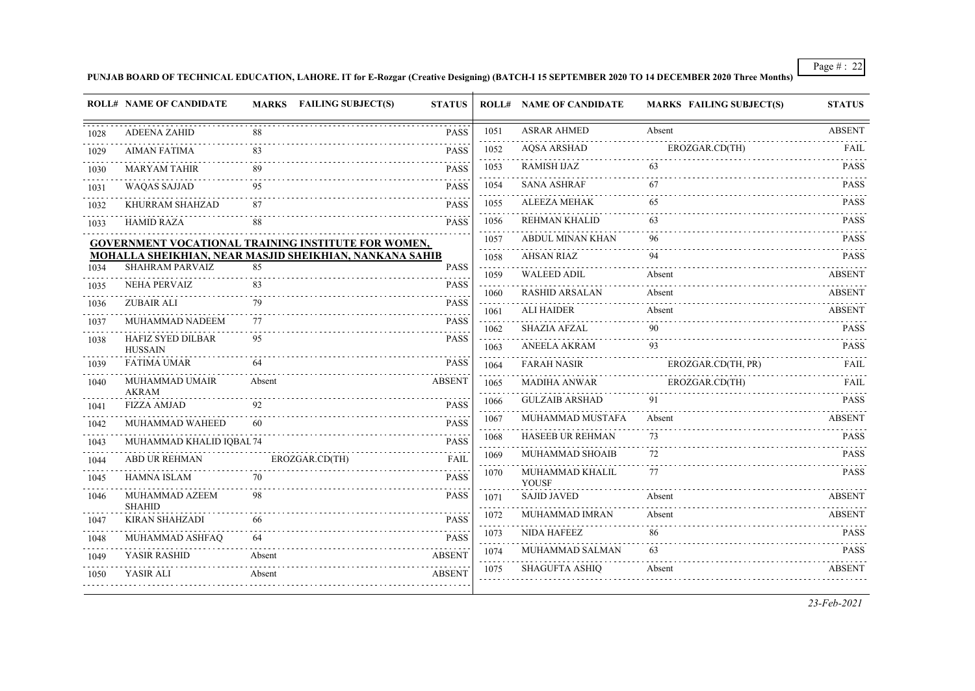#### **PUNJAB BOARD OF TECHNICAL EDUCATION, LAHORE. IT for E-Rozgar (Creative Designing) (BATCH-I 15 SEPTEMBER 2020 TO 14 DECEMBER 2020 Three Months)**

|      | <b>ROLL# NAME OF CANDIDATE</b>                             | MARKS FAILING SUBJECT(S) | <b>STATUS</b>             |      | <b>ROLL# NAME OF CANDIDATE</b>  | <b>MARKS FAILING SUBJECT(S)</b> | <b>STATUS</b> |
|------|------------------------------------------------------------|--------------------------|---------------------------|------|---------------------------------|---------------------------------|---------------|
| 1028 | <b>ADEENA ZAHID</b>                                        | 88                       | <b>PASS</b>               | 1051 | <b>ASRAR AHMED</b>              | Absent                          | <b>ABSENT</b> |
| 1029 | <b>AIMAN FATIMA</b>                                        | 83                       | <b>PASS</b>               | 1052 | <b>AQSA ARSHAD</b>              | EROZGAR.CD(TH)                  | <b>FAIL</b>   |
| 1030 | <b>MARYAM TAHIR</b>                                        | 89                       | <b>PASS</b>               | 1053 | RAMISH IJAZ                     | 63                              | <b>PASS</b>   |
| 1031 | <b>WAQAS SAJJAD</b>                                        | 95                       | <b>PASS</b>               | 1054 | <b>SANA ASHRAF</b>              | 67                              | <b>PASS</b>   |
| 1032 | KHURRAM SHAHZAD                                            | 87                       | <b>PASS</b>               | 1055 | <b>ALEEZA MEHAK</b>             | 65                              | <b>PASS</b>   |
| 1033 | <b>HAMID RAZA</b>                                          | 88                       | <b>PASS</b>               | 1056 | <b>REHMAN KHALID</b>            | 63                              | <b>PASS</b>   |
|      | <b>GOVERNMENT VOCATIONAL TRAINING INSTITUTE FOR WOMEN,</b> |                          |                           | 1057 | ABDUL MINAN KHAN                | 96                              | <b>PASS</b>   |
|      | MOHALLA SHEIKHIAN, NEAR MASJID SHEIKHIAN, NANKANA SAHIB    |                          |                           | 1058 | <b>AHSAN RIAZ</b>               | 94                              | <b>PASS</b>   |
| 1034 | <b>SHAHRAM PARVAIZ</b>                                     | 85                       | <b>PASS</b>               | 1059 | <b>WALEED ADIL</b>              | Absent                          | ABSENT        |
| 1035 | <b>NEHA PERVAIZ</b>                                        | 83                       | <b>PASS</b>               | 1060 | <b>RASHID ARSALAN</b>           | Absent                          | <b>ABSENT</b> |
| 1036 | <b>ZUBAIR ALI</b>                                          | 79                       | <b>PASS</b><br>$\sim 100$ | 1061 | <b>ALI HAIDER</b>               | Absent                          | ABSENT        |
| 1037 | MUHAMMAD NADEEM                                            | 77                       | <b>PASS</b>               | 1062 | <b>SHAZIA AFZAL</b>             | 90                              | <b>PASS</b>   |
| 1038 | HAFIZ SYED DILBAR<br><b>HUSSAIN</b>                        | 95                       | <b>PASS</b>               | 1063 | <b>ANEELA AKRAM</b>             | 93                              | <b>PASS</b>   |
| 1039 | <b>FATIMA UMAR</b>                                         | 64                       | <b>PASS</b>               | 1064 | <b>FARAH NASIR</b>              | EROZGAR.CD(TH, PR)              | FAIL          |
| 1040 | MUHAMMAD UMAIR<br><b>AKRAM</b>                             | Absent                   | <b>ABSENT</b>             | 1065 | <b>MADIHA ANWAR</b>             | EROZGAR.CD(TH)                  | <b>FAIL</b>   |
| 1041 | <b>FIZZA AMJAD</b>                                         |                          | <b>PASS</b>               | 1066 | <b>GULZAIB ARSHAD</b>           | 91                              | <b>PASS</b>   |
| 1042 | MUHAMMAD WAHEED                                            |                          | <b>PASS</b>               | 1067 | MUHAMMAD MUSTAFA                | Absent                          | <b>ABSENT</b> |
| 1043 | MUHAMMAD KHALID IQBAL 74                                   |                          | <b>PASS</b>               | 1068 | <b>HASEEB UR REHMAN</b>         | 73                              | <b>PASS</b>   |
| 1044 | <b>ABD UR REHMAN</b>                                       | EROZGAR.CD(TH)           | <b>FAIL</b>               | 1069 | MUHAMMAD SHOAIB                 | 72                              | <b>PASS</b>   |
| 1045 | <b>HAMNA ISLAM</b>                                         | 70                       | <b>PASS</b>               | 1070 | MUHAMMAD KHALIL<br><b>YOUSF</b> | 77                              | <b>PASS</b>   |
| 1046 | MUHAMMAD AZEEM<br><b>SHAHID</b>                            | 98                       | <b>PASS</b>               | 1071 | <b>SAJID JAVED</b>              | Absent                          | <b>ABSENT</b> |
| 1047 | <b>KIRAN SHAHZADI</b>                                      | 66                       | <b>PASS</b>               | 1072 | MUHAMMAD IMRAN                  | Absent                          | <b>ABSENT</b> |
| 1048 | MUHAMMAD ASHFAQ                                            |                          | <b>PASS</b>               | 1073 | <b>NIDA HAFEEZ</b>              | 86                              | <b>PASS</b>   |
| 1049 | YASIR RASHID                                               | Absent                   | <b>ABSENT</b>             | 1074 | MUHAMMAD SALMAN                 | 63                              | <b>PASS</b>   |
| 1050 | YASIR ALI                                                  | Absent                   | <b>ABSENT</b>             | 1075 | <b>SHAGUFTA ASHIO</b>           | Absent                          | <b>ABSENT</b> |
|      |                                                            |                          |                           |      |                                 |                                 |               |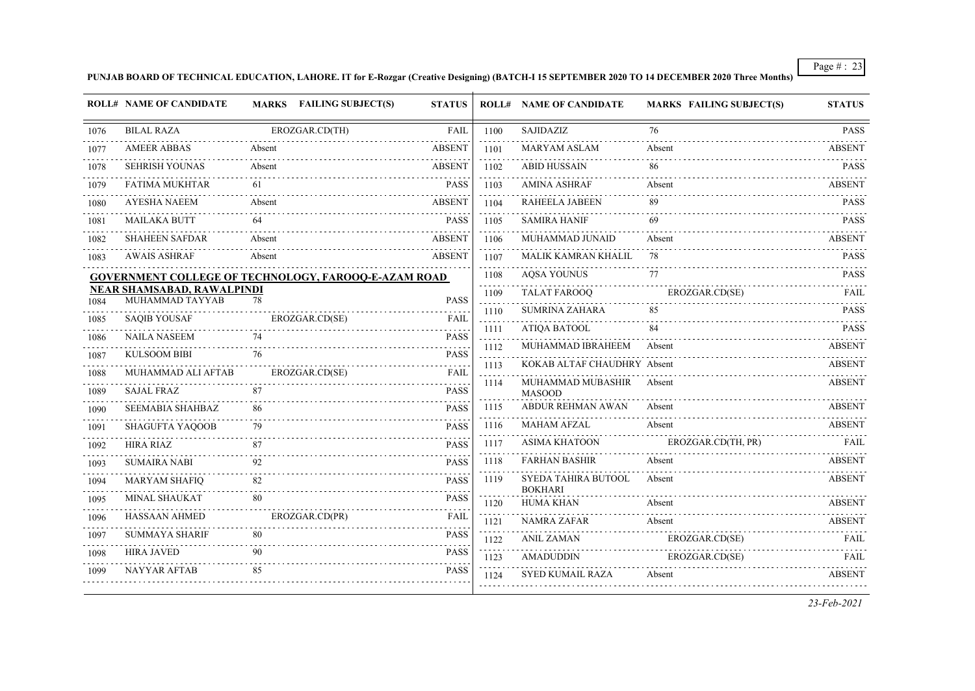#### **PUNJAB BOARD OF TECHNICAL EDUCATION, LAHORE. IT for E-Rozgar (Creative Designing) (BATCH-I 15 SEPTEMBER 2020 TO 14 DECEMBER 2020 Three Months)**

|      | <b>ROLL# NAME OF CANDIDATE</b>                | <b>MARKS</b> FAILING SUBJECT(S)                             | <b>STATUS</b>              |                        | <b>ROLL# NAME OF CANDIDATE</b>        | <b>MARKS FAILING SUBJECT(S)</b> | <b>STATUS</b>    |
|------|-----------------------------------------------|-------------------------------------------------------------|----------------------------|------------------------|---------------------------------------|---------------------------------|------------------|
| 1076 | <b>BILAL RAZA</b>                             | EROZGAR.CD(TH)                                              | FAIL                       | 1100                   | SAJIDAZIZ                             | 76                              | <b>PASS</b>      |
| 1077 | <b>AMEER ABBAS</b>                            | Absent                                                      | <b>ABSENT</b>              | 1101                   | <b>MARYAM ASLAM</b>                   | Absent                          | ABSENT           |
| 1078 | <b>SEHRISH YOUNAS</b>                         | Absent                                                      | <b>ABSENT</b>              | 1102                   | <b>ABID HUSSAIN</b>                   | 86                              | <b>PASS</b>      |
| 1079 | <b>FATIMA MUKHTAR</b>                         | 61                                                          | <b>PASS</b>                | 1103                   | <b>AMINA ASHRAF</b>                   | Absent                          | <b>ABSENT</b>    |
| 1080 | <b>AYESHA NAEEM</b>                           | Absent                                                      | <b>ABSENT</b>              | 1104                   | <b>RAHEELA JABEEN</b>                 | 89                              | <b>PASS</b>      |
| 1081 | <b>MAILAKA BUTT</b>                           | 64                                                          | <b>PASS</b>                | 1105                   | <b>SAMIRA HANIF</b>                   | 69                              | <b>PASS</b>      |
| 1082 | <b>SHAHEEN SAFDAR</b>                         | Absent                                                      | <b>ABSENT</b>              | 1106                   | MUHAMMAD JUNAID                       | Absent                          | <b>ABSENT</b>    |
| 1083 | <b>AWAIS ASHRAF</b>                           | Absent                                                      | ABSENT                     | 1107                   | MALIK KAMRAN KHALIL                   | 78                              | <b>PASS</b>      |
|      |                                               | <b>GOVERNMENT COLLEGE OF TECHNOLOGY, FAROOQ-E-AZAM ROAD</b> |                            | 1108                   | <b>AQSA YOUNUS</b>                    | 77                              | <b>PASS</b>      |
| 1084 | NEAR SHAMSABAD, RAWALPINDI<br>MUHAMMAD TAYYAB | 78                                                          | <b>PASS</b>                | .<br>1109              | <b>TALAT FAROOO</b>                   | EROZGAR.CD(SE)                  | FAIL             |
| 1085 | <b>SAQIB YOUSAF</b>                           | EROZGAR.CD(SE)                                              | <b>FAIL</b>                | 1110                   | <b>SUMRINA ZAHARA</b>                 | 85                              | <b>PASS</b>      |
| 1086 | <b>NAILA NASEEM</b>                           | 74                                                          | <b>PASS</b>                | 1111<br>الداعات الداري | <b>ATIOA BATOOL</b>                   | 84                              | <b>PASS</b><br>. |
| 1087 | <b>KULSOOM BIBI</b>                           | 76                                                          | <b>PASS</b>                | 1112                   | MUHAMMAD IBRAHEEM                     | Absent                          | <b>ABSENT</b>    |
| 1088 | MUHAMMAD ALI AFTAB                            | EROZGAR.CD(SE)                                              | <b>FAIL</b>                | 1113                   | KOKAB ALTAF CHAUDHRY Absent           |                                 | <b>ABSENT</b>    |
| 1089 | <b>SAJAL FRAZ</b>                             | 87                                                          | <b>PASS</b>                | 1114                   | MUHAMMAD MUBASHIR<br><b>MASOOD</b>    | Absent                          | <b>ABSENT</b>    |
| 1090 | <b>SEEMABIA SHAHBAZ</b>                       | 86                                                          | <b>PASS</b>                | 1115                   | <b>ABDUR REHMAN AWAN</b>              | Absent                          | ABSENT           |
| 1091 | <b>SHAGUFTA YAQOOB</b>                        | 79                                                          | .<br><b>PASS</b>           | 1116                   | <b>MAHAM AFZAL</b>                    | Absent                          | <b>ABSENT</b>    |
| 1092 | <b>HIRA RIAZ</b>                              | 87                                                          | <b>PASS</b>                | 1117                   | <b>ASIMA KHATOON</b>                  | EROZGAR.CD(TH, PR)              | FAIL             |
| 1093 | <b>SUMAIRA NABI</b>                           | 92                                                          | <b>PASS</b>                | and a state<br>1118    | <b>FARHAN BASHIR</b>                  | Absent                          | <b>ABSENT</b>    |
| 1094 | <b>MARYAM SHAFIQ</b>                          | 82                                                          | $- - - - -$<br><b>PASS</b> | 1119                   | SYEDA TAHIRA BUTOOL<br><b>BOKHARI</b> | Absent                          | <b>ABSENT</b>    |
| 1095 | <b>MINAL SHAUKAT</b>                          | 80                                                          | <b>PASS</b>                | 1120                   | <b>HUMA KHAN</b>                      | Absent                          | <b>ABSENT</b>    |
| 1096 | <b>HASSAAN AHMED</b>                          | EROZGAR.CD(PR)                                              | <b>FAIL</b>                | 1121                   | <b>NAMRA ZAFAR</b>                    | Absent                          | <b>ABSENT</b>    |
| 1097 | <b>SUMMAYA SHARIF</b>                         | 80                                                          | <b>PASS</b>                | 1122                   | <b>ANIL ZAMAN</b>                     | EROZGAR.CD(SE)                  | FAIL             |
| 1098 | <b>HIRA JAVED</b>                             |                                                             | <b>PASS</b>                | 1123                   | <b>AMADUDDIN</b>                      | .<br>EROZGAR.CD(SE)             | FAIL             |
| 1099 | NAYYAR AFTAB                                  | 85                                                          | <b>PASS</b>                | 1124                   | SYED KUMAIL RAZA                      | Absent                          | <b>ABSENT</b>    |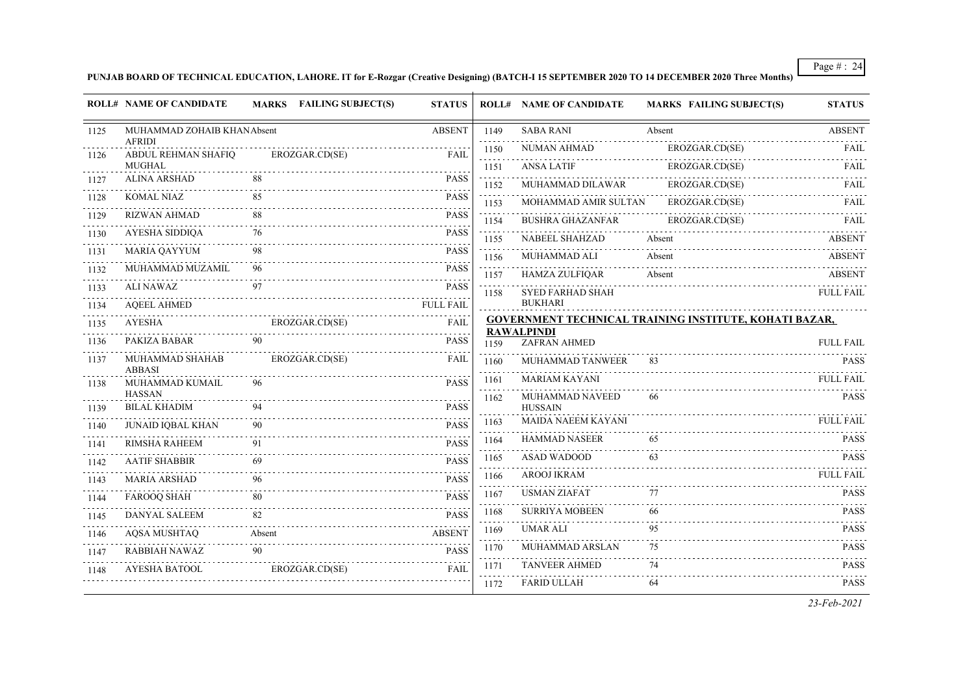**PUNJAB BOARD OF TECHNICAL EDUCATION, LAHORE. IT for E-Rozgar (Creative Designing) (BATCH-I 15 SEPTEMBER 2020 TO 14 DECEMBER 2020 Three Months)**

|      | <b>ROLL# NAME OF CANDIDATE</b>       | <b>MARKS</b> FAILING SUBJECT(S) | <b>STATUS</b>    |      | <b>ROLL# NAME OF CANDIDATE</b>       | <b>MARKS FAILING SUBJECT(S)</b>                               | <b>STATUS</b>    |
|------|--------------------------------------|---------------------------------|------------------|------|--------------------------------------|---------------------------------------------------------------|------------------|
| 1125 | MUHAMMAD ZOHAIB KHANAbsent           |                                 | <b>ABSENT</b>    | 1149 | <b>SABA RANI</b>                     | Absent                                                        | <b>ABSENT</b>    |
| 1126 | <b>AFRIDI</b><br>ABDUL REHMAN SHAFIQ | EROZGAR.CD(SE)                  | FAIL             | 1150 | NUMAN AHMAD                          | EROZGAR.CD(SE)                                                | FAIL             |
|      | <b>MUGHAL</b>                        |                                 |                  | 1151 | <b>ANSA LATIF</b>                    | EROZGAR.CD(SE)                                                | FAIL             |
| 1127 | <b>ALINA ARSHAD</b>                  | 88                              | <b>PASS</b>      | 1152 | MUHAMMAD DILAWAR                     | EROZGAR.CD(SE)                                                | FAIL             |
| 1128 | <b>KOMAL NIAZ</b>                    | 85                              | <b>PASS</b>      | 1153 | MOHAMMAD AMIR SULTAN                 | EROZGAR.CD(SE)                                                | FAIL             |
| 1129 | <b>RIZWAN AHMAD</b>                  | 88                              | <b>PASS</b>      | 1154 | <b>BUSHRA GHAZANFAR</b>              | EROZGAR.CD(SE)                                                | FAIL             |
| 1130 | AYESHA SIDDIQA                       | 76                              | <b>PASS</b>      | 1155 | <b>NABEEL SHAHZAD</b>                | Absent                                                        | ABSENT           |
| 1131 | <b>MARIA QAYYUM</b>                  | 98                              | <b>PASS</b>      | 1156 | MUHAMMAD ALI                         | Absent                                                        | <b>ABSENT</b>    |
| 1132 | MUHAMMAD MUZAMIL                     | 96                              | <b>PASS</b>      | 1157 | HAMZA ZULFIQAR                       | Absent                                                        | <b>ABSENT</b>    |
| 1133 | <b>ALI NAWAZ</b>                     | 97                              | <b>PASS</b>      | 1158 | <b>SYED FARHAD SHAH</b>              |                                                               | <b>FULL FAIL</b> |
| 1134 | <b>AQEEL AHMED</b>                   |                                 | <b>FULL FAIL</b> |      | <b>BUKHARI</b>                       |                                                               |                  |
| 1135 | <b>AYESHA</b>                        | EROZGAR.CD(SE)                  | <b>FAIL</b>      |      | <b>RAWALPINDI</b>                    | <b>GOVERNMENT TECHNICAL TRAINING INSTITUTE, KOHATI BAZAR,</b> |                  |
| 1136 | PAKIZA BABAR                         | 90                              | <b>PASS</b>      | 1159 | <b>ZAFRAN AHMED</b>                  |                                                               | <b>FULL FAIL</b> |
| 1137 | MUHAMMAD SHAHAB<br><b>ABBASI</b>     | EROZGAR.CD(SE)                  | <b>FAIL</b>      | 1160 | MUHAMMAD TANWEER                     | 83                                                            | <b>PASS</b>      |
| 1138 | MUHAMMAD KUMAIL                      | 96                              | <b>PASS</b>      | 1161 | <b>MARIAM KAYANI</b>                 |                                                               | <b>FULL FAIL</b> |
|      | <b>HASSAN</b>                        |                                 |                  | 1162 | MUHAMMAD NAVEED                      | 66                                                            | <b>PASS</b>      |
| 1139 | <b>BILAL KHADIM</b>                  | 94                              | <b>PASS</b>      | 1163 | <b>HUSSAIN</b><br>MAIDA NAEEM KAYANI |                                                               | <b>FULL FAIL</b> |
| 1140 | <b>JUNAID IQBAL KHAN</b>             | 90                              | <b>PASS</b>      | 1164 | <b>HAMMAD NASEER</b>                 | 65                                                            | <b>PASS</b>      |
| 1141 | <b>RIMSHA RAHEEM</b>                 | 91                              | <b>PASS</b>      |      | <b>ASAD WADOOD</b>                   | 63                                                            | <b>PASS</b>      |
| 1142 | <b>AATIF SHABBIR</b>                 | 69                              | <b>PASS</b>      | 1165 |                                      |                                                               |                  |
| 1143 | <b>MARIA ARSHAD</b>                  | 96                              | <b>PASS</b>      | 1166 | <b>AROOJ IKRAM</b>                   |                                                               | <b>FULL FAIL</b> |
| 1144 | <b>FAROOQ SHAH</b>                   | 80                              | <b>PASS</b>      | 1167 | <b>USMAN ZIAFAT</b>                  | 77                                                            | <b>PASS</b>      |
| 1145 | DANYAL SALEEM                        | 82                              | <b>PASS</b>      | 1168 | <b>SURRIYA MOBEEN</b>                | 66                                                            | <b>PASS</b>      |
| 1146 | <b>AQSA MUSHTAQ</b>                  | Absent                          | <b>ABSENT</b>    | 1169 | <b>UMAR ALI</b>                      | 95                                                            | <b>PASS</b>      |
| 1147 | RABBIAH NAWAZ                        | 90                              | <b>PASS</b>      | 1170 | MUHAMMAD ARSLAN                      | 75                                                            | <b>PASS</b><br>. |
| 1148 | AYESHA BATOOL                        | EROZGAR.CD(SE)                  | <b>FAIL</b>      | 1171 | <b>TANVEER AHMED</b>                 | 74                                                            | <b>PASS</b>      |
|      |                                      |                                 |                  | 1172 | <b>FARID ULLAH</b>                   | 64                                                            | <b>PASS</b>      |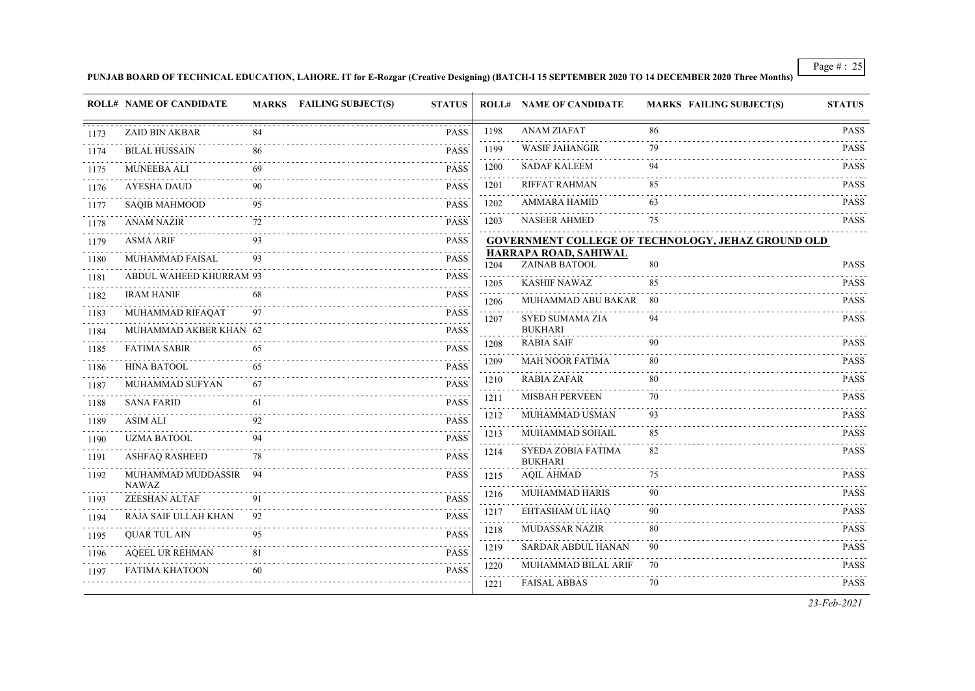**PUNJAB BOARD OF TECHNICAL EDUCATION, LAHORE. IT for E-Rozgar (Creative Designing) (BATCH-I 15 SEPTEMBER 2020 TO 14 DECEMBER 2020 Three Months)**

|      | ROLL# NAME OF CANDIDATE            |     | MARKS FAILING SUBJECT(S) | <b>STATUS</b> |      | <b>ROLL# NAME OF CANDIDATE</b>         | <b>MARKS FAILING SUBJECT(S)</b>                           | <b>STATUS</b>                                            |
|------|------------------------------------|-----|--------------------------|---------------|------|----------------------------------------|-----------------------------------------------------------|----------------------------------------------------------|
| 1173 | <b>ZAID BIN AKBAR</b>              |     |                          | <b>PASS</b>   | 1198 | <b>ANAM ZIAFAT</b>                     | 86                                                        | <b>PASS</b>                                              |
| 1174 | <b>BILAL HUSSAIN</b>               | 86  |                          | <b>PASS</b>   | 1199 | <b>WASIF JAHANGIR</b>                  | 79                                                        | <b>PASS</b>                                              |
| 1175 | <b>MUNEEBA ALI</b>                 | 69  |                          | <b>PASS</b>   | 1200 | <b>SADAF KALEEM</b>                    | 94                                                        | <b>PASS</b>                                              |
| 1176 | AYESHA DAUD                        | 90  |                          | <b>PASS</b>   | 1201 | <b>RIFFAT RAHMAN</b>                   | 85                                                        | <b>PASS</b>                                              |
| 1177 | <b>SAQIB MAHMOOD</b>               | 95  |                          | <b>PASS</b>   | 1202 | <b>AMMARA HAMID</b>                    | 63                                                        | <b>PASS</b>                                              |
| 1178 | <b>ANAM NAZIR</b>                  | 72  |                          | <b>PASS</b>   | 1203 | <b>NASEER AHMED</b>                    | 75                                                        | <b>PASS</b>                                              |
| 1179 | <b>ASMA ARIF</b>                   |     |                          | <b>PASS</b>   |      |                                        | <b>GOVERNMENT COLLEGE OF TECHNOLOGY, JEHAZ GROUND OLD</b> |                                                          |
| 1180 | MUHAMMAD FAISAL                    | 93  |                          | <b>PASS</b>   | 1204 | HARRAPA ROAD, SAHIWAL<br>ZAINAB BATOOL | 80                                                        | <b>PASS</b>                                              |
| 1181 | ABDUL WAHEED KHURRAM 93            |     |                          | <b>PASS</b>   | 1205 | <b>KASHIF NAWAZ</b>                    | 85                                                        | <b>PASS</b>                                              |
| 1182 | <b>IRAM HANIF</b>                  | 68  |                          | PASS          | 1206 | MUHAMMAD ABU BAKAR                     | -80                                                       | <b>PASS</b>                                              |
| 1183 | MUHAMMAD RIFAQAT                   | 97  |                          | <b>PASS</b>   | 1207 | SYED SUMAMA ZIA                        | 94                                                        | <b>PASS</b>                                              |
| 1184 | MUHAMMAD AKBER KHAN 62             |     |                          | <b>PASS</b>   |      | <b>BUKHARI</b>                         |                                                           |                                                          |
| 1185 | <b>FATIMA SABIR</b>                | 65  |                          | <b>PASS</b>   | 1208 | <b>RABIA SAIF</b>                      | 90                                                        | <b>PASS</b><br>.                                         |
| 1186 | <b>HINA BATOOL</b>                 | 65  |                          | <b>PASS</b>   | 1209 | <b>MAH NOOR FATIMA</b>                 | 80                                                        | <b>PASS</b>                                              |
| 1187 | MUHAMMAD SUFYAN                    | 67  |                          | <b>PASS</b>   | 1210 | <b>RABIA ZAFAR</b>                     | 80                                                        | <b>PASS</b>                                              |
| 1188 | <b>SANA FARID</b>                  | 61  |                          | <b>PASS</b>   | 1211 | <b>MISBAH PERVEEN</b>                  | 70                                                        | <b>PASS</b><br>$\sim$ $\sim$ $\sim$ $\sim$ $\sim$ $\sim$ |
| 1189 | <b>ASIM ALI</b>                    | 92  |                          | <b>PASS</b>   | 1212 | MUHAMMAD USMAN                         | 93                                                        | <b>PASS</b>                                              |
| 1190 | <b>UZMA BATOOL</b>                 | 94  |                          | <b>PASS</b>   | 1213 | MUHAMMAD SOHAIL                        | 85                                                        | <b>PASS</b>                                              |
| 1191 | ASHFAQ RASHEED                     |     |                          | PASS          | 1214 | SYEDA ZOBIA FATIMA<br><b>BUKHARI</b>   | 82                                                        | <b>PASS</b>                                              |
| 1192 | MUHAMMAD MUDDASSIR<br><b>NAWAZ</b> | -94 |                          | <b>PASS</b>   | 1215 | <b>AQIL AHMAD</b>                      | 75                                                        | .<br><b>PASS</b>                                         |
| 1193 | <b>ZEESHAN ALTAF</b>               | 91  |                          | <b>PASS</b>   | 1216 | MUHAMMAD HARIS                         | 90                                                        | <b>PASS</b>                                              |
| 1194 | RAJA SAIF ULLAH KHAN               | 92  |                          | PASS          | 1217 | EHTASHAM UL HAO                        | 90                                                        | <b>PASS</b><br>2.2.2.2.2.2                               |
| 1195 | <b>QUAR TUL AIN</b>                | 95  |                          | <b>PASS</b>   | 1218 | MUDASSAR NAZIR                         | 80                                                        | <b>PASS</b>                                              |
| 1196 | <b>AQEEL UR REHMAN</b>             | 81  |                          | <b>PASS</b>   | 1219 | SARDAR ABDUL HANAN                     | 90                                                        | <b>PASS</b>                                              |
| 1197 | FATIMA KHATOON                     | 60  | .                        | PASS          | 1220 | MUHAMMAD BILAL ARIF                    | 70                                                        | <b>PASS</b>                                              |
|      |                                    |     |                          |               | 1221 | <b>FAISAL ABBAS</b>                    | 70                                                        | <b>PASS</b>                                              |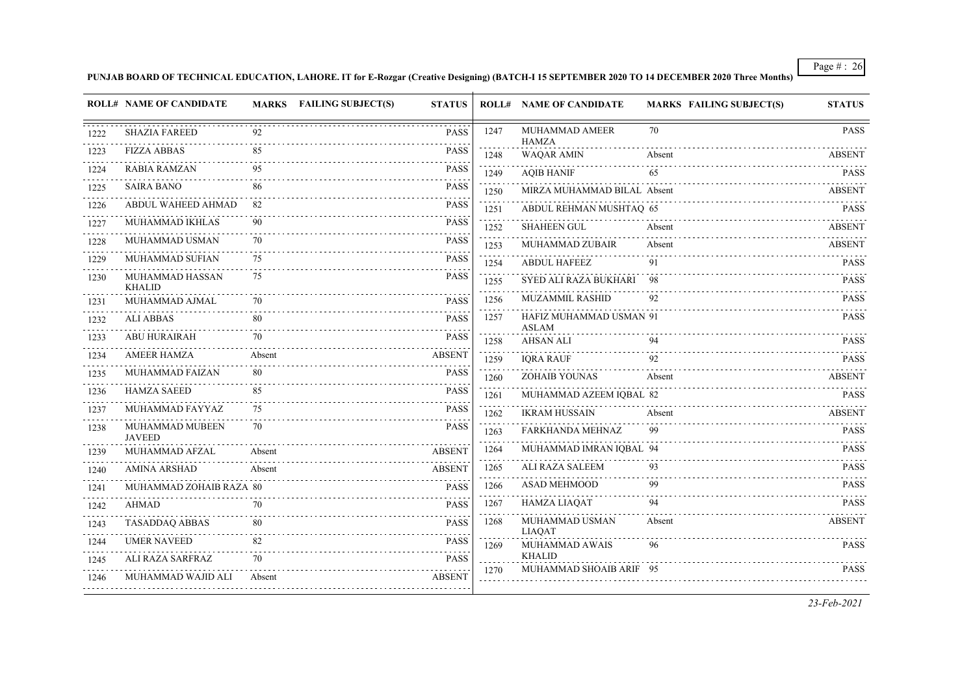**PUNJAB BOARD OF TECHNICAL EDUCATION, LAHORE. IT for E-Rozgar (Creative Designing) (BATCH-I 15 SEPTEMBER 2020 TO 14 DECEMBER 2020 Three Months)**

|      | <b>ROLL# NAME OF CANDIDATE</b>   |        | MARKS FAILING SUBJECT(S)<br><b>STATUS</b> |                     | <b>ROLL# NAME OF CANDIDATE</b>    | <b>MARKS FAILING SUBJECT(S)</b> | <b>STATUS</b> |
|------|----------------------------------|--------|-------------------------------------------|---------------------|-----------------------------------|---------------------------------|---------------|
| 1222 | <b>SHAZIA FAREED</b>             | 92     |                                           | 1247<br><b>PASS</b> | MUHAMMAD AMEER<br><b>HAMZA</b>    | 70                              | <b>PASS</b>   |
| 1223 | <b>FIZZA ABBAS</b><br><u>.</u>   | 85     |                                           | <b>PASS</b><br>1248 | <b>WAQAR AMIN</b>                 | Absent                          | <b>ABSENT</b> |
| 1224 | <b>RABIA RAMZAN</b>              | 95     |                                           | <b>PASS</b><br>1249 | <b>AQIB HANIF</b>                 | 65                              | <b>PASS</b>   |
| 1225 | <b>SAIRA BANO</b>                | 86     |                                           | <b>PASS</b><br>1250 | MIRZA MUHAMMAD BILAL Absent       |                                 | ABSENT        |
| 1226 | ABDUL WAHEED AHMAD               | 82     |                                           | <b>PASS</b><br>1251 | ABDUL REHMAN MUSHTAQ 65           |                                 | <b>PASS</b>   |
| 1227 | MUHAMMAD IKHLAS                  | 90     |                                           | <b>PASS</b><br>1252 | SHAHEEN GUL                       | Absent                          | <b>ABSENT</b> |
| 1228 | MUHAMMAD USMAN                   | 70     | .                                         | <b>PASS</b><br>1253 | MUHAMMAD ZUBAIR                   | Absent                          | <b>ABSENT</b> |
| 1229 | MUHAMMAD SUFIAN                  | 75     |                                           | <b>PASS</b><br>1254 | <b>ABDUL HAFEEZ</b>               | 91                              | <b>PASS</b>   |
| 1230 | MUHAMMAD HASSAN<br><b>KHALID</b> | 75     |                                           | <b>PASS</b><br>1255 | SYED ALI RAZA BUKHARI             | -98                             | <b>PASS</b>   |
| 1231 | MUHAMMAD AJMAL                   |        |                                           | 1256<br><b>PASS</b> | MUZAMMIL RASHID                   | 92                              | <b>PASS</b>   |
| 1232 | <b>ALI ABBAS</b>                 | 80     |                                           | 1257<br><b>PASS</b> | HAFIZ MUHAMMAD USMAN 91<br>ASLAM  |                                 | <b>PASS</b>   |
| 1233 | <b>ABU HURAIRAH</b>              | 70     |                                           | <b>PASS</b><br>1258 | <b>AHSAN ALI</b>                  | 94                              | <b>PASS</b>   |
| 1234 | <b>AMEER HAMZA</b>               | Absent | <b>ABSENT</b>                             | 1259                | <b>IQRA RAUF</b>                  | 92                              | <b>PASS</b>   |
| 1235 | MUHAMMAD FAIZAN                  | 80     |                                           | <b>PASS</b><br>1260 | <b>ZOHAIB YOUNAS</b>              | Absent                          | <b>ABSENT</b> |
| 1236 | <b>HAMZA SAEED</b>               | 85     |                                           | <b>PASS</b><br>1261 | MUHAMMAD AZEEM IQBAL 82           |                                 | <b>PASS</b>   |
| 1237 | MUHAMMAD FAYYAZ                  | 75     |                                           | <b>PASS</b><br>1262 | <b>IKRAM HUSSAIN</b>              | Absent                          | <b>ABSENT</b> |
| 1238 | MUHAMMAD MUBEEN<br><b>JAVEED</b> | 70     |                                           | <b>PASS</b><br>1263 | FARKHANDA MEHNAZ                  | 99                              | <b>PASS</b>   |
| 1239 | MUHAMMAD AFZAL                   | Absent | <b>ABSENT</b>                             | 1264                | MUHAMMAD IMRAN IQBAL 94           |                                 | <b>PASS</b>   |
| 1240 | <b>AMINA ARSHAD</b>              | Absent | <b>ABSENT</b>                             | 1265                | ALI RAZA SALEEM                   | 93                              | <b>PASS</b>   |
| 1241 | .<br>MUHAMMAD ZOHAIB RAZA 80     |        |                                           | 1266<br><b>PASS</b> | <b>ASAD MEHMOOD</b>               | 99                              | <b>PASS</b>   |
| 1242 | <b>AHMAD</b>                     | 70     |                                           | 1267<br><b>PASS</b> | HAMZA LIAQAT                      | 94                              | <b>PASS</b>   |
| 1243 | <b>TASADDAQ ABBAS</b>            |        |                                           | 1268<br><b>PASS</b> | MUHAMMAD USMAN<br><b>LIAQAT</b>   | Absent                          | <b>ABSENT</b> |
| 1244 | <b>UMER NAVEED</b>               | 82     |                                           | <b>PASS</b><br>1269 | MUHAMMAD AWAIS                    | 96                              | <b>PASS</b>   |
| 1245 | ALI RAZA SARFRAZ                 | 70     |                                           | <b>PASS</b><br>1270 | KHALID<br>MUHAMMAD SHOAIB ARIF 95 |                                 | <b>PASS</b>   |
| 1246 | MUHAMMAD WAJID ALI               | Absent | <b>ABSENT</b>                             |                     |                                   |                                 |               |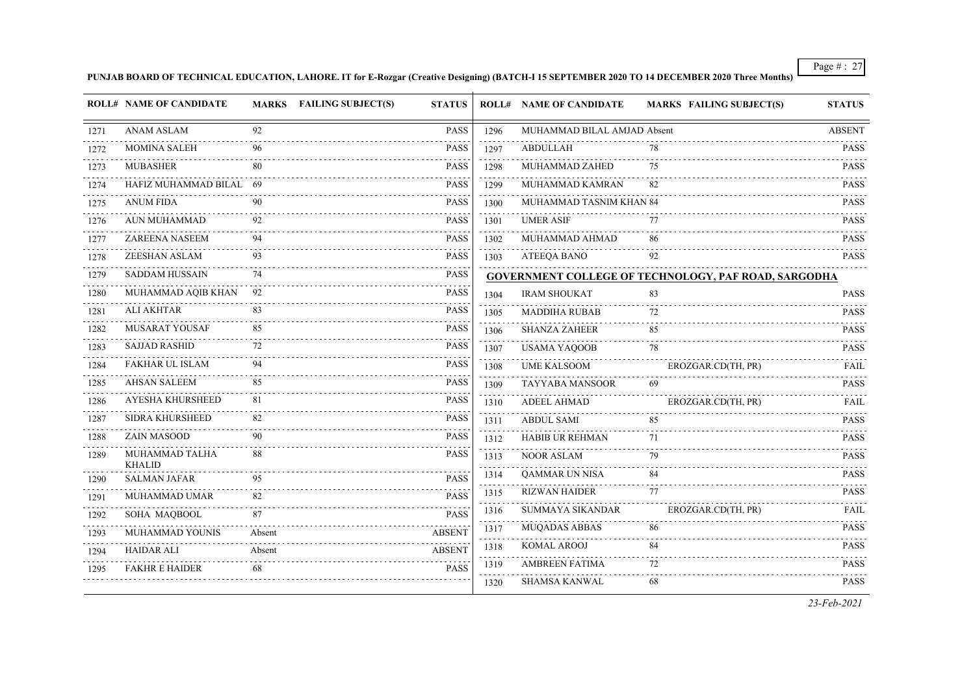**PUNJAB BOARD OF TECHNICAL EDUCATION, LAHORE. IT for E-Rozgar (Creative Designing) (BATCH-I 15 SEPTEMBER 2020 TO 14 DECEMBER 2020 Three Months)**

|           | <b>ROLL# NAME OF CANDIDATE</b>  |        | MARKS FAILING SUBJECT(S) | <b>STATUS</b> |                                            | <b>ROLL# NAME OF CANDIDATE</b> | <b>MARKS FAILING SUBJECT(S)</b>                             | <b>STATUS</b>    |
|-----------|---------------------------------|--------|--------------------------|---------------|--------------------------------------------|--------------------------------|-------------------------------------------------------------|------------------|
| 1271      | <b>ANAM ASLAM</b>               | 92     |                          | <b>PASS</b>   | 1296                                       | MUHAMMAD BILAL AMJAD Absent    |                                                             | <b>ABSENT</b>    |
| 1272      | <b>MOMINA SALEH</b>             | 96     |                          | <b>PASS</b>   | .<br>1297                                  | <b>ABDULLAH</b>                | 78                                                          | <b>PASS</b>      |
| 1273      | <b>MUBASHER</b>                 |        |                          | <b>PASS</b>   | . <b>.</b><br>1298                         | MUHAMMAD ZAHED                 | 75                                                          | <b>PASS</b>      |
| 1274      | HAFIZ MUHAMMAD BILAL 69         |        |                          | <b>PASS</b>   | 1299                                       | MUHAMMAD KAMRAN                | 82                                                          | <b>PASS</b>      |
| 1275      | <b>ANUM FIDA</b>                | 90     |                          | <b>PASS</b>   | 1300                                       | MUHAMMAD TASNIM KHAN 84        |                                                             | <b>PASS</b>      |
| 1276      | AUN MUHAMMAD                    |        |                          | <b>PASS</b>   | 1301                                       | <b>UMER ASIF</b>               | 77                                                          | PASS             |
| 1277      | ZAREENA NASEEM                  | 94     |                          | <b>PASS</b>   | 1302                                       | MUHAMMAD AHMAD                 | 86                                                          | <b>PASS</b>      |
| 1278      | ZEESHAN ASLAM                   | 93     |                          | <b>PASS</b>   | a a a a<br>1303                            | ATEEQA BANO                    | 92                                                          | <b>PASS</b>      |
| 1279      | <b>SADDAM HUSSAIN</b>           | 74     |                          | PASS          |                                            |                                | <b>GOVERNMENT COLLEGE OF TECHNOLOGY, PAF ROAD, SARGODHA</b> |                  |
| 1280      | MUHAMMAD AQIB KHAN              | -92    |                          | <b>PASS</b>   | 1304                                       | <b>IRAM SHOUKAT</b>            | 83                                                          | <b>PASS</b>      |
| 1281      | <b>ALI AKHTAR</b>               | 83     |                          | <b>PASS</b>   | 1305                                       | <b>MADDIHA RUBAB</b>           | 72                                                          | PASS             |
| 1282      | MUSARAT YOUSAF                  | 85     |                          | <b>PASS</b>   | 1306                                       | <b>SHANZA ZAHEER</b>           | 85                                                          | <b>PASS</b>      |
| 1283      | <b>SAJJAD RASHID</b>            | 72     |                          | <b>PASS</b>   | المتحدث<br>1307                            | <b>USAMA YAQOOB</b>            | 78                                                          | <b>PASS</b>      |
| 1284      | FAKHAR UL ISLAM                 | 94     |                          | <b>PASS</b>   | 1308                                       | <b>UME KALSOOM</b>             | EROZGAR.CD(TH, PR)                                          | FAIL             |
| 1285      | <b>AHSAN SALEEM</b>             | 85     |                          | <b>PASS</b>   | 1309                                       | TAYYABA MANSOOR                | 69                                                          | <b>PASS</b>      |
| 1286      | AYESHA KHURSHEED                | 81     |                          | <b>PASS</b>   | .<br>1310                                  | <b>ADEEL AHMAD</b>             | EROZGAR.CD(TH, PR)                                          | FAIL             |
| .<br>1287 | <b>SIDRA KHURSHEED</b>          | 82     |                          | <b>PASS</b>   | 1311                                       | <b>ABDUL SAMI</b>              | 85                                                          | <b>PASS</b>      |
| 1288      | ZAIN MASOOD                     | 90     |                          | <b>PASS</b>   | $\sim$ $\sim$ $\sim$ $\sim$<br>1312        | HABIB UR REHMAN                | 71                                                          | PASS             |
| 1289      | MUHAMMAD TALHA<br><b>KHALID</b> | 88     |                          | <b>PASS</b>   | $\sim 1.1$ .<br>1313                       | <b>NOOR ASLAM</b>              | 79                                                          | .<br><b>PASS</b> |
| 1290      | <b>SALMAN JAFAR</b>             | 95     |                          | <b>PASS</b>   | 1314<br>$\sim$ $\sim$ $\sim$ $\sim$ $\sim$ | QAMMAR UN NISA                 | 84                                                          | <b>PASS</b>      |
| 1291      | MUHAMMAD UMAR                   | 82     |                          | <b>PASS</b>   | 1315<br>.                                  | <b>RIZWAN HAIDER</b>           | 77                                                          | <b>PASS</b>      |
| 1292      | SOHA MAQBOOL                    | 87     |                          | <b>PASS</b>   | 1316                                       | SUMMAYA SIKANDAR               | EROZGAR.CD(TH, PR)                                          | FAIL             |
| 1293      | MUHAMMAD YOUNIS                 | Absent |                          | <b>ABSENT</b> | 1317                                       | MUQADAS ABBAS                  | 86                                                          | <b>PASS</b>      |
| 1294      | <b>HAIDAR ALI</b>               | Absent |                          | <b>ABSENT</b> | 1318<br>د د د د                            | <b>KOMAL AROOJ</b>             | 84                                                          | PASS<br>.        |
| 1295      | <b>FAKHR E HAIDER</b>           | 68     |                          | <b>PASS</b>   | 1319                                       | <b>AMBREEN FATIMA</b>          | 72                                                          | <b>PASS</b>      |
|           |                                 |        |                          |               | 1320                                       | <b>SHAMSA KANWAL</b>           | 68                                                          | <b>PASS</b>      |
|           |                                 |        |                          |               |                                            |                                |                                                             |                  |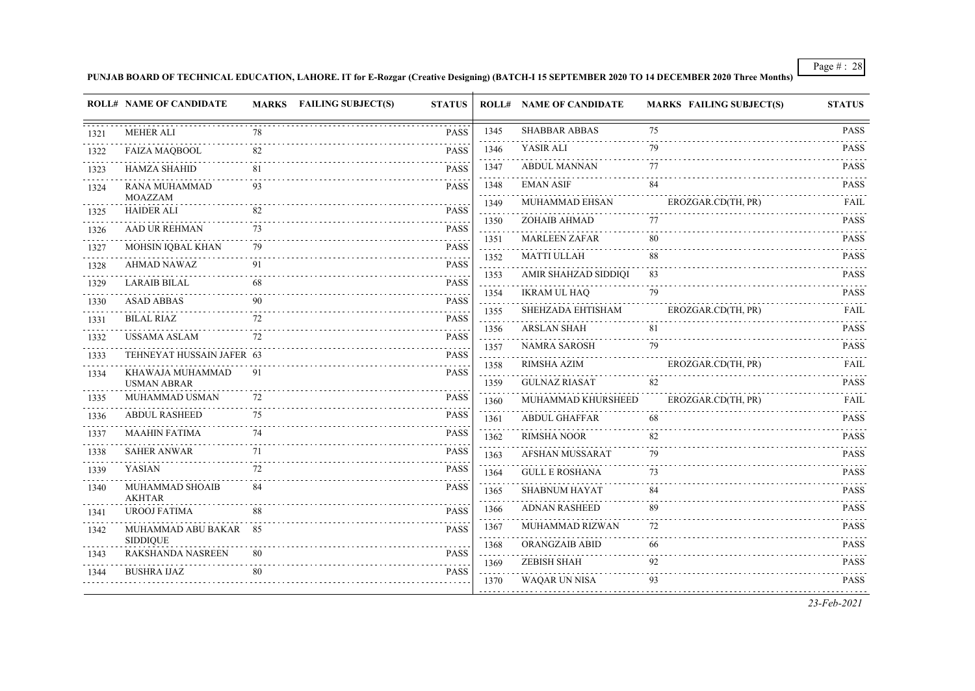#### **PUNJAB BOARD OF TECHNICAL EDUCATION, LAHORE. IT for E-Rozgar (Creative Designing) (BATCH-I 15 SEPTEMBER 2020 TO 14 DECEMBER 2020 Three Months)**

|              | <b>ROLL# NAME OF CANDIDATE</b>           |    | <b>MARKS</b> FAILING SUBJECT(S) | <b>STATUS</b>                                            |                                     | <b>ROLL# NAME OF CANDIDATE</b> | <b>MARKS FAILING SUBJECT(S)</b> | <b>STATUS</b>                                                                     |
|--------------|------------------------------------------|----|---------------------------------|----------------------------------------------------------|-------------------------------------|--------------------------------|---------------------------------|-----------------------------------------------------------------------------------|
| 1321         | <b>MEHER ALI</b>                         | 78 |                                 | <b>PASS</b>                                              | 1345                                | <b>SHABBAR ABBAS</b>           | 75                              | <b>PASS</b>                                                                       |
| 1322         | <b>FAIZA MAQBOOL</b>                     | 82 |                                 | <b>PASS</b>                                              | 1346                                | YASIR ALI                      | 79                              | <b>PASS</b>                                                                       |
| 1323         | <b>HAMZA SHAHID</b>                      | 81 |                                 | <b>PASS</b>                                              | 1347                                | <b>ABDUL MANNAN</b>            | 77                              | <b>PASS</b>                                                                       |
| 1324         | RANA MUHAMMAD                            | 93 |                                 | <b>PASS</b>                                              | 1348                                | <b>EMAN ASIF</b>               | 84                              | <b>PASS</b>                                                                       |
| 1325         | <b>MOAZZAM</b><br><b>HAIDER ALI</b>      | 82 |                                 | <b>PASS</b>                                              | 1349                                | MUHAMMAD EHSAN                 | EROZGAR.CD(TH, PR)              | <b>FAIL</b>                                                                       |
| 1326         | AAD UR REHMAN                            | 73 |                                 | <b>PASS</b>                                              | 1350                                | ZOHAIB AHMAD                   | 77                              | <b>PASS</b>                                                                       |
|              | MOHSIN IQBAL KHAN                        | 79 |                                 | <b>PASS</b>                                              | 1351                                | MARLEEN ZAFAR                  | 80                              | <b>PASS</b>                                                                       |
| 1327         | AHMAD NAWAZ                              | 91 |                                 | <b>PASS</b>                                              | .<br>1352                           | <b>MATTI ULLAH</b>             | 88                              | $\mathbb{Z} \times \mathbb{Z} \times \mathbb{Z} \times \mathbb{Z}$<br><b>PASS</b> |
| 1328<br>1329 | <b>LARAIB BILAL</b>                      | 68 |                                 | $\sim 100$ km s $^{-1}$<br><b>PASS</b>                   | 1353                                | AMIR SHAHZAD SIDDIQI           | 83                              | <b>PASS</b>                                                                       |
|              | <b>ASAD ABBAS</b>                        |    |                                 | <b>PASS</b>                                              | 1354                                | <b>IKRAM UL HAQ</b>            | 79                              | <b>PASS</b>                                                                       |
| 1330         | <b>BILAL RIAZ</b>                        | 72 |                                 | <b>PASS</b>                                              | .<br>1355                           | SHEHZADA EHTISHAM              | EROZGAR.CD(TH, PR)              | <b>FAIL</b>                                                                       |
| 1331<br>1332 | <b>USSAMA ASLAM</b>                      | 72 |                                 | .<br><b>PASS</b>                                         | 1356                                | <b>ARSLAN SHAH</b>             | 81                              | <b>PASS</b>                                                                       |
|              | TEHNEYAT HUSSAIN JAFER 63                |    |                                 | <b>PASS</b>                                              | 1357                                | <b>NAMRA SAROSH</b>            | 79                              | <b>PASS</b>                                                                       |
| 1333         | KHAWAJA MUHAMMAD                         | 91 |                                 | <b>PASS</b>                                              | .<br>1358                           | RIMSHA AZIM                    | EROZGAR.CD(TH, PR)              | <b>FAIL</b>                                                                       |
| 1334         | <b>USMAN ABRAR</b>                       |    |                                 |                                                          | 1359                                | <b>GULNAZ RIASAT</b>           | 82                              | <b>PASS</b>                                                                       |
| 1335         | MUHAMMAD USMAN                           | 72 |                                 | <b>PASS</b>                                              | 1360                                | MUHAMMAD KHURSHEED             | EROZGAR.CD(TH, PR)              | <b>FAIL</b>                                                                       |
| 1336         | <b>ABDUL RASHEED</b>                     | 75 |                                 | <b>PASS</b>                                              | 1361                                | <b>ABDUL GHAFFAR</b>           | 68                              | <b>PASS</b>                                                                       |
| 1337         | <b>MAAHIN FATIMA</b>                     | 74 |                                 | <b>PASS</b>                                              | 1362                                | <b>RIMSHA NOOR</b>             | 82                              | <b>PASS</b>                                                                       |
| 1338         | <b>SAHER ANWAR</b>                       | 71 |                                 | <b>PASS</b>                                              | 1363                                | <b>AFSHAN MUSSARAT</b>         | 79                              | <b>PASS</b>                                                                       |
| 1339         | YASIAN                                   | 72 |                                 | <b>PASS</b>                                              | 1364                                | <b>GULL E ROSHANA</b>          | 73                              | <b>PASS</b>                                                                       |
| 1340         | MUHAMMAD SHOAIB<br><b>AKHTAR</b>         | 84 |                                 | <b>PASS</b>                                              | 1365<br>$\sim$ $\sim$ $\sim$ $\sim$ | <b>SHABNUM HAYAT</b>           | 84                              | <b>PASS</b>                                                                       |
| 1341         | <b>UROOJ FATIMA</b>                      | 88 |                                 | <b>PASS</b>                                              | 1366                                | <b>ADNAN RASHEED</b>           | 89                              | <b>PASS</b>                                                                       |
| 1342         | MUHAMMAD ABU BAKAR 85<br><b>SIDDIQUE</b> |    |                                 | <b>PASS</b>                                              | 1367                                | MUHAMMAD RIZWAN                | 72                              | <b>PASS</b>                                                                       |
| 1343         | RAKSHANDA NASREEN                        | 80 |                                 | $\sim$ $\sim$ $\sim$ $\sim$ $\sim$ $\sim$<br><b>PASS</b> | 1368                                | ORANGZAIB ABID                 | 66<br>.                         | <b>PASS</b>                                                                       |
| 1344         | <b>BUSHRA IJAZ</b>                       | 80 |                                 | <b>PASS</b>                                              | 1369                                | <b>ZEBISH SHAH</b>             | 92                              | <b>PASS</b>                                                                       |
|              |                                          |    |                                 |                                                          | 1370                                | WAQAR UN NISA                  | 93                              | <b>PASS</b>                                                                       |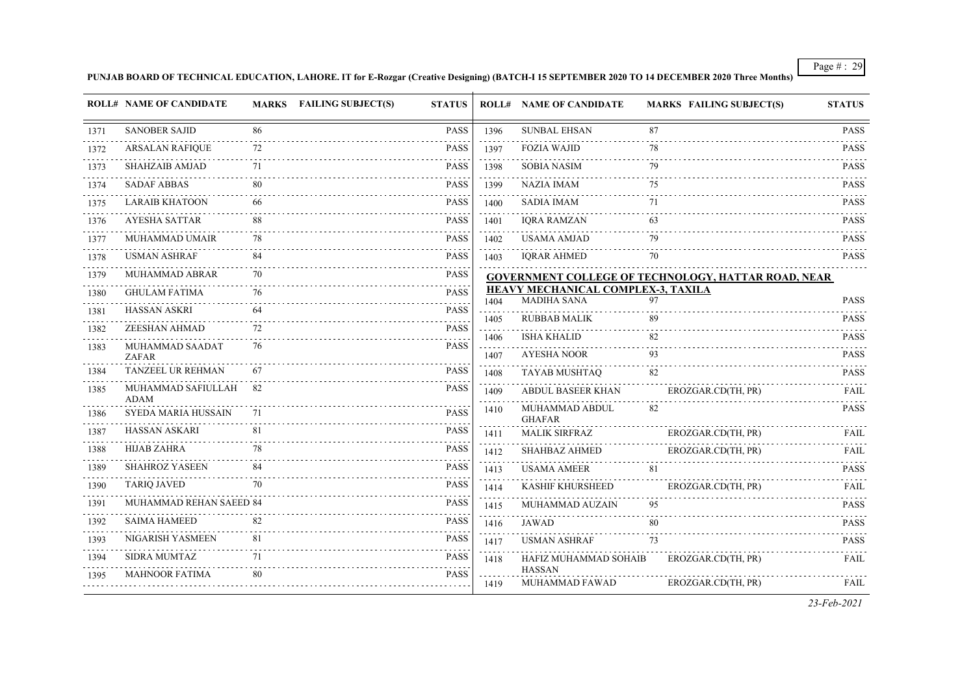**PUNJAB BOARD OF TECHNICAL EDUCATION, LAHORE. IT for E-Rozgar (Creative Designing) (BATCH-I 15 SEPTEMBER 2020 TO 14 DECEMBER 2020 Three Months)**

|           | <b>ROLL# NAME OF CANDIDATE</b>    |     | MARKS FAILING SUBJECT(S) | <b>STATUS</b> |              | <b>ROLL# NAME OF CANDIDATE</b>     | <b>MARKS FAILING SUBJECT(S)</b>                     | <b>STATUS</b>              |
|-----------|-----------------------------------|-----|--------------------------|---------------|--------------|------------------------------------|-----------------------------------------------------|----------------------------|
| 1371      | <b>SANOBER SAJID</b>              | 86  |                          | <b>PASS</b>   | 1396         | <b>SUNBAL EHSAN</b>                | 87                                                  | <b>PASS</b>                |
| 1372      | <b>ARSALAN RAFIQUE</b>            | 72  |                          | <b>PASS</b>   | 1397         | <b>FOZIA WAJID</b>                 | 78                                                  | <b>PASS</b>                |
| 1373      | <b>SHAHZAIB AMJAD</b>             |     |                          | <b>PASS</b>   | 1398         | <b>SOBIA NASIM</b>                 | 79                                                  | <b>PASS</b>                |
| 1374      | <b>SADAF ABBAS</b>                |     |                          | <b>PASS</b>   | 1399         | <b>NAZIA IMAM</b>                  | 75                                                  | <b>PASS</b>                |
| 1375      | <b>LARAIB KHATOON</b>             | -66 |                          | <b>PASS</b>   | 1400         | <b>SADIA IMAM</b>                  | 71                                                  | <b>PASS</b>                |
| 1376      | AYESHA SATTAR                     | 88  |                          | <b>PASS</b>   | 1401         | <b>IQRA RAMZAN</b>                 | 63                                                  | <b>PASS</b>                |
| 1377      | MUHAMMAD UMAIR                    | 78  |                          | <b>PASS</b>   | 1402         | <b>USAMA AMJAD</b>                 | 79                                                  | <b>PASS</b>                |
| 1378      | <b>USMAN ASHRAF</b>               | 84  |                          | <b>PASS</b>   | 1403         | <b>IORAR AHMED</b>                 | 70                                                  | <b>PASS</b>                |
| 1379      | MUHAMMAD ABRAR                    | 70  |                          | <b>PASS</b>   |              |                                    | GOVERNMENT COLLEGE OF TECHNOLOGY, HATTAR ROAD, NEAR |                            |
| 1380      | <b>GHULAM FATIMA</b>              | 76  |                          | <b>PASS</b>   |              | HEAVY MECHANICAL COMPLEX-3, TAXILA |                                                     |                            |
| 1381      | <b>HASSAN ASKRI</b>               |     |                          | <b>PASS</b>   | 1404         | <b>MADIHA SANA</b>                 | 97                                                  | PASS                       |
| .<br>1382 | ZEESHAN AHMAD                     | 72  |                          | <b>PASS</b>   | 1405         | <b>RUBBAB MALIK</b>                | 89                                                  | <b>PASS</b>                |
| 1383      | MUHAMMAD SAADAT<br>ZAFAR          | 76  |                          | <b>PASS</b>   | 1406<br>1407 | <b>ISHA KHALID</b><br>AYESHA NOOR  | 82<br>93                                            | <b>PASS</b><br><b>PASS</b> |
| 1384      | TANZEEL UR REHMAN                 | 67  |                          | <b>PASS</b>   | 1408         | TAYAB MUSHTAQ                      | 82                                                  | <b>PASS</b>                |
| 1385      | MUHAMMAD SAFIULLAH<br><b>ADAM</b> |     | .                        | <b>PASS</b>   | 1409         | <b>ABDUL BASEER KHAN</b>           | EROZGAR.CD(TH, PR)                                  | <b>FAIL</b>                |
| 1386      | SYEDA MARIA HUSSAIN               |     |                          | <b>PASS</b>   | 1410         | MUHAMMAD ABDUL<br><b>GHAFAR</b>    | 82                                                  | <b>PASS</b>                |
| 1387      | <b>HASSAN ASKARI</b>              | -81 |                          | <b>PASS</b>   | 1411         | <b>MALIK SIRFRAZ</b>               | EROZGAR.CD(TH, PR)                                  | <b>FAIL</b>                |
| 1388      | <b>HIJAB ZAHRA</b>                |     |                          | <b>PASS</b>   | 1412         | <b>SHAHBAZ AHMED</b>               | EROZGAR.CD(TH, PR)                                  | FAIL                       |
| .<br>1389 | <b>SHAHROZ YASEEN</b>             |     |                          | <b>PASS</b>   | 1413         | <b>USAMA AMEER</b>                 | 81                                                  | <b>PASS</b>                |
| 1390      | <b>TARIQ JAVED</b>                | 70  |                          | <b>PASS</b>   | 1414         | KASHIF KHURSHEED                   | EROZGAR.CD(TH, PR)                                  | FAIL                       |
| 1391      | MUHAMMAD REHAN SAEED 84           |     |                          | <b>PASS</b>   | 1415         | MUHAMMAD AUZAIN                    | 95                                                  | <b>PASS</b>                |
| 1392      | <b>SAIMA HAMEED</b>               |     |                          | <b>PASS</b>   | 1416         | JAWAD                              | 80                                                  | <b>PASS</b>                |
| 1393      | NIGARISH YASMEEN                  | 81  |                          | <b>PASS</b>   | 1417         | <b>USMAN ASHRAF</b>                | 73                                                  | <b>PASS</b>                |
| 1394      | <b>SIDRA MUMTAZ</b>               | 71  |                          | <b>PASS</b>   | 1418         | HAFIZ MUHAMMAD SOHAIB              | EROZGAR.CD(TH, PR)                                  | FAIL                       |
| 1395      | <b>MAHNOOR FATIMA</b>             | 80  |                          | <b>PASS</b>   | 1419         | <b>HASSAN</b><br>MUHAMMAD FAWAD    | EROZGAR.CD(TH, PR)                                  | FAIL                       |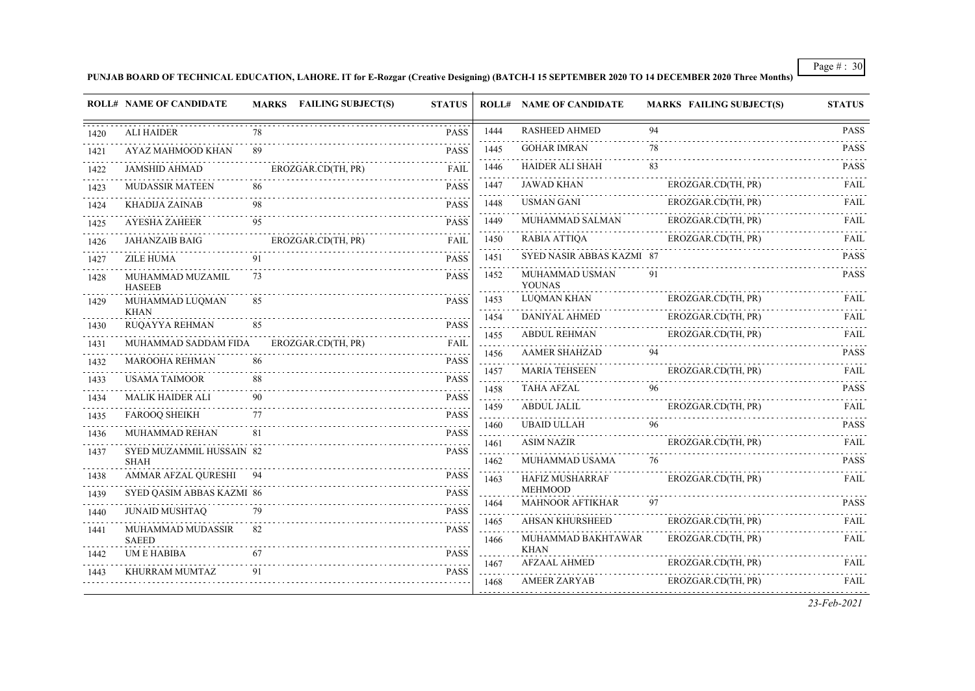#### **PUNJAB BOARD OF TECHNICAL EDUCATION, LAHORE. IT for E-Rozgar (Creative Designing) (BATCH-I 15 SEPTEMBER 2020 TO 14 DECEMBER 2020 Three Months)**

|      | <b>ROLL# NAME OF CANDIDATE</b>           |    | MARKS FAILING SUBJECT(S) | <b>STATUS</b> |                                 | <b>ROLL# NAME OF CANDIDATE</b>            | <b>MARKS FAILING SUBJECT(S)</b> | <b>STATUS</b> |
|------|------------------------------------------|----|--------------------------|---------------|---------------------------------|-------------------------------------------|---------------------------------|---------------|
| 1420 | <b>ALI HAIDER</b>                        | 78 |                          | <b>PASS</b>   | 1444                            | <b>RASHEED AHMED</b>                      | 94                              | <b>PASS</b>   |
| 1421 | AYAZ MAHMOOD KHAN                        | 89 |                          | <b>PASS</b>   | 1445                            | <b>GOHAR IMRAN</b>                        | 78                              | <b>PASS</b>   |
| 1422 | <b>JAMSHID AHMAD</b>                     |    | EROZGAR.CD(TH, PR)       | <b>FAIL</b>   | 1446                            | <b>HAIDER ALI SHAH</b>                    | 83                              | <b>PASS</b>   |
| 1423 | <b>MUDASSIR MATEEN</b>                   | 86 |                          | <b>PASS</b>   | 1447                            | <b>JAWAD KHAN</b>                         | EROZGAR.CD(TH, PR)              | FAIL          |
| 1424 | <b>KHADIJA ZAINAB</b>                    | 98 |                          | <b>PASS</b>   | 1448                            | <b>USMAN GANI</b>                         | EROZGAR.CD(TH, PR)              | FAIL          |
| 1425 | <b>AYESHA ZAHEER</b>                     |    |                          | <b>PASS</b>   | 1449                            | MUHAMMAD SALMAN                           | EROZGAR.CD(TH, PR)              | <b>FAIL</b>   |
| 1426 | <b>JAHANZAIB BAIG</b>                    |    | EROZGAR.CD(TH, PR)       | <b>FAIL</b>   | 1450                            | <b>RABIA ATTIQA</b>                       | EROZGAR.CD(TH, PR)              | FAIL          |
| 1427 | ZILE HUMA                                | 91 |                          | <b>PASS</b>   | 1451                            | SYED NASIR ABBAS KAZMI 87                 |                                 | <b>PASS</b>   |
| 1428 | MUHAMMAD MUZAMIL<br><b>HASEEB</b>        | 73 |                          | <b>PASS</b>   | 1452                            | MUHAMMAD USMAN<br><b>YOUNAS</b>           | 91                              | <b>PASS</b>   |
| 1429 | MUHAMMAD LUQMAN                          | 85 |                          | <b>PASS</b>   | 1453                            | <b>LUQMAN KHAN</b>                        | EROZGAR.CD(TH, PR)              | FAIL          |
| 1430 | <b>KHAN</b><br>RUQAYYA REHMAN            | 85 |                          | <b>PASS</b>   | 1454                            | <b>DANIYAL AHMED</b>                      | EROZGAR.CD(TH, PR)              | <b>FAIL</b>   |
| 1431 | MUHAMMAD SADDAM FIDA                     |    | EROZGAR.CD(TH, PR)       | <b>FAIL</b>   | 1455<br>$\sim 1.1$ , $\sim$     | <b>ABDUL REHMAN</b>                       | EROZGAR.CD(TH, PR)              | <b>FAIL</b>   |
| 1432 | MAROOHA REHMAN                           | 86 |                          | <b>PASS</b>   | 1456<br>.                       | <b>AAMER SHAHZAD</b>                      | 94                              | <b>PASS</b>   |
| 1433 | <b>USAMA TAIMOOR</b>                     |    |                          | <b>PASS</b>   | 1457                            | <b>MARIA TEHSEEN</b>                      | EROZGAR.CD(TH, PR)              | FAII.         |
| 1434 | <b>MALIK HAIDER ALI</b>                  | 90 |                          | <b>PASS</b>   | 1458<br>$\sim 100$ km s $^{-1}$ | <b>TAHA AFZAL</b>                         | 96                              | <b>PASS</b>   |
| 1435 | <b>FAROOQ SHEIKH</b>                     | 77 |                          | <b>PASS</b>   | 1459                            | ABDUL JALIL                               | EROZGAR.CD(TH, PR)              | <b>FAIL</b>   |
| 1436 | MUHAMMAD REHAN                           | 81 |                          | <b>PASS</b>   | 1460                            | <b>UBAID ULLAH</b>                        | 96                              | <b>PASS</b>   |
| 1437 | SYED MUZAMMIL HUSSAIN 82                 |    |                          | <b>PASS</b>   | 1461                            | <b>ASIM NAZIR</b>                         | EROZGAR.CD(TH, PR)              | FAIL          |
|      | <b>SHAH</b>                              |    |                          |               | 1462                            | MUHAMMAD USAMA                            | 76                              | <b>PASS</b>   |
| 1438 | <b>AMMAR AFZAL OURESHI</b> 94            |    |                          | <b>PASS</b>   | 1463                            | <b>HAFIZ MUSHARRAF</b>                    | EROZGAR.CD(TH, PR)              | <b>FAIL</b>   |
| 1439 | SYED QASIM ABBAS KAZMI 86                |    |                          | <b>PASS</b>   | 1464                            | <b>MEHMOOD</b><br><b>MAHNOOR AFTIKHAR</b> | 97                              | <b>PASS</b>   |
| 1440 | <b>JUNAID MUSHTAQ</b>                    | 79 |                          | <b>PASS</b>   | 2.2.2.2.2<br>1465               | AHSAN KHURSHEED                           | EROZGAR.CD(TH, PR)              | FAIL          |
| 1441 | <b>MUHAMMAD MUDASSIR</b><br><b>SAEED</b> | 82 |                          | <b>PASS</b>   | 1466                            | MUHAMMAD BAKHTAWAR                        | EROZGAR.CD(TH, PR)              | FAIL          |
| 1442 | UM E HABIBA                              | 67 |                          | <b>PASS</b>   | 1467                            | <b>KHAN</b><br>.<br><b>AFZAAL AHMED</b>   | EROZGAR.CD(TH, PR)              | FAIL          |
| 1443 | KHURRAM MUMTAZ                           | 91 |                          | <b>PASS</b>   | 1468                            | <b>AMEER ZARYAB</b>                       | EROZGAR.CD(TH, PR)              | <b>FAIL</b>   |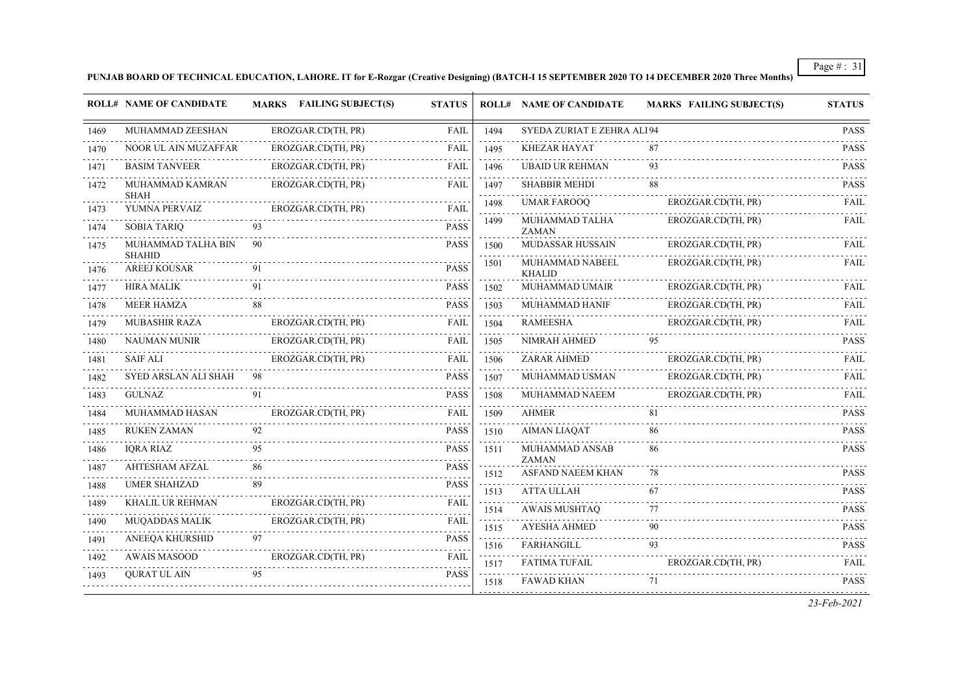**PUNJAB BOARD OF TECHNICAL EDUCATION, LAHORE. IT for E-Rozgar (Creative Designing) (BATCH-I 15 SEPTEMBER 2020 TO 14 DECEMBER 2020 Three Months)**

|      | <b>ROLL# NAME OF CANDIDATE</b>       |    | MARKS FAILING SUBJECT(S) | <b>STATUS</b>                  |                   | <b>ROLL# NAME OF CANDIDATE</b>   | <b>MARKS FAILING SUBJECT(S)</b> | <b>STATUS</b>    |
|------|--------------------------------------|----|--------------------------|--------------------------------|-------------------|----------------------------------|---------------------------------|------------------|
| 1469 | MUHAMMAD ZEESHAN                     |    | EROZGAR.CD(TH, PR)       | FAIL                           | 1494              | SYEDA ZURIAT E ZEHRA ALI 94      |                                 | <b>PASS</b>      |
| 1470 | NOOR UL AIN MUZAFFAR                 |    | EROZGAR.CD(TH, PR)       | <b>FAIL</b>                    | 1495              | <b>KHEZAR HAYAT</b>              | 87                              | .<br><b>PASS</b> |
| 1471 | <b>BASIM TANVEER</b>                 |    | EROZGAR.CD(TH, PR)       | <b>FAIL</b>                    | 1496              | <b>UBAID UR REHMAN</b>           | 93                              | <b>PASS</b>      |
| 1472 | MUHAMMAD KAMRAN<br><b>SHAH</b>       |    | EROZGAR.CD(TH, PR)       | <b>FAIL</b>                    | 1497<br>2.2.2.2.1 | <b>SHABBIR MEHDI</b>             | 88                              | <b>PASS</b>      |
| 1473 | YUMNA PERVAIZ                        |    | EROZGAR.CD(TH, PR)       | <b>FAIL</b>                    | 1498              | <b>UMAR FAROOQ</b>               | EROZGAR.CD(TH, PR)              | <b>FAIL</b>      |
| 1474 | <b>SOBIA TARIO</b>                   | 93 |                          | <b>PASS</b>                    | 1499              | MUHAMMAD TALHA<br><b>ZAMAN</b>   | EROZGAR.CD(TH, PR)              | FAIL             |
| 1475 | MUHAMMAD TALHA BIN                   | 90 |                          | <b>PASS</b>                    | 1500              | MUDASSAR HUSSAIN                 | EROZGAR.CD(TH, PR)              | <b>FAIL</b>      |
| 1476 | <b>SHAHID</b><br><b>AREEJ KOUSAR</b> | 91 |                          | <b>PASS</b>                    | 1501              | MUHAMMAD NABEEL<br><b>KHALID</b> | EROZGAR.CD(TH, PR)              | FAIL             |
| 1477 | <b>HIRA MALIK</b>                    | 91 |                          | <b>PASS</b>                    | 1502              | MUHAMMAD UMAIR                   | EROZGAR.CD(TH, PR)              | FAIL             |
| 1478 | <b>MEER HAMZA</b>                    | 88 |                          | <b>PASS</b>                    | 1503              | MUHAMMAD HANIF                   | EROZGAR.CD(TH, PR)              | FAII.            |
| 1479 | <b>MUBASHIR RAZA</b>                 |    | EROZGAR.CD(TH, PR)       | <b>FAIL</b>                    | 1504              | <b>RAMEESHA</b>                  | EROZGAR.CD(TH, PR)              | <b>FAIL</b>      |
| 1480 | <b>NAUMAN MUNIR</b>                  |    | EROZGAR.CD(TH, PR)       | <b>FAIL</b>                    | 1505              | NIMRAH AHMED                     | 95                              | <b>PASS</b>      |
| 1481 | <b>SAIF ALI</b>                      |    | EROZGAR.CD(TH, PR)       | <b>FAIL</b>                    | 1506              | <b>ZARAR AHMED</b>               | EROZGAR.CD(TH, PR)              | <b>FAIL</b>      |
| 1482 | SYED ARSLAN ALI SHAH                 | 98 |                          | <b>PASS</b>                    | 1507              | MUHAMMAD USMAN                   | EROZGAR.CD(TH, PR)              | <b>FAIL</b>      |
| 1483 | <b>GULNAZ</b>                        | 91 |                          | <b>PASS</b>                    | 1508              | MUHAMMAD NAEEM                   | EROZGAR.CD(TH, PR)              | FAII.            |
| 1484 | MUHAMMAD HASAN                       |    | EROZGAR.CD(TH, PR)       | <b>FAIL</b>                    | 1509              | <b>AHMER</b>                     | 81                              | <b>PASS</b>      |
| 1485 | <b>RUKEN ZAMAN</b>                   |    |                          | <b>PASS</b>                    | 1510              | <b>AIMAN LIAQAT</b>              | 86                              | <b>PASS</b>      |
| 1486 | <b>IQRA RIAZ</b>                     | 95 |                          | <b>PASS</b>                    | 1511              | MUHAMMAD ANSAB<br><b>ZAMAN</b>   | 86                              | <b>PASS</b>      |
| 1487 | <b>AHTESHAM AFZAL</b>                | 86 |                          | <b>PASS</b>                    | 1512              | ASFAND NAEEM KHAN                | 78                              | <b>PASS</b>      |
| 1488 | <b>UMER SHAHZAD</b>                  | 89 |                          | <b>PASS</b>                    | 1513              | <b>ATTA ULLAH</b>                | 67                              | <b>PASS</b>      |
| 1489 | KHALIL UR REHMAN                     |    | EROZGAR.CD(TH, PR)       | FAIL                           | 1514              | <b>AWAIS MUSHTAQ</b>             | 77                              | <b>PASS</b>      |
| 1490 | <b>MUQADDAS MALIK</b>                |    | EROZGAR.CD(TH, PR)       | <b>FAIL</b>                    | 1515              | <b>AYESHA AHMED</b>              | 90                              | <b>PASS</b>      |
| 1491 | ANEEQA KHURSHID                      | 97 |                          | <b>PASS</b>                    | 1516              | <b>FARHANGILL</b>                | 93                              | <b>PASS</b>      |
| 1492 | <b>AWAIS MASOOD</b>                  |    | EROZGAR.CD(TH, PR)       | FAIL<br>$\omega$ is a $\omega$ | 1517              | <b>FATIMA TUFAIL</b>             | EROZGAR.CD(TH, PR)              | <b>FAIL</b>      |
| 1493 | <b>OURAT UL AIN</b>                  | 95 |                          | <b>PASS</b>                    | 1518              | <b>FAWAD KHAN</b>                | 71                              | <b>PASS</b>      |
|      |                                      |    |                          |                                |                   |                                  |                                 | 23-Feb-2021      |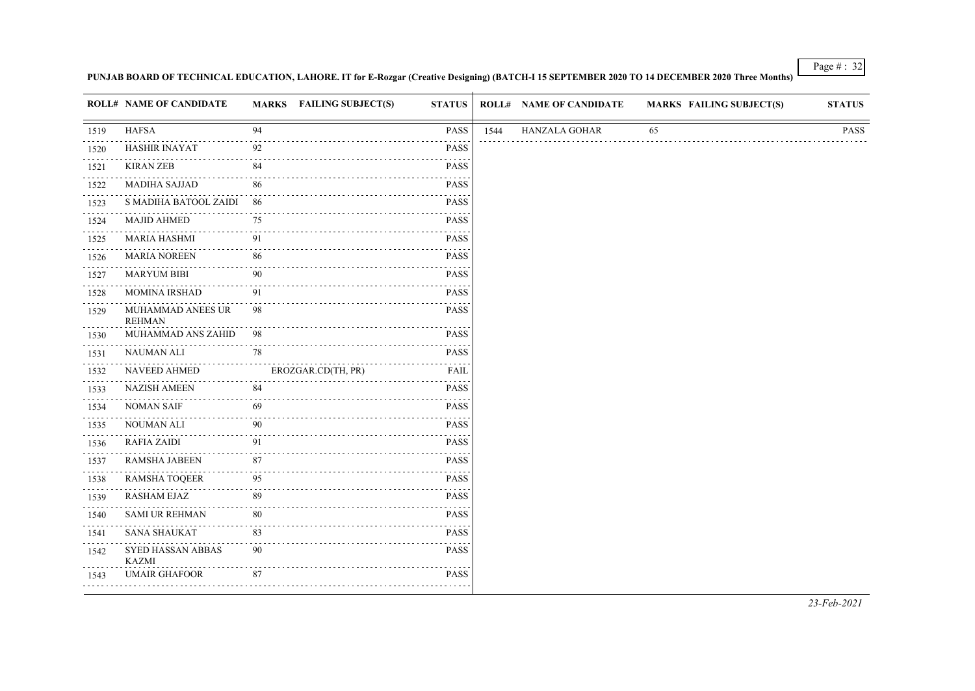#### **PUNJAB BOARD OF TECHNICAL EDUCATION, LAHORE. IT for E-Rozgar (Creative Designing) (BATCH-I 15 SEPTEMBER 2020 TO 14 DECEMBER 2020 Three Months)**

|                                                                                                                                                              | <b>ROLL# NAME OF CANDIDATE</b>     |    | MARKS FAILING SUBJECT(S) | <b>STATUS</b>                                                                                                                           |      | <b>ROLL# NAME OF CANDIDATE</b> | <b>MARKS FAILING SUBJECT(S)</b> | <b>STATUS</b> |
|--------------------------------------------------------------------------------------------------------------------------------------------------------------|------------------------------------|----|--------------------------|-----------------------------------------------------------------------------------------------------------------------------------------|------|--------------------------------|---------------------------------|---------------|
| 1519                                                                                                                                                         | <b>HAFSA</b>                       | 94 |                          | PASS                                                                                                                                    | 1544 | <b>HANZALA GOHAR</b>           | 65                              | <b>PASS</b>   |
| 1520                                                                                                                                                         | <b>HASHIR INAYAT</b>               | 92 |                          | <b>PASS</b>                                                                                                                             |      |                                |                                 |               |
| 1521                                                                                                                                                         | <b>KIRAN ZEB</b>                   | 84 |                          | PASS                                                                                                                                    |      |                                |                                 |               |
| $\frac{1}{2} \left( \frac{1}{2} \right) \left( \frac{1}{2} \right) \left( \frac{1}{2} \right) \left( \frac{1}{2} \right) \left( \frac{1}{2} \right)$<br>1522 | <b>MADIHA SAJJAD</b>               | 86 |                          | المتمام والمنا<br><b>PASS</b>                                                                                                           |      |                                |                                 |               |
| 1523                                                                                                                                                         | S MADIHA BATOOL ZAIDI              | 86 |                          | <b>PASS</b>                                                                                                                             |      |                                |                                 |               |
| 1524                                                                                                                                                         | <b>MAJID AHMED</b>                 | 75 |                          | <b>PASS</b>                                                                                                                             |      |                                |                                 |               |
| $\label{eq:2.1} \begin{array}{cccccccccccccc} \bullet & \bullet & \bullet & \bullet & \bullet & \bullet \end{array}$<br>1525                                 | <b>MARIA HASHMI</b>                | 91 |                          | المتمامي<br><b>PASS</b>                                                                                                                 |      |                                |                                 |               |
| 1526                                                                                                                                                         | <b>MARIA NOREEN</b>                | 86 |                          | <b>PASS</b>                                                                                                                             |      |                                |                                 |               |
| 1527                                                                                                                                                         | <b>MARYUM BIBI</b>                 | 90 |                          | <b>PASS</b>                                                                                                                             |      |                                |                                 |               |
| $\frac{1}{2} \left( \frac{1}{2} \right) \left( \frac{1}{2} \right) \left( \frac{1}{2} \right) \left( \frac{1}{2} \right) \left( \frac{1}{2} \right)$<br>1528 | <b>MOMINA IRSHAD</b>               | 91 |                          | المتمام والمنا<br>PASS                                                                                                                  |      |                                |                                 |               |
| 1529                                                                                                                                                         | MUHAMMAD ANEES UR<br><b>REHMAN</b> | 98 |                          | <b>PASS</b><br>$\omega$ , $\omega$ , $\omega$                                                                                           |      |                                |                                 |               |
| 1530                                                                                                                                                         | MUHAMMAD ANS ZAHID                 | 98 |                          | <b>PASS</b><br>.                                                                                                                        |      |                                |                                 |               |
| .<br>1531<br>.                                                                                                                                               | <b>NAUMAN ALI</b>                  | 78 |                          | <b>PASS</b>                                                                                                                             |      |                                |                                 |               |
| 1532                                                                                                                                                         | <b>NAVEED AHMED</b>                |    | EROZGAR.CD(TH, PR)       | FAIL<br>$\omega_{\rm c}$ and $\omega_{\rm c}$                                                                                           |      |                                |                                 |               |
| 1533                                                                                                                                                         | NAZISH AMEEN                       | 84 |                          | <b>PASS</b><br>.                                                                                                                        |      |                                |                                 |               |
| .<br>1534                                                                                                                                                    | <b>NOMAN SAIF</b>                  | 69 |                          | <b>PASS</b>                                                                                                                             |      |                                |                                 |               |
| بالمنابذة<br>1535                                                                                                                                            | <b>NOUMAN ALI</b>                  | 90 |                          | PASS<br>$\mathcal{L}^{\mathcal{A}}\mathcal{L}^{\mathcal{A}}\mathcal{L}^{\mathcal{A}}\mathcal{L}^{\mathcal{A}}\mathcal{L}^{\mathcal{A}}$ |      |                                |                                 |               |
| 1536                                                                                                                                                         | <b>RAFIA ZAIDI</b>                 | 91 |                          | PASS<br>.                                                                                                                               |      |                                |                                 |               |
| .<br>1537                                                                                                                                                    | RAMSHA JABEEN                      | 87 |                          | <b>PASS</b>                                                                                                                             |      |                                |                                 |               |
| $\sim$ $\sim$ $\sim$ $\sim$<br>1538                                                                                                                          | <b>RAMSHA TOQEER</b>               | 95 |                          | PASS                                                                                                                                    |      |                                |                                 |               |
| 1539                                                                                                                                                         | RASHAM EJAZ                        | 89 |                          | المناسبات<br><b>PASS</b>                                                                                                                |      |                                |                                 |               |
| 1540                                                                                                                                                         | <b>SAMI UR REHMAN</b>              | 80 |                          | <b>PASS</b>                                                                                                                             |      |                                |                                 |               |
| 1541                                                                                                                                                         | <b>SANA SHAUKAT</b>                | 83 |                          | <b>PASS</b>                                                                                                                             |      |                                |                                 |               |
| 1542                                                                                                                                                         | SYED HASSAN ABBAS<br><b>KAZMI</b>  | 90 |                          | <b>PASS</b><br>المناسبات                                                                                                                |      |                                |                                 |               |
| 1543                                                                                                                                                         | <b>UMAIR GHAFOOR</b>               | 87 |                          | <b>PASS</b>                                                                                                                             |      |                                |                                 |               |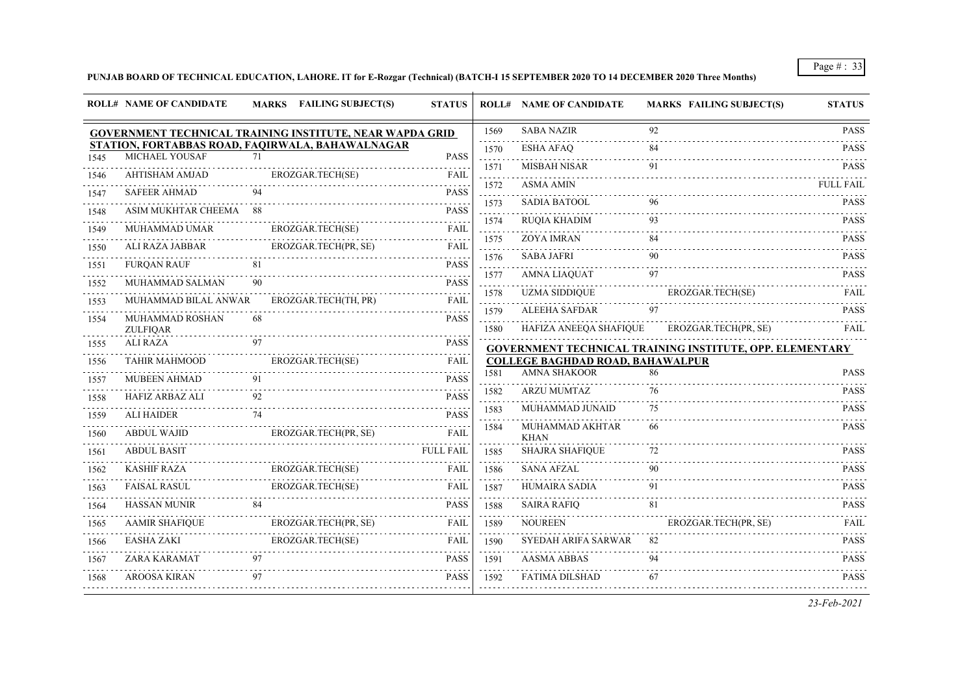# **PUNJAB BOARD OF TECHNICAL EDUCATION, LAHORE. IT for E-Rozgar (Technical) (BATCH-I 15 SEPTEMBER 2020 TO 14 DECEMBER 2020 Three Months)**

|      | <b>ROLL# NAME OF CANDIDATE</b>     |    | MARKS FAILING SUBJECT(S)                                        | <b>STATUS</b>    |                              | <b>ROLL# NAME OF CANDIDATE</b>          | <b>MARKS FAILING SUBJECT(S)</b>                          | <b>STATUS</b>    |
|------|------------------------------------|----|-----------------------------------------------------------------|------------------|------------------------------|-----------------------------------------|----------------------------------------------------------|------------------|
|      |                                    |    | <b>GOVERNMENT TECHNICAL TRAINING INSTITUTE, NEAR WAPDA GRID</b> |                  | 1569                         | <b>SABA NAZIR</b>                       | 92                                                       | <b>PASS</b>      |
|      | MICHAEL YOUSAF                     | 71 | STATION, FORTABBAS ROAD, FAQIRWALA, BAHAWALNAGAR                | <b>PASS</b>      | 1570                         | <b>ESHA AFAO</b>                        | 84                                                       | <b>PASS</b>      |
| 1545 | <b>AHTISHAM AMJAD</b>              |    |                                                                 |                  | .<br>1571                    | <b>MISBAH NISAR</b>                     |                                                          | <b>PASS</b>      |
| 1546 |                                    |    | EROZGAR.TECH(SE)                                                | FAIL<br>.        | 1572                         | <b>ASMA AMIN</b>                        |                                                          | <b>FULL FAIL</b> |
| 1547 | <b>SAFEER AHMAD</b>                | 94 |                                                                 | <b>PASS</b>      | .<br>1573                    | <b>SADIA BATOOL</b>                     | 96                                                       | <b>PASS</b>      |
| 1548 | <b>ASIM MUKHTAR CHEEMA</b> 88      |    |                                                                 | <b>PASS</b>      | .<br>1574                    | <b>RUQIA KHADIM</b>                     |                                                          | <b>PASS</b>      |
| 1549 | MUHAMMAD UMAR                      |    | EROZGAR.TECH(SE)                                                | <b>FAIL</b>      | 1575                         | <b>ZOYA IMRAN</b>                       | 84                                                       | <b>PASS</b>      |
| 1550 | ALI RAZA JABBAR                    |    | EROZGAR.TECH(PR, SE)                                            | <b>FAIL</b>      | .<br>1576                    | <b>SABA JAFRI</b>                       | 90                                                       | <b>PASS</b>      |
| 1551 | <b>FURQAN RAUF</b>                 | 81 |                                                                 | <b>PASS</b>      | a da dal<br>1577             | <b>AMNA LIAQUAT</b>                     |                                                          | <b>PASS</b>      |
| 1552 | MUHAMMAD SALMAN                    | 90 |                                                                 | <b>PASS</b>      | 1578                         | <b>UZMA SIDDIQUE</b>                    | EROZGAR.TECH(SE)                                         | FAII.            |
| 1553 | MUHAMMAD BILAL ANWAR               |    | EROZGAR.TECH(TH, PR)                                            | FAIL             | .<br>1579                    | <b>ALEEHA SAFDAR</b>                    | 97                                                       | <b>PASS</b>      |
| 1554 | MUHAMMAD ROSHAN<br><b>ZULFIQAR</b> | 68 |                                                                 | <b>PASS</b>      | 1580                         | HAFIZA ANEEOA SHAFIOUE                  | EROZGAR.TECH(PR, SE)                                     | FAIL             |
| 1555 | <b>ALI RAZA</b>                    | 97 |                                                                 | <b>PASS</b>      |                              |                                         | GOVERNMENT TECHNICAL TRAINING INSTITUTE, OPP. ELEMENTARY |                  |
| 1556 | <b>TAHIR MAHMOOD</b>               |    | EROZGAR.TECH(SE)                                                | FAIL             |                              | <b>COLLEGE BAGHDAD ROAD, BAHAWALPUR</b> |                                                          |                  |
| 1557 | <b>MUBEEN AHMAD</b>                | 91 |                                                                 | <b>PASS</b>      | 1581<br>$\omega$ is a set of | <b>AMNA SHAKOOR</b>                     | 86                                                       | <b>PASS</b>      |
| 1558 | HAFIZ ARBAZ ALI                    |    |                                                                 | <b>PASS</b>      | 1582<br>د د د د د            | <b>ARZU MUMTAZ</b>                      | 76                                                       | <b>PASS</b>      |
| 1559 | <b>ALI HAIDER</b>                  | 74 |                                                                 | <b>PASS</b>      | 1583                         | MUHAMMAD JUNAID                         | 75                                                       | <b>PASS</b>      |
| 1560 | <b>ABDUL WAJID</b>                 |    | EROZGAR.TECH(PR, SE)                                            | FAIL             | 1584                         | MUHAMMAD AKHTAR<br><b>KHAN</b>          | 66                                                       | <b>PASS</b>      |
| 1561 | <b>ABDUL BASIT</b>                 |    |                                                                 | <b>FULL FAIL</b> | 1585                         | <b>SHAJRA SHAFIQUE</b>                  | 72                                                       | <b>PASS</b>      |
| 1562 | <b>KASHIF RAZA</b>                 |    | EROZGAR.TECH(SE)                                                | FAIL             | 1586                         | <b>SANA AFZAL</b>                       | 90                                                       | .<br><b>PASS</b> |
| 1563 | <b>FAISAL RASUL</b>                |    | EROZGAR.TECH(SE)                                                | FAIL             | 1587                         | <b>HUMAIRA SADIA</b>                    | 91                                                       | <b>PASS</b>      |
| 1564 | <b>HASSAN MUNIR</b>                |    |                                                                 | <b>PASS</b>      | a a a a<br>1588              | <b>SAIRA RAFIQ</b>                      | 81                                                       | <b>PASS</b>      |
| 1565 | <b>AAMIR SHAFIQUE</b>              |    | EROZGAR.TECH(PR, SE)                                            | <b>FAIL</b>      | د د د د د<br>1589            | <b>NOUREEN</b>                          | EROZGAR.TECH(PR, SE)                                     | <b>FAIL</b>      |
| 1566 | <b>EASHA ZAKI</b>                  |    | EROZGAR.TECH(SE)                                                | <b>FAIL</b>      | 1590                         | SYEDAH ARIFA SARWAR                     | 82                                                       | <b>PASS</b>      |
| 1567 | ZARA KARAMAT                       | 97 |                                                                 | <b>PASS</b>      | .<br>1591                    | <b>AASMA ABBAS</b>                      | 94                                                       | <b>PASS</b>      |
| 1568 | <b>AROOSA KIRAN</b>                | 97 |                                                                 | <b>PASS</b>      | .<br>1592                    | FATIMA DILSHAD                          | 67                                                       | .<br><b>PASS</b> |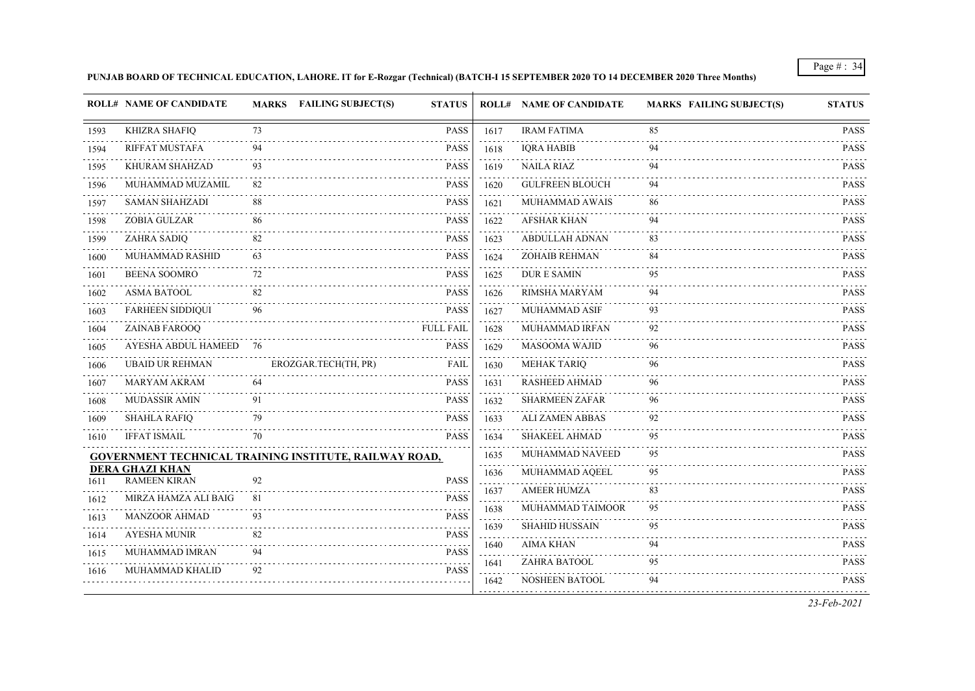#### **PUNJAB BOARD OF TECHNICAL EDUCATION, LAHORE. IT for E-Rozgar (Technical) (BATCH-I 15 SEPTEMBER 2020 TO 14 DECEMBER 2020 Three Months)**

|      | <b>ROLL# NAME OF CANDIDATE</b>                | MARKS FAILING SUBJECT(S)                               | <b>STATUS</b>    |      | <b>ROLL# NAME OF CANDIDATE</b> | <b>MARKS FAILING SUBJECT(S)</b> | <b>STATUS</b>    |
|------|-----------------------------------------------|--------------------------------------------------------|------------------|------|--------------------------------|---------------------------------|------------------|
| 1593 | <b>KHIZRA SHAFIQ</b>                          | 73                                                     | <b>PASS</b>      | 1617 | <b>IRAM FATIMA</b>             | 85                              | <b>PASS</b>      |
| 1594 | <b>RIFFAT MUSTAFA</b>                         | 94                                                     | <b>PASS</b>      | 1618 | <b>IORA HABIB</b>              | 94                              | <b>PASS</b>      |
| 1595 | KHURAM SHAHZAD                                | 93                                                     | <b>PASS</b>      | 1619 | <b>NAILA RIAZ</b>              | 94                              | PASS             |
| 1596 | MUHAMMAD MUZAMIL                              | 82                                                     | <b>PASS</b>      | 1620 | <b>GULFREEN BLOUCH</b>         | 94                              | <b>PASS</b>      |
| 1597 | <b>SAMAN SHAHZADI</b>                         | 88                                                     | <b>PASS</b>      | 1621 | <b>MUHAMMAD AWAIS</b>          | -86                             | $\sim$<br>PASS   |
| 1598 | <b>ZOBIA GULZAR</b>                           | 86                                                     | <b>PASS</b>      | 1622 | <b>AFSHAR KHAN</b>             | 94                              | <b>PASS</b>      |
| 1599 | ZAHRA SADIQ                                   | 82                                                     | <b>PASS</b>      | 1623 | <b>ABDULLAH ADNAN</b>          | 83                              | PASS             |
| 1600 | MUHAMMAD RASHID                               | 63                                                     | <b>PASS</b>      | 1624 | ZOHAIB REHMAN                  | 84                              | <b>PASS</b>      |
| 1601 | <b>BEENA SOOMRO</b>                           | 72                                                     | <b>PASS</b>      | 1625 | <b>DURE SAMIN</b>              | 95                              | <b>PASS</b>      |
| 1602 | <b>ASMA BATOOL</b>                            | 82                                                     | <b>PASS</b>      | 1626 | RIMSHA MARYAM                  | 94                              | PASS             |
| 1603 | <b>FARHEEN SIDDIQUI</b>                       | 96                                                     | <b>PASS</b>      | 1627 | MUHAMMAD ASIF                  | 93                              | <b>PASS</b>      |
| 1604 | ZAINAB FAROOQ                                 |                                                        | <b>FULL FAIL</b> | 1628 | MUHAMMAD IRFAN                 | 92                              | PASS             |
| 1605 | AYESHA ABDUL HAMEED 76                        |                                                        | <b>PASS</b>      | 1629 | MASOOMA WAJID                  | 96                              | PASS             |
| 1606 | <b>UBAID UR REHMAN</b>                        | EROZGAR.TECH(TH, PR)                                   | FAIL             | 1630 | <b>MEHAK TARIQ</b>             | 96                              | <b>PASS</b>      |
| 1607 | <b>MARYAM AKRAM</b>                           | 64                                                     | PASS             | 1631 | RASHEED AHMAD                  | 96                              | <b>PASS</b>      |
| 1608 | <b>MUDASSIR AMIN</b>                          | 91                                                     | <b>PASS</b>      | 1632 | <b>SHARMEEN ZAFAR</b>          | 96                              | <b>PASS</b>      |
| 1609 | <b>SHAHLA RAFIQ</b>                           | 79                                                     | PASS             | 1633 | ALI ZAMEN ABBAS                | 92                              | .<br><b>PASS</b> |
| 1610 | <b>IFFAT ISMAIL</b>                           | 70                                                     | <b>PASS</b>      | 1634 | <b>SHAKEEL AHMAD</b>           | 95                              | <b>PASS</b>      |
|      |                                               | GOVERNMENT TECHNICAL TRAINING INSTITUTE, RAILWAY ROAD, |                  | 1635 | MUHAMMAD NAVEED                | 95                              | PASS             |
| 1611 | <b>DERA GHAZI KHAN</b><br><b>RAMEEN KIRAN</b> | 92                                                     | <b>PASS</b>      | 1636 | MUHAMMAD AQEEL                 | 95                              | <b>PASS</b>      |
| 1612 | MIRZA HAMZA ALI BAIG                          | 81                                                     | <b>PASS</b>      | 1637 | <b>AMEER HUMZA</b>             | 83                              | PASS             |
| 1613 | <b>MANZOOR AHMAD</b>                          | 93                                                     | <b>PASS</b>      | 1638 | MUHAMMAD TAIMOOR               | 95                              | PASS             |
| 1614 | <b>AYESHA MUNIR</b>                           | 82                                                     | <b>PASS</b>      | 1639 | <b>SHAHID HUSSAIN</b>          | 95                              | <b>PASS</b>      |
| 1615 | MUHAMMAD IMRAN                                | 94                                                     | <b>PASS</b>      | 1640 | <b>AIMA KHAN</b>               | 94                              | PASS             |
| 1616 | MUHAMMAD KHALID                               | 92                                                     | PASS             | 1641 | ZAHRA BATOOL                   | 95                              | PASS             |
|      |                                               |                                                        |                  | 1642 | <b>NOSHEEN BATOOL</b>          | 94                              | <b>PASS</b>      |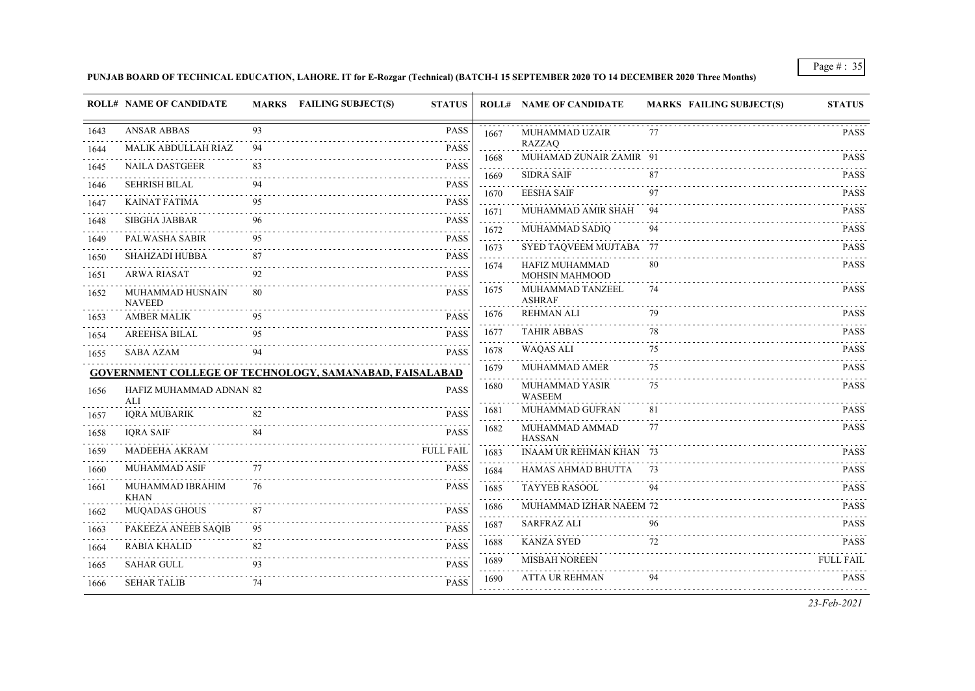# **PUNJAB BOARD OF TECHNICAL EDUCATION, LAHORE. IT for E-Rozgar (Technical) (BATCH-I 15 SEPTEMBER 2020 TO 14 DECEMBER 2020 Three Months)**

|      | <b>ROLL# NAME OF CANDIDATE</b>    |    | MARKS FAILING SUBJECT(S)<br><b>STATUS</b>               |                  | <b>ROLL# NAME OF CANDIDATE</b>           | <b>MARKS FAILING SUBJECT(S)</b> | <b>STATUS</b>         |
|------|-----------------------------------|----|---------------------------------------------------------|------------------|------------------------------------------|---------------------------------|-----------------------|
| 1643 | <b>ANSAR ABBAS</b>                | 93 | <b>PASS</b>                                             | 1667             | MUHAMMAD UZAIR                           | 77                              | <b>PASS</b>           |
| 1644 | MALIK ABDULLAH RIAZ               | 94 | <b>PASS</b>                                             | 1668             | <b>RAZZAQ</b><br>MUHAMAD ZUNAIR ZAMIR 91 |                                 | <b>PASS</b>           |
| 1645 | <b>NAILA DASTGEER</b>             | 83 | .<br><b>PASS</b>                                        | 1669             | <b>SIDRA SAIF</b>                        | 87                              | 111111<br><b>PASS</b> |
| 1646 | SEHRISH BILAL                     | 94 | <b>PASS</b>                                             | $- - - - -$      | <b>EESHA SAIF</b>                        | 97                              | <b>PASS</b>           |
| 1647 | KAINAT FATIMA                     | 95 | <b>PASS</b>                                             | 1670             | MUHAMMAD AMIR SHAH                       | .<br>94                         |                       |
| 1648 | <b>SIBGHA JABBAR</b>              | 96 | .<br><b>PASS</b>                                        | 1671             |                                          |                                 | <b>PASS</b>           |
| 1649 | PALWASHA SABIR                    | 95 | <b>PASS</b>                                             | 1672<br>1.111111 | MUHAMMAD SADIQ                           | 94                              | <b>PASS</b>           |
| 1650 | <b>SHAHZADI HUBBA</b>             | 87 | <b>PASS</b>                                             | 1673             | SYED TAQVEEM MUJTABA 77                  |                                 | <b>PASS</b>           |
| 1651 | <b>ARWA RIASAT</b>                | 92 | 11111<br><b>PASS</b>                                    | 1674             | HAFIZ MUHAMMAD<br>MOHSIN MAHMOOD         | 80                              | <b>PASS</b>           |
| 1652 | MUHAMMAD HUSNAIN<br><b>NAVEED</b> | 80 | <b>PASS</b>                                             | 1675             | MUHAMMAD TANZEEL<br><b>ASHRAF</b>        | 74                              | <b>PASS</b>           |
| 1653 | <b>AMBER MALIK</b>                | 95 | <b>PASS</b>                                             | 1676             | <b>REHMAN ALI</b>                        | 79                              | <b>PASS</b>           |
| 1654 | <b>AREEHSA BILAL</b>              | 95 | المالون والمالون<br><b>PASS</b>                         | 1677             | <b>TAHIR ABBAS</b>                       | 78                              | <b>PASS</b><br>.      |
| 1655 | <b>SABA AZAM</b>                  | 94 | <b>PASS</b>                                             | 1678             | <b>WAQAS ALI</b>                         | 75                              | <b>PASS</b>           |
|      |                                   |    | GOVERNMENT COLLEGE OF TECHNOLOGY, SAMANABAD, FAISALABAD | 1679             | MUHAMMAD AMER                            | 75                              | <b>PASS</b>           |
| 1656 | HAFIZ MUHAMMAD ADNAN 82<br>ALI    |    | <b>PASS</b>                                             | 1680             | MUHAMMAD YASIR<br><b>WASEEM</b>          | 75                              | <b>PASS</b>           |
| 1657 | <b>IQRA MUBARIK</b>               | 82 | <b>PASS</b>                                             | 1681             | MUHAMMAD GUFRAN                          | 81                              | <b>PASS</b>           |
| 1658 | <b>IORA SAIF</b>                  | 84 | <b>PASS</b>                                             | 1682             | MUHAMMAD AMMAD<br><b>HASSAN</b>          | 77                              | <b>PASS</b>           |
| 1659 | <b>MADEEHA AKRAM</b>              |    | <b>FULL FAIL</b>                                        | 1683             | <b>INAAM UR REHMAN KHAN 73</b>           |                                 | <b>PASS</b>           |
| 1660 | MUHAMMAD ASIF                     | 77 | <b>PASS</b>                                             | 1684             | HAMAS AHMAD BHUTTA                       |                                 | <b>PASS</b>           |
| 1661 | MUHAMMAD IBRAHIM<br>KHAN          | 76 | <b>PASS</b>                                             | 1685             | <b>TAYYEB RASOOL</b>                     | 94                              | <b>PASS</b>           |
| 1662 | <b>MUQADAS GHOUS</b>              | 87 | <b>PASS</b>                                             | 1686             | MUHAMMAD IZHAR NAEEM 72                  |                                 | <b>PASS</b><br>.      |
| 1663 | PAKEEZA ANEEB SAQIB               | 95 | <b>PASS</b>                                             | 1687             | <b>SARFRAZ ALI</b>                       | 96                              | <b>PASS</b>           |
| 1664 | <b>RABIA KHALID</b>               | 82 | <b>PASS</b>                                             | 1688             | <b>KANZA SYED</b>                        | 72                              | <b>PASS</b>           |
| 1665 | <b>SAHAR GULL</b>                 | 93 | <b>PASS</b>                                             | 1689             | <b>MISBAH NOREEN</b>                     |                                 | <b>FULL FAIL</b>      |
| 1666 | <b>SEHAR TALIB</b>                | 74 | <b>PASS</b>                                             | 1690             | ATTA UR REHMAN                           | 94                              | <b>PASS</b>           |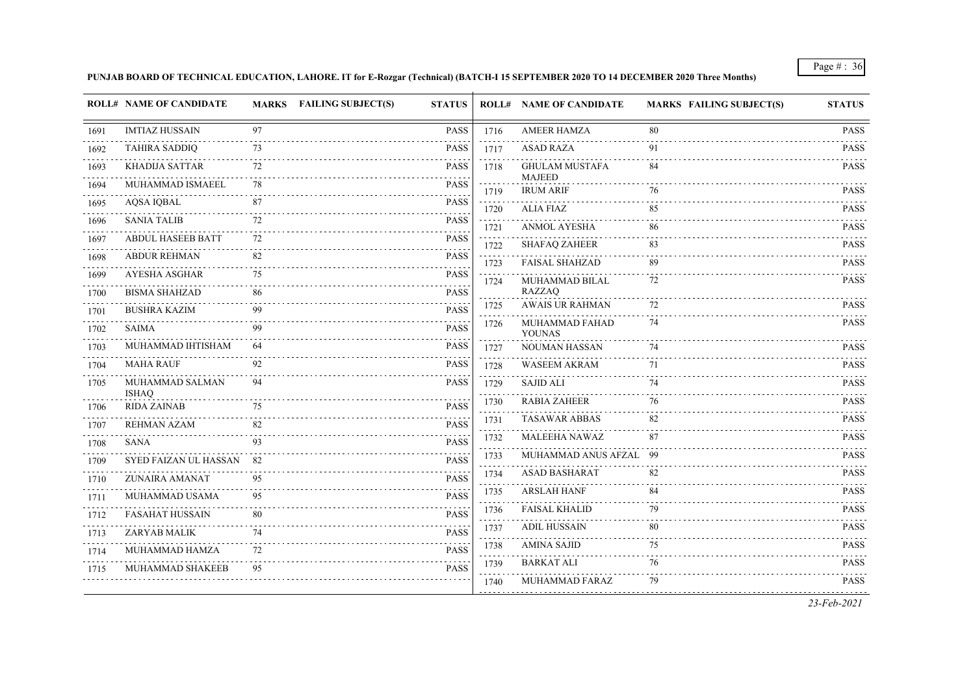#### **PUNJAB BOARD OF TECHNICAL EDUCATION, LAHORE. IT for E-Rozgar (Technical) (BATCH-I 15 SEPTEMBER 2020 TO 14 DECEMBER 2020 Three Months)**

|           | <b>ROLL# NAME OF CANDIDATE</b>  |     | MARKS FAILING SUBJECT(S)<br><b>STATUS</b> |      | <b>ROLL# NAME OF CANDIDATE</b>    | <b>MARKS FAILING SUBJECT(S)</b> | <b>STATUS</b>                             |
|-----------|---------------------------------|-----|-------------------------------------------|------|-----------------------------------|---------------------------------|-------------------------------------------|
| 1691      | <b>IMTIAZ HUSSAIN</b>           | 97  | <b>PASS</b>                               | 1716 | <b>AMEER HAMZA</b>                | 80                              | PASS                                      |
| 1692      | <b>TAHIRA SADDIQ</b>            | 73  | <b>PASS</b>                               | 1717 | <b>ASAD RAZA</b>                  | 91                              | <b>PASS</b>                               |
| 1693      | KHADIJA SATTAR                  | 72  | <b>PASS</b>                               | 1718 | <b>GHULAM MUSTAFA</b>             | 84                              | PASS                                      |
| 1694      | MUHAMMAD ISMAEEL                | 78  | <b>PASS</b>                               | 1719 | <b>MAJEED</b><br><b>IRUM ARIF</b> | 76                              | <b>PASS</b>                               |
| 1695      | <b>AQSA IQBAL</b>               | 87  | <b>PASS</b>                               | 1720 | <b>ALIA FIAZ</b>                  | 85                              | PASS                                      |
| 1696      | <b>SANIA TALIB</b>              | 72  | <b>PASS</b>                               | 1721 | <b>ANMOL AYESHA</b>               | 86                              | <b>PASS</b>                               |
| 1697      | <b>ABDUL HASEEB BATT</b>        | 72  | <b>PASS</b>                               | 1722 | <b>SHAFAQ ZAHEER</b>              | 83                              | بالمحادث<br>PASS                          |
| 1698      | <b>ABDUR REHMAN</b>             | 82  | <b>PASS</b>                               | 1723 | <b>FAISAL SHAHZAD</b>             | 89                              | PASS                                      |
| 1699      | <b>AYESHA ASGHAR</b>            | 75  | <b>PASS</b>                               | 1724 | MUHAMMAD BILAL                    | 72                              | <b>PASS</b>                               |
| 1700      | <b>BISMA SHAHZAD</b>            | 86  | <b>PASS</b>                               |      | <b>RAZZAQ</b>                     |                                 | <b>PASS</b>                               |
| 1701      | <b>BUSHRA KAZIM</b>             | 99  | <b>PASS</b>                               | 1725 | <b>AWAIS UR RAHMAN</b>            | 72                              | .                                         |
| 1702      | <b>SAIMA</b>                    | 99  | <b>PASS</b>                               | 1726 | MUHAMMAD FAHAD<br><b>YOUNAS</b>   | 74                              | <b>PASS</b>                               |
| 1703      | MUHAMMAD IHTISHAM               | 64  | <b>PASS</b>                               | 1727 | NOUMAN HASSAN                     | 74                              | <b>PASS</b>                               |
| 1704      | <b>MAHA RAUF</b>                | 92  | <b>PASS</b>                               | 1728 | <b>WASEEM AKRAM</b>               | 71                              | <b>PASS</b>                               |
| 1705      | MUHAMMAD SALMAN<br><b>ISHAQ</b> | 94  | <b>PASS</b>                               | 1729 | <b>SAJID ALI</b>                  | 74                              | <b>PASS</b>                               |
| 1706      | <b>RIDA ZAINAB</b>              | 75  | <b>PASS</b>                               | 1730 | <b>RABIA ZAHEER</b>               | 76                              | PASS                                      |
| .<br>1707 | REHMAN AZAM                     | 82  | <b>PASS</b>                               | 1731 | <b>TASAWAR ABBAS</b>              | 82                              | <b>PASS</b>                               |
| 1708      | <b>SANA</b>                     | 93  | <b>PASS</b>                               | 1732 | <b>MALEEHA NAWAZ</b>              | 87                              | <b>PASS</b>                               |
| 1709      | SYED FAIZAN UL HASSAN           | -82 | <b>PASS</b>                               | 1733 | MUHAMMAD ANUS AFZAL 99            |                                 | <b>PASS</b><br>$\alpha$ is a second order |
| 1710      | <b>ZUNAIRA AMANAT</b>           | 95  | <b>PASS</b>                               | 1734 | ASAD BASHARAT                     | 82                              | <b>PASS</b><br>.                          |
| 1711      | MUHAMMAD USAMA                  | 95  | <b>PASS</b>                               | 1735 | <b>ARSLAH HANF</b>                | 84                              | <b>PASS</b>                               |
| 1712      | <b>FASAHAT HUSSAIN</b>          | 80  | PASS                                      | 1736 | <b>FAISAL KHALID</b>              | 79                              | PASS<br>.                                 |
| 1713      | ZARYAB MALIK                    | 74  | <b>PASS</b>                               | 1737 | <b>ADIL HUSSAIN</b>               | 80                              | <b>PASS</b>                               |
| 1714      | MUHAMMAD HAMZA                  | 72  | <b>PASS</b>                               | 1738 | <b>AMINA SAJID</b>                | 75                              | <b>PASS</b>                               |
| 1715      | MUHAMMAD SHAKEEB                | 95  | <b>PASS</b>                               | 1739 | <b>BARKAT ALI</b>                 | 76                              | <b>PASS</b>                               |
|           |                                 |     |                                           | 1740 | MUHAMMAD FARAZ                    | 79                              | <b>PASS</b>                               |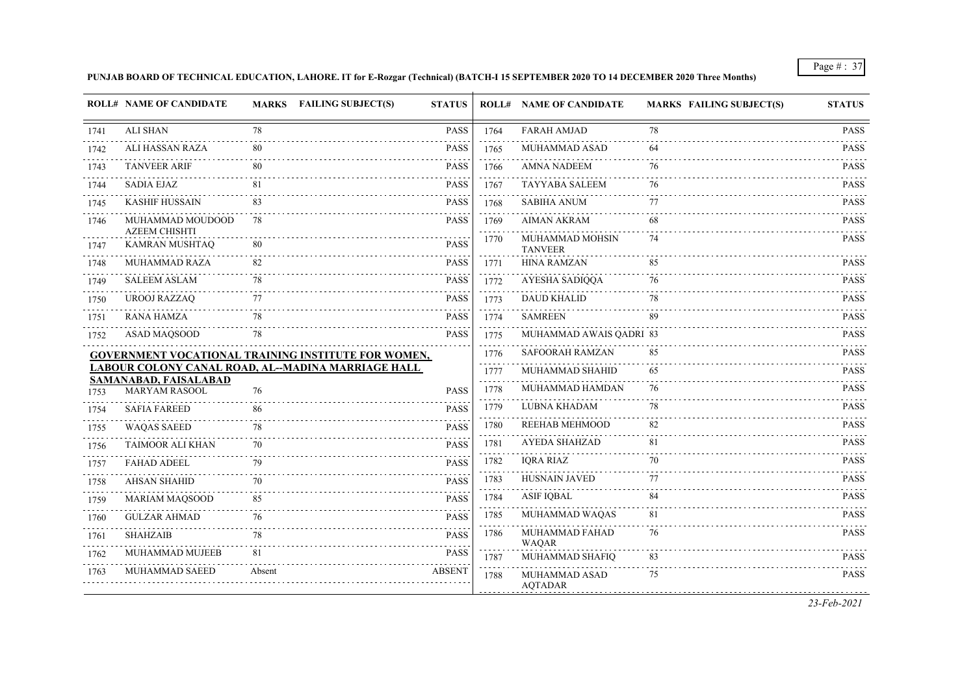#### **PUNJAB BOARD OF TECHNICAL EDUCATION, LAHORE. IT for E-Rozgar (Technical) (BATCH-I 15 SEPTEMBER 2020 TO 14 DECEMBER 2020 Three Months)**

|      | <b>ROLL# NAME OF CANDIDATE</b>           |        | MARKS FAILING SUBJECT(S)<br><b>STATUS</b>                  |      | <b>ROLL# NAME OF CANDIDATE</b>    | <b>MARKS FAILING SUBJECT(S)</b> | <b>STATUS</b>                   |
|------|------------------------------------------|--------|------------------------------------------------------------|------|-----------------------------------|---------------------------------|---------------------------------|
| 1741 | <b>ALI SHAN</b>                          | 78     | <b>PASS</b>                                                | 1764 | <b>FARAH AMJAD</b>                | 78                              | <b>PASS</b>                     |
| 1742 | <b>ALI HASSAN RAZA</b>                   | 80     | <b>PASS</b>                                                | 1765 | <b>MUHAMMAD ASAD</b>              | -64                             | <b>PASS</b>                     |
| 1743 | <b>TANVEER ARIF</b>                      | 80     | <b>PASS</b>                                                | 1766 | <b>AMNA NADEEM</b>                | 76                              | PASS                            |
| 1744 | <b>SADIA EJAZ</b>                        | 81     | <b>PASS</b>                                                | 1767 | <b>TAYYABA SALEEM</b>             | 76                              | <b>PASS</b>                     |
| 1745 | <b>KASHIF HUSSAIN</b>                    | 83     | <b>PASS</b>                                                | 1768 | <b>SABIHA ANUM</b>                | 77                              | $\sim 100$ km s $^{-1}$<br>PASS |
| 1746 | MUHAMMAD MOUDOOD<br><b>AZEEM CHISHTI</b> | 78     | <b>PASS</b>                                                | 1769 | <b>AIMAN AKRAM</b>                | 68                              | <b>PASS</b>                     |
| 1747 | KAMRAN MUSHTAQ                           | 80     | <b>PASS</b>                                                | 1770 | MUHAMMAD MOHSIN<br><b>TANVEER</b> | 74                              | PASS                            |
| 1748 | MUHAMMAD RAZA                            | 82     | <b>PASS</b>                                                | 1771 | <b>HINA RAMZAN</b>                | 85                              | PASS                            |
| 1749 | <b>SALEEM ASLAM</b>                      | 78     | <b>PASS</b>                                                | 1772 | AYESHA SADIQQA                    | 76                              | <b>PASS</b>                     |
| 1750 | <b>UROOJ RAZZAO</b>                      | 77     | <b>PASS</b>                                                | 1773 | <b>DAUD KHALID</b>                | 78                              | <b>PASS</b>                     |
| 1751 | <b>RANA HAMZA</b>                        | 78     | PASS                                                       | 1774 | <b>SAMREEN</b>                    | 89                              | PASS                            |
| 1752 | <b>ASAD MAOSOOD</b>                      | 78     | <b>PASS</b>                                                | 1775 | MUHAMMAD AWAIS QADRI 83           |                                 | <b>PASS</b>                     |
|      |                                          |        | <b>GOVERNMENT VOCATIONAL TRAINING INSTITUTE FOR WOMEN,</b> | 1776 | <b>SAFOORAH RAMZAN</b>            | 85                              | <b>PASS</b>                     |
|      | <b>SAMANABAD, FAISALABAD</b>             |        | LABOUR COLONY CANAL ROAD, AL-MADINA MARRIAGE HALL          | 1777 | MUHAMMAD SHAHID                   | 65                              | PASS                            |
| 1753 | <b>MARYAM RASOOL</b>                     | 76     | <b>PASS</b>                                                | 1778 | MUHAMMAD HAMDAN                   | 76                              | <b>PASS</b>                     |
| 1754 | <b>SAFIA FAREED</b>                      | 86     | <b>PASS</b>                                                | 1779 | LUBNA KHADAM                      | 78                              | .<br>PASS                       |
| 1755 | <b>WAQAS SAEED</b>                       | 78     | <b>PASS</b>                                                | 1780 | <b>REEHAB MEHMOOD</b>             | 82                              | PASS                            |
| 1756 | TAIMOOR ALI KHAN                         | 70     | <b>PASS</b>                                                | 1781 | <b>AYEDA SHAHZAD</b>              | 81                              | <b>PASS</b>                     |
| 1757 | <b>FAHAD ADEEL</b>                       | 79     | <b>PASS</b>                                                | 1782 | <b>IQRA RIAZ</b>                  | 70                              | <b>PASS</b>                     |
| 1758 | <b>AHSAN SHAHID</b>                      | 70     | <b>PASS</b>                                                | 1783 | <b>HUSNAIN JAVED</b>              | 77                              | <b>PASS</b>                     |
| 1759 | <b>MARIAM MAQSOOD</b>                    | 85     | <b>PASS</b>                                                | 1784 | <b>ASIF IQBAL</b>                 | 84                              | PASS                            |
| 1760 | <b>GULZAR AHMAD</b>                      | 76     | <b>PASS</b>                                                | 1785 | MUHAMMAD WAQAS                    | 81                              | <b>PASS</b>                     |
| 1761 | <b>SHAHZAIB</b>                          | 78     | <b>PASS</b>                                                | 1786 | MUHAMMAD FAHAD<br><b>WAQAR</b>    | 76                              | <b>PASS</b>                     |
| 1762 | MUHAMMAD MUJEEB                          | 81     | <b>PASS</b>                                                | 1787 | MUHAMMAD SHAFIQ                   | 83                              | <b>PASS</b>                     |
| 1763 | MUHAMMAD SAEED                           | Absent | <b>ABSENT</b>                                              | 1788 | MUHAMMAD ASAD<br><b>AOTADAR</b>   | 75                              | <b>PASS</b>                     |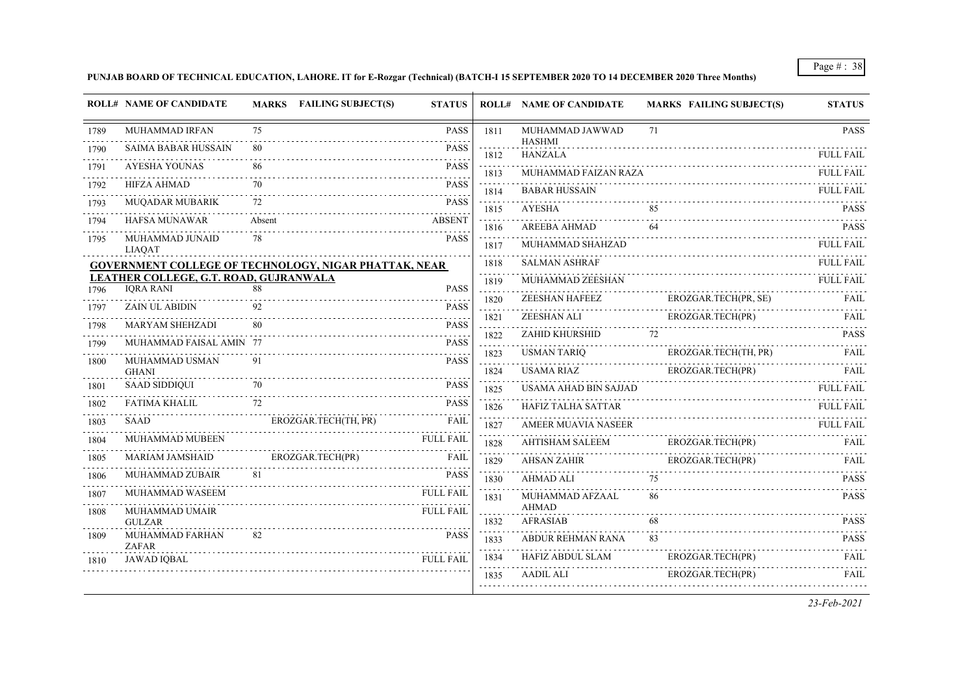# **PUNJAB BOARD OF TECHNICAL EDUCATION, LAHORE. IT for E-Rozgar (Technical) (BATCH-I 15 SEPTEMBER 2020 TO 14 DECEMBER 2020 Three Months)**

|      | <b>ROLL# NAME OF CANDIDATE</b>                               |        | <b>MARKS FAILING SUBJECT(S)</b> | <b>STATUS</b>    |                                                                 | <b>ROLL# NAME OF CANDIDATE</b>   | <b>MARKS FAILING SUBJECT(S)</b> | <b>STATUS</b>         |
|------|--------------------------------------------------------------|--------|---------------------------------|------------------|-----------------------------------------------------------------|----------------------------------|---------------------------------|-----------------------|
| 1789 | MUHAMMAD IRFAN                                               | 75     |                                 | <b>PASS</b>      | 1811                                                            | MUHAMMAD JAWWAD<br><b>HASHMI</b> | 71                              | <b>PASS</b>           |
| 1790 | <b>SAIMA BABAR HUSSAIN</b>                                   | 80     |                                 | <b>PASS</b>      | 1812                                                            | <b>HANZALA</b>                   |                                 | FULL FAIL             |
| 1791 | <b>AYESHA YOUNAS</b>                                         | 86     |                                 | <b>PASS</b>      | 1813                                                            | MUHAMMAD FAIZAN RAZA             |                                 | .<br><b>FULL FAIL</b> |
| 1792 | <b>HIFZA AHMAD</b>                                           | 70     |                                 | <b>PASS</b>      | 1814                                                            | <b>BABAR HUSSAIN</b>             |                                 | <b>FULL FAIL</b>      |
| 1793 | MUQADAR MUBARIK                                              | 72     |                                 | <b>PASS</b>      | 1815                                                            | <b>AYESHA</b>                    | 85                              | <b>PASS</b>           |
| 1794 | <b>HAFSA MUNAWAR</b>                                         | Absent |                                 | <b>ABSENT</b>    | $\omega$ is a set of<br>1816                                    | <b>AREEBA AHMAD</b>              | 64                              | <b>PASS</b>           |
| 1795 | MUHAMMAD JUNAID<br><b>LIAQAT</b>                             | 78     |                                 | <b>PASS</b>      | 1817                                                            | MUHAMMAD SHAHZAD                 |                                 | <b>FULL FAIL</b>      |
|      | <b>GOVERNMENT COLLEGE OF TECHNOLOGY, NIGAR PHATTAK, NEAR</b> |        |                                 |                  | 1818                                                            | <b>SALMAN ASHRAF</b>             |                                 | FULL FAIL             |
|      | LEATHER COLLEGE, G.T. ROAD, GUJRANWALA                       | 88     |                                 |                  | .<br>1819                                                       | MUHAMMAD ZEESHAN                 |                                 | <b>FULL FAIL</b>      |
| 1796 | <b>IORA RANI</b>                                             |        |                                 | <b>PASS</b><br>. | 1820                                                            | ZEESHAN HAFEEZ                   | EROZGAR.TECH(PR, SE)            | FAIL                  |
| 1797 | <b>ZAIN UL ABIDIN</b>                                        | 92     |                                 | <b>PASS</b>      | 1821                                                            | ZEESHAN ALI                      | EROZGAR.TECH(PR)                | FAIL                  |
| 1798 | <b>MARYAM SHEHZADI</b>                                       | 80     |                                 | <b>PASS</b>      | $\mathcal{L} \subset \mathcal{L} \subset \mathcal{L}$ .<br>1822 | ZAHID KHURSHID                   | 72                              | .<br><b>PASS</b>      |
| 1799 | MUHAMMAD FAISAL AMIN 77                                      |        |                                 | <b>PASS</b>      | 1823                                                            | <b>USMAN TARIQ</b>               | EROZGAR.TECH(TH, PR)            | <b>FAIL</b>           |
| 1800 | MUHAMMAD USMAN<br><b>GHANI</b>                               | 91     |                                 | <b>PASS</b>      | 1824                                                            | <b>USAMA RIAZ</b>                | EROZGAR.TECH(PR)                | FAII.                 |
| 1801 | <b>SAAD SIDDIQUI</b>                                         | 70     |                                 | <b>PASS</b>      | $\mathcal{L} \subset \mathcal{L} \subset \mathcal{L}$ .<br>1825 | USAMA AHAD BIN SAJJAD            |                                 | <b>FULL FAIL</b>      |
| 1802 | FATIMA KHALIL                                                | 72     |                                 | <b>PASS</b>      | 1826                                                            | HAFIZ TALHA SATTAR               |                                 | <b>FULL FAIL</b>      |
| 1803 | <b>SAAD</b>                                                  |        | EROZGAR.TECH(TH, PR)            | <b>FAIL</b>      | 1827                                                            | <b>AMEER MUAVIA NASEER</b>       |                                 | <b>FULL FAIL</b>      |
| 1804 | MUHAMMAD MUBEEN                                              |        |                                 | <b>FULL FAIL</b> | $\mathbf{1}$ . $\mathbf{1}$ . $\mathbf{1}$<br>1828              | <b>AHTISHAM SALEEM</b>           | EROZGAR.TECH(PR)                | <b>FAIL</b>           |
| 1805 | <b>MARIAM JAMSHAID</b>                                       |        | EROZGAR.TECH(PR)                | FAIL             | 1829                                                            | <b>AHSAN ZAHIR</b>               | EROZGAR.TECH(PR)                | FAIL                  |
| 1806 | MUHAMMAD ZUBAIR                                              | 81     |                                 | <b>PASS</b>      | 1830                                                            | <b>AHMAD ALI</b>                 | 75                              | <b>PASS</b>           |
| 1807 | MUHAMMAD WASEEM                                              |        |                                 | <b>FULL FAIL</b> | 1831                                                            | MUHAMMAD AFZAAL                  | 86                              | <b>PASS</b>           |
| 1808 | MUHAMMAD UMAIR                                               |        |                                 | <b>FULL FAIL</b> | 1832                                                            | <b>AHMAD</b><br><b>AFRASIAB</b>  | 68                              | <b>PASS</b>           |
| 1809 | <b>GULZAR</b><br>MUHAMMAD FARHAN                             | 82     |                                 | <b>PASS</b>      | 1833                                                            | ABDUR REHMAN RANA                | 83                              | <b>PASS</b>           |
|      | ZAFAR                                                        |        |                                 |                  | $\sim$ $\sim$ $\sim$ $\sim$ $\sim$                              | <b>HAFIZ ABDUL SLAM</b>          | EROZGAR.TECH(PR)                | <b>FAIL</b>           |
| 1810 | <b>JAWAD IOBAL</b>                                           |        |                                 | <b>FULL FAIL</b> | 1834                                                            | <b>AADIL ALI</b>                 | EROZGAR.TECH(PR)                |                       |
|      |                                                              |        |                                 |                  | 1835                                                            |                                  |                                 | <b>FAIL</b>           |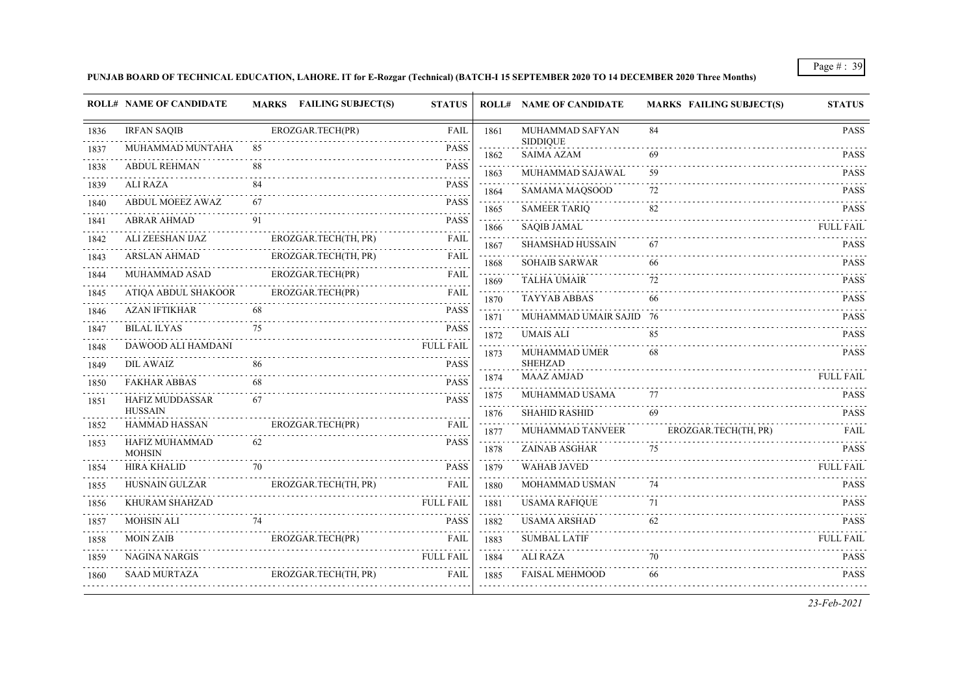# **PUNJAB BOARD OF TECHNICAL EDUCATION, LAHORE. IT for E-Rozgar (Technical) (BATCH-I 15 SEPTEMBER 2020 TO 14 DECEMBER 2020 Three Months)**

|      | <b>ROLL# NAME OF CANDIDATE</b>         | <b>MARKS</b> FAILING SUBJECT(S) | <b>STATUS</b>    |                                                                                                                                                                  | <b>ROLL# NAME OF CANDIDATE</b>       | <b>MARKS FAILING SUBJECT(S)</b> | <b>STATUS</b>    |
|------|----------------------------------------|---------------------------------|------------------|------------------------------------------------------------------------------------------------------------------------------------------------------------------|--------------------------------------|---------------------------------|------------------|
| 1836 | <b>IRFAN SAQIB</b>                     | EROZGAR.TECH(PR)<br>.           | <b>FAIL</b>      | 1861                                                                                                                                                             | MUHAMMAD SAFYAN                      | 84                              | <b>PASS</b>      |
| 1837 | MUHAMMAD MUNTAHA                       | 85                              | <b>PASS</b><br>. | 1862                                                                                                                                                             | <b>SIDDIQUE</b><br><b>SAIMA AZAM</b> | 69                              | <b>PASS</b>      |
| 1838 | <b>ABDUL REHMAN</b>                    | 88                              | <b>PASS</b>      | 1863                                                                                                                                                             | MUHAMMAD SAJAWAL                     | 59                              | <b>PASS</b>      |
| 1839 | <b>ALI RAZA</b>                        | 84                              | <b>PASS</b>      | 1864                                                                                                                                                             | SAMAMA MAQSOOD                       | 72                              | <b>PASS</b>      |
| 1840 | <b>ABDUL MOEEZ AWAZ</b>                | 67                              | <b>PASS</b>      | 1865                                                                                                                                                             | <b>SAMEER TARIO</b>                  | 82                              | <b>PASS</b>      |
| 1841 | <b>ABRAR AHMAD</b>                     | 91                              | .<br><b>PASS</b> | 1866                                                                                                                                                             | <b>SAQIB JAMAL</b>                   |                                 | <b>FULL FAIL</b> |
| 1842 | ALI ZEESHAN IJAZ                       | EROZGAR.TECH(TH, PR)            | <b>FAIL</b>      | 1867                                                                                                                                                             | <b>SHAMSHAD HUSSAIN</b>              | 67                              | <b>PASS</b>      |
| 1843 | <b>ARSLAN AHMAD</b>                    | EROZGAR.TECH(TH, PR)            | FAIL             | 1868                                                                                                                                                             | <b>SOHAIB SARWAR</b>                 | 66                              | <b>PASS</b>      |
| 1844 | MUHAMMAD ASAD                          | EROZGAR.TECH(PR)                | <b>FAIL</b>      | $\mathcal{L}^{\mathcal{A}}\mathcal{L}^{\mathcal{A}}\mathcal{L}^{\mathcal{A}}\mathcal{L}^{\mathcal{A}}\mathcal{L}^{\mathcal{A}}\mathcal{L}^{\mathcal{A}}$<br>1869 | <b>TALHA UMAIR</b>                   | 72                              | <b>PASS</b>      |
| 1845 | ATIQA ABDUL SHAKOOR                    | EROZGAR.TECH(PR)                | FAIL             | 1870                                                                                                                                                             | <b>TAYYAB ABBAS</b>                  | 66                              | <b>PASS</b>      |
| 1846 | <b>AZAN IFTIKHAR</b>                   | 68                              | <b>PASS</b>      | 1871                                                                                                                                                             | MUHAMMAD UMAIR SAJID 76              |                                 | <b>PASS</b>      |
| 1847 | <b>BILAL ILYAS</b>                     | 75                              | <b>PASS</b>      | 1872                                                                                                                                                             | <b>UMAIS ALI</b>                     | 85                              | <b>PASS</b>      |
| 1848 | DAWOOD ALI HAMDANI                     |                                 | <b>FULL FAIL</b> | 1873                                                                                                                                                             | MUHAMMAD UMER                        | 68                              | <b>PASS</b>      |
| 1849 | <b>DIL AWAIZ</b>                       | 86                              | <b>PASS</b>      |                                                                                                                                                                  | <b>SHEHZAD</b>                       |                                 |                  |
| 1850 | <b>FAKHAR ABBAS</b>                    | 68                              | <b>PASS</b>      | 1874                                                                                                                                                             | <b>MAAZ AMJAD</b>                    |                                 | <b>FULL FAIL</b> |
| 1851 | <b>HAFIZ MUDDASSAR</b>                 | 67                              | <b>PASS</b>      | 1875                                                                                                                                                             | MUHAMMAD USAMA                       | 77                              | <b>PASS</b>      |
| 1852 | <b>HUSSAIN</b><br><b>HAMMAD HASSAN</b> | EROZGAR.TECH(PR)                | <b>FAIL</b>      | 1876                                                                                                                                                             | <b>SHAHID RASHID</b>                 | 69                              | <b>PASS</b>      |
| 1853 | HAFIZ MUHAMMAD                         | 62                              | <b>PASS</b>      | 1877                                                                                                                                                             | MUHAMMAD TANVEER                     | EROZGAR.TECH(TH, PR)            | FAIL             |
|      | <b>MOHSIN</b>                          |                                 |                  | 1878                                                                                                                                                             | <b>ZAINAB ASGHAR</b>                 | 75                              | <b>PASS</b>      |
| 1854 | <b>HIRA KHALID</b>                     | 70                              | <b>PASS</b>      | 1879                                                                                                                                                             | <b>WAHAB JAVED</b>                   |                                 | <b>FULL FAIL</b> |
| 1855 | HUSNAIN GULZAR                         | EROZGAR.TECH(TH, PR)            | <b>FAIL</b>      | 1880<br>$- - - - -$                                                                                                                                              | MOHAMMAD USMAN                       | 74                              | <b>PASS</b>      |
| 1856 | KHURAM SHAHZAD                         |                                 | <b>FULL FAIL</b> | 1881<br>$\omega$ is a set of                                                                                                                                     | <b>USAMA RAFIQUE</b>                 | 71                              | <b>PASS</b>      |
| 1857 | <b>MOHSIN ALI</b>                      | 74                              | <b>PASS</b>      | 1882                                                                                                                                                             | <b>USAMA ARSHAD</b>                  | 62                              | <b>PASS</b>      |
| 1858 | <b>MOIN ZAIB</b>                       | EROZGAR.TECH(PR)                | <b>FAIL</b>      | 1883                                                                                                                                                             | <b>SUMBAL LATIF</b>                  |                                 | <b>FULL FAIL</b> |
| 1859 | NAGINA NARGIS                          |                                 | <b>FULL FAIL</b> | 1884                                                                                                                                                             | <b>ALI RAZA</b>                      | 70                              | <b>PASS</b>      |
| 1860 | <b>SAAD MURTAZA</b>                    | EROZGAR.TECH(TH, PR)            | FAIL             | 1885                                                                                                                                                             | <b>FAISAL MEHMOOD</b>                | 66                              | <b>PASS</b>      |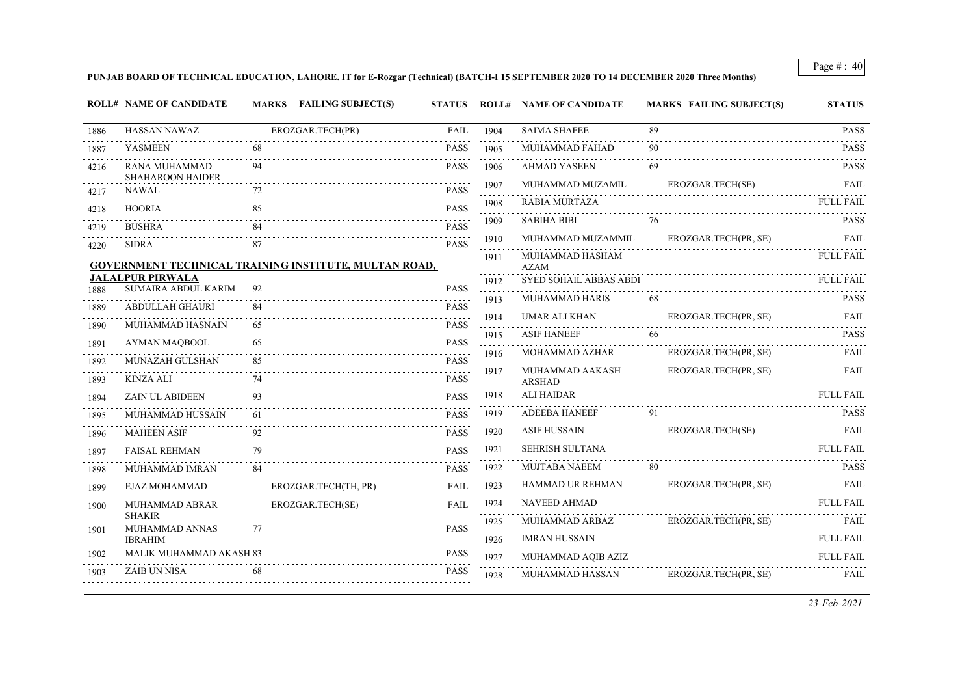# **PUNJAB BOARD OF TECHNICAL EDUCATION, LAHORE. IT for E-Rozgar (Technical) (BATCH-I 15 SEPTEMBER 2020 TO 14 DECEMBER 2020 Three Months)**

|      | <b>ROLL# NAME OF CANDIDATE</b>                        |    | <b>MARKS</b> FAILING SUBJECT(S) | <b>STATUS</b>              |                                               | <b>ROLL# NAME OF CANDIDATE</b>   | <b>MARKS FAILING SUBJECT(S)</b> | <b>STATUS</b>    |
|------|-------------------------------------------------------|----|---------------------------------|----------------------------|-----------------------------------------------|----------------------------------|---------------------------------|------------------|
| 1886 | <b>HASSAN NAWAZ</b>                                   |    | EROZGAR.TECH(PR)                | FAIL                       | 1904                                          | <b>SAIMA SHAFEE</b>              | 89                              | <b>PASS</b>      |
| 1887 | <b>YASMEEN</b>                                        | 68 |                                 | <b>PASS</b>                | 1905                                          | MUHAMMAD FAHAD                   | 90                              | <b>PASS</b>      |
| 4216 | RANA MUHAMMAD                                         | 94 |                                 | <b>PASS</b>                | 1906                                          | <b>AHMAD YASEEN</b>              |                                 | <b>PASS</b>      |
| 4217 | <b>SHAHAROON HAIDER</b><br>NAWAL                      | 72 |                                 | <b>PASS</b>                | 1907<br>a sa sa                               | MUHAMMAD MUZAMIL                 | EROZGAR.TECH(SE)                | <b>FAIL</b>      |
| 4218 | <b>HOORIA</b>                                         | 85 |                                 | <b>PASS</b>                | 1908<br>.                                     | <b>RABIA MURTAZA</b>             |                                 | FULL FAIL        |
| 4219 | <b>BUSHRA</b>                                         |    |                                 | <b>PASS</b>                | 1909                                          | <b>SABIHA BIBI</b>               | 76                              | <b>PASS</b>      |
| 4220 | <b>SIDRA</b>                                          | 87 |                                 | <b>PASS</b>                | 1910<br>.                                     | MUHAMMAD MUZAMMIL                | EROZGAR.TECH(PR, SE)            | <b>FAIL</b>      |
|      | GOVERNMENT TECHNICAL TRAINING INSTITUTE, MULTAN ROAD, |    |                                 |                            | 1911                                          | MUHAMMAD HASHAM<br><b>AZAM</b>   |                                 | <b>FULL FAIL</b> |
| 1888 | <b>JALALPUR PIRWALA</b><br><b>SUMAIRA ABDUL KARIM</b> | 92 |                                 | <b>PASS</b>                | 1912                                          | <b>SYED SOHAIL ABBAS ABDI</b>    |                                 | <b>FULL FAIL</b> |
| 1889 | ABDULLAH GHAURI                                       | 84 |                                 | <b>PASS</b>                | 1913<br>$\sim$ $\sim$ $\sim$                  | <b>MUHAMMAD HARIS</b>            | 68                              | <b>PASS</b>      |
| 1890 | MUHAMMAD HASNAIN                                      | 65 |                                 | <b>PASS</b>                | 1914<br>الداعات عامان                         | <b>UMAR ALI KHAN</b>             | EROZGAR.TECH(PR, SE)            | FAIL             |
| 1891 | <b>AYMAN MAOBOOL</b>                                  | 65 |                                 | <b>PASS</b>                | 1915                                          | <b>ASIF HANEEF</b>               | 66                              | <b>PASS</b>      |
| 1892 | MUNAZAH GULSHAN                                       | 85 |                                 | <b>PASS</b>                | 1916<br>$-1 - 1 - 1$                          | MOHAMMAD AZHAR                   | EROZGAR.TECH(PR, SE)            | FAIL             |
| 1893 | <b>KINZA ALI</b>                                      | 74 |                                 | <b>PASS</b>                | 1917                                          | MUHAMMAD AAKASH<br><b>ARSHAD</b> | EROZGAR.TECH(PR, SE)            | FAIL             |
| 1894 | <b>ZAIN UL ABIDEEN</b>                                | 93 |                                 | <b>PASS</b>                | 1918                                          | <b>ALI HAIDAR</b>                |                                 | <b>FULL FAIL</b> |
| 1895 | MUHAMMAD HUSSAIN                                      | 61 |                                 | <b>PASS</b>                | 1919                                          | <b>ADEEBA HANEEF</b>             | 91                              | <b>PASS</b>      |
| 1896 | <b>MAHEEN ASIF</b>                                    | 92 |                                 | <b>PASS</b>                | 1920                                          | <b>ASIF HUSSAIN</b>              | EROZGAR.TECH(SE)                | FAIL             |
| 1897 | <b>FAISAL REHMAN</b>                                  | 79 |                                 | <b>PASS</b>                | 1921                                          | <b>SEHRISH SULTANA</b>           |                                 | <b>FULL FAIL</b> |
| 1898 | MUHAMMAD IMRAN                                        | 84 |                                 | $- - - - -$<br><b>PASS</b> | 1922                                          | MUJTABA NAEEM                    | 80                              | <b>PASS</b>      |
| 1899 | EJAZ MOHAMMAD                                         |    | EROZGAR.TECH(TH, PR)            | <b>FAIL</b>                | 1923                                          | <b>HAMMAD UR REHMAN</b>          | EROZGAR.TECH(PR, SE)            | FAIL             |
| 1900 | MUHAMMAD ABRAR                                        |    | EROZGAR.TECH(SE)                | <b>FAIL</b>                | .<br>1924<br>$\omega$ is $\omega$ in $\omega$ | <b>NAVEED AHMAD</b>              |                                 | <b>FULL FAIL</b> |
| 1901 | <b>SHAKIR</b><br>MUHAMMAD ANNAS                       | 77 |                                 | <b>PASS</b>                | 1925                                          | MUHAMMAD ARBAZ                   | EROZGAR.TECH(PR, SE)            | <b>FAIL</b>      |
|      | <b>IBRAHIM</b>                                        |    |                                 |                            | 1926                                          | <b>IMRAN HUSSAIN</b>             |                                 | <b>FULL FAIL</b> |
| 1902 | <b>MALIK MUHAMMAD AKASH 83</b>                        |    |                                 | <b>PASS</b>                | 1927                                          | MUHAMMAD AQIB AZIZ               |                                 | <b>FULL FAIL</b> |
| 1903 | <b>ZAIB UN NISA</b>                                   |    |                                 | <b>PASS</b>                | 1928                                          | MUHAMMAD HASSAN                  | EROZGAR.TECH(PR, SE)            | FAIL             |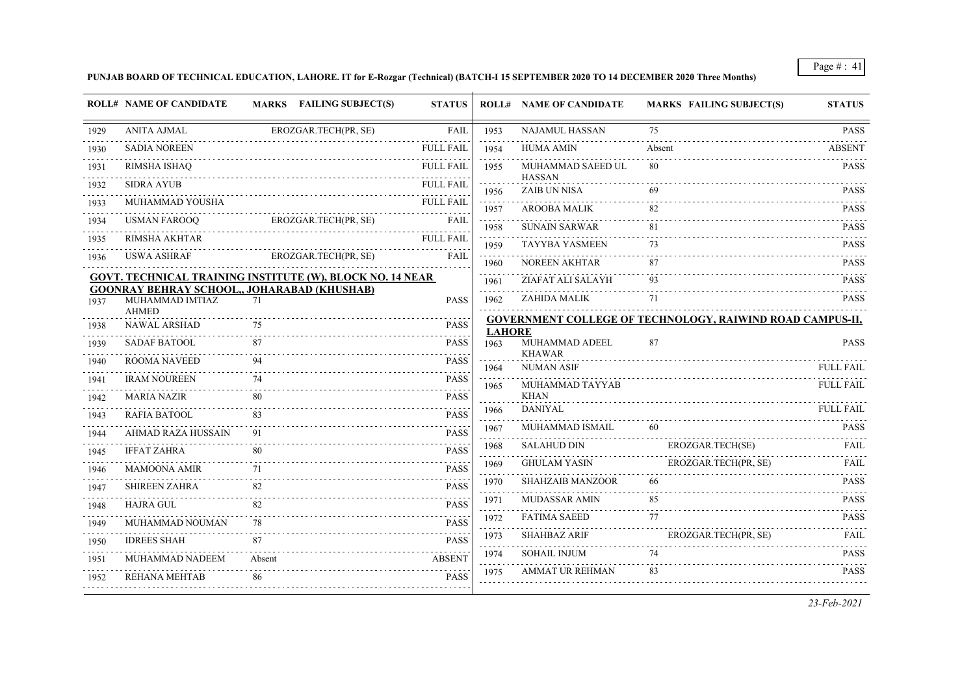### **PUNJAB BOARD OF TECHNICAL EDUCATION, LAHORE. IT for E-Rozgar (Technical) (BATCH-I 15 SEPTEMBER 2020 TO 14 DECEMBER 2020 Three Months)**

|      | <b>ROLL# NAME OF CANDIDATE</b> | MARKS FAILING SUBJECT(S)                                         | <b>STATUS</b>    |                                     | <b>ROLL# NAME OF CANDIDATE</b>       | <b>MARKS FAILING SUBJECT(S)</b>                                  | <b>STATUS</b>    |
|------|--------------------------------|------------------------------------------------------------------|------------------|-------------------------------------|--------------------------------------|------------------------------------------------------------------|------------------|
| 1929 | <b>ANITA AJMAL</b>             | EROZGAR.TECH(PR, SE)                                             | <b>FAIL</b>      | 1953                                | <b>NAJAMUL HASSAN</b>                | 75                                                               | <b>PASS</b>      |
| 1930 | <b>SADIA NOREEN</b>            |                                                                  | FULL FAIL        | 1954                                | <b>HUMA AMIN</b>                     | Absent                                                           | <b>ABSENT</b>    |
| 1931 | <b>RIMSHA ISHAQ</b>            |                                                                  | <b>FULL FAIL</b> | 1955                                | MUHAMMAD SAEED UL                    | 80                                                               | <b>PASS</b>      |
| 1932 | <b>SIDRA AYUB</b>              |                                                                  | <b>FULL FAIL</b> | 1956                                | <b>HASSAN</b><br><b>ZAIB UN NISA</b> |                                                                  | <b>PASS</b>      |
| 1933 | MUHAMMAD YOUSHA                |                                                                  | <b>FULL FAIL</b> | 1957                                | <b>AROOBA MALIK</b>                  |                                                                  | <b>PASS</b>      |
| 1934 | <b>USMAN FAROOO</b>            | EROZGAR.TECH(PR, SE)                                             | FAII.            | .<br>1958                           | <b>SUNAIN SARWAR</b>                 | 81                                                               | <b>PASS</b>      |
| 1935 | RIMSHA AKHTAR                  |                                                                  | <b>FULL FAIL</b> | 1959                                | <b>TAYYBA YASMEEN</b>                | 73                                                               | <b>PASS</b>      |
| 1936 | <b>USWA ASHRAF</b>             | EROZGAR.TECH(PR, SE)                                             | <b>FAIL</b>      | 1960                                | <b>NOREEN AKHTAR</b>                 | 87                                                               | <b>PASS</b>      |
|      |                                | <b>GOVT. TECHNICAL TRAINING INSTITUTE (W), BLOCK NO. 14 NEAR</b> |                  | 1961                                | ZIAFAT ALI SALAYH                    | 93                                                               | <b>PASS</b>      |
| 1937 | MUHAMMAD IMTIAZ                | <b>GOONRAY BEHRAY SCHOOL,, JOHARABAD (KHUSHAB)</b><br>71         | <b>PASS</b>      | 1962                                | ZAHIDA MALIK                         | 71                                                               | <b>PASS</b>      |
|      | <b>AHMED</b>                   |                                                                  |                  |                                     |                                      | <b>GOVERNMENT COLLEGE OF TECHNOLOGY, RAIWIND ROAD CAMPUS-II,</b> |                  |
| 1938 | <b>NAWAL ARSHAD</b>            | 75                                                               | <b>PASS</b>      | <b>LAHORE</b>                       |                                      |                                                                  |                  |
| 1939 | <b>SADAF BATOOL</b>            | 87                                                               | <b>PASS</b>      | 1963                                | MUHAMMAD ADEEL<br><b>KHAWAR</b>      | 87                                                               | <b>PASS</b>      |
| 1940 | <b>ROOMA NAVEED</b>            |                                                                  | <b>PASS</b>      | 1964                                | <b>NUMAN ASIF</b>                    |                                                                  | <b>FULL FAIL</b> |
| 1941 | <b>IRAM NOUREEN</b>            | 74                                                               | <b>PASS</b>      | 1965                                | MUHAMMAD TAYYAB                      |                                                                  | <b>FULL FAIL</b> |
| 1942 | <b>MARIA NAZIR</b>             | 80                                                               | <b>PASS</b>      |                                     | <b>KHAN</b>                          |                                                                  |                  |
| 1943 | RAFIA BATOOL                   | 83                                                               | <b>PASS</b>      | 1966<br>$\omega$ is a set of        | <b>DANIYAL</b>                       |                                                                  | <b>FULL FAIL</b> |
| 1944 | <b>AHMAD RAZA HUSSAIN</b>      | 91                                                               | <b>PASS</b>      | 1967                                | MUHAMMAD ISMAIL                      | 60                                                               | <b>PASS</b>      |
| 1945 | <b>IFFAT ZAHRA</b>             | 80                                                               | <b>PASS</b>      | 1968                                | <b>SALAHUD DIN</b>                   | EROZGAR.TECH(SE)                                                 | FAIL             |
| 1946 | <b>MAMOONA AMIR</b>            | 71                                                               | <b>PASS</b>      | 1969                                | <b>GHULAM YASIN</b>                  | EROZGAR.TECH(PR, SE)                                             | <b>FAIL</b>      |
| 1947 | <b>SHIREEN ZAHRA</b>           | 82                                                               | <b>PASS</b>      | 1970                                | <b>SHAHZAIB MANZOOR</b>              | 66                                                               | <b>PASS</b>      |
| 1948 | <b>HAJRA GUL</b>               | 82                                                               | <b>PASS</b>      | 1971<br>$\sim$ $\sim$ $\sim$ $\sim$ | <b>MUDASSAR AMIN</b>                 | 85                                                               | <b>PASS</b>      |
| 1949 | MUHAMMAD NOUMAN                | 78                                                               | <b>PASS</b>      | 1972                                | <b>FATIMA SAEED</b>                  | 77                                                               | <b>PASS</b>      |
| 1950 | <b>IDREES SHAH</b>             | 87                                                               | <b>PASS</b>      | 1973                                | <b>SHAHBAZ ARIF</b>                  | EROZGAR.TECH(PR, SE)                                             | FAIL             |
| 1951 | MUHAMMAD NADEEM                | Absent                                                           | <b>ABSENT</b>    | 1974                                | <b>SOHAIL INJUM</b>                  | 74                                                               | <b>PASS</b>      |
| 1952 | REHANA MEHTAB                  | 86                                                               | <b>PASS</b>      | 1975                                | <b>AMMAT UR REHMAN</b>               | 83                                                               | <b>PASS</b>      |
|      |                                |                                                                  |                  |                                     |                                      |                                                                  |                  |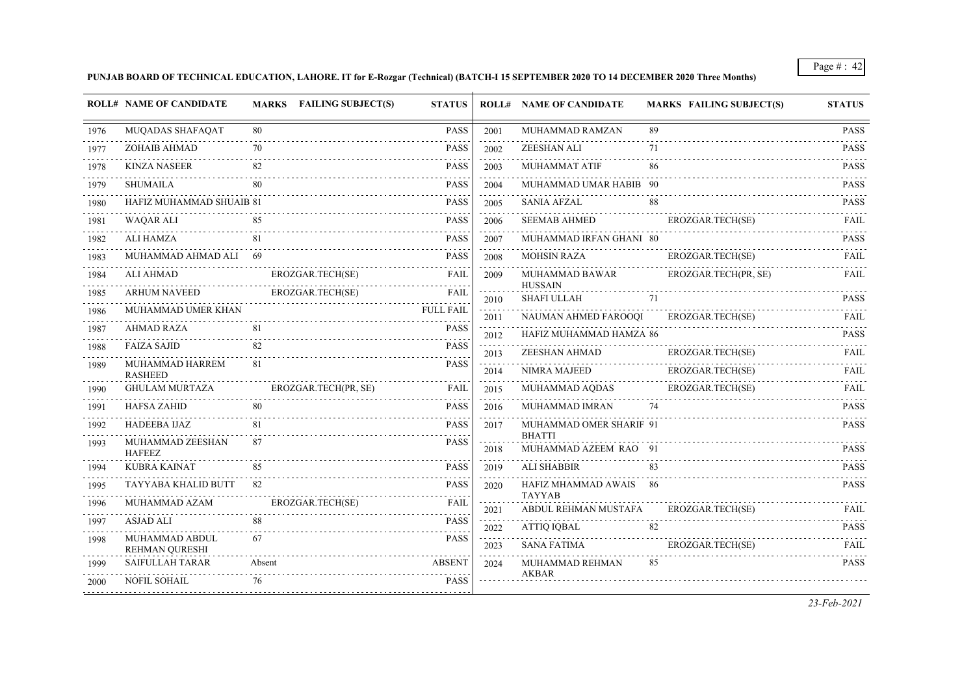# **PUNJAB BOARD OF TECHNICAL EDUCATION, LAHORE. IT for E-Rozgar (Technical) (BATCH-I 15 SEPTEMBER 2020 TO 14 DECEMBER 2020 Three Months)**

|      | <b>ROLL# NAME OF CANDIDATE</b>          | MARKS FAILING SUBJECT(S) | <b>STATUS</b>    |                              | <b>ROLL# NAME OF CANDIDATE</b>         | <b>MARKS FAILING SUBJECT(S)</b> | <b>STATUS</b>                       |
|------|-----------------------------------------|--------------------------|------------------|------------------------------|----------------------------------------|---------------------------------|-------------------------------------|
| 1976 | MUQADAS SHAFAQAT                        | 80                       | <b>PASS</b>      | 2001                         | MUHAMMAD RAMZAN                        | 89                              | <b>PASS</b>                         |
| 1977 | <b>ZOHAIB AHMAD</b>                     | 70                       | <b>PASS</b>      | 2002                         | ZEESHAN ALI                            | 71                              | <b>PASS</b>                         |
| 1978 | <b>KINZA NASEER</b>                     | 82                       | <b>PASS</b>      | 2003                         | MUHAMMAT ATIF                          | 86                              | <b>PASS</b>                         |
| 1979 | SHUMAILA                                | 80                       | <b>PASS</b>      | 2004                         | MUHAMMAD UMAR HABIB 90                 |                                 | <b>PASS</b>                         |
| 1980 | HAFIZ MUHAMMAD SHUAIB 81                |                          | <b>PASS</b>      | 2005                         | <b>SANIA AFZAL</b>                     | 88                              | <b>PASS</b>                         |
| 1981 | WAQAR ALI                               | 85                       | <b>PASS</b>      | 2006                         | <b>SEEMAB AHMED</b>                    | EROZGAR.TECH(SE)                | FAIL                                |
| 1982 | ALI HAMZA                               | 81                       | <b>PASS</b>      | 2007                         | MUHAMMAD IRFAN GHANI 80                |                                 | <b>PASS</b>                         |
| 1983 | MUHAMMAD AHMAD ALI 69                   |                          | <b>PASS</b>      | 2008                         | <b>MOHSIN RAZA</b>                     | EROZGAR.TECH(SE)                | FAIL                                |
| 1984 | <b>ALI AHMAD</b>                        | EROZGAR.TECH(SE)         | <b>FAIL</b>      | 2009                         | MUHAMMAD BAWAR                         | EROZGAR.TECH(PR, SE)            | <b>FAIL</b>                         |
| 1985 | <b>ARHUM NAVEED</b>                     | EROZGAR.TECH(SE)         | FAIL             | 2010                         | <b>HUSSAIN</b><br><b>SHAFI ULLAH</b>   | $\overline{71}$                 | <b>PASS</b>                         |
| 1986 | MUHAMMAD UMER KHAN                      |                          | <b>FULL FAIL</b> | 2011                         | NAUMAN AHMED FAROOQI                   | EROZGAR.TECH(SE)                | FAIL                                |
| 1987 | <b>AHMAD RAZA</b>                       | 81                       | <b>PASS</b>      | $\omega$ is a set of<br>2012 | HAFIZ MUHAMMAD HAMZA 86                |                                 | $\alpha$ is a second<br><b>PASS</b> |
| 1988 | <b>FAIZA SAJID</b>                      | 82                       | <b>PASS</b>      | 2013                         | ZEESHAN AHMAD                          | EROZGAR.TECH(SE)                | <b>FAIL</b>                         |
| 1989 | MUHAMMAD HARREM                         | 81                       | <b>PASS</b>      | 2014                         | NIMRA MAJEED                           | EROZGAR.TECH(SE)                | FAIL                                |
| 1990 | <b>RASHEED</b><br><b>GHULAM MURTAZA</b> | EROZGAR.TECH(PR, SE)     | <b>FAIL</b>      | الدائد الدائدة<br>2015       | MUHAMMAD AQDAS                         | EROZGAR.TECH(SE)                | FAIL                                |
| 1991 | <b>HAFSA ZAHID</b>                      | 80                       | <b>PASS</b>      | 2016                         | MUHAMMAD IMRAN                         | 74                              | <b>PASS</b>                         |
| 1992 | <b>HADEEBA IJAZ</b>                     | 81                       | <b>PASS</b>      | 2017                         | MUHAMMAD OMER SHARIF 91                |                                 | <b>PASS</b>                         |
| 1993 | MUHAMMAD ZEESHAN                        | 87                       | <b>PASS</b>      | 2018                         | <b>BHATTI</b><br>MUHAMMAD AZEEM RAO 91 |                                 | <b>PASS</b>                         |
| 1994 | <b>HAFEEZ</b><br><b>KUBRA KAINAT</b>    | 85                       | <b>PASS</b>      | 2019                         | ALI SHABBIR                            | 83                              | <b>PASS</b>                         |
|      | TAYYABA KHALID BUTT                     | 82                       | <b>PASS</b>      | 2020                         | HAFIZ MHAMMAD AWAIS 86                 |                                 | <b>PASS</b>                         |
| 1995 | MUHAMMAD AZAM                           |                          | <b>FAIL</b>      |                              | <b>TAYYAB</b>                          |                                 |                                     |
| 1996 |                                         | EROZGAR.TECH(SE)         |                  | 2021                         | ABDUL REHMAN MUSTAFA                   | EROZGAR.TECH(SE)                | <b>FAIL</b>                         |
| 1997 | <b>ASJAD ALI</b>                        |                          | <b>PASS</b>      | 2022                         | ATTIQ IQBAL                            | 82                              | <b>PASS</b>                         |
| 1998 | MUHAMMAD ABDUL<br>REHMAN QURESHI        | 67                       | <b>PASS</b>      | 2023                         | SANA FATIMA                            | EROZGAR.TECH(SE)                | FAIL                                |
| 1999 | <b>SAIFULLAH TARAR</b>                  | Absent                   | <b>ABSENT</b>    | 2024                         | MUHAMMAD REHMAN<br>AKBAR               | 85                              | <b>PASS</b>                         |
| 2000 | <b>NOFIL SOHAIL</b>                     | 76                       | <b>PASS</b>      |                              |                                        |                                 |                                     |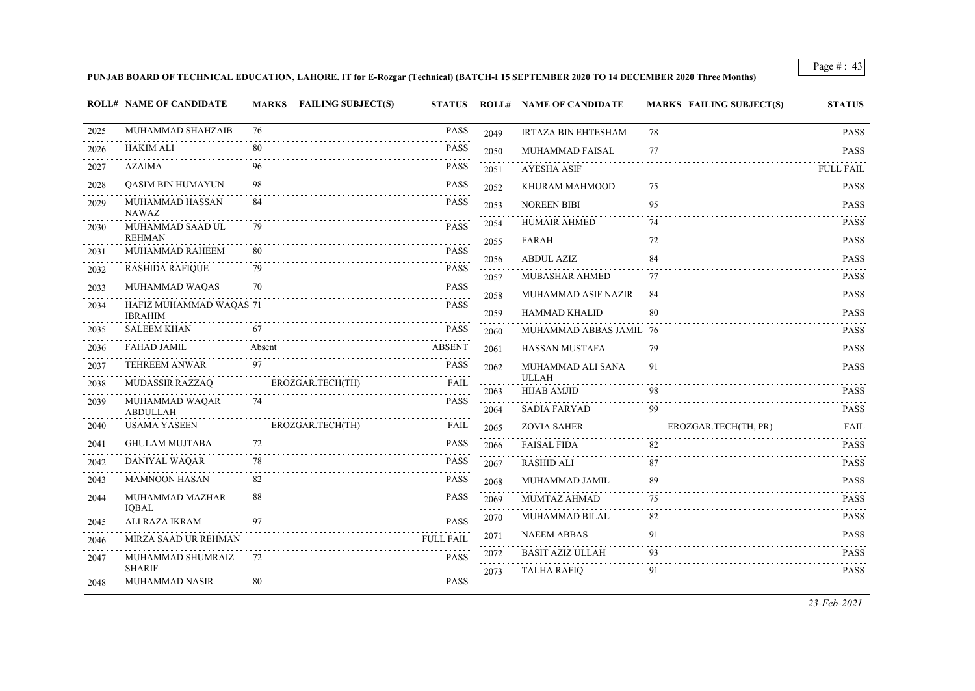# **PUNJAB BOARD OF TECHNICAL EDUCATION, LAHORE. IT for E-Rozgar (Technical) (BATCH-I 15 SEPTEMBER 2020 TO 14 DECEMBER 2020 Three Months)**

|      | <b>ROLL# NAME OF CANDIDATE</b>    | <b>MARKS</b> FAILING SUBJECT(S) | <b>STATUS</b>    |                                     | <b>ROLL# NAME OF CANDIDATE</b>     | <b>MARKS FAILING SUBJECT(S)</b> | <b>STATUS</b>    |
|------|-----------------------------------|---------------------------------|------------------|-------------------------------------|------------------------------------|---------------------------------|------------------|
| 2025 | MUHAMMAD SHAHZAIB                 | 76                              | <b>PASS</b>      | 2049                                | <b>IRTAZA BIN EHTESHAM</b>         | 78                              | <b>PASS</b>      |
| 2026 | <b>HAKIM ALI</b>                  | 80                              | <b>PASS</b>      | 2050                                | MUHAMMAD FAISAL                    | 77                              | <b>PASS</b>      |
| 2027 | <b>AZAIMA</b>                     |                                 | PASS             | 2051                                | <b>AYESHA ASIF</b>                 |                                 | <b>FULL FAIL</b> |
| 2028 | <b>QASIM BIN HUMAYUN</b>          | 98                              | <b>PASS</b>      | 2052                                | KHURAM MAHMOOD                     | 75                              | <b>PASS</b>      |
| 2029 | MUHAMMAD HASSAN<br>NAWAZ          | 84                              | <b>PASS</b>      | 2053                                | <b>NOREEN BIBI</b>                 | 95                              | <b>PASS</b>      |
| 2030 | MUHAMMAD SAAD UL<br><b>REHMAN</b> | 79                              | <b>PASS</b>      | 2054                                | <b>HUMAIR AHMED</b>                | 74                              | <b>PASS</b>      |
| 2031 | MUHAMMAD RAHEEM                   | 80                              | <b>PASS</b>      | 2055                                | FARAH                              | 72                              | <b>PASS</b>      |
| 2032 | <b>RASHIDA RAFIQUE</b>            | 79                              | <b>PASS</b>      | 2056                                | <b>ABDUL AZIZ</b>                  | 84                              | <b>PASS</b>      |
| 2033 | MUHAMMAD WAQAS                    | 70                              | <b>PASS</b>      | 2057<br>$\sim$ $\sim$ $\sim$ $\sim$ | MUBASHAR AHMED                     | 77                              | <b>PASS</b>      |
| 2034 | HAFIZ MUHAMMAD WAQAS 71           |                                 | <b>PASS</b>      | 2058                                | MUHAMMAD ASIF NAZIR                | 84                              | <b>PASS</b>      |
|      | <b>IBRAHIM</b>                    |                                 |                  | 2059                                | HAMMAD KHALID                      | 80                              | <b>PASS</b>      |
| 2035 | <b>SALEEM KHAN</b>                | 67                              | <b>PASS</b>      | 2060                                | MUHAMMAD ABBAS JAMIL 76            |                                 | <b>PASS</b>      |
| 2036 | <b>FAHAD JAMIL</b>                | Absent                          | <b>ABSENT</b>    | 2061                                | HASSAN MUSTAFA                     | 79                              | <b>PASS</b>      |
| 2037 | <b>TEHREEM ANWAR</b>              | 97                              | PASS             | 2062                                | MUHAMMAD ALI SANA                  | 91                              | <b>PASS</b>      |
| 2038 | <b>MUDASSIR RAZZAO</b>            | EROZGAR.TECH(TH)<br>.           | <b>FAIL</b>      | 2063                                | <b>ULLAH</b><br><b>HIJAB AMJID</b> | 98                              | <b>PASS</b>      |
| 2039 | MUHAMMAD WAQAR<br><b>ABDULLAH</b> | 74                              | <b>PASS</b>      | 2064                                | <b>SADIA FARYAD</b>                | 99                              | <b>PASS</b>      |
| 2040 | <b>USAMA YASEEN</b>               | EROZGAR.TECH(TH)                | FAIL             | 2065                                | <b>ZOVIA SAHER</b>                 | EROZGAR.TECH(TH, PR)            | FAIL             |
| 2041 | <b>GHULAM MUJTABA</b>             | 72                              | <b>PASS</b>      | 2066                                | <b>FAISAL FIDA</b>                 | 82                              | <b>PASS</b>      |
| 2042 | DANIYAL WAQAR                     | 78                              | <b>PASS</b>      | 2067                                | RASHID ALI                         | 87                              | <b>PASS</b>      |
| 2043 | <b>MAMNOON HASAN</b>              | 82                              | <b>PASS</b>      | 2068                                | MUHAMMAD JAMIL                     | 89                              | <b>PASS</b>      |
| 2044 | MUHAMMAD MAZHAR<br><b>IQBAL</b>   | 88                              | <b>PASS</b>      | 2069<br>.                           | MUMTAZ AHMAD                       | 75                              | <b>PASS</b>      |
| 2045 | ALI RAZA IKRAM                    | 97                              | <b>PASS</b>      | 2070                                | MUHAMMAD BILAL                     | 82                              | <b>PASS</b>      |
| 2046 | MIRZA SAAD UR REHMAN              |                                 | <b>FULL FAIL</b> | 2071                                | <b>NAEEM ABBAS</b>                 | 91                              | <b>PASS</b>      |
| 2047 | MUHAMMAD SHUMRAIZ                 | 72                              | <b>PASS</b>      | 2072                                | <b>BASIT AZIZ ULLAH</b>            | 93                              | <b>PASS</b>      |
|      | <b>SHARIF</b>                     |                                 |                  | 2073                                | <b>TALHA RAFIO</b>                 | 91                              | <b>PASS</b>      |
| 2048 | <b>MUHAMMAD NASIR</b>             | 80                              | <b>PASS</b>      |                                     |                                    |                                 |                  |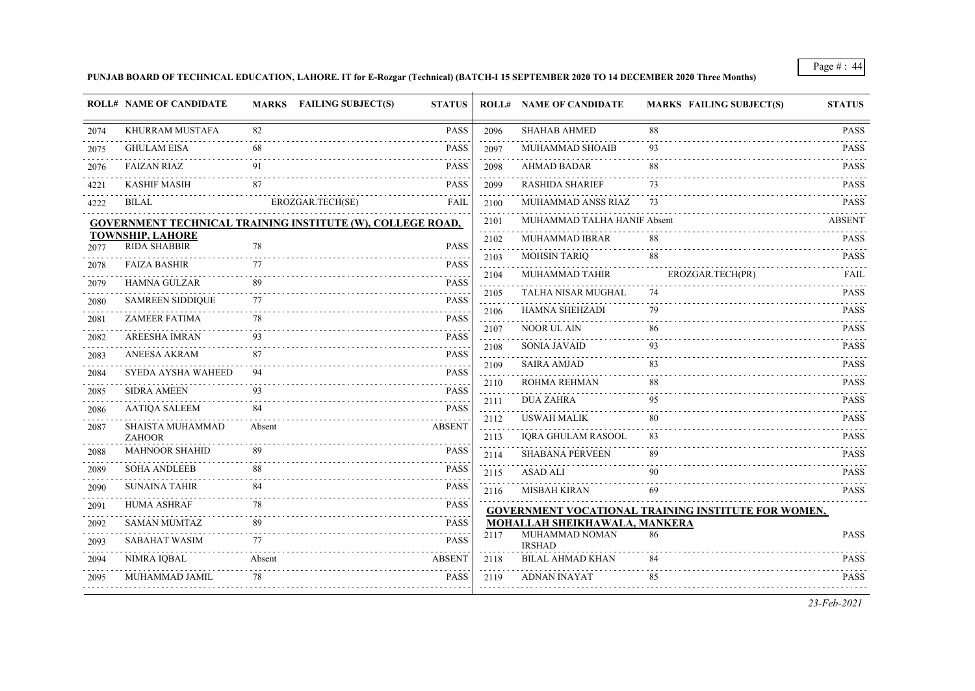# **PUNJAB BOARD OF TECHNICAL EDUCATION, LAHORE. IT for E-Rozgar (Technical) (BATCH-I 15 SEPTEMBER 2020 TO 14 DECEMBER 2020 Three Months)**

| 82<br>88<br><b>PASS</b><br><b>SHAHAB AHMED</b><br>KHURRAM MUSTAFA<br>2096<br>MUHAMMAD SHOAIB<br><b>GHULAM EISA</b><br>68<br><b>PASS</b><br>93<br>2097<br><b>AHMAD BADAR</b><br><b>FAIZAN RIAZ</b><br>91<br>PASS<br>2098<br>88<br>87<br>PASS<br><b>RASHIDA SHARIEF</b><br>73<br><b>KASHIF MASIH</b><br>2099<br><b>BILAL</b><br>EROZGAR.TECH(SE)<br>MUHAMMAD ANSS RIAZ<br><b>FAIL</b><br>73<br>2100<br>MUHAMMAD TALHA HANIF Absent<br>2101<br><b>GOVERNMENT TECHNICAL TRAINING INSTITUTE (W), COLLEGE ROAD,</b><br>.<br><b>TOWNSHIP, LAHORE</b><br>MUHAMMAD IBRAR<br>88<br>2102<br><b>RIDA SHABBIR</b><br>78<br><b>PASS</b><br>2077<br>$\sim 100$<br>88<br><b>MOHSIN TARIO</b><br>2103<br>77<br><b>FAIZA BASHIR</b><br><b>PASS</b><br>2078<br>$\sim$ $\sim$ $\sim$<br>MUHAMMAD TAHIR<br>2104<br>EROZGAR.TECH(PR)<br><b>HAMNA GULZAR</b><br>89<br>PASS<br>2079<br>TALHA NISAR MUGHAL<br>74<br>2105<br><b>SAMREEN SIDDIQUE</b><br>PASS<br>2080<br><b>HAMNA SHEHZADI</b><br>79<br>2106<br><b>ZAMEER FATIMA</b><br>78<br><b>PASS</b><br>2081<br>and a state<br>NOOR UL AIN<br>2107<br>86<br><b>AREESHA IMRAN</b><br>93<br>PASS<br>2082<br>$\omega_{\rm c} = \omega_{\rm c} = \omega_{\rm c}$<br><b>SONIA JAVAID</b><br>93<br>2108<br><b>ANEESA AKRAM</b><br>87<br>PASS<br>2083<br>83<br><b>SAIRA AMJAD</b><br>2109<br>SYEDA AYSHA WAHEED<br>94<br><b>PASS</b><br>2084<br>ROHMA REHMAN<br>88<br>2110<br><b>SIDRA AMEEN</b><br>93<br>PASS<br>2085<br><b>DUA ZAHRA</b><br>95<br>2111<br><b>AATIQA SALEEM</b><br>84<br>PASS<br>2086<br>80<br><b>USWAH MALIK</b><br>2112<br>SHAISTA MUHAMMAD<br>Absent<br><b>ABSENT</b><br>2087<br>IQRA GHULAM RASOOL<br>83<br>2113<br><b>ZAHOOR</b><br><b>MAHNOOR SHAHID</b><br><b>PASS</b><br>89<br><b>SHABANA PERVEEN</b><br>89<br>2114<br><b>SOHA ANDLEEB</b><br>88<br><b>PASS</b><br><b>ASAD ALI</b><br>90<br>2115<br><b>SUNAINA TAHIR</b><br>84<br><b>PASS</b><br>MISBAH KIRAN<br>69<br>2116<br><b>HUMA ASHRAF</b><br><b>PASS</b><br>78<br>GOVERNMENT VOCATIONAL TRAINING INSTITUTE FOR WOMEN,<br><b>MOHALLAH SHEIKHAWALA, MANKERA</b><br><b>SAMAN MUMTAZ</b><br>89<br><b>PASS</b><br>MUHAMMAD NOMAN<br>86<br>2117<br><b>SABAHAT WASIM</b><br>77<br><b>PASS</b><br><b>IRSHAD</b><br><b>BILAL AHMAD KHAN</b><br><b>NIMRA IQBAL</b><br><b>ABSENT</b><br>Absent<br>2118<br>84<br>MUHAMMAD JAMIL<br>78<br><b>PASS</b><br>ADNAN INAYAT<br>85<br>2119 |      | <b>ROLL# NAME OF CANDIDATE</b> | <b>MARKS</b> FAILING SUBJECT(S) | <b>STATUS</b> | <b>ROLL# NAME OF CANDIDATE</b> | <b>MARKS FAILING SUBJECT(S)</b> | <b>STATUS</b>                                            |
|----------------------------------------------------------------------------------------------------------------------------------------------------------------------------------------------------------------------------------------------------------------------------------------------------------------------------------------------------------------------------------------------------------------------------------------------------------------------------------------------------------------------------------------------------------------------------------------------------------------------------------------------------------------------------------------------------------------------------------------------------------------------------------------------------------------------------------------------------------------------------------------------------------------------------------------------------------------------------------------------------------------------------------------------------------------------------------------------------------------------------------------------------------------------------------------------------------------------------------------------------------------------------------------------------------------------------------------------------------------------------------------------------------------------------------------------------------------------------------------------------------------------------------------------------------------------------------------------------------------------------------------------------------------------------------------------------------------------------------------------------------------------------------------------------------------------------------------------------------------------------------------------------------------------------------------------------------------------------------------------------------------------------------------------------------------------------------------------------------------------------------------------------------------------------------------------------------------------------------------------------------------------------------------------------------------------------------------------------------------------------|------|--------------------------------|---------------------------------|---------------|--------------------------------|---------------------------------|----------------------------------------------------------|
|                                                                                                                                                                                                                                                                                                                                                                                                                                                                                                                                                                                                                                                                                                                                                                                                                                                                                                                                                                                                                                                                                                                                                                                                                                                                                                                                                                                                                                                                                                                                                                                                                                                                                                                                                                                                                                                                                                                                                                                                                                                                                                                                                                                                                                                                                                                                                                            | 2074 |                                |                                 |               |                                |                                 | <b>PASS</b>                                              |
|                                                                                                                                                                                                                                                                                                                                                                                                                                                                                                                                                                                                                                                                                                                                                                                                                                                                                                                                                                                                                                                                                                                                                                                                                                                                                                                                                                                                                                                                                                                                                                                                                                                                                                                                                                                                                                                                                                                                                                                                                                                                                                                                                                                                                                                                                                                                                                            | 2075 |                                |                                 |               |                                |                                 | <b>PASS</b>                                              |
|                                                                                                                                                                                                                                                                                                                                                                                                                                                                                                                                                                                                                                                                                                                                                                                                                                                                                                                                                                                                                                                                                                                                                                                                                                                                                                                                                                                                                                                                                                                                                                                                                                                                                                                                                                                                                                                                                                                                                                                                                                                                                                                                                                                                                                                                                                                                                                            | 2076 |                                |                                 |               |                                |                                 | <b>PASS</b>                                              |
|                                                                                                                                                                                                                                                                                                                                                                                                                                                                                                                                                                                                                                                                                                                                                                                                                                                                                                                                                                                                                                                                                                                                                                                                                                                                                                                                                                                                                                                                                                                                                                                                                                                                                                                                                                                                                                                                                                                                                                                                                                                                                                                                                                                                                                                                                                                                                                            | 4221 |                                |                                 |               |                                |                                 | <b>PASS</b>                                              |
|                                                                                                                                                                                                                                                                                                                                                                                                                                                                                                                                                                                                                                                                                                                                                                                                                                                                                                                                                                                                                                                                                                                                                                                                                                                                                                                                                                                                                                                                                                                                                                                                                                                                                                                                                                                                                                                                                                                                                                                                                                                                                                                                                                                                                                                                                                                                                                            | 4222 |                                |                                 |               |                                |                                 | <b>PASS</b>                                              |
|                                                                                                                                                                                                                                                                                                                                                                                                                                                                                                                                                                                                                                                                                                                                                                                                                                                                                                                                                                                                                                                                                                                                                                                                                                                                                                                                                                                                                                                                                                                                                                                                                                                                                                                                                                                                                                                                                                                                                                                                                                                                                                                                                                                                                                                                                                                                                                            |      |                                |                                 |               |                                |                                 | <b>ABSENT</b>                                            |
|                                                                                                                                                                                                                                                                                                                                                                                                                                                                                                                                                                                                                                                                                                                                                                                                                                                                                                                                                                                                                                                                                                                                                                                                                                                                                                                                                                                                                                                                                                                                                                                                                                                                                                                                                                                                                                                                                                                                                                                                                                                                                                                                                                                                                                                                                                                                                                            |      |                                |                                 |               |                                |                                 | <b>PASS</b>                                              |
|                                                                                                                                                                                                                                                                                                                                                                                                                                                                                                                                                                                                                                                                                                                                                                                                                                                                                                                                                                                                                                                                                                                                                                                                                                                                                                                                                                                                                                                                                                                                                                                                                                                                                                                                                                                                                                                                                                                                                                                                                                                                                                                                                                                                                                                                                                                                                                            |      |                                |                                 |               |                                |                                 | <b>PASS</b>                                              |
|                                                                                                                                                                                                                                                                                                                                                                                                                                                                                                                                                                                                                                                                                                                                                                                                                                                                                                                                                                                                                                                                                                                                                                                                                                                                                                                                                                                                                                                                                                                                                                                                                                                                                                                                                                                                                                                                                                                                                                                                                                                                                                                                                                                                                                                                                                                                                                            |      |                                |                                 |               |                                |                                 | FAIL                                                     |
|                                                                                                                                                                                                                                                                                                                                                                                                                                                                                                                                                                                                                                                                                                                                                                                                                                                                                                                                                                                                                                                                                                                                                                                                                                                                                                                                                                                                                                                                                                                                                                                                                                                                                                                                                                                                                                                                                                                                                                                                                                                                                                                                                                                                                                                                                                                                                                            |      |                                |                                 |               |                                |                                 | <b>PASS</b>                                              |
|                                                                                                                                                                                                                                                                                                                                                                                                                                                                                                                                                                                                                                                                                                                                                                                                                                                                                                                                                                                                                                                                                                                                                                                                                                                                                                                                                                                                                                                                                                                                                                                                                                                                                                                                                                                                                                                                                                                                                                                                                                                                                                                                                                                                                                                                                                                                                                            |      |                                |                                 |               |                                |                                 | <b>PASS</b>                                              |
|                                                                                                                                                                                                                                                                                                                                                                                                                                                                                                                                                                                                                                                                                                                                                                                                                                                                                                                                                                                                                                                                                                                                                                                                                                                                                                                                                                                                                                                                                                                                                                                                                                                                                                                                                                                                                                                                                                                                                                                                                                                                                                                                                                                                                                                                                                                                                                            |      |                                |                                 |               |                                |                                 | <b>PASS</b>                                              |
|                                                                                                                                                                                                                                                                                                                                                                                                                                                                                                                                                                                                                                                                                                                                                                                                                                                                                                                                                                                                                                                                                                                                                                                                                                                                                                                                                                                                                                                                                                                                                                                                                                                                                                                                                                                                                                                                                                                                                                                                                                                                                                                                                                                                                                                                                                                                                                            |      |                                |                                 |               |                                |                                 | <b>PASS</b>                                              |
|                                                                                                                                                                                                                                                                                                                                                                                                                                                                                                                                                                                                                                                                                                                                                                                                                                                                                                                                                                                                                                                                                                                                                                                                                                                                                                                                                                                                                                                                                                                                                                                                                                                                                                                                                                                                                                                                                                                                                                                                                                                                                                                                                                                                                                                                                                                                                                            |      |                                |                                 |               |                                |                                 | <b>PASS</b>                                              |
|                                                                                                                                                                                                                                                                                                                                                                                                                                                                                                                                                                                                                                                                                                                                                                                                                                                                                                                                                                                                                                                                                                                                                                                                                                                                                                                                                                                                                                                                                                                                                                                                                                                                                                                                                                                                                                                                                                                                                                                                                                                                                                                                                                                                                                                                                                                                                                            |      |                                |                                 |               |                                |                                 | <b>PASS</b>                                              |
|                                                                                                                                                                                                                                                                                                                                                                                                                                                                                                                                                                                                                                                                                                                                                                                                                                                                                                                                                                                                                                                                                                                                                                                                                                                                                                                                                                                                                                                                                                                                                                                                                                                                                                                                                                                                                                                                                                                                                                                                                                                                                                                                                                                                                                                                                                                                                                            |      |                                |                                 |               |                                |                                 | <b>PASS</b>                                              |
|                                                                                                                                                                                                                                                                                                                                                                                                                                                                                                                                                                                                                                                                                                                                                                                                                                                                                                                                                                                                                                                                                                                                                                                                                                                                                                                                                                                                                                                                                                                                                                                                                                                                                                                                                                                                                                                                                                                                                                                                                                                                                                                                                                                                                                                                                                                                                                            |      |                                |                                 |               |                                |                                 | <b>PASS</b>                                              |
|                                                                                                                                                                                                                                                                                                                                                                                                                                                                                                                                                                                                                                                                                                                                                                                                                                                                                                                                                                                                                                                                                                                                                                                                                                                                                                                                                                                                                                                                                                                                                                                                                                                                                                                                                                                                                                                                                                                                                                                                                                                                                                                                                                                                                                                                                                                                                                            |      |                                |                                 |               |                                |                                 | <b>PASS</b>                                              |
|                                                                                                                                                                                                                                                                                                                                                                                                                                                                                                                                                                                                                                                                                                                                                                                                                                                                                                                                                                                                                                                                                                                                                                                                                                                                                                                                                                                                                                                                                                                                                                                                                                                                                                                                                                                                                                                                                                                                                                                                                                                                                                                                                                                                                                                                                                                                                                            | 2088 |                                |                                 |               |                                |                                 | <b>PASS</b>                                              |
|                                                                                                                                                                                                                                                                                                                                                                                                                                                                                                                                                                                                                                                                                                                                                                                                                                                                                                                                                                                                                                                                                                                                                                                                                                                                                                                                                                                                                                                                                                                                                                                                                                                                                                                                                                                                                                                                                                                                                                                                                                                                                                                                                                                                                                                                                                                                                                            | 2089 |                                |                                 |               |                                |                                 | <b>PASS</b>                                              |
|                                                                                                                                                                                                                                                                                                                                                                                                                                                                                                                                                                                                                                                                                                                                                                                                                                                                                                                                                                                                                                                                                                                                                                                                                                                                                                                                                                                                                                                                                                                                                                                                                                                                                                                                                                                                                                                                                                                                                                                                                                                                                                                                                                                                                                                                                                                                                                            | 2090 |                                |                                 |               |                                |                                 | <b>PASS</b>                                              |
|                                                                                                                                                                                                                                                                                                                                                                                                                                                                                                                                                                                                                                                                                                                                                                                                                                                                                                                                                                                                                                                                                                                                                                                                                                                                                                                                                                                                                                                                                                                                                                                                                                                                                                                                                                                                                                                                                                                                                                                                                                                                                                                                                                                                                                                                                                                                                                            | 2091 |                                |                                 |               |                                |                                 |                                                          |
|                                                                                                                                                                                                                                                                                                                                                                                                                                                                                                                                                                                                                                                                                                                                                                                                                                                                                                                                                                                                                                                                                                                                                                                                                                                                                                                                                                                                                                                                                                                                                                                                                                                                                                                                                                                                                                                                                                                                                                                                                                                                                                                                                                                                                                                                                                                                                                            | 2092 |                                |                                 |               |                                |                                 | <b>PASS</b>                                              |
|                                                                                                                                                                                                                                                                                                                                                                                                                                                                                                                                                                                                                                                                                                                                                                                                                                                                                                                                                                                                                                                                                                                                                                                                                                                                                                                                                                                                                                                                                                                                                                                                                                                                                                                                                                                                                                                                                                                                                                                                                                                                                                                                                                                                                                                                                                                                                                            | 2093 |                                |                                 |               |                                |                                 |                                                          |
|                                                                                                                                                                                                                                                                                                                                                                                                                                                                                                                                                                                                                                                                                                                                                                                                                                                                                                                                                                                                                                                                                                                                                                                                                                                                                                                                                                                                                                                                                                                                                                                                                                                                                                                                                                                                                                                                                                                                                                                                                                                                                                                                                                                                                                                                                                                                                                            | 2094 |                                |                                 |               |                                |                                 | <b>PASS</b><br>$\sim$ $\sim$ $\sim$ $\sim$ $\sim$ $\sim$ |
|                                                                                                                                                                                                                                                                                                                                                                                                                                                                                                                                                                                                                                                                                                                                                                                                                                                                                                                                                                                                                                                                                                                                                                                                                                                                                                                                                                                                                                                                                                                                                                                                                                                                                                                                                                                                                                                                                                                                                                                                                                                                                                                                                                                                                                                                                                                                                                            | 2095 |                                |                                 |               |                                |                                 | <b>PASS</b>                                              |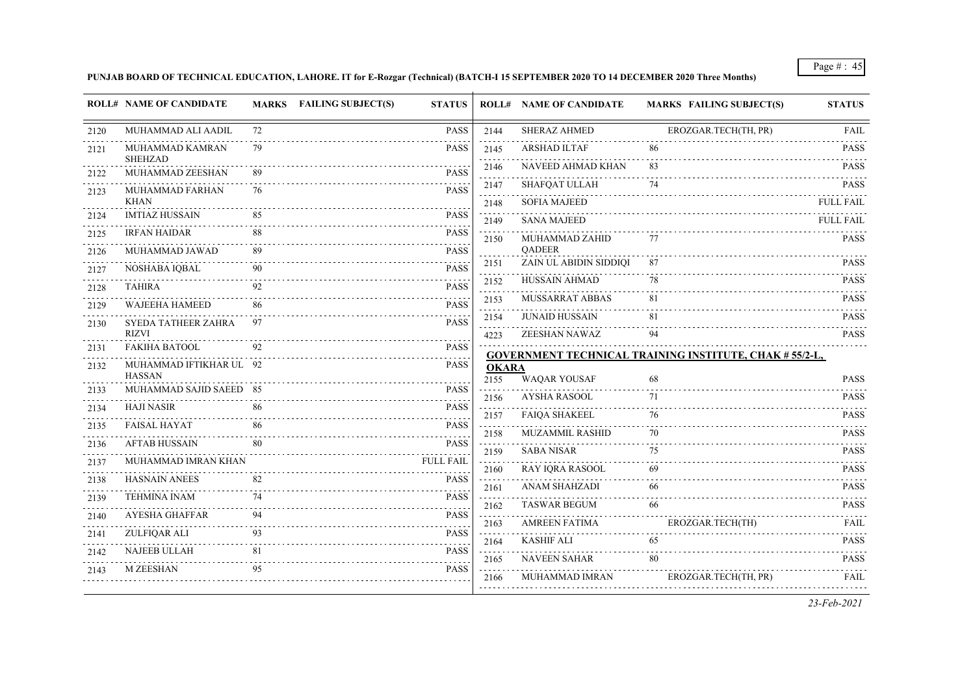# **PUNJAB BOARD OF TECHNICAL EDUCATION, LAHORE. IT for E-Rozgar (Technical) (BATCH-I 15 SEPTEMBER 2020 TO 14 DECEMBER 2020 Three Months)**

|              | <b>ROLL# NAME OF CANDIDATE</b>           |          | <b>MARKS</b> FAILING SUBJECT(S)<br><b>STATUS</b> |                                 | <b>ROLL# NAME OF CANDIDATE</b>          | <b>MARKS FAILING SUBJECT(S)</b>                                | <b>STATUS</b>    |
|--------------|------------------------------------------|----------|--------------------------------------------------|---------------------------------|-----------------------------------------|----------------------------------------------------------------|------------------|
| 2120         | MUHAMMAD ALI AADIL                       | 72       | <b>PASS</b>                                      | 2144                            | <b>SHERAZ AHMED</b>                     | EROZGAR.TECH(TH, PR)                                           | <b>FAIL</b>      |
| 2121         | MUHAMMAD KAMRAN                          | 79       | <b>PASS</b>                                      | 2145<br>and a state             | <b>ARSHAD ILTAF</b>                     | 86                                                             | <b>PASS</b>      |
| 2122         | <b>SHEHZAD</b><br>MUHAMMAD ZEESHAN       | 89       | <b>PASS</b>                                      | 2146                            | NAVEED AHMAD KHAN                       | 83                                                             | <b>PASS</b>      |
| 2123         | MUHAMMAD FARHAN                          | 76       | <b>PASS</b>                                      | 2147                            | SHAFQAT ULLAH                           | 74                                                             | <b>PASS</b>      |
|              | <b>KHAN</b>                              |          |                                                  | 2148                            | <b>SOFIA MAJEED</b>                     |                                                                | <b>FULL FAIL</b> |
| 2124         | <b>IMTIAZ HUSSAIN</b>                    | 85       | <b>PASS</b>                                      | .<br>2149                       | <b>SANA MAJEED</b>                      |                                                                | <b>FULL FAIL</b> |
| 2125         | <b>IRFAN HAIDAR</b>                      | 88       | <b>PASS</b>                                      | 2150                            | MUHAMMAD ZAHID                          | 77                                                             | <b>PASS</b>      |
| 2126         | MUHAMMAD JAWAD                           | 89       | <b>PASS</b>                                      | 2151                            | <b>QADEER</b><br>ZAIN UL ABIDIN SIDDIQI | 87                                                             | <b>PASS</b>      |
| 2127         | NOSHABA IQBAL                            |          | <b>PASS</b>                                      | 2152                            | HUSSAIN AHMAD                           | 78                                                             | <b>PASS</b>      |
| 2128         | <b>TAHIRA</b>                            | 92       | <b>PASS</b>                                      | 2153                            | MUSSARRAT ABBAS                         | 81                                                             | <b>PASS</b>      |
| 2129         | WAJEEHA HAMEED                           | 86       | <b>PASS</b>                                      | $\sim 100$ km s $^{-1}$<br>2154 | <b>JUNAID HUSSAIN</b>                   | 81                                                             | <b>PASS</b>      |
| 2130         | SYEDA TATHEER ZAHRA<br><b>RIZVI</b>      | 97       | <b>PASS</b>                                      | 4223                            | ZEESHAN NAWAZ                           | 94                                                             | <b>PASS</b>      |
| 2131         | <b>FAKIHA BATOOL</b>                     | 92       | <b>PASS</b>                                      |                                 |                                         |                                                                |                  |
| 2132         | MUHAMMAD IFTIKHAR UL 92                  |          | <b>PASS</b>                                      | <b>OKARA</b>                    |                                         | <b>GOVERNMENT TECHNICAL TRAINING INSTITUTE, CHAK # 55/2-L,</b> |                  |
| 2133         | <b>HASSAN</b><br>MUHAMMAD SAJID SAEED 85 |          | <b>PASS</b>                                      | 2155                            | <b>WAQAR YOUSAF</b>                     | 68                                                             | <b>PASS</b>      |
| 2134         | <b>HAJI NASIR</b>                        | 86       | <b>PASS</b>                                      | 2156                            | <b>AYSHA RASOOL</b>                     | 71                                                             | <b>PASS</b>      |
|              | <b>FAISAL HAYAT</b>                      | 86       | <b>PASS</b>                                      | 2157                            | <b>FAIQA SHAKEEL</b>                    | 76                                                             | <b>PASS</b>      |
| 2135<br>2136 | <b>AFTAB HUSSAIN</b>                     | 80       | <b>PASS</b>                                      | 2158                            | <b>MUZAMMIL RASHID</b>                  | 70                                                             | <b>PASS</b>      |
|              | MUHAMMAD IMRAN KHAN                      |          | <b>FULL FAIL</b>                                 | 2159                            | <b>SABA NISAR</b>                       | 75                                                             | <b>PASS</b>      |
| 2137         | HASNAIN ANEES                            | 82       | <b>PASS</b>                                      | 2160                            | RAY IQRA RASOOL                         | 69                                                             | <b>PASS</b>      |
| 2138         | <b>TEHMINA INAM</b>                      | 74       | <b>PASS</b>                                      | 2161<br>$-1 - 1$                | ANAM SHAHZADI                           | 66                                                             | <b>PASS</b>      |
| 2139         | AYESHA GHAFFAR                           | 94       | <b>PASS</b>                                      | 2162                            | <b>TASWAR BEGUM</b>                     | 66                                                             | <b>PASS</b>      |
| 2140         |                                          | 93       | <b>PASS</b>                                      | 2163                            | <b>AMREEN FATIMA</b>                    | EROZGAR.TECH(TH)                                               | <b>FAIL</b>      |
| 2141         | ZULFIQAR ALI                             |          | .<br><b>PASS</b>                                 | 2164<br>.                       | <b>KASHIF ALI</b>                       | 65                                                             | <b>PASS</b>      |
| 2142         | <b>NAJEEB ULLAH</b>                      | 81<br>95 |                                                  | 2165                            | <b>NAVEEN SAHAR</b>                     | 80                                                             | <b>PASS</b>      |
| 2143         | M ZEESHAN                                |          | <b>PASS</b>                                      | 2166                            | MUHAMMAD IMRAN                          | EROZGAR.TECH(TH, PR)                                           | <b>FAIL</b>      |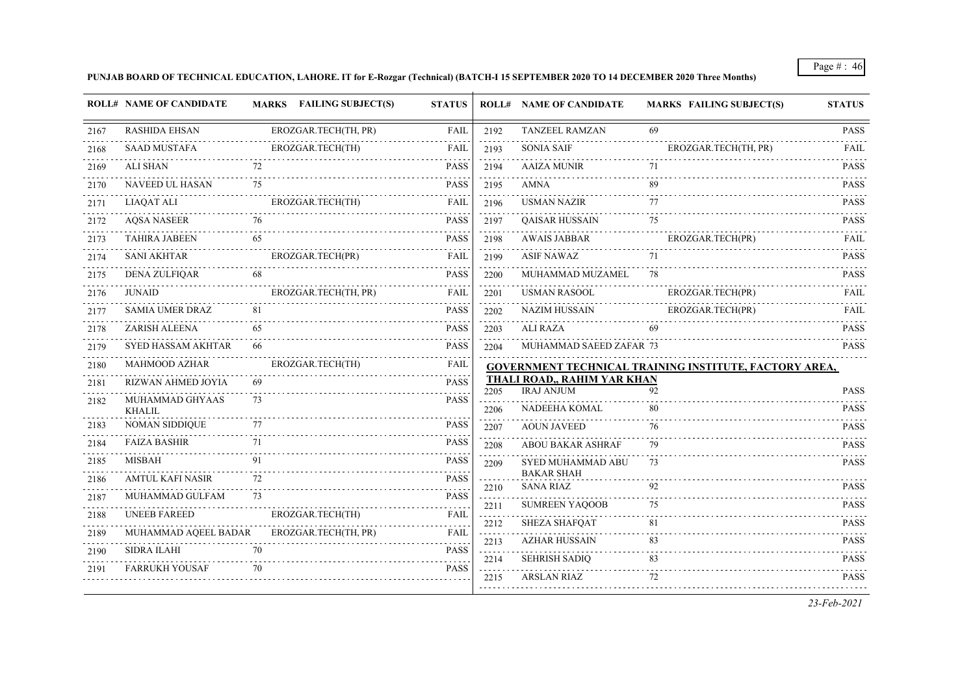# **PUNJAB BOARD OF TECHNICAL EDUCATION, LAHORE. IT for E-Rozgar (Technical) (BATCH-I 15 SEPTEMBER 2020 TO 14 DECEMBER 2020 Three Months)**

|      | <b>ROLL# NAME OF CANDIDATE</b>   |    | MARKS FAILING SUBJECT(S) | <b>STATUS</b> |                                 | <b>ROLL# NAME OF CANDIDATE</b>                          | <b>MARKS FAILING SUBJECT(S)</b>                        | <b>STATUS</b>    |
|------|----------------------------------|----|--------------------------|---------------|---------------------------------|---------------------------------------------------------|--------------------------------------------------------|------------------|
| 2167 | <b>RASHIDA EHSAN</b>             |    | EROZGAR.TECH(TH, PR)     | FAIL          | 2192                            | <b>TANZEEL RAMZAN</b>                                   | 69                                                     | <b>PASS</b>      |
| 2168 | <b>SAAD MUSTAFA</b>              |    | EROZGAR.TECH(TH)         | <b>FAIL</b>   | 2193                            | <b>SONIA SAIF</b>                                       | EROZGAR.TECH(TH, PR)                                   | <b>FAIL</b>      |
| 2169 | ALI SHAN                         | 72 |                          | <b>PASS</b>   | .<br>2194                       | <b>AAIZA MUNIR</b>                                      | 71                                                     | <b>PASS</b>      |
| 2170 | NAVEED UL HASAN                  | 75 |                          | <b>PASS</b>   | 2195                            | AMNA                                                    | 89                                                     | <b>PASS</b>      |
| 2171 | <b>LIAQAT ALI</b>                |    | EROZGAR.TECH(TH)         | <b>FAIL</b>   | 2196                            | <b>USMAN NAZIR</b>                                      | 77                                                     | <b>PASS</b>      |
| 2172 | <b>AQSA NASEER</b><br>.          |    |                          | <b>PASS</b>   | i di di di d<br>2197            | QAISAR HUSSAIN                                          | 75                                                     | <b>PASS</b>      |
| 2173 | <b>TAHIRA JABEEN</b>             | 65 |                          | <b>PASS</b>   | 2198                            | <b>AWAIS JABBAR</b>                                     | EROZGAR.TECH(PR)                                       | FAIL             |
| 2174 | <b>SANI AKHTAR</b>               |    | EROZGAR.TECH(PR)         | FAIL          | $\sim$ $\sim$ $\sim$<br>2199    | <b>ASIF NAWAZ</b>                                       | 71                                                     | <b>PASS</b>      |
| 2175 | <b>DENA ZULFIQAR</b>             |    |                          | <b>PASS</b>   | 2200                            | MUHAMMAD MUZAMEL                                        | 78                                                     | <b>PASS</b>      |
| 2176 | <b>JUNAID</b>                    |    | EROZGAR.TECH(TH, PR)     | <b>FAIL</b>   | 2201<br>$\sim 100$ km s $^{-1}$ | <b>USMAN RASOOL</b>                                     | EROZGAR.TECH(PR)                                       | <b>FAIL</b>      |
| 2177 | <b>SAMIA UMER DRAZ</b>           | 81 |                          | <b>PASS</b>   | 2202                            | <b>NAZIM HUSSAIN</b>                                    | EROZGAR.TECH(PR)                                       | FAIL             |
| 2178 | ZARISH ALEENA                    | 65 |                          | <b>PASS</b>   | 2203                            | ALI RAZA                                                | 69                                                     | <b>PASS</b>      |
| 2179 | SYED HASSAM AKHTAR               | 66 |                          | <b>PASS</b>   | 2204                            | MUHAMMAD SAEED ZAFAR 73                                 |                                                        | <b>PASS</b>      |
| 2180 | <b>MAHMOOD AZHAR</b>             |    | EROZGAR.TECH(TH)         | <b>FAIL</b>   |                                 |                                                         | GOVERNMENT TECHNICAL TRAINING INSTITUTE, FACTORY AREA, |                  |
| 2181 | RIZWAN AHMED JOYIA               | 69 |                          | <b>PASS</b>   | 2205                            | <b>THALI ROAD,, RAHIM YAR KHAN</b><br><b>IRAJ ANJUM</b> | 92                                                     | <b>PASS</b>      |
| 2182 | MUHAMMAD GHYAAS<br><b>KHALIL</b> | 73 |                          | <b>PASS</b>   | 2206                            | NADEEHA KOMAL                                           | 80                                                     | <b>PASS</b>      |
| 2183 | <b>NOMAN SIDDIQUE</b>            | 77 |                          | <b>PASS</b>   | 2207                            | <b>AOUN JAVEED</b>                                      | 76                                                     | <b>PASS</b>      |
| 2184 | <b>FAIZA BASHIR</b>              | 71 |                          | <b>PASS</b>   | 2208                            | ABOU BAKAR ASHRAF                                       | 79                                                     | <b>PASS</b>      |
| 2185 | MISBAH                           | 91 |                          | <b>PASS</b>   | 2209                            | SYED MUHAMMAD ABU                                       | 73                                                     | <b>PASS</b>      |
| 2186 | <b>AMTUL KAFI NASIR</b>          | 72 |                          | <b>PASS</b>   | 2210                            | <b>BAKAR SHAH</b><br><b>SANA RIAZ</b>                   | 92                                                     | <b>PASS</b>      |
| 2187 | MUHAMMAD GULFAM                  | 73 |                          | <b>PASS</b>   | a sa sa<br>2211                 | <b>SUMREEN YAQOOB</b>                                   | 75                                                     | <b>PASS</b>      |
| 2188 | <b>UNEEB FAREED</b>              |    | EROZGAR.TECH(TH)         | <b>FAIL</b>   | .<br>2212                       | <b>SHEZA SHAFQAT</b>                                    | 81                                                     | .<br><b>PASS</b> |
| 2189 | MUHAMMAD AQEEL BADAR             |    | EROZGAR.TECH(TH, PR)     | <b>FAIL</b>   | <b>Sales</b><br>2213            | <b>AZHAR HUSSAIN</b>                                    | 83                                                     | <b>PASS</b>      |
| 2190 | <b>SIDRA ILAHI</b>               | 70 |                          | <b>PASS</b>   | 2214                            | <b>SEHRISH SADIQ</b>                                    | 83                                                     | <b>PASS</b>      |
| 2191 | <b>FARRUKH YOUSAF</b>            | 70 |                          | <b>PASS</b>   | 2215                            | <b>ARSLAN RIAZ</b>                                      | 72                                                     | .<br><b>PASS</b> |
|      |                                  |    |                          |               |                                 |                                                         |                                                        |                  |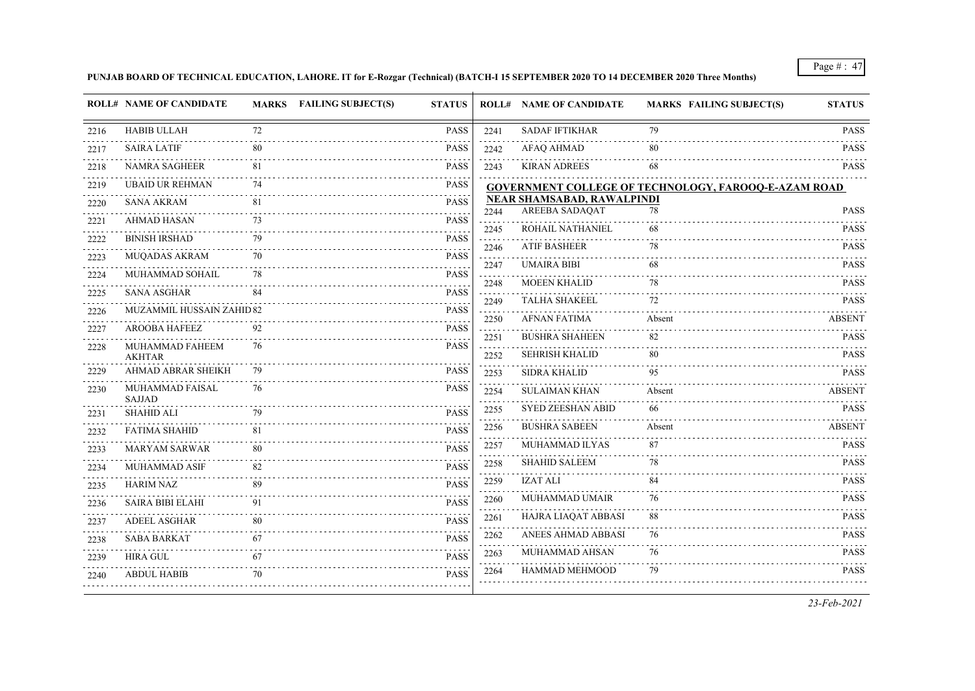# **PUNJAB BOARD OF TECHNICAL EDUCATION, LAHORE. IT for E-Rozgar (Technical) (BATCH-I 15 SEPTEMBER 2020 TO 14 DECEMBER 2020 Three Months)**

|      | <b>ROLL# NAME OF CANDIDATE</b>   |     | <b>MARKS</b> FAILING SUBJECT(S) | <b>STATUS</b> |                   | <b>ROLL# NAME OF CANDIDATE</b>                      | <b>MARKS FAILING SUBJECT(S)</b>                      | <b>STATUS</b> |
|------|----------------------------------|-----|---------------------------------|---------------|-------------------|-----------------------------------------------------|------------------------------------------------------|---------------|
| 2216 | <b>HABIB ULLAH</b>               | 72  |                                 | <b>PASS</b>   | 2241              | <b>SADAF IFTIKHAR</b>                               | 79                                                   | <b>PASS</b>   |
| 2217 | <b>SAIRA LATIF</b>               | 80  |                                 | <b>PASS</b>   | 2242              | <b>AFAQ AHMAD</b>                                   | 80                                                   | <b>PASS</b>   |
| 2218 | <b>NAMRA SAGHEER</b>             | 81  |                                 | <b>PASS</b>   | 2243              | <b>KIRAN ADREES</b>                                 | 68                                                   | <b>PASS</b>   |
| 2219 | <b>UBAID UR REHMAN</b>           | 74  |                                 | <b>PASS</b>   |                   |                                                     | GOVERNMENT COLLEGE OF TECHNOLOGY, FAROOQ-E-AZAM ROAD |               |
| 2220 | <b>SANA AKRAM</b>                | -81 |                                 | <b>PASS</b>   | 2244              | NEAR SHAMSABAD, RAWALPINDI<br><b>AREEBA SADAQAT</b> | 78                                                   | <b>PASS</b>   |
| 2221 | AHMAD HASAN                      |     |                                 | <b>PASS</b>   | 2245              | ROHAIL NATHANIEL                                    | 68                                                   | <b>PASS</b>   |
| 2222 | <b>BINISH IRSHAD</b>             | 79  |                                 | <b>PASS</b>   | 2246              | <b>ATIF BASHEER</b>                                 | 78                                                   | <b>PASS</b>   |
| 2223 | <b>MUQADAS AKRAM</b>             | 70  |                                 | <b>PASS</b>   | 2247              | <b>UMAIRA BIBI</b>                                  | 68                                                   | <b>PASS</b>   |
| 2224 | MUHAMMAD SOHAIL                  | 78  |                                 | <b>PASS</b>   | 2248              | <b>MOEEN KHALID</b>                                 | 78                                                   | <b>PASS</b>   |
| 2225 | <b>SANA ASGHAR</b>               | 84  |                                 | <b>PASS</b>   | المتمالين<br>2249 | <b>TALHA SHAKEEL</b>                                | 72                                                   | <b>PASS</b>   |
| 2226 | <b>MUZAMMIL HUSSAIN ZAHID 82</b> |     |                                 | <b>PASS</b>   | 2250              | <b>AFNAN FATIMA</b>                                 | Absent                                               | ABSENT        |
| 2227 | <b>AROOBA HAFEEZ</b>             | 92  |                                 | <b>PASS</b>   | 2251              | <b>BUSHRA SHAHEEN</b>                               | 82                                                   | <b>PASS</b>   |
| 2228 | MUHAMMAD FAHEEM<br><b>AKHTAR</b> | 76  |                                 | <b>PASS</b>   | 2252              | <b>SEHRISH KHALID</b>                               | 80                                                   | <b>PASS</b>   |
| 2229 | AHMAD ABRAR SHEIKH               | 79  |                                 | <b>PASS</b>   | 2253              | <b>SIDRA KHALID</b>                                 | 95                                                   | <b>PASS</b>   |
| 2230 | MUHAMMAD FAISAL<br><b>SAJJAD</b> | 76  |                                 | <b>PASS</b>   | 2254              | <b>SULAIMAN KHAN</b>                                | Absent                                               | ABSENT        |
| 2231 | <b>SHAHID ALI</b>                | 79  |                                 | <b>PASS</b>   | 2255              | <b>SYED ZEESHAN ABID</b>                            | 66                                                   | <b>PASS</b>   |
| 2232 | <b>FATIMA SHAHID</b>             | 81  |                                 | <b>PASS</b>   | 2256              | <b>BUSHRA SABEEN</b>                                | Absent                                               | <b>ABSENT</b> |
| 2233 | <b>MARYAM SARWAR</b>             | 80  |                                 | <b>PASS</b>   | 2257              | MUHAMMAD ILYAS                                      | 87                                                   | <b>PASS</b>   |
| 2234 | MUHAMMAD ASIF                    | 82  |                                 | <b>PASS</b>   | 2258              | <b>SHAHID SALEEM</b>                                | 78                                                   | <b>PASS</b>   |
| 2235 | <b>HARIM NAZ</b>                 | 89  |                                 | <b>PASS</b>   | 2259              | <b>IZAT ALI</b>                                     | 84                                                   | <b>PASS</b>   |
| 2236 | <b>SAIRA BIBI ELAHI</b>          | 91  |                                 | <b>PASS</b>   | 2260              | <b>MUHAMMAD UMAIR</b>                               | 76                                                   | <b>PASS</b>   |
| 2237 | <b>ADEEL ASGHAR</b>              | 80  |                                 | <b>PASS</b>   | 2261              | HAJRA LIAQAT ABBASI                                 | 88                                                   | <b>PASS</b>   |
| 2238 | SABA BARKAT                      | -67 |                                 | <b>PASS</b>   | 2262              | ANEES AHMAD ABBASI                                  | 76                                                   | <b>PASS</b>   |
| 2239 | HIRA GUL                         | 67  |                                 | <b>PASS</b>   | 2263              | MUHAMMAD AHSAN                                      | 76                                                   | <b>PASS</b>   |
| 2240 | <b>ABDUL HABIB</b>               | 70  |                                 | <b>PASS</b>   | 2264              | HAMMAD MEHMOOD                                      | 79                                                   | <b>PASS</b>   |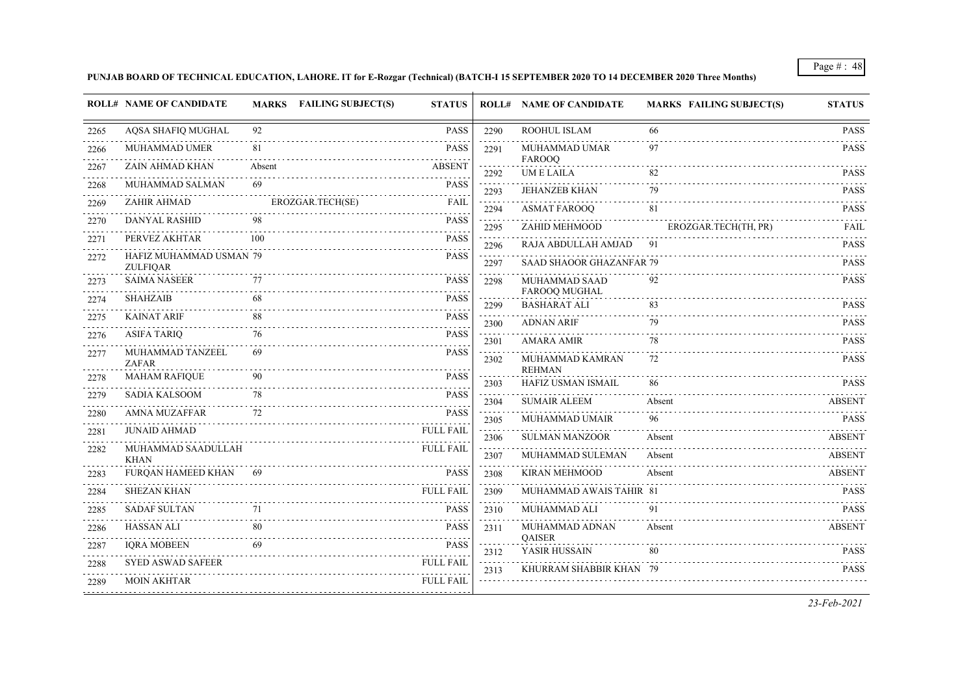# **PUNJAB BOARD OF TECHNICAL EDUCATION, LAHORE. IT for E-Rozgar (Technical) (BATCH-I 15 SEPTEMBER 2020 TO 14 DECEMBER 2020 Three Months)**

|      | <b>ROLL# NAME OF CANDIDATE</b>             |        | MARKS FAILING SUBJECT(S) | <b>STATUS</b>    |                           | <b>ROLL# NAME OF CANDIDATE</b>      | <b>MARKS FAILING SUBJECT(S)</b> | <b>STATUS</b> |
|------|--------------------------------------------|--------|--------------------------|------------------|---------------------------|-------------------------------------|---------------------------------|---------------|
| 2265 | AQSA SHAFIQ MUGHAL                         | 92     |                          | <b>PASS</b>      | 2290                      | ROOHUL ISLAM                        | 66                              | <b>PASS</b>   |
| 2266 | MUHAMMAD UMER                              | 81     |                          | <b>PASS</b>      | 2291                      | MUHAMMAD UMAR                       | 97                              | <b>PASS</b>   |
| 2267 | ZAIN AHMAD KHAN                            | Absent |                          | <b>ABSENT</b>    | 2292                      | FAROOQ<br><b>UMELAILA</b>           | 82                              | <b>PASS</b>   |
| 2268 | MUHAMMAD SALMAN                            | 69     |                          | <b>PASS</b>      | 2293                      | <b>JEHANZEB KHAN</b>                | 79                              | <b>PASS</b>   |
| 2269 | ZAHIR AHMAD                                |        | EROZGAR.TECH(SE)         | <b>FAIL</b>      | 2294                      | <b>ASMAT FAROOQ</b>                 | 81                              | <b>PASS</b>   |
| 2270 | DANYAL RASHID                              | 98     |                          | <b>PASS</b>      | د د د د د<br>2295         | ZAHID MEHMOOD                       | EROZGAR.TECH(TH, PR)            | FAIL          |
| 2271 | PERVEZ AKHTAR                              | 100    |                          | PASS             | 2296                      | RAJA ABDULLAH AMJAD                 | - 91                            | <b>PASS</b>   |
| 2272 | HAFIZ MUHAMMAD USMAN 79<br><b>ZULFIQAR</b> |        |                          | <b>PASS</b>      | 2297                      | <b>SAAD SHAOOR GHAZANFAR 79</b>     |                                 | <b>PASS</b>   |
| 2273 | <b>SAIMA NASEER</b>                        | 77     |                          | <b>PASS</b>      | $\omega$ is a set<br>2298 | MUHAMMAD SAAD<br>FAROOQ MUGHAL      | 92                              | <b>PASS</b>   |
| 2274 | <b>SHAHZAIB</b>                            | 68     |                          | <b>PASS</b>      | 2299                      | <b>BASHARAT ALI</b>                 | .<br>83                         | <b>PASS</b>   |
| 2275 | <b>KAINAT ARIF</b>                         | 88     |                          | <b>PASS</b>      | 2300                      | <b>ADNAN ARIF</b>                   | 79                              | <b>PASS</b>   |
| 2276 | ASIFA TARIQ                                | 76     |                          | <b>PASS</b>      | 2301                      | <b>AMARA AMIR</b>                   | 78                              | <b>PASS</b>   |
| 2277 | MUHAMMAD TANZEEL<br><b>ZAFAR</b>           | 69     |                          | <b>PASS</b>      | 2302                      | MUHAMMAD KAMRAN                     | 72                              | <b>PASS</b>   |
| 2278 | <b>MAHAM RAFIQUE</b>                       | 90     |                          | <b>PASS</b>      | 2303                      | <b>REHMAN</b><br>HAFIZ USMAN ISMAIL | 86                              | <b>PASS</b>   |
| 2279 | SADIA KALSOOM                              | 78     |                          | <b>PASS</b>      | 2304                      | <b>SUMAIR ALEEM</b>                 | Absent                          | <b>ABSENT</b> |
| 2280 | <b>AMNA MUZAFFAR</b>                       | 72     |                          | <b>PASS</b>      | 2305                      | MUHAMMAD UMAIR                      | 96                              | <b>PASS</b>   |
| 2281 | <b>JUNAID AHMAD</b>                        |        |                          | <b>FULL FAIL</b> | 2306                      | <b>SULMAN MANZOOR</b>               | Absent                          | <b>ABSENT</b> |
| 2282 | MUHAMMAD SAADULLAH<br><b>KHAN</b>          |        |                          | <b>FULL FAIL</b> | 2307                      | MUHAMMAD SULEMAN                    | Absent                          | <b>ABSENT</b> |
| 2283 | FURQAN HAMEED KHAN                         | -69    |                          | <b>PASS</b>      | 2308                      | <b>KIRAN MEHMOOD</b>                | Absent                          | ABSENT        |
| 2284 | <b>SHEZAN KHAN</b>                         |        |                          | <b>FULL FAIL</b> | 2309                      | MUHAMMAD AWAIS TAHIR 81             |                                 | <b>PASS</b>   |
| 2285 | <b>SADAF SULTAN</b>                        | 71     |                          | <b>PASS</b>      | 2310                      | MUHAMMAD ALI                        | 91                              | <b>PASS</b>   |
| 2286 | <b>HASSAN ALI</b>                          | 80     |                          | <b>PASS</b>      | 2311                      | MUHAMMAD ADNAN<br>QAISER            | Absent                          | <b>ABSENT</b> |
| 2287 | <b>IQRA MOBEEN</b>                         | 69     |                          | <b>PASS</b>      | 2312                      | YASIR HUSSAIN                       | 80                              | <b>PASS</b>   |
| 2288 | <b>SYED ASWAD SAFEER</b>                   |        |                          | <b>FULL FAIL</b> | 2313                      | KHURRAM SHABBIR KHAN 79             |                                 | <b>PASS</b>   |
| 2289 | <b>MOIN AKHTAR</b>                         |        |                          | <b>FULL FAIL</b> |                           |                                     |                                 |               |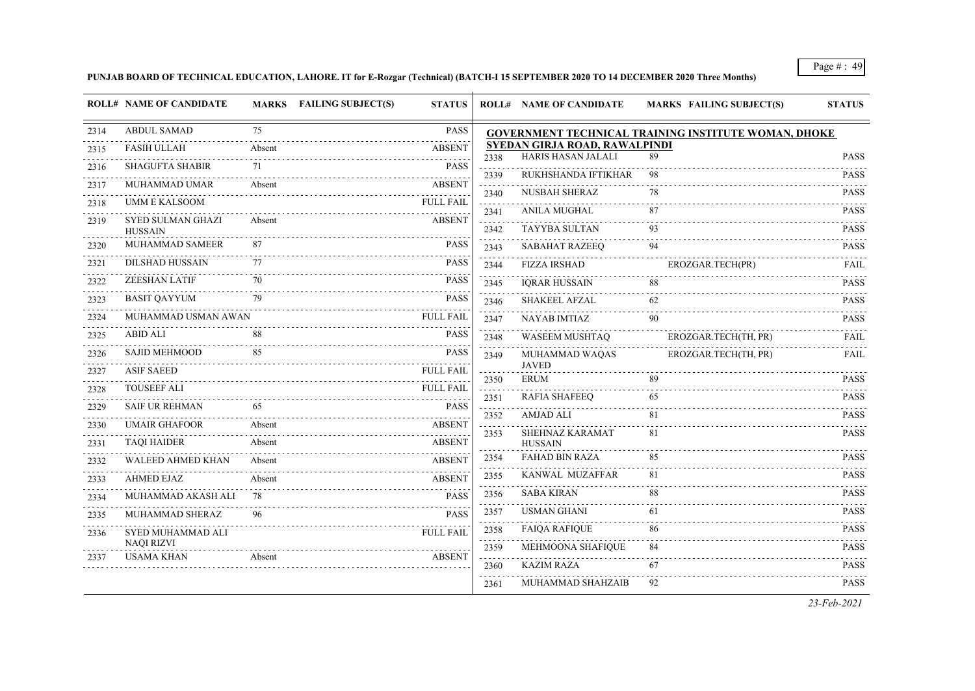# **PUNJAB BOARD OF TECHNICAL EDUCATION, LAHORE. IT for E-Rozgar (Technical) (BATCH-I 15 SEPTEMBER 2020 TO 14 DECEMBER 2020 Three Months)**

|      | <b>ROLL# NAME OF CANDIDATE</b>             |        | <b>MARKS</b> FAILING SUBJECT(S) | <b>STATUS</b>    |                                                                                                                                         | <b>ROLL# NAME OF CANDIDATE</b>                             | <b>MARKS FAILING SUBJECT(S)</b>                             | <b>STATUS</b>              |
|------|--------------------------------------------|--------|---------------------------------|------------------|-----------------------------------------------------------------------------------------------------------------------------------------|------------------------------------------------------------|-------------------------------------------------------------|----------------------------|
| 2314 | <b>ABDUL SAMAD</b>                         | 75     |                                 | PASS             |                                                                                                                                         |                                                            | <b>GOVERNMENT TECHNICAL TRAINING INSTITUTE WOMAN, DHOKE</b> |                            |
| 2315 | <b>FASIH ULLAH</b>                         | Absent |                                 | <b>ABSENT</b>    | 2338                                                                                                                                    | SYEDAN GIRJA ROAD, RAWALPINDI<br><b>HARIS HASAN JALALI</b> | 89                                                          | <b>PASS</b>                |
| 2316 | <b>SHAGUFTA SHABIR</b>                     | 71     |                                 | <b>PASS</b>      |                                                                                                                                         | RUKHSHANDA IFTIKHAR                                        | 98                                                          | .<br><b>PASS</b>           |
| 2317 | MUHAMMAD UMAR                              | Absent |                                 | <b>ABSENT</b>    | 2339<br>$\mathcal{L}^{\mathcal{A}}\mathcal{L}^{\mathcal{A}}\mathcal{L}^{\mathcal{A}}\mathcal{L}^{\mathcal{A}}\mathcal{L}^{\mathcal{A}}$ | <b>NUSBAH SHERAZ</b>                                       |                                                             | <b>PASS</b>                |
| 2318 | <b>UMM E KALSOOM</b>                       |        |                                 | <b>FULL FAIL</b> | 2340                                                                                                                                    | <b>ANILA MUGHAL</b>                                        | 78<br>87                                                    |                            |
| 2319 | <b>SYED SULMAN GHAZI</b><br><b>HUSSAIN</b> | Absent |                                 | <b>ABSENT</b>    | 2341<br>2342                                                                                                                            | TAYYBA SULTAN                                              | 93                                                          | <b>PASS</b><br><b>PASS</b> |
| 2320 | MUHAMMAD SAMEER                            | 87     |                                 | <b>PASS</b>      | 2343                                                                                                                                    | <b>SABAHAT RAZEEQ</b>                                      | 94                                                          | <b>PASS</b>                |
| 2321 | <b>DILSHAD HUSSAIN</b>                     | 77     |                                 | <b>PASS</b>      | 2344                                                                                                                                    | <b>FIZZA IRSHAD</b>                                        | EROZGAR.TECH(PR)                                            | FAIL                       |
| 2322 | <b>ZEESHAN LATIF</b>                       | 70     |                                 | <b>PASS</b>      | 2345                                                                                                                                    | <b>IQRAR HUSSAIN</b>                                       | 88                                                          | 111111<br><b>PASS</b>      |
| 2323 | <b>BASIT QAYYUM</b>                        | 79     |                                 | <b>PASS</b>      | 2346                                                                                                                                    | <b>SHAKEEL AFZAL</b>                                       | 62                                                          | <b>PASS</b>                |
| 2324 | MUHAMMAD USMAN AWAN                        |        |                                 | FULL FAIL        | 2347                                                                                                                                    | <b>NAYAB IMTIAZ</b>                                        | 90                                                          | <b>PASS</b>                |
| 2325 | ABID ALI                                   | 88     |                                 | <b>PASS</b>      | 2348                                                                                                                                    | WASEEM MUSHTAQ                                             | EROZGAR.TECH(TH, PR)                                        | FAIL                       |
| 2326 | <b>SAJID MEHMOOD</b>                       | 85     |                                 | <b>PASS</b>      | 2349                                                                                                                                    | MUHAMMAD WAQAS                                             | EROZGAR.TECH(TH, PR)                                        | FAIL                       |
| 2327 | <b>ASIF SAEED</b>                          |        |                                 | <b>FULL FAIL</b> | 2350                                                                                                                                    | <b>JAVED</b><br><b>ERUM</b>                                | 89                                                          | <b>PASS</b>                |
| 2328 | <b>TOUSEEF ALI</b>                         |        |                                 | FULL FAIL<br>.   | $\omega$ is a set of<br>2351                                                                                                            | <b>RAFIA SHAFEEQ</b>                                       | 65                                                          | <b>PASS</b>                |
| 2329 | <b>SAIF UR REHMAN</b>                      | 65     |                                 | <b>PASS</b>      | $\sim$ 2010 $\sim$<br>2352                                                                                                              | <b>AMJAD ALI</b>                                           | 81                                                          | <b>PASS</b>                |
| 2330 | <b>UMAIR GHAFOOR</b>                       | Absent |                                 | <b>ABSENT</b>    | $\omega$ is a $\omega$<br>2353                                                                                                          | <b>SHEHNAZ KARAMAT</b>                                     | 81                                                          | <b>PASS</b>                |
| 2331 | <b>TAQI HAIDER</b>                         | Absent |                                 | <b>ABSENT</b>    |                                                                                                                                         | <b>HUSSAIN</b>                                             |                                                             |                            |
| 2332 | <b>WALEED AHMED KHAN</b>                   | Absent |                                 | <b>ABSENT</b>    | 2354                                                                                                                                    | <b>FAHAD BIN RAZA</b>                                      | 85                                                          | <b>PASS</b>                |
| 2333 | AHMED EJAZ                                 | Absent |                                 | <b>ABSENT</b>    | 2355                                                                                                                                    | KANWAL MUZAFFAR                                            | 81                                                          | <b>PASS</b>                |
| 2334 | MUHAMMAD AKASH ALI                         | 78     |                                 | <b>PASS</b>      | 2356                                                                                                                                    | <b>SABA KIRAN</b>                                          | 88                                                          | <b>PASS</b>                |
| 2335 | MUHAMMAD SHERAZ                            |        |                                 | <b>PASS</b>      | 2357                                                                                                                                    | <b>USMAN GHANI</b>                                         | 61                                                          | <b>PASS</b>                |
| 2336 | SYED MUHAMMAD ALI                          |        |                                 | <b>FULL FAIL</b> | 2358<br>.                                                                                                                               | <b>FAIQA RAFIQUE</b>                                       | 86                                                          | <b>PASS</b>                |
| 2337 | <b>NAQI RIZVI</b><br><b>USAMA KHAN</b>     | Absent |                                 | <b>ABSENT</b>    | 2359                                                                                                                                    | MEHMOONA SHAFIQUE                                          | 84                                                          | <b>PASS</b>                |
|      |                                            |        |                                 |                  | 2360                                                                                                                                    | <b>KAZIM RAZA</b>                                          | 67                                                          | <b>PASS</b>                |
|      |                                            |        |                                 |                  | 2361                                                                                                                                    | MUHAMMAD SHAHZAIB                                          | 92                                                          | <b>PASS</b>                |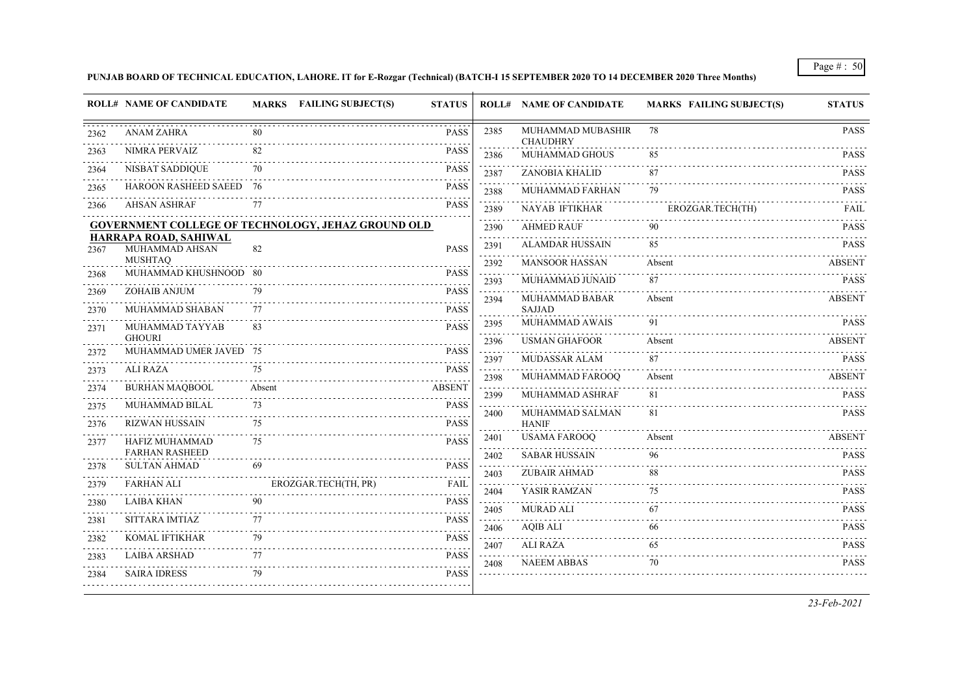### **PUNJAB BOARD OF TECHNICAL EDUCATION, LAHORE. IT for E-Rozgar (Technical) (BATCH-I 15 SEPTEMBER 2020 TO 14 DECEMBER 2020 Three Months)**

|                                                                                                                                                              |                                              |                                                           | MARKS FAILING SUBJECT(S)<br><b>STATUS</b> |                                                                                                                                              | <b>ROLL# NAME OF CANDIDATE</b>       | <b>MARKS FAILING SUBJECT(S)</b> | <b>STATUS</b> |
|--------------------------------------------------------------------------------------------------------------------------------------------------------------|----------------------------------------------|-----------------------------------------------------------|-------------------------------------------|----------------------------------------------------------------------------------------------------------------------------------------------|--------------------------------------|---------------------------------|---------------|
| 2362                                                                                                                                                         | <b>ANAM ZAHRA</b>                            | 80                                                        | <b>PASS</b>                               | 2385                                                                                                                                         | MUHAMMAD MUBASHIR<br><b>CHAUDHRY</b> | 78                              | <b>PASS</b>   |
| 2363                                                                                                                                                         | NIMRA PERVAIZ                                | 82                                                        | <b>PASS</b>                               | 2386                                                                                                                                         | MUHAMMAD GHOUS                       | 85                              | <b>PASS</b>   |
| 2364                                                                                                                                                         | NISBAT SADDIQUE                              | 70                                                        | <b>PASS</b>                               | 2387                                                                                                                                         | ZANOBIA KHALID                       | 87                              | <b>PASS</b>   |
| 2365                                                                                                                                                         | HAROON RASHEED SAEED 76                      |                                                           | <b>PASS</b>                               | 2388                                                                                                                                         | MUHAMMAD FARHAN                      | 79                              | <b>PASS</b>   |
| 2366                                                                                                                                                         | <b>AHSAN ASHRAF</b>                          | 77                                                        | <b>PASS</b>                               | 2389                                                                                                                                         | NAYAB IFTIKHAR                       | EROZGAR.TECH(TH)                | FAIL          |
|                                                                                                                                                              |                                              | <b>GOVERNMENT COLLEGE OF TECHNOLOGY, JEHAZ GROUND OLD</b> |                                           | 2390                                                                                                                                         | <b>AHMED RAUF</b>                    | 90                              | <b>PASS</b>   |
| 2367                                                                                                                                                         | HARRAPA ROAD, SAHIWAL<br>MUHAMMAD AHSAN      | 82                                                        | <b>PASS</b>                               | 2391                                                                                                                                         | <b>ALAMDAR HUSSAIN</b>               | 85                              | <b>PASS</b>   |
|                                                                                                                                                              | <b>MUSHTAQ</b>                               |                                                           |                                           | $\sim 100$ km s $^{-1}$<br>2392                                                                                                              | <b>MANSOOR HASSAN</b>                | Absent                          | <b>ABSENT</b> |
| 2368                                                                                                                                                         | MUHAMMAD KHUSHNOOD 80                        |                                                           | <b>PASS</b>                               | $\sim 100$ km s $^{-1}$<br>2393                                                                                                              | MUHAMMAD JUNAID                      | 87                              | <b>PASS</b>   |
| 2369                                                                                                                                                         | ZOHAIB ANJUM                                 | 79                                                        | <b>PASS</b>                               | 2394                                                                                                                                         | MUHAMMAD BABAR                       | Absent                          | <b>ABSENT</b> |
| 2370                                                                                                                                                         | MUHAMMAD SHABAN                              | 77                                                        | <b>PASS</b>                               |                                                                                                                                              | <b>SAJJAD</b>                        |                                 |               |
| 2371                                                                                                                                                         | MUHAMMAD TAYYAB                              | 83                                                        | <b>PASS</b>                               | 2395<br>.                                                                                                                                    | MUHAMMAD AWAIS                       | 91                              | <b>PASS</b>   |
| 2372                                                                                                                                                         | <b>GHOURI</b><br>MUHAMMAD UMER JAVED 75      |                                                           | <b>PASS</b>                               | 2396                                                                                                                                         | <b>USMAN GHAFOOR</b>                 | Absent                          | <b>ABSENT</b> |
|                                                                                                                                                              | <b>ALI RAZA</b>                              | 75                                                        | <b>PASS</b>                               | 2397                                                                                                                                         | MUDASSAR ALAM                        | 87                              | <b>PASS</b>   |
| 2373<br>$\frac{1}{2} \left( \frac{1}{2} \right) \left( \frac{1}{2} \right) \left( \frac{1}{2} \right) \left( \frac{1}{2} \right) \left( \frac{1}{2} \right)$ |                                              |                                                           |                                           | 2398                                                                                                                                         | MUHAMMAD FAROOQ                      | Absent                          | <b>ABSENT</b> |
| 2374                                                                                                                                                         | <b>BURHAN MAQBOOL</b>                        | Absent                                                    | <b>ABSENT</b>                             | $\sim$ $\sim$ $\sim$ $\sim$<br>2399                                                                                                          | MUHAMMAD ASHRAF                      | 81                              | <b>PASS</b>   |
| 2375                                                                                                                                                         | <b>MUHAMMAD BILAL</b>                        | 73                                                        | <b>PASS</b>                               | $\mathcal{L}^{\mathcal{A}}\left( \mathcal{L}^{\mathcal{A}}\right) =\mathcal{L}^{\mathcal{A}}\left( \mathcal{L}^{\mathcal{A}}\right)$<br>2400 | MUHAMMAD SALMAN                      | 81                              | <b>PASS</b>   |
| 2376                                                                                                                                                         | <b>RIZWAN HUSSAIN</b>                        | 75                                                        | <b>PASS</b>                               |                                                                                                                                              | <b>HANIF</b>                         |                                 |               |
| 2377                                                                                                                                                         | HAFIZ MUHAMMAD                               | 75                                                        | <b>PASS</b>                               | 2401<br>$\sim$ $\sim$ $\sim$ $\sim$                                                                                                          | <b>USAMA FAROOQ</b>                  | Absent                          | <b>ABSENT</b> |
|                                                                                                                                                              | <b>FARHAN RASHEED</b><br><b>SULTAN AHMAD</b> | 69                                                        | <b>PASS</b>                               | 2402<br>$\sim$ $\sim$ $\sim$ $\sim$                                                                                                          | <b>SABAR HUSSAIN</b>                 | 96                              | <b>PASS</b>   |
| 2378                                                                                                                                                         |                                              |                                                           |                                           | 2403                                                                                                                                         | <b>ZUBAIR AHMAD</b>                  | 88                              | <b>PASS</b>   |
| 2379                                                                                                                                                         | <b>FARHAN ALI</b>                            | EROZGAR.TECH(TH, PR)                                      | FAIL                                      | 2404                                                                                                                                         | YASIR RAMZAN                         | 75                              | <b>PASS</b>   |
| 2380                                                                                                                                                         | LAIBA KHAN                                   | 90                                                        | <b>PASS</b>                               | 2405                                                                                                                                         | <b>MURAD ALI</b>                     | 67                              | <b>PASS</b>   |
| 2381                                                                                                                                                         | SITTARA IMTIAZ                               | 77                                                        | <b>PASS</b>                               | 2406                                                                                                                                         | AQIB ALI                             | 66                              | <b>PASS</b>   |
| 2382                                                                                                                                                         | <b>KOMAL IFTIKHAR</b>                        | 79                                                        | <b>PASS</b>                               | 2407                                                                                                                                         | <b>ALI RAZA</b>                      | 65                              | <b>PASS</b>   |
| 2383                                                                                                                                                         | <b>LAIBA ARSHAD</b>                          | 77                                                        | <b>PASS</b>                               | 2408                                                                                                                                         | <b>NAEEM ABBAS</b>                   | 70                              | <b>PASS</b>   |
| 2384                                                                                                                                                         | <b>SAIRA IDRESS</b>                          | 79                                                        | <b>PASS</b>                               |                                                                                                                                              |                                      |                                 |               |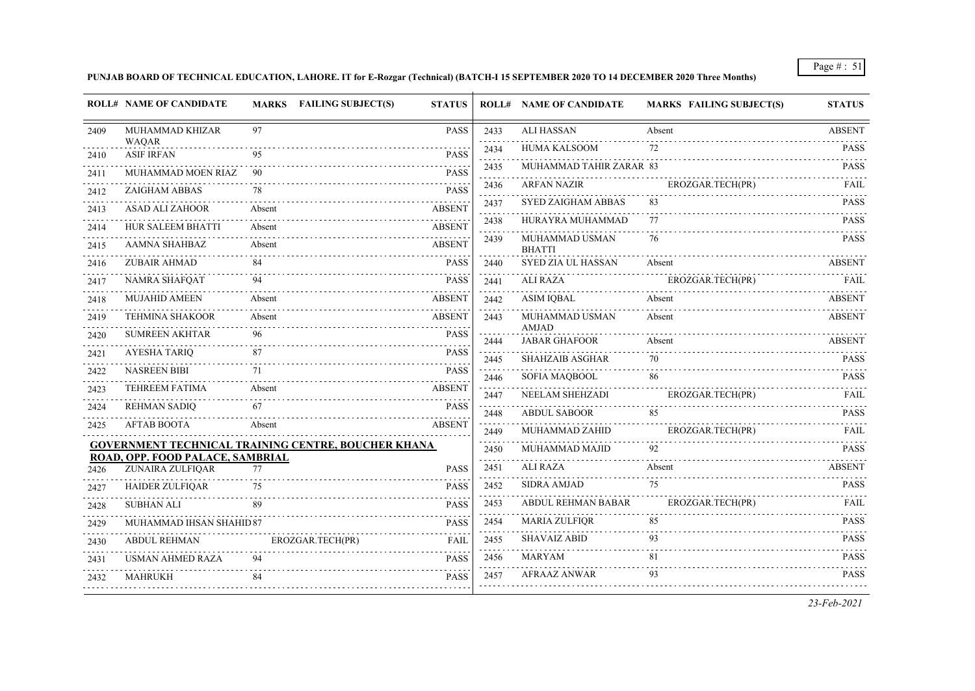# **PUNJAB BOARD OF TECHNICAL EDUCATION, LAHORE. IT for E-Rozgar (Technical) (BATCH-I 15 SEPTEMBER 2020 TO 14 DECEMBER 2020 Three Months)**

| 97<br><b>PASS</b><br><b>ALI HASSAN</b><br>MUHAMMAD KHIZAR<br>2433<br>Absent<br>2409<br><b>WAOAR</b><br>$\alpha$ , $\alpha$ , $\alpha$ , $\alpha$<br><b>HUMA KALSOOM</b><br>72<br>2434<br><b>ASIF IRFAN</b><br><b>PASS</b><br>95<br>2410<br>MUHAMMAD TAHIR ZARAR 83<br>2435<br>MUHAMMAD MOEN RIAZ<br>90<br><b>PASS</b><br>2411<br><b>ARFAN NAZIR</b><br>EROZGAR.TECH(PR)<br>2436<br>ZAIGHAM ABBAS<br>78<br><b>PASS</b><br>2412<br>$\omega_{\rm{eff}}$ and $\omega_{\rm{eff}}$<br><b>SYED ZAIGHAM ABBAS</b><br>83<br>2437<br><b>ASAD ALI ZAHOOR</b><br>Absent<br><b>ABSENT</b><br>2413<br>and a state<br>HURAYRA MUHAMMAD<br>77<br>2438<br>HUR SALEEM BHATTI<br>Absent<br><b>ABSENT</b><br>2414<br>MUHAMMAD USMAN<br>76<br>2439<br><b>AAMNA SHAHBAZ</b><br>Absent<br><b>ABSENT</b><br>2415<br><b>BHATTI</b><br><b>ZUBAIR AHMAD</b><br>84<br>SYED ZIA UL HASSAN<br><b>PASS</b><br>Absent<br>2440<br>2416<br><b>NAMRA SHAFQAT</b><br>94<br><b>PASS</b><br>ALI RAZA<br>EROZGAR.TECH(PR)<br>2441<br>2417<br>Absent<br><b>MUJAHID AMEEN</b><br>ASIM IOBAL<br>Absent<br><b>ABSENT</b><br>2442<br>2418<br><b>TEHMINA SHAKOOR</b><br>Absent<br><b>ABSENT</b><br>MUHAMMAD USMAN<br>Absent<br>2443<br>2419<br>AMJAD<br><b>PASS</b><br><b>SUMREEN AKHTAR</b><br>96<br>2420<br><b>JABAR GHAFOOR</b><br>Absent<br>2444<br><b>AYESHA TARIQ</b><br>87<br><b>PASS</b><br>2421<br><b>SHAHZAIB ASGHAR</b><br>70<br>2445<br><b>NASREEN BIBI</b><br>71<br><b>PASS</b><br>2422<br>SOFIA MAQBOOL<br>86<br>2446<br><b>TEHREEM FATIMA</b><br><b>ABSENT</b><br>Absent<br>2423<br>NEELAM SHEHZADI<br>EROZGAR.TECH(PR)<br>2447<br><b>REHMAN SADIQ</b><br><b>PASS</b><br>67<br>2424<br>85<br><b>ABDUL SABOOR</b><br>2448<br><b>AFTAB BOOTA</b><br>Absent<br><b>ABSENT</b><br>2425<br>MUHAMMAD ZAHID<br>EROZGAR.TECH(PR)<br>2449<br>.<br>GOVERNMENT TECHNICAL TRAINING CENTRE, BOUCHER KHANA<br>MUHAMMAD MAJID<br>92<br>2450<br>ROAD, OPP. FOOD PALACE, SAMBRIAL |  |      | <b>ROLL# NAME OF CANDIDATE</b> | <b>MARKS FAILING SUBJECT(S)</b> | <b>STATUS</b> |
|-----------------------------------------------------------------------------------------------------------------------------------------------------------------------------------------------------------------------------------------------------------------------------------------------------------------------------------------------------------------------------------------------------------------------------------------------------------------------------------------------------------------------------------------------------------------------------------------------------------------------------------------------------------------------------------------------------------------------------------------------------------------------------------------------------------------------------------------------------------------------------------------------------------------------------------------------------------------------------------------------------------------------------------------------------------------------------------------------------------------------------------------------------------------------------------------------------------------------------------------------------------------------------------------------------------------------------------------------------------------------------------------------------------------------------------------------------------------------------------------------------------------------------------------------------------------------------------------------------------------------------------------------------------------------------------------------------------------------------------------------------------------------------------------------------------------------------------------------------------------------------------------------------------------------------------|--|------|--------------------------------|---------------------------------|---------------|
|                                                                                                                                                                                                                                                                                                                                                                                                                                                                                                                                                                                                                                                                                                                                                                                                                                                                                                                                                                                                                                                                                                                                                                                                                                                                                                                                                                                                                                                                                                                                                                                                                                                                                                                                                                                                                                                                                                                                   |  |      |                                |                                 | <b>ABSENT</b> |
|                                                                                                                                                                                                                                                                                                                                                                                                                                                                                                                                                                                                                                                                                                                                                                                                                                                                                                                                                                                                                                                                                                                                                                                                                                                                                                                                                                                                                                                                                                                                                                                                                                                                                                                                                                                                                                                                                                                                   |  |      |                                |                                 | <b>PASS</b>   |
|                                                                                                                                                                                                                                                                                                                                                                                                                                                                                                                                                                                                                                                                                                                                                                                                                                                                                                                                                                                                                                                                                                                                                                                                                                                                                                                                                                                                                                                                                                                                                                                                                                                                                                                                                                                                                                                                                                                                   |  |      |                                |                                 | <b>PASS</b>   |
|                                                                                                                                                                                                                                                                                                                                                                                                                                                                                                                                                                                                                                                                                                                                                                                                                                                                                                                                                                                                                                                                                                                                                                                                                                                                                                                                                                                                                                                                                                                                                                                                                                                                                                                                                                                                                                                                                                                                   |  |      |                                |                                 | FAIL          |
|                                                                                                                                                                                                                                                                                                                                                                                                                                                                                                                                                                                                                                                                                                                                                                                                                                                                                                                                                                                                                                                                                                                                                                                                                                                                                                                                                                                                                                                                                                                                                                                                                                                                                                                                                                                                                                                                                                                                   |  |      |                                |                                 | <b>PASS</b>   |
|                                                                                                                                                                                                                                                                                                                                                                                                                                                                                                                                                                                                                                                                                                                                                                                                                                                                                                                                                                                                                                                                                                                                                                                                                                                                                                                                                                                                                                                                                                                                                                                                                                                                                                                                                                                                                                                                                                                                   |  |      |                                |                                 | <b>PASS</b>   |
|                                                                                                                                                                                                                                                                                                                                                                                                                                                                                                                                                                                                                                                                                                                                                                                                                                                                                                                                                                                                                                                                                                                                                                                                                                                                                                                                                                                                                                                                                                                                                                                                                                                                                                                                                                                                                                                                                                                                   |  |      |                                |                                 | <b>PASS</b>   |
|                                                                                                                                                                                                                                                                                                                                                                                                                                                                                                                                                                                                                                                                                                                                                                                                                                                                                                                                                                                                                                                                                                                                                                                                                                                                                                                                                                                                                                                                                                                                                                                                                                                                                                                                                                                                                                                                                                                                   |  |      |                                |                                 | <b>ABSENT</b> |
|                                                                                                                                                                                                                                                                                                                                                                                                                                                                                                                                                                                                                                                                                                                                                                                                                                                                                                                                                                                                                                                                                                                                                                                                                                                                                                                                                                                                                                                                                                                                                                                                                                                                                                                                                                                                                                                                                                                                   |  |      |                                |                                 | FAIL          |
|                                                                                                                                                                                                                                                                                                                                                                                                                                                                                                                                                                                                                                                                                                                                                                                                                                                                                                                                                                                                                                                                                                                                                                                                                                                                                                                                                                                                                                                                                                                                                                                                                                                                                                                                                                                                                                                                                                                                   |  |      |                                |                                 | <b>ABSENT</b> |
|                                                                                                                                                                                                                                                                                                                                                                                                                                                                                                                                                                                                                                                                                                                                                                                                                                                                                                                                                                                                                                                                                                                                                                                                                                                                                                                                                                                                                                                                                                                                                                                                                                                                                                                                                                                                                                                                                                                                   |  |      |                                |                                 | <b>ABSENT</b> |
|                                                                                                                                                                                                                                                                                                                                                                                                                                                                                                                                                                                                                                                                                                                                                                                                                                                                                                                                                                                                                                                                                                                                                                                                                                                                                                                                                                                                                                                                                                                                                                                                                                                                                                                                                                                                                                                                                                                                   |  |      |                                |                                 | <b>ABSENT</b> |
|                                                                                                                                                                                                                                                                                                                                                                                                                                                                                                                                                                                                                                                                                                                                                                                                                                                                                                                                                                                                                                                                                                                                                                                                                                                                                                                                                                                                                                                                                                                                                                                                                                                                                                                                                                                                                                                                                                                                   |  |      |                                |                                 | <b>PASS</b>   |
|                                                                                                                                                                                                                                                                                                                                                                                                                                                                                                                                                                                                                                                                                                                                                                                                                                                                                                                                                                                                                                                                                                                                                                                                                                                                                                                                                                                                                                                                                                                                                                                                                                                                                                                                                                                                                                                                                                                                   |  |      |                                |                                 | <b>PASS</b>   |
|                                                                                                                                                                                                                                                                                                                                                                                                                                                                                                                                                                                                                                                                                                                                                                                                                                                                                                                                                                                                                                                                                                                                                                                                                                                                                                                                                                                                                                                                                                                                                                                                                                                                                                                                                                                                                                                                                                                                   |  |      |                                |                                 | FAIL          |
|                                                                                                                                                                                                                                                                                                                                                                                                                                                                                                                                                                                                                                                                                                                                                                                                                                                                                                                                                                                                                                                                                                                                                                                                                                                                                                                                                                                                                                                                                                                                                                                                                                                                                                                                                                                                                                                                                                                                   |  |      |                                |                                 | <b>PASS</b>   |
|                                                                                                                                                                                                                                                                                                                                                                                                                                                                                                                                                                                                                                                                                                                                                                                                                                                                                                                                                                                                                                                                                                                                                                                                                                                                                                                                                                                                                                                                                                                                                                                                                                                                                                                                                                                                                                                                                                                                   |  |      |                                |                                 | <b>FAIL</b>   |
|                                                                                                                                                                                                                                                                                                                                                                                                                                                                                                                                                                                                                                                                                                                                                                                                                                                                                                                                                                                                                                                                                                                                                                                                                                                                                                                                                                                                                                                                                                                                                                                                                                                                                                                                                                                                                                                                                                                                   |  |      |                                |                                 | <b>PASS</b>   |
| ZUNAIRA ZULFIQAR<br><b>PASS</b><br>77<br>2426                                                                                                                                                                                                                                                                                                                                                                                                                                                                                                                                                                                                                                                                                                                                                                                                                                                                                                                                                                                                                                                                                                                                                                                                                                                                                                                                                                                                                                                                                                                                                                                                                                                                                                                                                                                                                                                                                     |  | 2451 | ALI RAZA                       | Absent                          | <b>ABSENT</b> |
| 75<br><b>SIDRA AMJAD</b><br>2452<br><b>HAIDER ZULFIQAR</b><br><b>PASS</b><br>75<br>2427                                                                                                                                                                                                                                                                                                                                                                                                                                                                                                                                                                                                                                                                                                                                                                                                                                                                                                                                                                                                                                                                                                                                                                                                                                                                                                                                                                                                                                                                                                                                                                                                                                                                                                                                                                                                                                           |  |      |                                |                                 | <b>PASS</b>   |
| ABDUL REHMAN BABAR<br>EROZGAR.TECH(PR)<br>89<br>2453<br><b>SUBHAN ALI</b><br><b>PASS</b><br>2428                                                                                                                                                                                                                                                                                                                                                                                                                                                                                                                                                                                                                                                                                                                                                                                                                                                                                                                                                                                                                                                                                                                                                                                                                                                                                                                                                                                                                                                                                                                                                                                                                                                                                                                                                                                                                                  |  |      |                                |                                 | FAIL          |
| 85<br><b>MARIA ZULFIQR</b><br>2454<br><b>PASS</b><br>MUHAMMAD IHSAN SHAHID 87<br>2429                                                                                                                                                                                                                                                                                                                                                                                                                                                                                                                                                                                                                                                                                                                                                                                                                                                                                                                                                                                                                                                                                                                                                                                                                                                                                                                                                                                                                                                                                                                                                                                                                                                                                                                                                                                                                                             |  |      |                                |                                 | <b>PASS</b>   |
| <b>SHAVAIZ ABID</b><br>93<br><b>ABDUL REHMAN</b><br>2455<br>EROZGAR.TECH(PR)<br><b>FAIL</b><br>2430                                                                                                                                                                                                                                                                                                                                                                                                                                                                                                                                                                                                                                                                                                                                                                                                                                                                                                                                                                                                                                                                                                                                                                                                                                                                                                                                                                                                                                                                                                                                                                                                                                                                                                                                                                                                                               |  |      |                                |                                 | <b>PASS</b>   |
| 81<br>MARYAM<br><b>USMAN AHMED RAZA</b><br>94<br>2456<br><b>PASS</b><br>2431                                                                                                                                                                                                                                                                                                                                                                                                                                                                                                                                                                                                                                                                                                                                                                                                                                                                                                                                                                                                                                                                                                                                                                                                                                                                                                                                                                                                                                                                                                                                                                                                                                                                                                                                                                                                                                                      |  |      |                                |                                 | <b>PASS</b>   |
| 93<br><b>AFRAAZ ANWAR</b><br>2457<br>84<br><b>PASS</b><br><b>MAHRUKH</b><br>2432                                                                                                                                                                                                                                                                                                                                                                                                                                                                                                                                                                                                                                                                                                                                                                                                                                                                                                                                                                                                                                                                                                                                                                                                                                                                                                                                                                                                                                                                                                                                                                                                                                                                                                                                                                                                                                                  |  |      |                                |                                 | <b>PASS</b>   |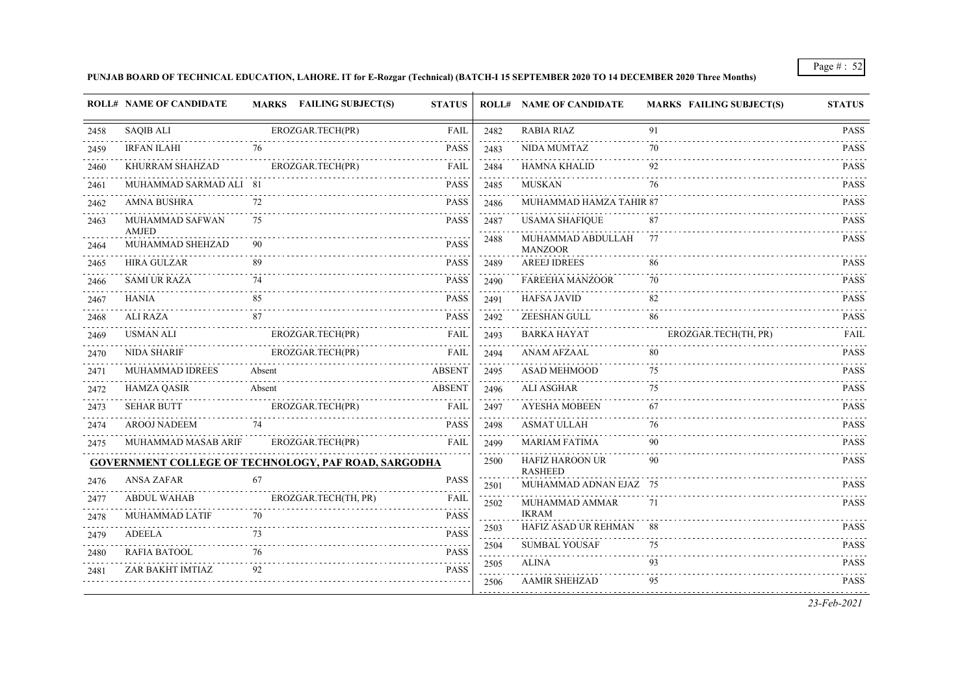#### **PUNJAB BOARD OF TECHNICAL EDUCATION, LAHORE. IT for E-Rozgar (Technical) (BATCH-I 15 SEPTEMBER 2020 TO 14 DECEMBER 2020 Three Months)**

|      | <b>ROLL# NAME OF CANDIDATE</b>  | MARKS FAILING SUBJECT(S)                                    | <b>STATUS</b> |                      | <b>ROLL# NAME OF CANDIDATE</b>           | <b>MARKS FAILING SUBJECT(S)</b> | <b>STATUS</b> |
|------|---------------------------------|-------------------------------------------------------------|---------------|----------------------|------------------------------------------|---------------------------------|---------------|
| 2458 | <b>SAQIB ALI</b>                | EROZGAR.TECH(PR)                                            | <b>FAIL</b>   | 2482                 | <b>RABIA RIAZ</b>                        | 91                              | <b>PASS</b>   |
| 2459 | <b>IRFAN ILAHI</b>              | .<br>76                                                     | <b>PASS</b>   | 2483                 | NIDA MUMTAZ                              | 70                              | <b>PASS</b>   |
| 2460 | KHURRAM SHAHZAD                 | EROZGAR.TECH(PR)                                            | FAIL          | and a series<br>2484 | HAMNA KHALID                             | 92                              | <b>PASS</b>   |
| 2461 | MUHAMMAD SARMAD ALI 81          |                                                             | <b>PASS</b>   | 2485                 | <b>MUSKAN</b>                            | 76                              | <b>PASS</b>   |
| 2462 | AMNA BUSHRA                     | 72                                                          | <b>PASS</b>   | 2486                 | MUHAMMAD HAMZA TAHIR 87                  |                                 | <b>PASS</b>   |
| 2463 | MUHAMMAD SAFWAN<br><b>AMJED</b> | 75                                                          | <b>PASS</b>   | 2487                 | <b>USAMA SHAFIQUE</b>                    | 87                              | <b>PASS</b>   |
| 2464 | MUHAMMAD SHEHZAD                | .                                                           | <b>PASS</b>   | 2488                 | MUHAMMAD ABDULLAH<br><b>MANZOOR</b>      | 77                              | <b>PASS</b>   |
| 2465 | <b>HIRA GULZAR</b>              |                                                             | <b>PASS</b>   | 2489                 | <b>AREEJ IDREES</b>                      | 86                              | <b>PASS</b>   |
| 2466 | <b>SAMI UR RAZA</b>             | 74                                                          | <b>PASS</b>   | 2490                 | <b>FAREEHA MANZOOR</b>                   | 70                              | <b>PASS</b>   |
| 2467 | <b>HANIA</b>                    | 85                                                          | <b>PASS</b>   | 2491                 | <b>HAFSA JAVID</b>                       | 82                              | <b>PASS</b>   |
| 2468 | ALI RAZA                        | 87                                                          | <b>PASS</b>   | 2492                 | ZEESHAN GULL                             | 86                              | <b>PASS</b>   |
| 2469 | <b>USMAN ALI</b>                | EROZGAR.TECH(PR)                                            | FAIL          | 2493                 | <b>BARKA HAYAT</b>                       | EROZGAR.TECH(TH, PR)            | FAIL          |
| 2470 | <b>NIDA SHARIF</b>              | EROZGAR.TECH(PR)                                            | <b>FAIL</b>   | 2494                 | ANAM AFZAAL                              | 80                              | <b>PASS</b>   |
| 2471 | <b>MUHAMMAD IDREES</b>          | Absent                                                      | <b>ABSENT</b> | $-1 - 1 - 1$<br>2495 | ASAD MEHMOOD                             | 75                              | <b>PASS</b>   |
| 2472 | <b>HAMZA QASIR</b>              | Absent                                                      | <b>ABSENT</b> | 2496                 | <b>ALI ASGHAR</b>                        | 75                              | <b>PASS</b>   |
| 2473 | <b>SEHAR BUTT</b>               | EROZGAR.TECH(PR)                                            | FAIL          | 2497                 | <b>AYESHA MOBEEN</b>                     | 67                              | <b>PASS</b>   |
| 2474 | <b>AROOJ NADEEM</b>             | 74                                                          | <b>PASS</b>   | 2498                 | <b>ASMAT ULLAH</b>                       | 76                              | <b>PASS</b>   |
| 2475 | MUHAMMAD MASAB ARIF             | EROZGAR.TECH(PR)                                            | <b>FAIL</b>   | 2499                 | <b>MARIAM FATIMA</b>                     | 90                              | <b>PASS</b>   |
|      |                                 | <b>GOVERNMENT COLLEGE OF TECHNOLOGY, PAF ROAD, SARGODHA</b> |               | 2500                 | <b>HAFIZ HAROON UR</b><br><b>RASHEED</b> | 90                              | <b>PASS</b>   |
| 2476 | <b>ANSA ZAFAR</b>               | 67                                                          | <b>PASS</b>   | 2501                 | MUHAMMAD ADNAN EJAZ 75                   |                                 | <b>PASS</b>   |
| 2477 | <b>ABDUL WAHAB</b>              | EROZGAR.TECH(TH, PR)                                        | FAIL          | 2502                 | MUHAMMAD AMMAR                           | 71                              | <b>PASS</b>   |
| 2478 | MUHAMMAD LATIF                  | 70                                                          | <b>PASS</b>   |                      | <b>IKRAM</b>                             |                                 |               |
| 2479 | ADEELA                          | 73                                                          | <b>PASS</b>   | 2503                 | HAFIZ ASAD UR REHMAN                     | 88                              | <b>PASS</b>   |
| 2480 | RAFIA BATOOL                    | 76                                                          | <b>PASS</b>   | 2504<br>2.2.2.2      | <b>SUMBAL YOUSAF</b>                     | 75<br>.                         | <b>PASS</b>   |
| 2481 | ZAR BAKHT IMTIAZ                |                                                             | <b>PASS</b>   | 2505                 | ALINA                                    | 93                              | <b>PASS</b>   |
|      |                                 |                                                             |               | 2506                 | <b>AAMIR SHEHZAD</b>                     | 95                              | <b>PASS</b>   |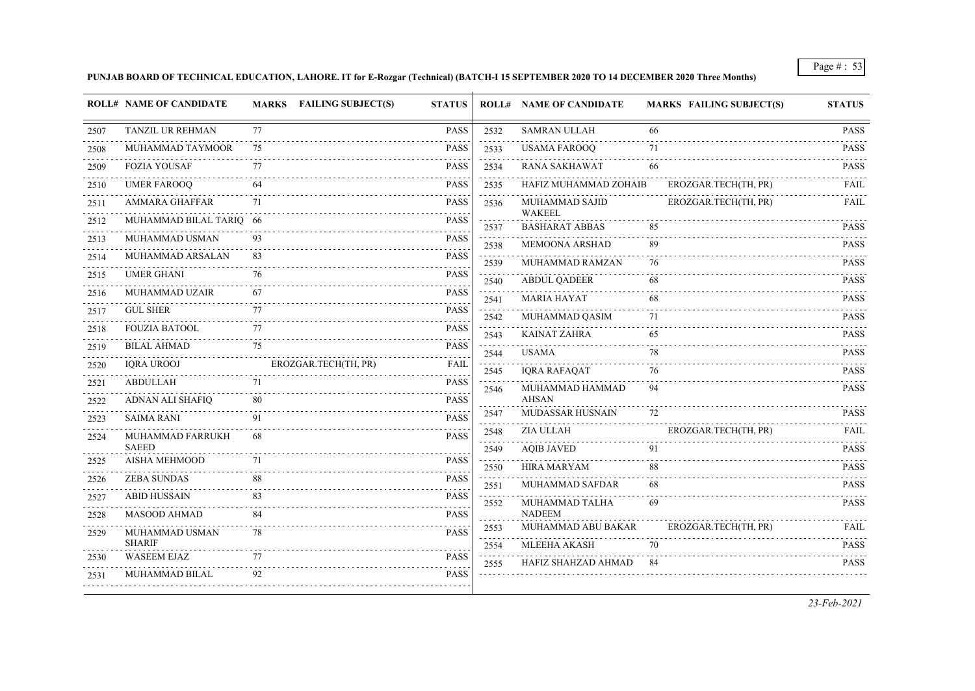### **PUNJAB BOARD OF TECHNICAL EDUCATION, LAHORE. IT for E-Rozgar (Technical) (BATCH-I 15 SEPTEMBER 2020 TO 14 DECEMBER 2020 Three Months)**

|                                     | <b>ROLL# NAME OF CANDIDATE</b>      | <b>MARKS</b> FAILING SUBJECT(S) | <b>STATUS</b>                              |      | <b>ROLL# NAME OF CANDIDATE</b>          | <b>MARKS FAILING SUBJECT(S)</b> | <b>STATUS</b>              |
|-------------------------------------|-------------------------------------|---------------------------------|--------------------------------------------|------|-----------------------------------------|---------------------------------|----------------------------|
| 2507                                | TANZIL UR REHMAN                    | 77                              | PASS                                       | 2532 | <b>SAMRAN ULLAH</b>                     | 66                              | <b>PASS</b>                |
| 2508                                | MUHAMMAD TAYMOOR                    | 75                              | <b>PASS</b>                                | 2533 | <b>USAMA FAROOQ</b>                     | 71                              | <b>PASS</b>                |
| 2509                                | <b>FOZIA YOUSAF</b>                 | 77                              | <b>PASS</b>                                | 2534 | <b>RANA SAKHAWAT</b>                    | 66                              | <b>PASS</b>                |
| 2510                                | <b>UMER FAROOQ</b>                  | 64                              | <b>PASS</b>                                | 2535 | HAFIZ MUHAMMAD ZOHAIB                   | EROZGAR.TECH(TH, PR)            | FAIL                       |
| $\sim$ $\sim$ $\sim$ $\sim$<br>2511 | <b>AMMARA GHAFFAR</b>               | 71                              | <b>PASS</b>                                | 2536 | MUHAMMAD SAJID                          | EROZGAR.TECH(TH, PR)            | FAIL                       |
| 2512                                | MUHAMMAD BILAL TARIQ 66             |                                 | <b>PASS</b>                                | 2537 | <b>WAKEEL</b><br><b>BASHARAT ABBAS</b>  | 85                              | <b>PASS</b>                |
| 2513                                | MUHAMMAD USMAN                      | 93                              | <b>PASS</b>                                | 2538 | MEMOONA ARSHAD                          | 89                              | <b>PASS</b>                |
| 2514                                | MUHAMMAD ARSALAN                    | 83                              | <b>PASS</b>                                | 2539 | MUHAMMAD RAMZAN                         | 76                              | <b>PASS</b>                |
| 2515                                | <b>UMER GHANI</b>                   | 76                              | <b>PASS</b>                                | 2540 | <b>ABDUL QADEER</b>                     | 68                              | <b>PASS</b>                |
| 2516                                | MUHAMMAD UZAIR                      | 67                              | <b>PASS</b>                                | 2541 | <b>MARIA HAYAT</b>                      | 68                              | <b>PASS</b>                |
| 2517                                | <b>GUL SHER</b>                     | 77                              | <b>PASS</b>                                | 2542 | MUHAMMAD QASIM                          | 71                              | <b>PASS</b>                |
| 2518                                | <b>FOUZIA BATOOL</b>                | 77                              | <b>PASS</b><br>$\sim 100$ km s $^{-1}$     | 2543 | <b>KAINAT ZAHRA</b>                     | 65                              | <b>PASS</b>                |
| 2519                                | <b>BILAL AHMAD</b>                  | 75                              | <b>PASS</b>                                | 2544 | <b>USAMA</b>                            | 78                              | <b>PASS</b>                |
| 2520                                | <b>IQRA UROOJ</b>                   | EROZGAR.TECH(TH, PR)            | <b>FAIL</b>                                | 2545 | <b>IQRA RAFAQAT</b>                     | 76                              | <b>PASS</b>                |
| 2521                                | <b>ABDULLAH</b>                     | 71                              | <b>PASS</b><br>$\sim 100$ and $\sim 100$   | 2546 | MUHAMMAD HAMMAD                         | 94                              | <b>PASS</b>                |
| 2522                                | ADNAN ALI SHAFIQ                    | 80                              | <b>PASS</b>                                |      | <b>AHSAN</b>                            |                                 |                            |
| 2523                                | <b>SAIMA RANI</b>                   | 91                              | <b>PASS</b>                                | 2547 | MUDASSAR HUSNAIN<br>ZIA ULLAH           | 72                              | <b>PASS</b>                |
| 2524                                | MUHAMMAD FARRUKH<br><b>SAEED</b>    | 68                              | <b>PASS</b>                                | 2548 |                                         | EROZGAR.TECH(TH, PR)            | FAIL                       |
| 2525                                | <b>AISHA MEHMOOD</b>                | 71                              | <b>PASS</b>                                | 2549 | <b>AQIB JAVED</b><br><b>HIRA MARYAM</b> | 91<br>88                        | <b>PASS</b><br><b>PASS</b> |
| 2526                                | <b>ZEBA SUNDAS</b>                  | 88                              | <b>PASS</b>                                | 2550 | MUHAMMAD SAFDAR                         | 68                              | <b>PASS</b>                |
| 2527                                | <b>ABID HUSSAIN</b>                 | 83                              | <b>PASS</b>                                | 2551 | MUHAMMAD TALHA                          | 69                              | <b>PASS</b>                |
| 2528                                | <b>MASOOD AHMAD</b>                 | 84                              | <b>PASS</b>                                | 2552 | <b>NADEEM</b>                           |                                 |                            |
| 2529                                | MUHAMMAD USMAN                      | 78                              | <b>PASS</b>                                | 2553 | MUHAMMAD ABU BAKAR                      | EROZGAR.TECH(TH, PR)            | FAIL                       |
|                                     | <b>SHARIF</b><br><b>WASEEM EJAZ</b> | 77                              | <b>PASS</b>                                | 2554 | MLEEHA AKASH                            | 70                              | <b>PASS</b>                |
| 2530                                | MUHAMMAD BILAL                      | 92                              | $\sim$ $\sim$ $\sim$ $\sim$<br><b>PASS</b> | 2555 | HAFIZ SHAHZAD AHMAD                     | 84                              | <b>PASS</b>                |
| 2531                                |                                     |                                 |                                            |      |                                         |                                 |                            |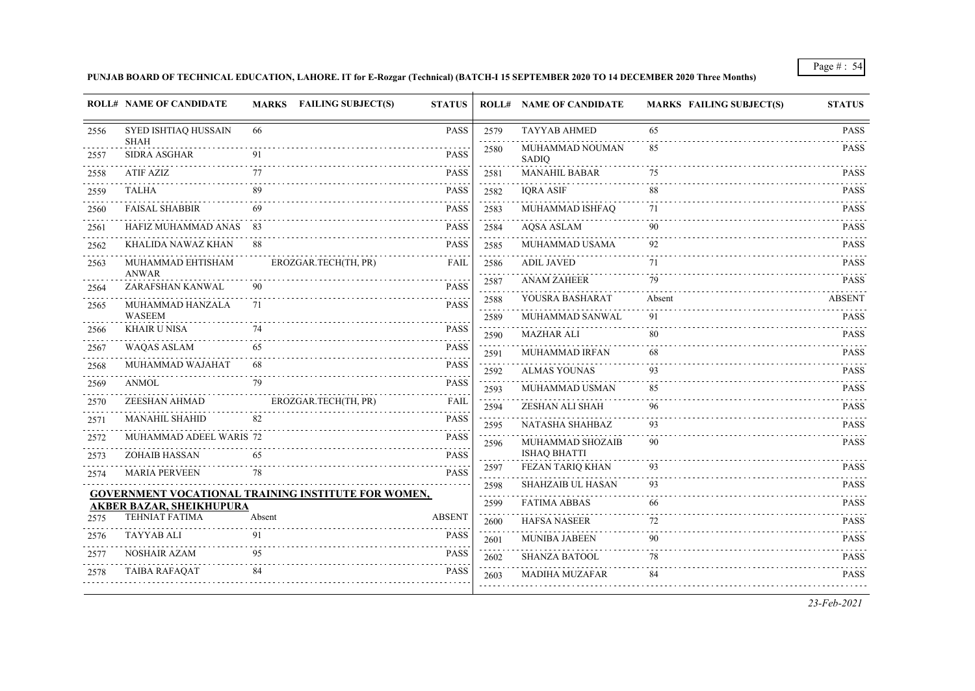# **PUNJAB BOARD OF TECHNICAL EDUCATION, LAHORE. IT for E-Rozgar (Technical) (BATCH-I 15 SEPTEMBER 2020 TO 14 DECEMBER 2020 Three Months)**

|      | <b>ROLL# NAME OF CANDIDATE</b>     | MARKS FAILING SUBJECT(S)                                   | <b>STATUS</b>    |                        | <b>ROLL# NAME OF CANDIDATE</b> | <b>MARKS FAILING SUBJECT(S)</b> | <b>STATUS</b> |
|------|------------------------------------|------------------------------------------------------------|------------------|------------------------|--------------------------------|---------------------------------|---------------|
| 2556 | SYED ISHTIAQ HUSSAIN               | 66                                                         | <b>PASS</b>      | 2579                   | <b>TAYYAB AHMED</b>            | 65                              | <b>PASS</b>   |
| 2557 | <b>SHAH</b><br><b>SIDRA ASGHAR</b> | 91                                                         | <b>PASS</b>      | 2580                   | MUHAMMAD NOUMAN<br>SADIQ       | 85                              | <b>PASS</b>   |
| 2558 | ATIF AZIZ                          | 77                                                         | <b>PASS</b>      | 2581                   | <b>MANAHIL BABAR</b>           | 75                              | <b>PASS</b>   |
| 2559 | <b>TALHA</b>                       |                                                            | <b>PASS</b>      | 2582                   | <b>IQRA ASIF</b>               | 88                              | <b>PASS</b>   |
| 2560 | <b>FAISAL SHABBIR</b>              | 69                                                         | <b>PASS</b>      | 2583                   | MUHAMMAD ISHFAQ                | 71                              | <b>PASS</b>   |
| 2561 | HAFIZ MUHAMMAD ANAS                | - 83                                                       | <b>PASS</b>      | 2584                   | <b>AQSA ASLAM</b>              | 90                              | <b>PASS</b>   |
| 2562 | KHALIDA NAWAZ KHAN                 | 88                                                         | <b>PASS</b>      | 2585                   | MUHAMMAD USAMA                 | 92                              | <b>PASS</b>   |
| 2563 | MUHAMMAD EHTISHAM<br><b>ANWAR</b>  | EROZGAR.TECH(TH, PR)                                       | <b>FAIL</b>      | 2586<br>الدامات الداما | <b>ADIL JAVED</b>              | 71                              | <b>PASS</b>   |
| 2564 | ZARAFSHAN KANWAL                   | 90                                                         | <b>PASS</b>      | 2587                   | <b>ANAM ZAHEER</b>             | 79                              | <b>PASS</b>   |
| 2565 | MUHAMMAD HANZALA                   | 71                                                         | <b>PASS</b>      | 2588                   | YOUSRA BASHARAT                | Absent                          | <b>ABSENT</b> |
|      | <b>WASEEM</b>                      |                                                            |                  | 2589                   | MUHAMMAD SANWAL                | 91                              | <b>PASS</b>   |
| 2566 | <b>KHAIR U NISA</b>                | 74                                                         | <b>PASS</b><br>. | 2590                   | <b>MAZHAR ALI</b>              | 80                              | <b>PASS</b>   |
| 2567 | <b>WAQAS ASLAM</b>                 | 65                                                         | <b>PASS</b>      | 2591                   | MUHAMMAD IRFAN                 | 68                              | <b>PASS</b>   |
| 2568 | MUHAMMAD WAJAHAT                   | 68                                                         | <b>PASS</b>      | 2592                   | <b>ALMAS YOUNAS</b>            | 93                              | <b>PASS</b>   |
| 2569 | <b>ANMOL</b>                       | 79                                                         | <b>PASS</b>      | 2593                   | MUHAMMAD USMAN                 | 85                              | <b>PASS</b>   |
| 2570 | ZEESHAN AHMAD                      | EROZGAR.TECH(TH, PR)                                       | <b>FAIL</b>      | 2594                   | ZESHAN ALI SHAH                | 96                              | <b>PASS</b>   |
| 2571 | <b>MANAHIL SHAHID</b>              | 82                                                         | <b>PASS</b>      | 2595                   | NATASHA SHAHBAZ                | 93                              | <b>PASS</b>   |
| 2572 | MUHAMMAD ADEEL WARIS 72            |                                                            | <b>PASS</b>      | 2596                   | MUHAMMAD SHOZAIB               | 90                              | <b>PASS</b>   |
| 2573 | <b>ZOHAIB HASSAN</b>               | 65                                                         | <b>PASS</b>      |                        | <b>ISHAQ BHATTI</b>            |                                 |               |
| 2574 | <b>MARIA PERVEEN</b>               | 78                                                         | <b>PASS</b>      | 2597                   | FEZAN TARIQ KHAN               | 93                              | <b>PASS</b>   |
|      |                                    | <b>GOVERNMENT VOCATIONAL TRAINING INSTITUTE FOR WOMEN,</b> |                  | 2598<br>.              | <b>SHAHZAIB UL HASAN</b>       | 93                              | <b>PASS</b>   |
|      | <b>AKBER BAZAR, SHEIKHUPURA</b>    |                                                            |                  | 2599                   | <b>FATIMA ABBAS</b>            | 66                              | <b>PASS</b>   |
| 2575 | <b>TEHNIAT FATIMA</b>              | Absent                                                     | <b>ABSENT</b>    | 2600                   | <b>HAFSA NASEER</b>            | 72                              | <b>PASS</b>   |
| 2576 | TAYYAB ALI                         | 91                                                         | <b>PASS</b>      | 2601                   | <b>MUNIBA JABEEN</b>           | 90                              | <b>PASS</b>   |
| 2577 | NOSHAIR AZAM                       | 95                                                         | <b>PASS</b>      | 2602                   | <b>SHANZA BATOOL</b>           | 78                              | <b>PASS</b>   |
| 2578 | <b>TAIBA RAFAQAT</b>               | 84                                                         | <b>PASS</b>      | 2603                   | <b>MADIHA MUZAFAR</b>          | 84                              | <b>PASS</b>   |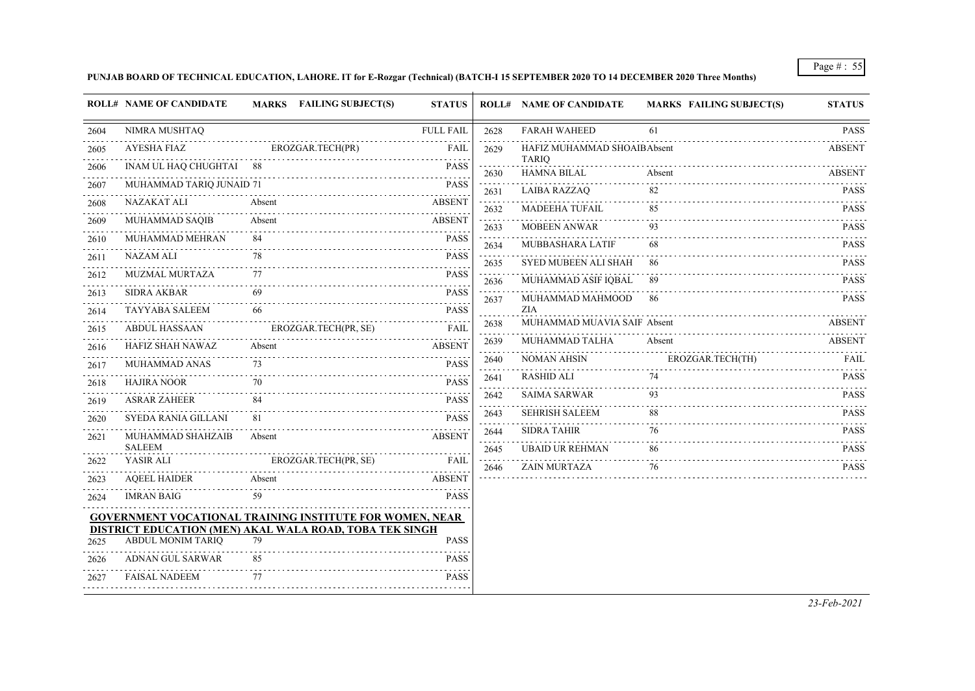### **PUNJAB BOARD OF TECHNICAL EDUCATION, LAHORE. IT for E-Rozgar (Technical) (BATCH-I 15 SEPTEMBER 2020 TO 14 DECEMBER 2020 Three Months)**

|      | <b>ROLL# NAME OF CANDIDATE</b> | MARKS FAILING SUBJECT(S)                                        | <b>STATUS</b>    |                                     | <b>ROLL# NAME OF CANDIDATE</b>     | <b>MARKS FAILING SUBJECT(S)</b> | <b>STATUS</b>                                |
|------|--------------------------------|-----------------------------------------------------------------|------------------|-------------------------------------|------------------------------------|---------------------------------|----------------------------------------------|
| 2604 | NIMRA MUSHTAQ                  |                                                                 | <b>FULL FAIL</b> | 2628                                | <b>FARAH WAHEED</b>                | 61                              | <b>PASS</b>                                  |
| 2605 | <b>AYESHA FIAZ</b>             | EROZGAR.TECH(PR)                                                | FAIL             | 2629                                | HAFIZ MUHAMMAD SHOAIBAbsent        |                                 | <b>ABSENT</b>                                |
| 2606 | INAM UL HAQ CHUGHTAI 88        |                                                                 | <b>PASS</b>      | 2630                                | <b>TARIQ</b><br><b>HAMNA BILAL</b> | Absent                          | <b>ABSENT</b>                                |
| 2607 | MUHAMMAD TARIQ JUNAID 71       |                                                                 | <b>PASS</b>      | 2631                                | <b>LAIBA RAZZAQ</b>                | 82                              | <b>PASS</b>                                  |
| 2608 | NAZAKAT ALI                    | Absent                                                          | <b>ABSENT</b>    | 2632                                | MADEEHA TUFAIL                     | 85                              | <b>PASS</b>                                  |
| 2609 | <b>MUHAMMAD SAQIB</b>          | Absent                                                          | <b>ABSENT</b>    | 2633                                | <b>MOBEEN ANWAR</b>                | 93                              | <b>PASS</b>                                  |
| 2610 | MUHAMMAD MEHRAN                | 84                                                              | <b>PASS</b>      |                                     | MUBBASHARA LATIF                   | 68                              | <b>PASS</b>                                  |
| 2611 | <b>NAZAM ALI</b>               | 78                                                              | <b>PASS</b>      | 2634                                | <b>SYED MUBEEN ALI SHAH</b>        | 86                              | <b>PASS</b>                                  |
| 2612 | <b>MUZMAL MURTAZA</b>          | 77                                                              | <b>PASS</b>      | 2635                                | MUHAMMAD ASIF IQBAL                | -89                             | $\omega$ is a single $\omega$<br><b>PASS</b> |
| 2613 | <b>SIDRA AKBAR</b>             | 69                                                              | <b>PASS</b>      | 2636                                | MUHAMMAD MAHMOOD                   | -86                             | <b>PASS</b>                                  |
| 2614 | <b>TAYYABA SALEEM</b>          | 66                                                              | <b>PASS</b>      | 2637                                | <b>ZIA</b>                         |                                 |                                              |
| 2615 | ABDUL HASSAAN                  | EROZGAR.TECH(PR, SE)                                            | FAIL             | 2638                                | MUHAMMAD MUAVIA SAIF Absent        |                                 | ABSENT                                       |
| 2616 | HAFIZ SHAH NAWAZ               | Absent                                                          | <b>ABSENT</b>    | 2639                                | MUHAMMAD TALHA                     | Absent                          | ABSENT                                       |
| 2617 | MUHAMMAD ANAS                  | 73                                                              | <b>PASS</b>      | 2640                                | <b>NOMAN AHSIN</b>                 | EROZGAR.TECH(TH)                | FAIL                                         |
| 2618 | <b>HAJIRA NOOR</b>             | 70                                                              | <b>PASS</b>      | 2641                                | <b>RASHID ALI</b>                  | 74                              | <b>PASS</b>                                  |
| 2619 | <b>ASRAR ZAHEER</b>            |                                                                 | <b>PASS</b>      | 2642                                | <b>SAIMA SARWAR</b>                | 93                              | <b>PASS</b>                                  |
| 2620 | SYEDA RANIA GILLANI            | 81                                                              | <b>PASS</b>      | 2643<br>$\sim$ $\sim$ $\sim$ $\sim$ | <b>SEHRISH SALEEM</b>              | 88                              | <b>PASS</b>                                  |
| 2621 | MUHAMMAD SHAHZAIB              | Absent                                                          | <b>ABSENT</b>    | 2644                                | <b>SIDRA TAHIR</b>                 | 76                              | <b>PASS</b>                                  |
|      | <b>SALEEM</b>                  |                                                                 |                  | 2645                                | <b>UBAID UR REHMAN</b>             | 86                              | <b>PASS</b>                                  |
| 2622 | YASIR ALI                      | EROZGAR.TECH(PR, SE)                                            | <b>FAIL</b>      | 2646                                | ZAIN MURTAZA                       | 76                              | <b>PASS</b>                                  |
| 2623 | <b>AQEEL HAIDER</b>            | Absent                                                          | <b>ABSENT</b>    |                                     |                                    |                                 |                                              |
| 2624 | <b>IMRAN BAIG</b>              | 59                                                              | <b>PASS</b>      |                                     |                                    |                                 |                                              |
|      |                                | <b>GOVERNMENT VOCATIONAL TRAINING INSTITUTE FOR WOMEN, NEAR</b> |                  |                                     |                                    |                                 |                                              |
| 2625 | <b>ABDUL MONIM TARIQ</b>       | DISTRICT EDUCATION (MEN) AKAL WALA ROAD, TOBA TEK SINGH<br>79   | <b>PASS</b>      |                                     |                                    |                                 |                                              |
| 2626 | ADNAN GUL SARWAR               | 85                                                              | <b>PASS</b>      |                                     |                                    |                                 |                                              |
| 2627 | <b>FAISAL NADEEM</b>           | 77                                                              | <b>PASS</b>      |                                     |                                    |                                 |                                              |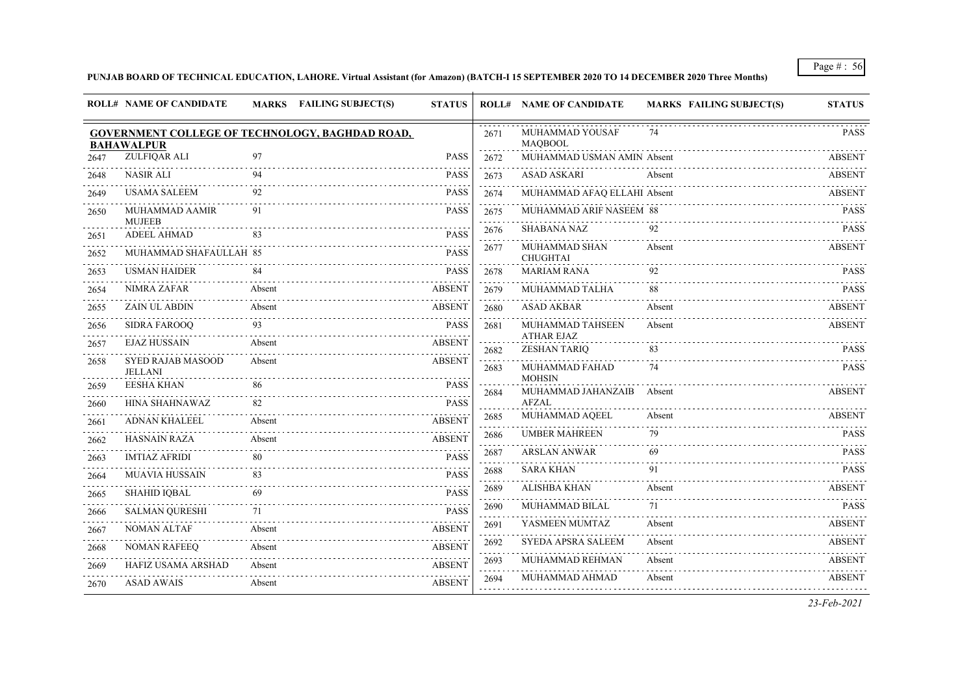### **PUNJAB BOARD OF TECHNICAL EDUCATION, LAHORE. Virtual Assistant (for Amazon) (BATCH-I 15 SEPTEMBER 2020 TO 14 DECEMBER 2020 Three Months)**

|      | <b>ROLL# NAME OF CANDIDATE</b>                                       |        | MARKS FAILING SUBJECT(S) | <b>STATUS</b> |                                 | <b>ROLL# NAME OF CANDIDATE</b>           | <b>MARKS FAILING SUBJECT(S)</b> | <b>STATUS</b> |
|------|----------------------------------------------------------------------|--------|--------------------------|---------------|---------------------------------|------------------------------------------|---------------------------------|---------------|
|      | GOVERNMENT COLLEGE OF TECHNOLOGY, BAGHDAD ROAD,<br><b>BAHAWALPUR</b> |        |                          |               | 2671                            | MUHAMMAD YOUSAF<br><b>MAOBOOL</b>        | 74                              | <b>PASS</b>   |
| 2647 | ZULFIOAR ALI                                                         | 97     |                          | <b>PASS</b>   | 2672                            | MUHAMMAD USMAN AMIN Absent               |                                 | ABSENT        |
| 2648 | <b>NASIR ALI</b>                                                     | 94     |                          | <b>PASS</b>   | 2.2.2.2<br>2673                 | <b>ASAD ASKARI</b>                       | Absent                          | <b>ABSENT</b> |
| 2649 | <b>USAMA SALEEM</b>                                                  | 92     |                          | <b>PASS</b>   | 2674                            | MUHAMMAD AFAQ ELLAHI Absent              |                                 | <b>ABSENT</b> |
| 2650 | MUHAMMAD AAMIR<br><b>MUJEEB</b>                                      | 91     |                          | <b>PASS</b>   | 2675<br>.                       | <b>MUHAMMAD ARIF NASEEM 88</b>           |                                 | <b>PASS</b>   |
| 2651 | <b>ADEEL AHMAD</b>                                                   | 83     |                          | <b>PASS</b>   | 2676                            | <b>SHABANA NAZ</b>                       | 92                              | <b>PASS</b>   |
| 2652 | MUHAMMAD SHAFAULLAH 85                                               |        |                          | <b>PASS</b>   | 2677                            | MUHAMMAD SHAN<br><b>CHUGHTAI</b>         | Absent                          | <b>ABSENT</b> |
| 2653 | <b>USMAN HAIDER</b>                                                  | 84     |                          | <b>PASS</b>   | 2678                            | <b>MARIAM RANA</b>                       | 92                              | <b>PASS</b>   |
| 2654 | NIMRA ZAFAR                                                          | Absent |                          | <b>ABSENT</b> | 2679                            | MUHAMMAD TALHA                           | 88                              | <b>PASS</b>   |
| 2655 | <b>ZAIN UL ABDIN</b>                                                 | Absent |                          | <b>ABSENT</b> | $\sim 100$ km s $^{-1}$<br>2680 | <b>ASAD AKBAR</b>                        | Absent                          | <b>ABSENT</b> |
| 2656 | <b>SIDRA FAROOO</b>                                                  | 93     |                          | <b>PASS</b>   | 2681                            | MUHAMMAD TAHSEEN                         | Absent                          | ABSENT        |
| 2657 | <b>EJAZ HUSSAIN</b>                                                  | Absent |                          | <b>ABSENT</b> | 2682                            | <b>ATHAR EJAZ</b><br><b>ZESHAN TARIQ</b> | 83                              | <b>PASS</b>   |
| 2658 | <b>SYED RAJAB MASOOD</b><br><b>JELLANI</b>                           | Absent |                          | <b>ABSENT</b> | 2683                            | MUHAMMAD FAHAD<br><b>MOHSIN</b>          | 74                              | <b>PASS</b>   |
| 2659 | <b>EESHA KHAN</b>                                                    | 86     |                          | <b>PASS</b>   | 2684                            | MUHAMMAD JAHANZAIB                       | Absent                          | <b>ABSENT</b> |
| 2660 | HINA SHAHNAWAZ                                                       | 82     |                          | <b>PASS</b>   |                                 | <b>AFZAL</b>                             |                                 |               |
| 2661 | <b>ADNAN KHALEEL</b>                                                 | Absent |                          | <b>ABSENT</b> | 2685<br>.                       | MUHAMMAD AQEEL                           | Absent                          | <b>ABSENT</b> |
| 2662 | <b>HASNAIN RAZA</b>                                                  | Absent |                          | <b>ABSENT</b> | 2686                            | <b>UMBER MAHREEN</b>                     | 79                              | <b>PASS</b>   |
| 2663 | <b>IMTIAZ AFRIDI</b>                                                 | 80     |                          | <b>PASS</b>   | 2687                            | <b>ARSLAN ANWAR</b>                      | 69                              | <b>PASS</b>   |
| 2664 | <b>MUAVIA HUSSAIN</b>                                                | 83     |                          | <b>PASS</b>   | 2688                            | <b>SARA KHAN</b>                         | 91                              | <b>PASS</b>   |
| 2665 | <b>SHAHID IQBAL</b>                                                  | 69     |                          | <b>PASS</b>   | 2689                            | ALISHBA KHAN                             | Absent                          | ABSENT        |
| 2666 | <b>SALMAN OURESHI</b>                                                | 71     |                          | <b>PASS</b>   | 2690<br>$\sim$ $\sim$ $\sim$    | <b>MUHAMMAD BILAL</b>                    | 71                              | <b>PASS</b>   |
| 2667 | NOMAN ALTAF                                                          | Absent |                          | <b>ABSENT</b> | 2691                            | YASMEEN MUMTAZ                           | Absent                          | <b>ABSENT</b> |
| 2668 | <b>NOMAN RAFEEQ</b>                                                  | Absent |                          | <b>ABSENT</b> | 2692                            | <b>SYEDA APSRA SALEEM</b>                | Absent                          | ABSENT        |
| 2669 | <b>HAFIZ USAMA ARSHAD</b>                                            | Absent |                          | <b>ABSENT</b> | 2693                            | MUHAMMAD REHMAN                          | Absent                          | <b>ABSENT</b> |
| 2670 | <b>ASAD AWAIS</b>                                                    | Absent |                          | <b>ABSENT</b> | 2694                            | MUHAMMAD AHMAD                           | Absent                          | <b>ABSENT</b> |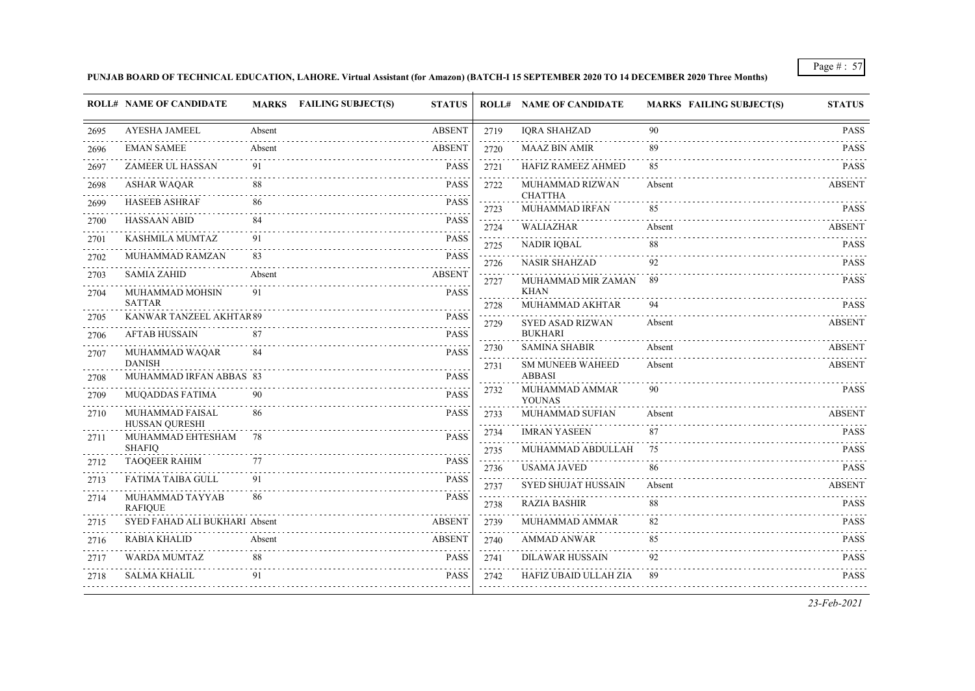#### **PUNJAB BOARD OF TECHNICAL EDUCATION, LAHORE. Virtual Assistant (for Amazon) (BATCH-I 15 SEPTEMBER 2020 TO 14 DECEMBER 2020 Three Months)**

|      | <b>ROLL# NAME OF CANDIDATE</b>           |        | MARKS FAILING SUBJECT(S)<br><b>STATUS</b> |                  |                   | <b>ROLL# NAME OF CANDIDATE</b>           | <b>MARKS FAILING SUBJECT(S)</b> | <b>STATUS</b>                                            |
|------|------------------------------------------|--------|-------------------------------------------|------------------|-------------------|------------------------------------------|---------------------------------|----------------------------------------------------------|
| 2695 | <b>AYESHA JAMEEL</b>                     | Absent | <b>ABSENT</b>                             |                  | 2719              | <b>IQRA SHAHZAD</b>                      | 90                              | <b>PASS</b>                                              |
| 2696 | <b>EMAN SAMEE</b>                        | Absent | <b>ABSENT</b>                             |                  | 2720              | <b>MAAZ BIN AMIR</b>                     | 89                              | <b>PASS</b>                                              |
| 2697 | ZAMEER UL HASSAN                         | 91     |                                           | <b>PASS</b>      | 2721              | HAFIZ RAMEEZ AHMED                       | 85                              | <b>PASS</b>                                              |
| 2698 | <b>ASHAR WAQAR</b>                       | 88     |                                           | <b>PASS</b>      | 2722              | MUHAMMAD RIZWAN                          | Absent                          | <b>ABSENT</b>                                            |
| 2699 | <b>HASEEB ASHRAF</b>                     | 86     |                                           | <b>PASS</b>      | 2723              | <b>CHATTHA</b><br>MUHAMMAD IRFAN         | 85                              | <b>PASS</b>                                              |
| 2700 | <b>HASSAAN ABID</b>                      | 84     |                                           | <b>PASS</b>      | 2724              | WALIAZHAR                                | Absent                          | <b>ABSENT</b>                                            |
| 2701 | KASHMILA MUMTAZ                          | 91     |                                           | <b>PASS</b>      | 2725              | <b>NADIR IQBAL</b>                       | 88                              | <b>PASS</b>                                              |
| 2702 | MUHAMMAD RAMZAN                          | 83     |                                           | <b>PASS</b>      | 2726              | <b>NASIR SHAHZAD</b>                     | 92                              | <b>PASS</b>                                              |
| 2703 | <b>SAMIA ZAHID</b>                       | Absent |                                           | <b>ABSENT</b>    | 2727              | MUHAMMAD MIR ZAMAN                       | 89                              | <b>PASS</b>                                              |
| 2704 | MUHAMMAD MOHSIN<br><b>SATTAR</b>         | 91     |                                           | <b>PASS</b>      |                   | <b>KHAN</b><br>MUHAMMAD AKHTAR           | 94                              | <b>PASS</b>                                              |
| 2705 | KANWAR TANZEEL AKHTAR 89                 |        |                                           | <b>PASS</b>      | 2728<br>2729      | <b>SYED ASAD RIZWAN</b>                  | Absent                          | <b>ABSENT</b>                                            |
| 2706 | <b>AFTAB HUSSAIN</b>                     | 87     |                                           | <b>PASS</b>      |                   | <b>BUKHARI</b>                           |                                 |                                                          |
| 2707 | MUHAMMAD WAQAR                           | 84     |                                           | <b>PASS</b>      | 2730              | <b>SAMINA SHABIR</b>                     | Absent                          | <b>ABSENT</b>                                            |
| 2708 | <b>DANISH</b><br>MUHAMMAD IRFAN ABBAS 83 |        |                                           | <b>PASS</b>      | 2731              | <b>SM MUNEEB WAHEED</b><br><b>ABBASI</b> | Absent                          | <b>ABSENT</b>                                            |
| 2709 | MUQADDAS FATIMA                          | 90     |                                           | <b>PASS</b>      | 2732              | MUHAMMAD AMMAR                           | 90                              | <b>PASS</b>                                              |
| 2710 | MUHAMMAD FAISAL                          | 86     |                                           | <b>PASS</b>      | 2733              | <b>YOUNAS</b><br>MUHAMMAD SUFIAN         | Absent                          | <b>ABSENT</b>                                            |
|      | HUSSAN QURESHI                           |        |                                           |                  | .<br>2734         | <b>IMRAN YASEEN</b>                      | 87                              | <b>PASS</b>                                              |
| 2711 | MUHAMMAD EHTESHAM<br><b>SHAFIQ</b>       | 78     |                                           | <b>PASS</b><br>. | 2735              | MUHAMMAD ABDULLAH                        | 75                              | <b>PASS</b>                                              |
| 2712 | <b>TAOQEER RAHIM</b>                     | 77     |                                           | <b>PASS</b>      | 2736              | <b>USAMA JAVED</b>                       | 86                              | <b>PASS</b>                                              |
| 2713 | <b>FATIMA TAIBA GULL</b>                 | 91     |                                           | <b>PASS</b>      | 2737              | <b>SYED SHUJAT HUSSAIN</b>               | Absent                          | <b>ABSENT</b>                                            |
| 2714 | MUHAMMAD TAYYAB<br><b>RAFIQUE</b>        | 86     |                                           | <b>PASS</b>      | 2738              | <b>RAZIA BASHIR</b>                      | 88                              | <b>PASS</b>                                              |
| 2715 | SYED FAHAD ALI BUKHARI Absent            |        | <b>ABSENT</b>                             |                  | 2739              | MUHAMMAD AMMAR                           | 82                              | $\sim$ $\sim$ $\sim$ $\sim$ $\sim$ $\sim$<br><b>PASS</b> |
| 2716 | <b>RABIA KHALID</b>                      | Absent |                                           | <b>ABSENT</b>    | 2740              | <b>AMMAD ANWAR</b>                       | 85                              | <b>PASS</b>                                              |
| 2717 | <b>WARDA MUMTAZ</b>                      | 88     |                                           | <b>PASS</b>      | 2741              | <b>DILAWAR HUSSAIN</b>                   | 92                              | <b>PASS</b>                                              |
| 2718 | <b>SALMA KHALIL</b>                      | 91     |                                           | <b>PASS</b>      | $- - - -$<br>2742 | HAFIZ UBAID ULLAH ZIA                    | 89                              | $\sim$ $\sim$ $\sim$ $\sim$ $\sim$ $\sim$<br><b>PASS</b> |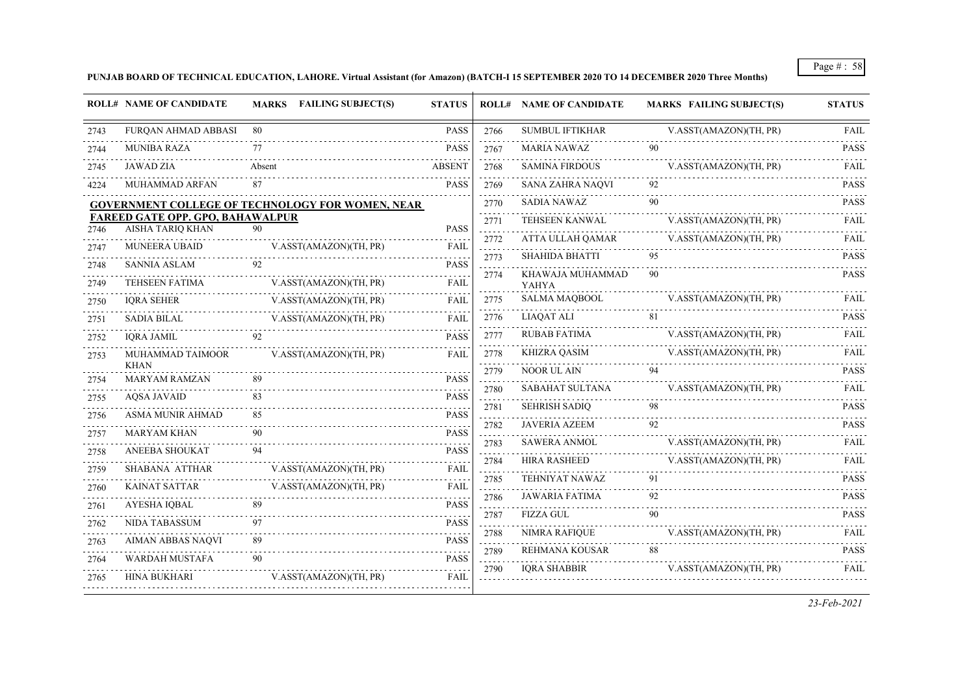**PUNJAB BOARD OF TECHNICAL EDUCATION, LAHORE. Virtual Assistant (for Amazon) (BATCH-I 15 SEPTEMBER 2020 TO 14 DECEMBER 2020 Three Months)**

|      | <b>ROLL# NAME OF CANDIDATE</b>                                     |        | <b>MARKS</b> FAILING SUBJECT(S) | <b>STATUS</b> |                                                   | <b>ROLL# NAME OF CANDIDATE</b>   | <b>MARKS FAILING SUBJECT(S)</b> | <b>STATUS</b> |
|------|--------------------------------------------------------------------|--------|---------------------------------|---------------|---------------------------------------------------|----------------------------------|---------------------------------|---------------|
| 2743 | FURQAN AHMAD ABBASI                                                | 80     |                                 | <b>PASS</b>   | 2766                                              | <b>SUMBUL IFTIKHAR</b>           | V.ASST(AMAZON)(TH, PR)          | FAIL          |
| 2744 | <b>MUNIBA RAZA</b>                                                 | 77     |                                 | <b>PASS</b>   | 2767                                              | <b>MARIA NAWAZ</b>               | 90                              | <b>PASS</b>   |
| 2745 | <b>JAWAD ZIA</b>                                                   | Absent |                                 | <b>ABSENT</b> | 2768                                              | <b>SAMINA FIRDOUS</b>            | V.ASST(AMAZON)(TH, PR)          | FAIL          |
| 4224 | MUHAMMAD ARFAN                                                     | 87     |                                 | <b>PASS</b>   | 2769                                              | <b>SANA ZAHRA NAQVI</b>          | 92                              | <b>PASS</b>   |
|      | <b>GOVERNMENT COLLEGE OF TECHNOLOGY FOR WOMEN, NEAR</b>            |        |                                 |               | 2770                                              | <b>SADIA NAWAZ</b>               | 90                              | <b>PASS</b>   |
| 2746 | <b>FAREED GATE OPP. GPO, BAHAWALPUR</b><br><b>AISHA TARIO KHAN</b> | 90     |                                 | <b>PASS</b>   | 2771                                              | TEHSEEN KANWAL                   | V.ASST(AMAZON)(TH, PR)          | <b>FAIL</b>   |
| 2747 | MUNEERA UBAID                                                      |        | V.ASST(AMAZON)(TH, PR)          | <b>FAIL</b>   | 2772<br>$\sim 100$                                | ATTA ULLAH QAMAR                 | V.ASST(AMAZON)(TH, PR)          | FAII.         |
| 2748 | SANNIA ASLAM                                                       |        |                                 | <b>PASS</b>   | 2773<br>$\sim 100$ km s $^{-1}$                   | SHAHIDA BHATTI                   | 95                              | <b>PASS</b>   |
| 2749 | <b>TEHSEEN FATIMA</b>                                              |        | V.ASST(AMAZON)(TH, PR)          | <b>FAIL</b>   | 2774                                              | KHAWAJA MUHAMMAD<br><b>YAHYA</b> |                                 | <b>PASS</b>   |
| 2750 | <b>IQRA SEHER</b>                                                  |        | V.ASST(AMAZON)(TH, PR)          | <b>FAIL</b>   | 2775                                              | SALMA MAQBOOL                    | V.ASST(AMAZON)(TH, PR)          | FAIL          |
| 2751 | SADIA BILAL                                                        |        | V.ASST(AMAZON)(TH, PR)          | <b>FAIL</b>   | 2776                                              | <b>LIAOAT ALI</b>                |                                 | <b>PASS</b>   |
| 2752 | <b>IORA JAMIL</b>                                                  | 92     |                                 | <b>PASS</b>   | 2777                                              | RUBAB FATIMA                     | V.ASST(AMAZON)(TH, PR)          | FAIL          |
| 2753 | MUHAMMAD TAIMOOR<br><b>KHAN</b>                                    |        | V.ASST(AMAZON)(TH, PR)          | <b>FAIL</b>   | 2778<br>$\sim 100$ km s $^{-1}$                   | KHIZRA OASIM                     | V.ASST(AMAZON)(TH, PR)          | FAII.         |
| 2754 | <b>MARYAM RAMZAN</b>                                               | 89     |                                 | <b>PASS</b>   | 2779<br>$\mathbb{Z}^2$ is a set of $\mathbb{Z}^2$ | NOOR UL AIN                      |                                 | <b>PASS</b>   |
| 2755 | <b>AOSA JAVAID</b>                                                 | 83     |                                 | <b>PASS</b>   | 2780                                              | SABAHAT SULTANA                  | V.ASST(AMAZON)(TH, PR)          | <b>FAIL</b>   |
| 2756 | ASMA MUNIR AHMAD                                                   | 85     |                                 | <b>PASS</b>   | 2781                                              | SEHRISH SADIQ                    | 98                              | <b>PASS</b>   |
| 2757 | <b>MARYAM KHAN</b>                                                 | 90     |                                 | <b>PASS</b>   | 2782<br>a a a a s                                 | <b>JAVERIA AZEEM</b>             | 92                              | <b>PASS</b>   |
| 2758 | ANEEBA SHOUKAT                                                     | 94     |                                 | <b>PASS</b>   | 2783                                              | <b>SAWERA ANMOL</b>              | V.ASST(AMAZON)(TH, PR)          | <b>FAIL</b>   |
| 2759 | SHABANA ATTHAR                                                     |        | V.ASST(AMAZON)(TH, PR)          | FAIL          | 2784                                              | <b>HIRA RASHEED</b>              | V.ASST(AMAZON)(TH, PR)          | <b>FAIL</b>   |
| 2760 | <b>KAINAT SATTAR</b>                                               |        | V.ASST(AMAZON)(TH, PR)          | <b>FAIL</b>   | 2785<br>$\omega$ is a $\omega$ .                  | <b>TEHNIYAT NAWAZ</b>            | 91                              | <b>PASS</b>   |
| 2761 | AYESHA IQBAL                                                       |        |                                 | <b>PASS</b>   | 2786<br>and a single                              | <b>JAWARIA FATIMA</b>            | 92                              | <b>PASS</b>   |
| 2762 | NIDA TABASSUM                                                      | 97     |                                 | <b>PASS</b>   | 2787                                              | <b>FIZZA GUL</b>                 | 90                              | <b>PASS</b>   |
| 2763 | AIMAN ABBAS NAQVI                                                  | 89     |                                 | <b>PASS</b>   | 2788                                              | NIMRA RAFIQUE                    | V.ASST(AMAZON)(TH, PR)          | FAIL          |
| 2764 | WARDAH MUSTAFA                                                     | 90     |                                 | <b>PASS</b>   | 2789                                              | REHMANA KOUSAR                   | 88                              | <b>PASS</b>   |
| 2765 | <b>HINA BUKHARI</b>                                                |        | V.ASST(AMAZON)(TH, PR)          | <b>FAIL</b>   | 2790                                              | <b>IORA SHABBIR</b>              | V.ASST(AMAZON)(TH, PR)          | <b>FAIL</b>   |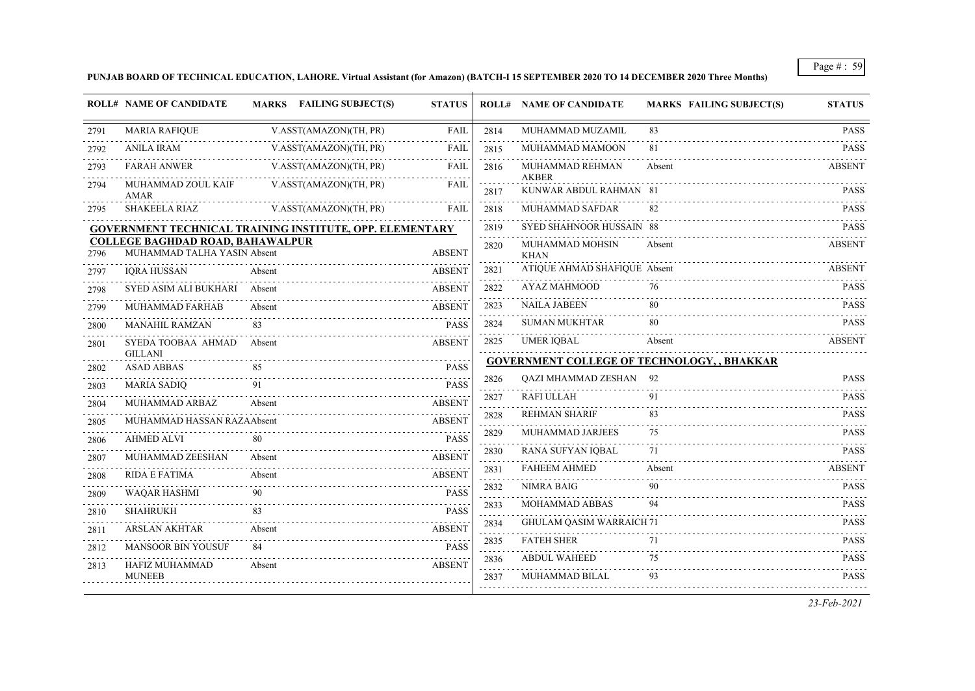**PUNJAB BOARD OF TECHNICAL EDUCATION, LAHORE. Virtual Assistant (for Amazon) (BATCH-I 15 SEPTEMBER 2020 TO 14 DECEMBER 2020 Three Months)**

|      | <b>ROLL# NAME OF CANDIDATE</b>                                         | MARKS FAILING SUBJECT(S)                                        | <b>STATUS</b> |                                                                                                                | <b>ROLL# NAME OF CANDIDATE</b>         | <b>MARKS FAILING SUBJECT(S)</b>             | <b>STATUS</b>    |
|------|------------------------------------------------------------------------|-----------------------------------------------------------------|---------------|----------------------------------------------------------------------------------------------------------------|----------------------------------------|---------------------------------------------|------------------|
| 2791 | <b>MARIA RAFIQUE</b>                                                   | V.ASST(AMAZON)(TH, PR)                                          | FAIL          | 2814                                                                                                           | MUHAMMAD MUZAMIL                       | 83                                          | <b>PASS</b>      |
| 2792 | <b>ANILA IRAM</b>                                                      | V.ASST(AMAZON)(TH, PR)                                          | <b>FAIL</b>   | 2815                                                                                                           | MUHAMMAD MAMOON                        | 81                                          | .<br><b>PASS</b> |
| 2793 | <b>FARAH ANWER</b>                                                     | V.ASST(AMAZON)(TH, PR)                                          | <b>FAIL</b>   | 2816                                                                                                           | MUHAMMAD REHMAN                        | Absent                                      | ABSENT           |
| 2794 | MUHAMMAD ZOUL KAIF<br><b>AMAR</b>                                      | V.ASST(AMAZON)(TH, PR)                                          | <b>FAIL</b>   | 2817                                                                                                           | <b>AKBER</b><br>KUNWAR ABDUL RAHMAN 81 |                                             | <b>PASS</b>      |
| 2795 | <b>SHAKEELA RIAZ</b>                                                   | V.ASST(AMAZON)(TH, PR)                                          | <b>FAIL</b>   | 2818                                                                                                           | MUHAMMAD SAFDAR                        | 82                                          | <b>PASS</b>      |
|      |                                                                        | <b>GOVERNMENT TECHNICAL TRAINING INSTITUTE, OPP. ELEMENTARY</b> |               | 2819                                                                                                           | SYED SHAHNOOR HUSSAIN 88               |                                             | <b>PASS</b>      |
| 2796 | <b>COLLEGE BAGHDAD ROAD, BAHAWALPUR</b><br>MUHAMMAD TALHA YASIN Absent |                                                                 | <b>ABSENT</b> | 2820                                                                                                           | MUHAMMAD MOHSIN<br><b>KHAN</b>         | Absent                                      | <b>ABSENT</b>    |
| 2797 | <b>IORA HUSSAN</b>                                                     | Absent                                                          | <b>ABSENT</b> | 2821                                                                                                           | ATIQUE AHMAD SHAFIQUE Absent           |                                             | <b>ABSENT</b>    |
| 2798 | SYED ASIM ALI BUKHARI                                                  | Absent                                                          | <b>ABSENT</b> | 2822                                                                                                           | AYAZ MAHMOOD                           | 76                                          | <b>PASS</b>      |
| 2799 | MUHAMMAD FARHAB                                                        | Absent                                                          | <b>ABSENT</b> | 2823                                                                                                           | <b>NAILA JABEEN</b>                    | 80                                          | <b>PASS</b>      |
| 2800 | <b>MANAHIL RAMZAN</b>                                                  | 83                                                              | <b>PASS</b>   | 2824                                                                                                           | <b>SUMAN MUKHTAR</b>                   | 80                                          | <b>PASS</b>      |
| 2801 | SYEDA TOOBAA AHMAD<br><b>GILLANI</b>                                   | Absent                                                          | <b>ABSENT</b> | 2825                                                                                                           | <b>UMER IQBAL</b>                      | Absent                                      | <b>ABSENT</b>    |
| 2802 | <b>ASAD ABBAS</b>                                                      | 85                                                              | <b>PASS</b>   |                                                                                                                |                                        | GOVERNMENT COLLEGE OF TECHNOLOGY, , BHAKKAR |                  |
| 2803 | <b>MARIA SADIQ</b>                                                     | 91                                                              | <b>PASS</b>   | 2826                                                                                                           | <b>QAZI MHAMMAD ZESHAN</b> 92          |                                             | <b>PASS</b>      |
| 2804 | MUHAMMAD ARBAZ                                                         | Absent                                                          | <b>ABSENT</b> | 2827<br>$\sim$ $\sim$ $\sim$ $\sim$                                                                            | <b>RAFI ULLAH</b>                      | 91                                          | <b>PASS</b>      |
| 2805 | MUHAMMAD HASSAN RAZAAbsent                                             |                                                                 | <b>ABSENT</b> | 2828<br>$\mathcal{L}^{\mathcal{A}}\mathcal{L}^{\mathcal{A}}\mathcal{L}^{\mathcal{A}}\mathcal{L}^{\mathcal{A}}$ | <b>REHMAN SHARIF</b>                   | 83                                          | <b>PASS</b>      |
| 2806 | <b>AHMED ALVI</b>                                                      | 80                                                              | <b>PASS</b>   | 2829                                                                                                           | MUHAMMAD JARJEES                       | 75                                          | <b>PASS</b>      |
| 2807 | MUHAMMAD ZEESHAN                                                       | Absent                                                          | <b>ABSENT</b> | 2830<br>$\sim$ $\sim$ $\sim$                                                                                   | RANA SUFYAN IQBAL                      | 71                                          | <b>PASS</b>      |
| 2808 | <b>RIDA E FATIMA</b>                                                   | Absent                                                          | <b>ABSENT</b> | 2831                                                                                                           | <b>FAHEEM AHMED</b>                    | Absent                                      | <b>ABSENT</b>    |
| 2809 | <b>WAQAR HASHMI</b>                                                    | 90                                                              | <b>PASS</b>   | 2832                                                                                                           | <b>NIMRA BAIG</b>                      | 90                                          | <b>PASS</b>      |
| 2810 | <b>SHAHRUKH</b>                                                        | 83                                                              | <b>PASS</b>   | 2833                                                                                                           | MOHAMMAD ABBAS                         | 94                                          | <b>PASS</b>      |
| 2811 | <b>ARSLAN AKHTAR</b>                                                   | Absent                                                          | <b>ABSENT</b> | 2834<br>$\sim$ $\sim$ $\sim$ $\sim$                                                                            | <b>GHULAM QASIM WARRAICH 71</b>        |                                             | <b>PASS</b>      |
| 2812 | <b>MANSOOR BIN YOUSUF</b>                                              | 84                                                              | <b>PASS</b>   | 2835                                                                                                           | <b>FATEH SHER</b>                      | 71                                          | <b>PASS</b>      |
| 2813 | HAFIZ MUHAMMAD                                                         | Absent                                                          | <b>ABSENT</b> | 2836                                                                                                           | <b>ABDUL WAHEED</b>                    | 75                                          | <b>PASS</b>      |
|      | <b>MUNEEB</b>                                                          |                                                                 |               | 2837                                                                                                           | MUHAMMAD BILAL                         | 93                                          | <b>PASS</b>      |
|      |                                                                        |                                                                 |               |                                                                                                                |                                        |                                             |                  |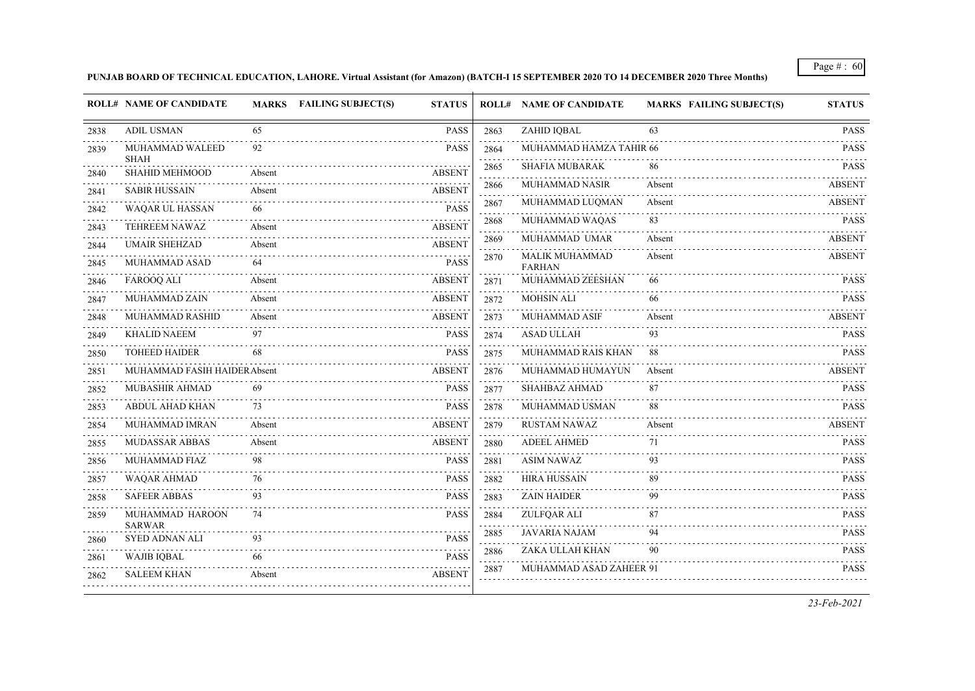#### **PUNJAB BOARD OF TECHNICAL EDUCATION, LAHORE. Virtual Assistant (for Amazon) (BATCH-I 15 SEPTEMBER 2020 TO 14 DECEMBER 2020 Three Months)**

|      | <b>ROLL# NAME OF CANDIDATE</b>       |        | MARKS FAILING SUBJECT(S)<br><b>STATUS</b> |                                     | <b>ROLL# NAME OF CANDIDATE</b>         | <b>MARKS FAILING SUBJECT(S)</b> | <b>STATUS</b> |
|------|--------------------------------------|--------|-------------------------------------------|-------------------------------------|----------------------------------------|---------------------------------|---------------|
| 2838 | <b>ADIL USMAN</b>                    | 65     | <b>PASS</b>                               | 2863                                | <b>ZAHID IQBAL</b>                     | 63                              | <b>PASS</b>   |
| 2839 | MUHAMMAD WALEED                      | 92     | <b>PASS</b>                               | 2864                                | MUHAMMAD HAMZA TAHIR 66                |                                 | <b>PASS</b>   |
| 2840 | <b>SHAH</b><br><b>SHAHID MEHMOOD</b> | Absent | <b>ABSENT</b>                             | 2865                                | <b>SHAFIA MUBARAK</b>                  | 86                              | <b>PASS</b>   |
| 2841 | <b>SABIR HUSSAIN</b>                 | Absent | <b>ABSENT</b>                             | 2866                                | MUHAMMAD NASIR                         | Absent                          | <b>ABSENT</b> |
| 2842 | WAQAR UL HASSAN                      | 66     | <b>PASS</b>                               | 2867                                | MUHAMMAD LUQMAN                        | Absent                          | <b>ABSENT</b> |
| 2843 | TEHREEM NAWAZ                        | Absent | <b>ABSENT</b>                             | 2868                                | MUHAMMAD WAQAS                         | 83                              | <b>PASS</b>   |
| 2844 | <b>UMAIR SHEHZAD</b>                 | Absent | <b>ABSENT</b>                             | 2869<br>$\sim$ $\sim$ $\sim$ $\sim$ | MUHAMMAD UMAR                          | Absent                          | <b>ABSENT</b> |
| 2845 | MUHAMMAD ASAD                        | 64     | <b>PASS</b>                               | 2870                                | <b>MALIK MUHAMMAD</b><br><b>FARHAN</b> | Absent                          | <b>ABSENT</b> |
| 2846 | <b>FAROOQ ALI</b>                    | Absent | <b>ABSENT</b>                             | 2871                                | MUHAMMAD ZEESHAN                       | 66                              | <b>PASS</b>   |
| 2847 | <b>MUHAMMAD ZAIN</b>                 | Absent | <b>ABSENT</b>                             | 2872                                | <b>MOHSIN ALI</b>                      | 66                              | <b>PASS</b>   |
| 2848 | MUHAMMAD RASHID                      | Absent | <b>ABSENT</b>                             | 2873                                | MUHAMMAD ASIF                          | Absent                          | <b>ABSENT</b> |
| 2849 | <b>KHALID NAEEM</b>                  | 97     | <b>PASS</b>                               | 2874                                | <b>ASAD ULLAH</b>                      | 93                              | <b>PASS</b>   |
| 2850 | <b>TOHEED HAIDER</b>                 | 68     | <b>PASS</b>                               | 2875                                | MUHAMMAD RAIS KHAN                     | 88                              | <b>PASS</b>   |
| 2851 | MUHAMMAD FASIH HAIDER Absent         |        | <b>ABSENT</b>                             | 2876                                | MUHAMMAD HUMAYUN                       | Absent                          | <b>ABSENT</b> |
| 2852 | <b>MUBASHIR AHMAD</b>                | 69     | <b>PASS</b>                               | 2877                                | <b>SHAHBAZ AHMAD</b>                   | 87                              | <b>PASS</b>   |
| 2853 | ABDUL AHAD KHAN                      | 73     | <b>PASS</b>                               | 2878                                | MUHAMMAD USMAN                         | 88                              | <b>PASS</b>   |
| 2854 | MUHAMMAD IMRAN                       | Absent | <b>ABSENT</b>                             | 2879                                | <b>RUSTAM NAWAZ</b>                    | Absent                          | <b>ABSENT</b> |
| 2855 | MUDASSAR ABBAS                       | Absent | <b>ABSENT</b>                             | 2880                                | <b>ADEEL AHMED</b>                     | 71                              | <b>PASS</b>   |
| 2856 | MUHAMMAD FIAZ                        | 98     | <b>PASS</b>                               | 2881                                | <b>ASIM NAWAZ</b>                      | 93                              | <b>PASS</b>   |
| 2857 | <b>WAQAR AHMAD</b>                   | 76     | <b>PASS</b>                               | 2882                                | <b>HIRA HUSSAIN</b>                    | 89                              | <b>PASS</b>   |
| 2858 | <b>SAFEER ABBAS</b>                  | 93     | <b>PASS</b>                               | 2883                                | <b>ZAIN HAIDER</b>                     | 99                              | <b>PASS</b>   |
| 2859 | MUHAMMAD HAROON<br><b>SARWAR</b>     | 74     | <b>PASS</b>                               | 2884<br>$\cdots$                    | ZULFQAR ALI                            | 87                              | <b>PASS</b>   |
| 2860 | <b>SYED ADNAN ALI</b>                | 93     | <b>PASS</b>                               | 2885                                | <b>JAVARIA NAJAM</b>                   | 94                              | <b>PASS</b>   |
| 2861 | <b>WAJIB IQBAL</b>                   | 66     | <b>PASS</b>                               | 2886                                | ZAKA ULLAH KHAN                        | 90                              | <b>PASS</b>   |
| 2862 | <b>SALEEM KHAN</b>                   | Absent | <b>ABSENT</b>                             | 2887                                | MUHAMMAD ASAD ZAHEER 91                |                                 | <b>PASS</b>   |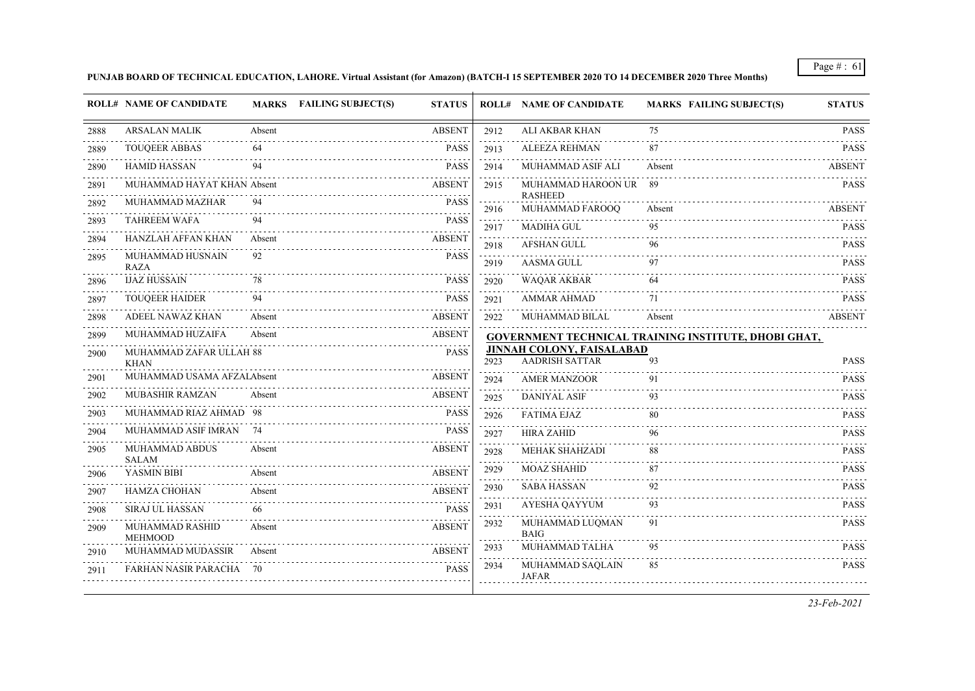**PUNJAB BOARD OF TECHNICAL EDUCATION, LAHORE. Virtual Assistant (for Amazon) (BATCH-I 15 SEPTEMBER 2020 TO 14 DECEMBER 2020 Three Months)**

|      | <b>ROLL# NAME OF CANDIDATE</b>         |        | <b>MARKS</b> FAILING SUBJECT(S)<br><b>STATUS</b> |                                     | <b>ROLL# NAME OF CANDIDATE</b>                     | <b>MARKS FAILING SUBJECT(S)</b>                      | <b>STATUS</b> |
|------|----------------------------------------|--------|--------------------------------------------------|-------------------------------------|----------------------------------------------------|------------------------------------------------------|---------------|
| 2888 | ARSALAN MALIK                          | Absent | <b>ABSENT</b>                                    | 2912                                | ALI AKBAR KHAN                                     | 75                                                   | <b>PASS</b>   |
| 2889 | <b>TOUOEER ABBAS</b>                   | 64     | <b>PASS</b>                                      | 2913                                | <b>ALEEZA REHMAN</b>                               | 87                                                   | <b>PASS</b>   |
| 2890 | <b>HAMID HASSAN</b>                    |        | <b>PASS</b>                                      | and and<br>2914                     | MUHAMMAD ASIF ALI                                  | Absent                                               | <b>ABSENT</b> |
| 2891 | MUHAMMAD HAYAT KHAN Absent             |        | <b>ABSENT</b>                                    | 2915                                | MUHAMMAD HAROON UR                                 | -89                                                  | <b>PASS</b>   |
| 2892 | MUHAMMAD MAZHAR                        | 94     | <b>PASS</b>                                      | 2916                                | <b>RASHEED</b><br>MUHAMMAD FAROOQ                  | Absent                                               | ABSENT        |
| 2893 | <b>TAHREEM WAFA</b>                    | 94     | <b>PASS</b>                                      | 2917                                | <b>MADIHA GUL</b>                                  | 95                                                   | <b>PASS</b>   |
| 2894 | HANZLAH AFFAN KHAN                     | Absent | <b>ABSENT</b>                                    | 2918                                | <b>AFSHAN GULL</b>                                 | 96                                                   | <b>PASS</b>   |
| 2895 | MUHAMMAD HUSNAIN<br><b>RAZA</b>        | 92     | <b>PASS</b>                                      | 2919                                | <b>AASMA GULL</b>                                  | 97                                                   | <b>PASS</b>   |
| 2896 | <b>IJAZ HUSSAIN</b>                    | 78     | <b>PASS</b>                                      | 2920                                | <b>WAQAR AKBAR</b>                                 | 64                                                   | <b>PASS</b>   |
| 2897 | <b>TOUQEER HAIDER</b>                  | 94     | <b>PASS</b>                                      | 2921                                | <b>AMMAR AHMAD</b>                                 | 71                                                   | <b>PASS</b>   |
| 2898 | ADEEL NAWAZ KHAN                       | Absent | <b>ABSENT</b>                                    | 2922                                | MUHAMMAD BILAL                                     | Absent                                               | <b>ABSENT</b> |
| 2899 | MUHAMMAD HUZAIFA                       | Absent | <b>ABSENT</b>                                    |                                     |                                                    | GOVERNMENT TECHNICAL TRAINING INSTITUTE, DHOBI GHAT, |               |
| 2900 | MUHAMMAD ZAFAR ULLAH 88<br><b>KHAN</b> |        | <b>PASS</b>                                      | 2923                                | JINNAH COLONY, FAISALABAD<br><b>AADRISH SATTAR</b> | 93                                                   | <b>PASS</b>   |
| 2901 | MUHAMMAD USAMA AFZALAbsent             |        | <b>ABSENT</b>                                    | 2924                                | <b>AMER MANZOOR</b>                                | 91                                                   | <b>PASS</b>   |
| 2902 | MUBASHIR RAMZAN                        | Absent | <b>ABSENT</b>                                    | 2925                                | <b>DANIYAL ASIF</b>                                | 93                                                   | <b>PASS</b>   |
| 2903 | MUHAMMAD RIAZ AHMAD 98                 |        | <b>PASS</b>                                      | 2926                                | <b>FATIMA EJAZ</b>                                 | 80                                                   | <b>PASS</b>   |
| 2904 | MUHAMMAD ASIF IMRAN                    |        | <b>PASS</b>                                      | 2927                                | <b>HIRA ZAHID</b>                                  | 96                                                   | <b>PASS</b>   |
| 2905 | MUHAMMAD ABDUS<br><b>SALAM</b>         | Absent | <b>ABSENT</b>                                    | 2928<br>.                           | <b>MEHAK SHAHZADI</b>                              | 88                                                   | <b>PASS</b>   |
| 2906 | YASMIN BIBI                            | Absent | <b>ABSENT</b>                                    | 2929                                | <b>MOAZ SHAHID</b>                                 | 87                                                   | <b>PASS</b>   |
| 2907 | <b>HAMZA CHOHAN</b>                    | Absent | <b>ABSENT</b>                                    | 2930<br>$\sim 100$ km s $^{-1}$     | <b>SABA HASSAN</b>                                 | 92                                                   | <b>PASS</b>   |
| 2908 | <b>SIRAJ UL HASSAN</b>                 | 66     | <b>PASS</b>                                      | 2931                                | AYESHA QAYYUM                                      | 93                                                   | <b>PASS</b>   |
| 2909 | MUHAMMAD RASHID<br><b>MEHMOOD</b>      | Absent | <b>ABSENT</b>                                    | 2932                                | MUHAMMAD LUQMAN<br><b>BAIG</b>                     | 91                                                   | <b>PASS</b>   |
| 2910 | MUHAMMAD MUDASSIR                      | Absent | <b>ABSENT</b>                                    | 2933<br>$\sim$ $\sim$ $\sim$ $\sim$ | MUHAMMAD TALHA                                     | 95                                                   | <b>PASS</b>   |
| 2911 | <b>FARHAN NASIR PARACHA</b>            | -70    | <b>PASS</b>                                      | 2934                                | MUHAMMAD SAQLAIN<br><b>JAFAR</b>                   | 85                                                   | <b>PASS</b>   |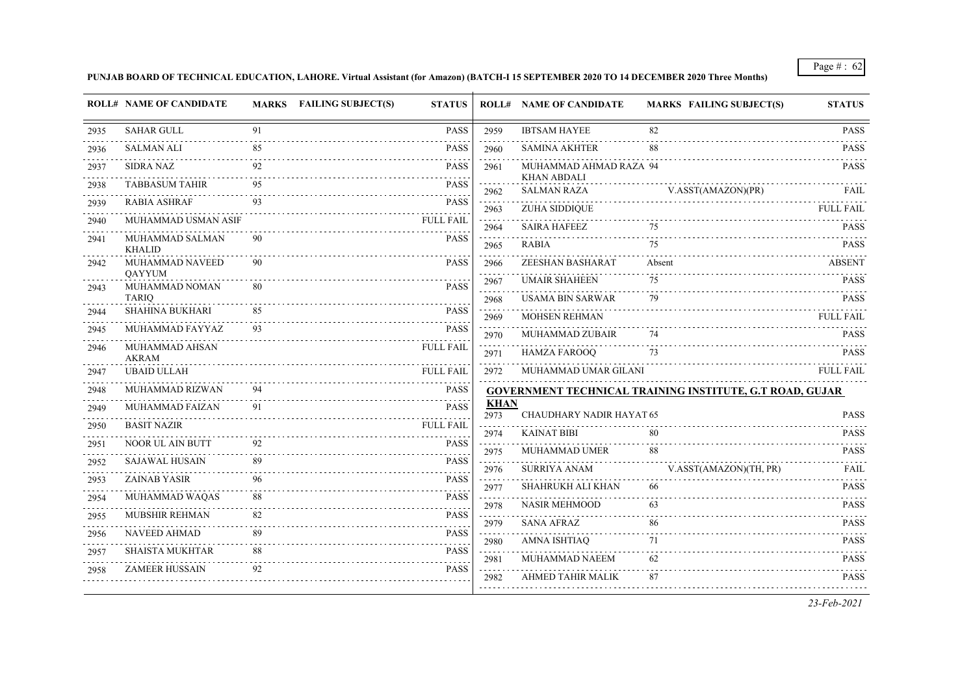**PUNJAB BOARD OF TECHNICAL EDUCATION, LAHORE. Virtual Assistant (for Amazon) (BATCH-I 15 SEPTEMBER 2020 TO 14 DECEMBER 2020 Three Months)**

|      | <b>ROLL# NAME OF CANDIDATE</b>   |    | MARKS FAILING SUBJECT(S)<br><b>STATUS</b> |                       |                                            | <b>ROLL# NAME OF CANDIDATE</b>           | <b>MARKS FAILING SUBJECT(S)</b>                          | <b>STATUS</b>                             |
|------|----------------------------------|----|-------------------------------------------|-----------------------|--------------------------------------------|------------------------------------------|----------------------------------------------------------|-------------------------------------------|
| 2935 | <b>SAHAR GULL</b>                | 91 |                                           | <b>PASS</b>           | 2959                                       | <b>IBTSAM HAYEE</b>                      | 82                                                       | <b>PASS</b>                               |
| 2936 | <b>SALMAN ALI</b>                | 85 |                                           | <b>PASS</b>           | 2960                                       | <b>SAMINA AKHTER</b>                     | 88                                                       | <b>PASS</b>                               |
| 2937 | <b>SIDRA NAZ</b>                 |    |                                           | <b>PASS</b>           | 2961                                       | MUHAMMAD AHMAD RAZA 94                   |                                                          | <b>PASS</b>                               |
| 2938 | <b>TABBASUM TAHIR</b>            | 95 |                                           | <b>PASS</b><br>$\sim$ | 2962                                       | <b>KHAN ABDALI</b><br><b>SALMAN RAZA</b> | V.ASST(AMAZON)(PR)                                       | FAIL                                      |
| 2939 | <b>RABIA ASHRAF</b>              | 93 |                                           | <b>PASS</b>           | 2963                                       | <b>ZUHA SIDDIQUE</b>                     |                                                          | <b>FULL FAIL</b>                          |
| 2940 | MUHAMMAD USMAN ASIF              |    | <b>FULL FAIL</b>                          |                       | 2964                                       | <b>SAIRA HAFEEZ</b>                      | 75                                                       | <b>PASS</b>                               |
| 2941 | MUHAMMAD SALMAN<br><b>KHALID</b> | 90 |                                           | <b>PASS</b>           | 2965                                       | RABIA                                    | 75                                                       | <b>PASS</b>                               |
| 2942 | MUHAMMAD NAVEED                  | 90 |                                           | <b>PASS</b>           | 2966                                       | ZEESHAN BASHARAT                         | Absent                                                   | <b>ABSENT</b>                             |
| 2943 | QAYYUM<br>MUHAMMAD NOMAN         | 80 |                                           | <b>PASS</b>           | 2967                                       | <b>UMAIR SHAHEEN</b>                     | 75                                                       | <b>PASS</b>                               |
|      | <b>TARIQ</b>                     |    |                                           |                       | 2968                                       | <b>USAMA BIN SARWAR</b>                  | 79                                                       | <b>PASS</b>                               |
| 2944 | <b>SHAHINA BUKHARI</b>           | 85 |                                           | <b>PASS</b>           | 2969                                       | <b>MOHSEN REHMAN</b>                     |                                                          | <b>FULL FAIL</b>                          |
| 2945 | MUHAMMAD FAYYAZ                  | 93 |                                           | <b>PASS</b>           | 2970                                       | <b>MUHAMMAD ZUBAIR</b>                   | 74                                                       | <b>PASS</b>                               |
| 2946 | MUHAMMAD AHSAN<br><b>AKRAM</b>   |    | <b>FULL FAIL</b>                          |                       | 2971                                       | <b>HAMZA FAROOQ</b>                      | 73                                                       | <b>PASS</b>                               |
| 2947 | <b>UBAID ULLAH</b>               |    | <b>FULL FAIL</b>                          |                       | 2972                                       | MUHAMMAD UMAR GILANI                     |                                                          | <b>FULL FAIL</b>                          |
| 2948 | MUHAMMAD RIZWAN                  | 94 |                                           | <b>PASS</b>           |                                            |                                          | GOVERNMENT TECHNICAL TRAINING INSTITUTE, G.T ROAD, GUJAR |                                           |
| 2949 | MUHAMMAD FAIZAN                  | 91 |                                           | <b>PASS</b>           | <b>KHAN</b><br>2973                        | CHAUDHARY NADIR HAYAT 65                 |                                                          | <b>PASS</b>                               |
| 2950 | <b>BASIT NAZIR</b>               |    | <b>FULL FAIL</b>                          |                       | 2974                                       | <b>KAINAT BIBI</b>                       | 80                                                       | <b>PASS</b>                               |
| 2951 | NOOR UL AIN BUTT                 | 92 |                                           | <b>PASS</b>           | 2975                                       | <b>MUHAMMAD UMER</b>                     | 88                                                       | <b>PASS</b>                               |
| 2952 | <b>SAJAWAL HUSAIN</b>            | 89 |                                           | <b>PASS</b>           | $\sim$ $\sim$ $\sim$ $\sim$ $\sim$<br>2976 | <b>SURRIYA ANAM</b>                      | V.ASST(AMAZON)(TH, PR)                                   | FAIL                                      |
| 2953 | <b>ZAINAB YASIR</b>              | 96 |                                           | <b>PASS</b>           | 2977                                       | SHAHRUKH ALI KHAN                        | 66                                                       | <b>PASS</b>                               |
| 2954 | MUHAMMAD WAQAS                   | 88 |                                           | <b>PASS</b>           | 2978                                       | <b>NASIR MEHMOOD</b>                     | 63                                                       | <b>PASS</b>                               |
| 2955 | <b>MUBSHIR REHMAN</b>            | 82 |                                           | <b>PASS</b>           | 2979                                       | <b>SANA AFRAZ</b>                        | 86                                                       | <b>PASS</b>                               |
| 2956 | <b>NAVEED AHMAD</b>              | 89 |                                           | <b>PASS</b>           | 2980                                       | <b>AMNA ISHTIAQ</b>                      | 71                                                       | <b>PASS</b>                               |
| 2957 | <b>SHAISTA MUKHTAR</b>           | 88 |                                           | <b>PASS</b>           | 2981                                       | MUHAMMAD NAEEM                           | 62                                                       | <b>PASS</b>                               |
| 2958 | <b>ZAMEER HUSSAIN</b>            | 92 |                                           | <b>PASS</b>           | 2982                                       | AHMED TAHIR MALIK                        | 87                                                       | $\omega$ is a second order<br><b>PASS</b> |
|      |                                  |    |                                           |                       |                                            |                                          |                                                          |                                           |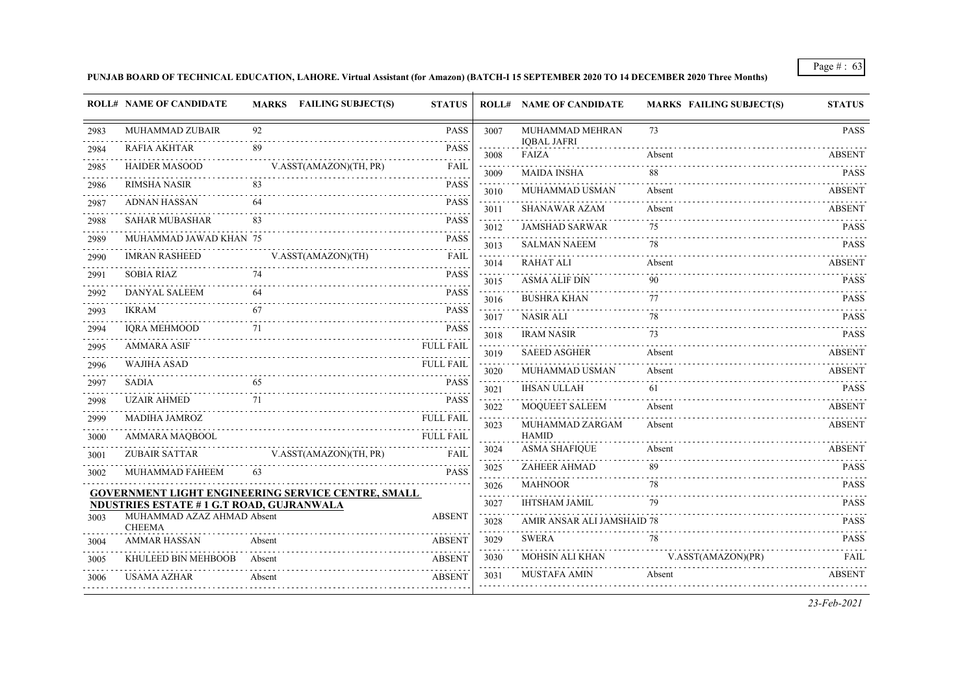#### **PUNJAB BOARD OF TECHNICAL EDUCATION, LAHORE. Virtual Assistant (for Amazon) (BATCH-I 15 SEPTEMBER 2020 TO 14 DECEMBER 2020 Three Months)**

| 2983 |                                                 |                                                           |                       |                                     |                                       |                    |                               |
|------|-------------------------------------------------|-----------------------------------------------------------|-----------------------|-------------------------------------|---------------------------------------|--------------------|-------------------------------|
|      | MUHAMMAD ZUBAIR                                 | 92                                                        | <b>PASS</b>           | 3007                                | MUHAMMAD MEHRAN<br><b>IOBAL JAFRI</b> | 73                 | <b>PASS</b>                   |
| 2984 | <b>RAFIA AKHTAR</b>                             | 89                                                        | <b>PASS</b><br>.      | 3008                                | FAIZA                                 | Absent             | <b>ABSENT</b>                 |
| 2985 | <b>HAIDER MASOOD</b>                            | V.ASST(AMAZON)(TH, PR)                                    | <b>FAIL</b>           | 3009                                | <b>MAIDA INSHA</b>                    | 88                 | diama diama di<br><b>PASS</b> |
| 2986 | <b>RIMSHA NASIR</b>                             | 83                                                        | <b>PASS</b>           | 3010                                | MUHAMMAD USMAN                        | Absent             | <b>ABSENT</b>                 |
| 2987 | <b>ADNAN HASSAN</b>                             | 64                                                        | <b>PASS</b><br>$\sim$ | 3011                                | <b>SHANAWAR AZAM</b>                  | Absent             | <b>ABSENT</b>                 |
| 2988 | <b>SAHAR MUBASHAR</b>                           | 83                                                        | <b>PASS</b>           | $\omega$ is a set of<br>3012        | <b>JAMSHAD SARWAR</b>                 | 75                 | <b>PASS</b>                   |
| 2989 | MUHAMMAD JAWAD KHAN 75                          |                                                           | <b>PASS</b>           | 3013                                | <b>SALMAN NAEEM</b>                   | 78                 | <b>PASS</b>                   |
| 2990 | <b>IMRAN RASHEED</b>                            | V.ASST(AMAZON)(TH)                                        | <b>FAIL</b>           | 3014                                | <b>RAHAT ALI</b>                      | Absent             | <b>ABSENT</b>                 |
| 2991 | <b>SOBIA RIAZ</b>                               | 74                                                        | <b>PASS</b>           | $\omega$ is a set of<br>3015        | <b>ASMA ALIF DIN</b>                  | 90                 | <b>PASS</b>                   |
| 2992 | DANYAL SALEEM                                   | 64                                                        | <b>PASS</b>           | 3016                                | <b>BUSHRA KHAN</b>                    | 77                 | <b>PASS</b>                   |
| 2993 | <b>IKRAM</b>                                    | 67                                                        | <b>PASS</b>           | 3017                                | <b>NASIR ALI</b>                      | 78                 | <b>PASS</b>                   |
| 2994 | <b>IQRA MEHMOOD</b>                             | 71                                                        | <b>PASS</b>           | $\sim$ $\sim$ $\sim$ $\sim$<br>3018 | <b>IRAM NASIR</b>                     | 73                 | <b>PASS</b>                   |
| 2995 | <b>AMMARA ASIF</b>                              |                                                           | <b>FULL FAIL</b>      | 3019                                | <b>SAEED ASGHER</b>                   | Absent             | <b>ABSENT</b>                 |
| 2996 | WAJIHA ASAD                                     |                                                           | <b>FULL FAIL</b>      | 3020                                | MUHAMMAD USMAN                        | Absent             | <b>ABSENT</b>                 |
| 2997 | <b>SADIA</b>                                    |                                                           | <b>PASS</b>           | $\mathbf{1}$ . $\mathbf{1}$<br>3021 | <b>IHSAN ULLAH</b>                    | 61                 | <b>PASS</b>                   |
| 2998 | <b>UZAIR AHMED</b>                              | 71                                                        | <b>PASS</b>           | 3022                                | MOQUEET SALEEM                        | Absent             | <b>ABSENT</b>                 |
| 2999 | <b>MADIHA JAMROZ</b>                            |                                                           | <b>FULL FAIL</b>      | 3023                                | MUHAMMAD ZARGAM                       | Absent             | <b>ABSENT</b>                 |
| 3000 | AMMARA MAQBOOL                                  |                                                           | <b>FULL FAIL</b>      |                                     | <b>HAMID</b>                          |                    |                               |
| 3001 | <b>ZUBAIR SATTAR</b>                            | V.ASST(AMAZON)(TH, PR)                                    | <b>FAIL</b>           | 3024                                | <b>ASMA SHAFIQUE</b>                  | Absent             | <b>ABSENT</b>                 |
| 3002 | MUHAMMAD FAHEEM                                 | 63                                                        | <b>PASS</b>           | 3025                                | ZAHEER AHMAD                          | 89                 | <b>PASS</b>                   |
|      |                                                 | <b>GOVERNMENT LIGHT ENGINEERING SERVICE CENTRE, SMALL</b> |                       | 3026<br>.                           | <b>MAHNOOR</b>                        | 78                 | <b>PASS</b>                   |
|      | <b>NDUSTRIES ESTATE #1 G.T ROAD, GUJRANWALA</b> |                                                           |                       | 3027                                | <b>IHTSHAM JAMIL</b>                  | 79                 | <b>PASS</b>                   |
| 3003 | MUHAMMAD AZAZ AHMAD Absent<br><b>CHEEMA</b>     |                                                           | <b>ABSENT</b>         | 3028                                | AMIR ANSAR ALI JAMSHAID 78            |                    | <b>PASS</b>                   |
| 3004 | <b>AMMAR HASSAN</b>                             | Absent                                                    | <b>ABSENT</b>         | 3029                                | <b>SWERA</b>                          | 78                 | <b>PASS</b>                   |
| 3005 | KHULEED BIN MEHBOOB                             | Absent                                                    | <b>ABSENT</b>         | 3030                                | MOHSIN ALI KHAN                       | V.ASST(AMAZON)(PR) | <b>FAIL</b>                   |
| 3006 | <b>USAMA AZHAR</b>                              | Absent                                                    | <b>ABSENT</b>         | 3031                                | <b>MUSTAFA AMIN</b>                   | Absent             | <b>ABSENT</b>                 |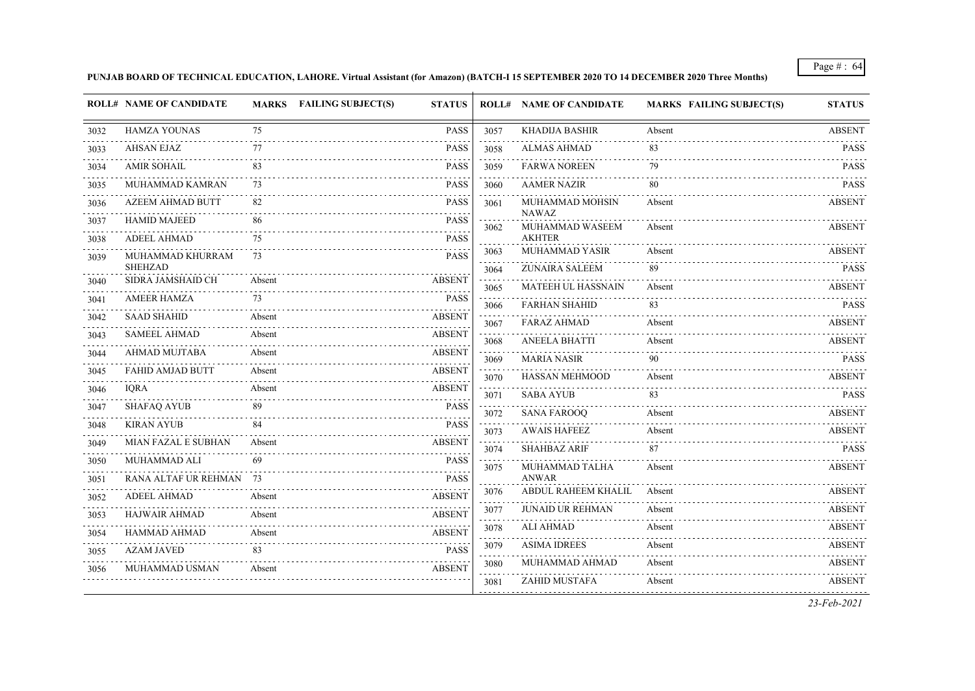**PUNJAB BOARD OF TECHNICAL EDUCATION, LAHORE. Virtual Assistant (for Amazon) (BATCH-I 15 SEPTEMBER 2020 TO 14 DECEMBER 2020 Three Months)**

|      | <b>ROLL# NAME OF CANDIDATE</b>      |        | MARKS FAILING SUBJECT(S) | <b>STATUS</b> |                                                                                                                                         | <b>ROLL# NAME OF CANDIDATE</b>  | <b>MARKS FAILING SUBJECT(S)</b> | <b>STATUS</b>      |
|------|-------------------------------------|--------|--------------------------|---------------|-----------------------------------------------------------------------------------------------------------------------------------------|---------------------------------|---------------------------------|--------------------|
| 3032 | <b>HAMZA YOUNAS</b>                 | 75     |                          | <b>PASS</b>   | 3057                                                                                                                                    | <b>KHADIJA BASHIR</b>           | Absent                          | <b>ABSENT</b>      |
| 3033 | AHSAN EJAZ                          | 77     |                          | <b>PASS</b>   | 3058                                                                                                                                    | <b>ALMAS AHMAD</b>              | 83                              | <b>PASS</b>        |
| 3034 | <b>AMIR SOHAIL</b>                  | 83     |                          | <b>PASS</b>   | 3059                                                                                                                                    | <b>FARWA NOREEN</b>             | 79                              | <b>PASS</b>        |
| 3035 | MUHAMMAD KAMRAN                     | 73     |                          | <b>PASS</b>   | 3060                                                                                                                                    | <b>AAMER NAZIR</b>              | 80                              | <b>PASS</b>        |
| 3036 | <b>AZEEM AHMAD BUTT</b>             | 82     |                          | <b>PASS</b>   | 3061                                                                                                                                    | MUHAMMAD MOHSIN                 | Absent                          | <b>ABSENT</b>      |
| 3037 | <b>HAMID MAJEED</b>                 | 86     |                          | <b>PASS</b>   | 3062                                                                                                                                    | <b>NAWAZ</b><br>MUHAMMAD WASEEM | Absent                          | <b>ABSENT</b>      |
| 3038 | <b>ADEEL AHMAD</b>                  | 75     |                          | <b>PASS</b>   |                                                                                                                                         | <b>AKHTER</b>                   |                                 |                    |
| 3039 | MUHAMMAD KHURRAM                    | 73     |                          | <b>PASS</b>   | 3063<br>$\mathcal{L}^{\mathcal{A}}\mathcal{L}^{\mathcal{A}}\mathcal{L}^{\mathcal{A}}\mathcal{L}^{\mathcal{A}}\mathcal{L}^{\mathcal{A}}$ | MUHAMMAD YASIR                  | Absent                          | <b>ABSENT</b><br>. |
|      | <b>SHEHZAD</b><br>SIDRA JAMSHAID CH | Absent |                          | <b>ABSENT</b> | 3064                                                                                                                                    | <b>ZUNAIRA SALEEM</b>           | 89                              | <b>PASS</b>        |
| 3040 |                                     |        |                          |               | 3065                                                                                                                                    | <b>MATEEH UL HASSNAIN</b>       | Absent                          | <b>ABSENT</b>      |
| 3041 | <b>AMEER HAMZA</b>                  | 73     |                          | <b>PASS</b>   | 3066                                                                                                                                    | <b>FARHAN SHAHID</b>            | 83                              | <b>PASS</b>        |
| 3042 | <b>SAAD SHAHID</b>                  | Absent |                          | <b>ABSENT</b> | 3067                                                                                                                                    | <b>FARAZ AHMAD</b>              | Absent                          | <b>ABSENT</b>      |
| 3043 | <b>SAMEEL AHMAD</b>                 | Absent |                          | <b>ABSENT</b> | 3068                                                                                                                                    | <b>ANEELA BHATTI</b>            | Absent                          | ABSENT             |
| 3044 | AHMAD MUJTABA                       | Absent |                          | <b>ABSENT</b> | 3069                                                                                                                                    | <b>MARIA NASIR</b>              | 90                              | <b>PASS</b>        |
| 3045 | <b>FAHID AMJAD BUTT</b>             | Absent |                          | <b>ABSENT</b> | 3070                                                                                                                                    | <b>HASSAN MEHMOOD</b>           | Absent                          | <b>ABSENT</b>      |
| 3046 | <b>IORA</b>                         | Absent |                          | <b>ABSENT</b> | 3071                                                                                                                                    | <b>SABA AYUB</b>                | 83                              | <b>PASS</b>        |
| 3047 | <b>SHAFAQ AYUB</b>                  | 89     |                          | <b>PASS</b>   | 3072                                                                                                                                    | <b>SANA FAROOQ</b>              | Absent                          | <b>ABSENT</b>      |
| 3048 | <b>KIRAN AYUB</b>                   | 84     |                          | <b>PASS</b>   | 3073                                                                                                                                    | <b>AWAIS HAFEEZ</b>             | Absent                          | <b>ABSENT</b>      |
| 3049 | MIAN FAZAL E SUBHAN                 | Absent |                          | <b>ABSENT</b> | 3074                                                                                                                                    | <b>SHAHBAZ ARIF</b>             | 87                              | <b>PASS</b>        |
| 3050 | MUHAMMAD ALI                        | 69     |                          | <b>PASS</b>   | 3075                                                                                                                                    | MUHAMMAD TALHA                  | Absent                          | <b>ABSENT</b>      |
| 3051 | RANA ALTAF UR REHMAN 73             |        |                          | <b>PASS</b>   |                                                                                                                                         | <b>ANWAR</b>                    |                                 |                    |
| 3052 | <b>ADEEL AHMAD</b>                  | Absent |                          | <b>ABSENT</b> | 3076                                                                                                                                    | ABDUL RAHEEM KHALIL             | Absent                          | <b>ABSENT</b>      |
| 3053 | <b>HAJWAIR AHMAD</b>                | Absent |                          | <b>ABSENT</b> | 3077<br>$\sim 1.1$ , $\sim$                                                                                                             | <b>JUNAID UR REHMAN</b>         | Absent                          | <b>ABSENT</b><br>. |
| 3054 | <b>HAMMAD AHMAD</b>                 | Absent |                          | <b>ABSENT</b> | 3078                                                                                                                                    | ALI AHMAD                       | Absent                          | <b>ABSENT</b>      |
| 3055 | <b>AZAM JAVED</b>                   | 83     |                          | <b>PASS</b>   | 3079                                                                                                                                    | <b>ASIMA IDREES</b>             | Absent                          | <b>ABSENT</b>      |
| 3056 | MUHAMMAD USMAN                      | Absent |                          | <b>ABSENT</b> | 3080                                                                                                                                    | MUHAMMAD AHMAD                  | Absent                          | <b>ABSENT</b>      |
|      |                                     |        |                          |               | 3081                                                                                                                                    | ZAHID MUSTAFA                   | Absent                          | <b>ABSENT</b>      |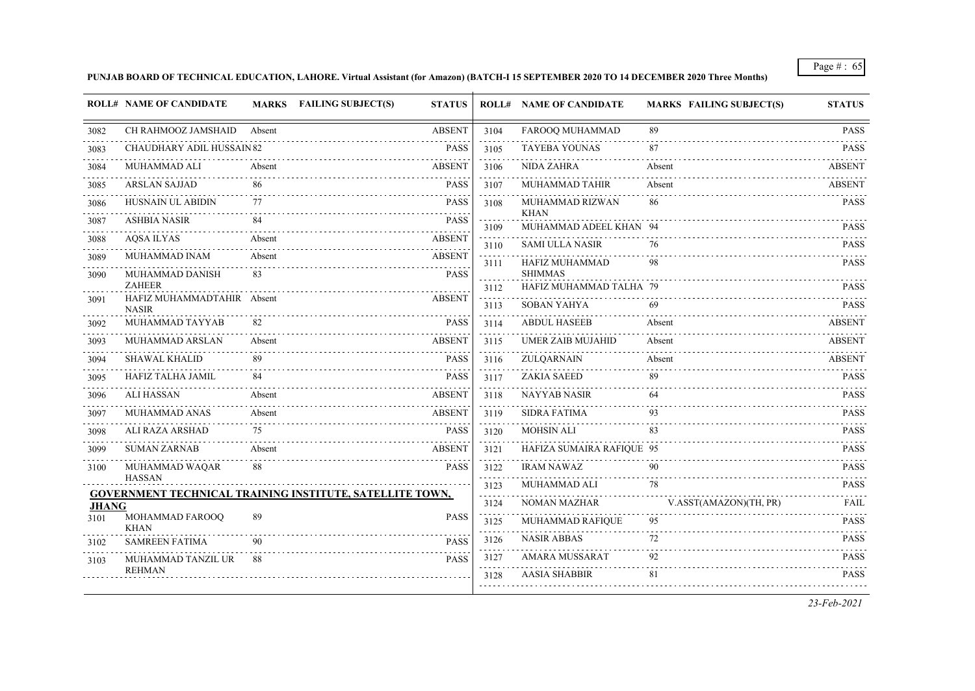#### **PUNJAB BOARD OF TECHNICAL EDUCATION, LAHORE. Virtual Assistant (for Amazon) (BATCH-I 15 SEPTEMBER 2020 TO 14 DECEMBER 2020 Three Months)**

|              | <b>ROLL# NAME OF CANDIDATE</b>              |        | MARKS FAILING SUBJECT(S)<br><b>STATUS</b>                       |                                                                                                                                   | <b>ROLL# NAME OF CANDIDATE</b>        | <b>MARKS FAILING SUBJECT(S)</b> | <b>STATUS</b> |
|--------------|---------------------------------------------|--------|-----------------------------------------------------------------|-----------------------------------------------------------------------------------------------------------------------------------|---------------------------------------|---------------------------------|---------------|
| 3082         | CH RAHMOOZ JAMSHAID                         | Absent | <b>ABSENT</b>                                                   | 3104                                                                                                                              | FAROOQ MUHAMMAD                       | 89                              | <b>PASS</b>   |
| 3083         | <b>CHAUDHARY ADIL HUSSAIN 82</b>            |        | <b>PASS</b>                                                     | 3105                                                                                                                              | <b>TAYEBA YOUNAS</b>                  | 87                              | <b>PASS</b>   |
| 3084         | MUHAMMAD ALI                                | Absent | <b>ABSENT</b>                                                   | 3106                                                                                                                              | <b>NIDA ZAHRA</b>                     | Absent                          | <b>ABSENT</b> |
| 3085         | <b>ARSLAN SAJJAD</b>                        | 86     | <b>PASS</b>                                                     | 3107                                                                                                                              | MUHAMMAD TAHIR                        | Absent                          | <b>ABSENT</b> |
| 3086         | HUSNAIN UL ABIDIN                           | 77     | <b>PASS</b>                                                     | 3108                                                                                                                              | MUHAMMAD RIZWAN                       | 86                              | <b>PASS</b>   |
| 3087         | <b>ASHBIA NASIR</b>                         |        | <b>PASS</b>                                                     | 3109                                                                                                                              | <b>KHAN</b><br>MUHAMMAD ADEEL KHAN 94 |                                 | <b>PASS</b>   |
| 3088         | <b>AQSA ILYAS</b>                           | Absent | <b>ABSENT</b>                                                   | 3110                                                                                                                              | <b>SAMI ULLA NASIR</b>                | 76                              | <b>PASS</b>   |
| 3089         | MUHAMMAD INAM                               | Absent | <b>ABSENT</b>                                                   | 3111                                                                                                                              | HAFIZ MUHAMMAD                        | 98                              | <b>PASS</b>   |
| 3090         | MUHAMMAD DANISH                             | 83     | <b>PASS</b>                                                     |                                                                                                                                   | <b>SHIMMAS</b>                        |                                 |               |
| 3091         | <b>ZAHEER</b><br>HAFIZ MUHAMMADTAHIR Absent |        | <b>ABSENT</b>                                                   | 3112                                                                                                                              | HAFIZ MUHAMMAD TALHA 79               |                                 | <b>PASS</b>   |
|              | <b>NASIR</b>                                |        |                                                                 | 3113                                                                                                                              | <b>SOBAN YAHYA</b>                    | 69                              | <b>PASS</b>   |
| 3092         | MUHAMMAD TAYYAB                             | 82     | <b>PASS</b>                                                     | 3114                                                                                                                              | <b>ABDUL HASEEB</b>                   | Absent                          | <b>ABSENT</b> |
| 3093         | MUHAMMAD ARSLAN                             | Absent | <b>ABSENT</b>                                                   | 3115                                                                                                                              | UMER ZAIB MUJAHID                     | Absent                          | <b>ABSENT</b> |
| 3094         | <b>SHAWAL KHALID</b>                        | 89     | <b>PASS</b>                                                     | 3116                                                                                                                              | ZULQARNAIN                            | Absent                          | <b>ABSENT</b> |
| 3095         | HAFIZ TALHA JAMIL                           | 84     | <b>PASS</b>                                                     | 3117                                                                                                                              | <b>ZAKIA SAEED</b>                    | 89                              | <b>PASS</b>   |
| 3096         | <b>ALI HASSAN</b>                           | Absent | <b>ABSENT</b>                                                   | 3118                                                                                                                              | <b>NAYYAB NASIR</b>                   | 64                              | <b>PASS</b>   |
| 3097         | MUHAMMAD ANAS                               | Absent | <b>ABSENT</b>                                                   | 3119                                                                                                                              | <b>SIDRA FATIMA</b>                   | 93                              | <b>PASS</b>   |
| 3098         | ALI RAZA ARSHAD                             | 75     | <b>PASS</b>                                                     | 3120<br>$\sim$ $\sim$ $\sim$ $\sim$                                                                                               | <b>MOHSIN ALI</b>                     | 83                              | <b>PASS</b>   |
| 3099         | <b>SUMAN ZARNAB</b>                         | Absent | <b>ABSENT</b>                                                   | 3121<br>$\sim$ $\sim$ $\sim$ $\sim$                                                                                               | HAFIZA SUMAIRA RAFIQUE 95             |                                 | <b>PASS</b>   |
| 3100         | MUHAMMAD WAQAR<br>HASSAN                    | 88     | <b>PASS</b>                                                     | 3122                                                                                                                              | <b>IRAM NAWAZ</b>                     | 90                              | <b>PASS</b>   |
|              |                                             |        | <b>GOVERNMENT TECHNICAL TRAINING INSTITUTE, SATELLITE TOWN,</b> | 3123<br>.                                                                                                                         | MUHAMMAD ALI                          | 78                              | <b>PASS</b>   |
| <b>JHANG</b> |                                             |        |                                                                 | 3124<br>$\omega$ , $\omega$ , $\omega$                                                                                            | NOMAN MAZHAR                          | V.ASST(AMAZON)(TH, PR)          | <b>FAIL</b>   |
| 3101         | MOHAMMAD FAROOQ<br><b>KHAN</b>              | 89     | <b>PASS</b>                                                     | 3125                                                                                                                              | MUHAMMAD RAFIQUE                      | 95                              | <b>PASS</b>   |
| 3102         | <b>SAMREEN FATIMA</b>                       | 90     | <b>PASS</b>                                                     | 3126<br>$\frac{1}{2} \left( \frac{1}{2} \right) \left( \frac{1}{2} \right) \left( \frac{1}{2} \right) \left( \frac{1}{2} \right)$ | <b>NASIR ABBAS</b>                    | 72                              | <b>PASS</b>   |
| 3103         | MUHAMMAD TANZIL UR                          | 88     | <b>PASS</b>                                                     | 3127                                                                                                                              | AMARA MUSSARAT                        | 92                              | <b>PASS</b>   |
|              | <b>REHMAN</b>                               |        |                                                                 | 3128                                                                                                                              | <b>AASIA SHABBIR</b>                  | 81                              | <b>PASS</b>   |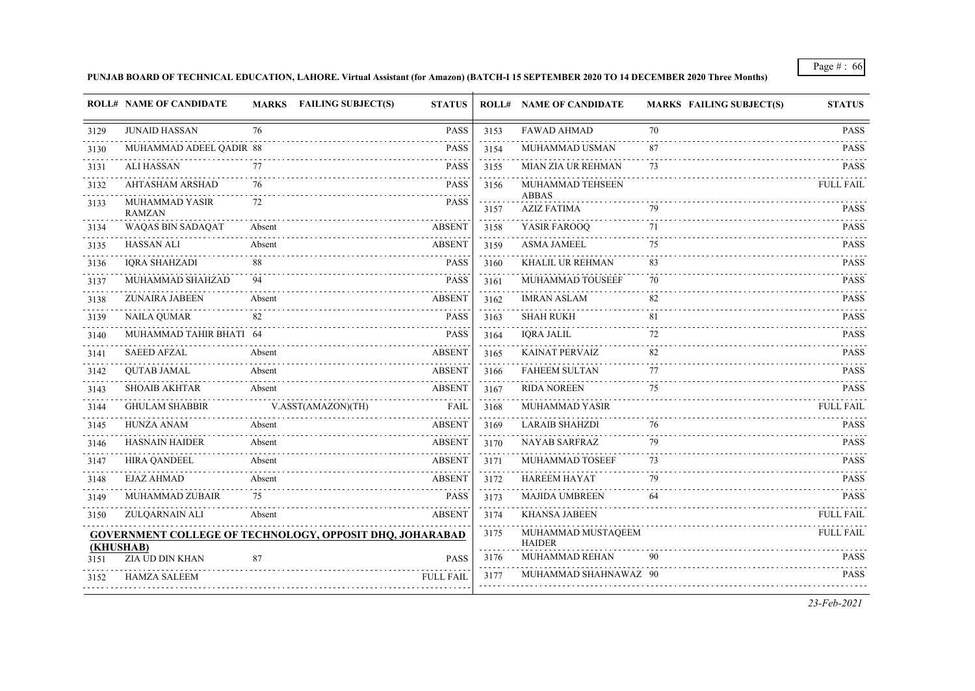### **PUNJAB BOARD OF TECHNICAL EDUCATION, LAHORE. Virtual Assistant (for Amazon) (BATCH-I 15 SEPTEMBER 2020 TO 14 DECEMBER 2020 Three Months)**

|           | <b>ROLL# NAME OF CANDIDATE</b>  | MARKS FAILING SUBJECT(S)                                        | <b>STATUS</b>    |           | <b>ROLL# NAME OF CANDIDATE</b>      | <b>MARKS FAILING SUBJECT(S)</b> | <b>STATUS</b>                                                                                             |
|-----------|---------------------------------|-----------------------------------------------------------------|------------------|-----------|-------------------------------------|---------------------------------|-----------------------------------------------------------------------------------------------------------|
| 3129      | <b>JUNAID HASSAN</b>            | 76                                                              | <b>PASS</b>      | 3153      | <b>FAWAD AHMAD</b>                  | 70                              | <b>PASS</b>                                                                                               |
| 3130      | MUHAMMAD ADEEL QADIR 88         |                                                                 | <b>PASS</b>      | .<br>3154 | MUHAMMAD USMAN                      | 87                              | .<br><b>PASS</b>                                                                                          |
| 3131      | <b>ALI HASSAN</b>               | 77                                                              | <b>PASS</b>      | 3155      | MIAN ZIA UR REHMAN                  | 73                              | <b>PASS</b>                                                                                               |
| 3132      | <b>AHTASHAM ARSHAD</b>          | 76                                                              | <b>PASS</b>      | 3156      | MUHAMMAD TEHSEEN                    |                                 | <b>FULL FAIL</b>                                                                                          |
| 3133      | MUHAMMAD YASIR<br><b>RAMZAN</b> | 72                                                              | <b>PASS</b>      | 3157      | <b>ABBAS</b><br><b>AZIZ FATIMA</b>  | 79                              | <b>PASS</b>                                                                                               |
| 3134      | WAQAS BIN SADAQAT               | Absent                                                          | <b>ABSENT</b>    | 3158      | YASIR FAROOQ                        | 71                              | $\begin{array}{cccccccccccccc} \bot & \bot & \bot & \bot & \bot & \bot & \bot \end{array}$<br><b>PASS</b> |
| 3135      | <b>HASSAN ALI</b>               | Absent                                                          | <b>ABSENT</b>    | 3159      | <b>ASMA JAMEEL</b>                  | 75                              | <b>PASS</b>                                                                                               |
| 3136      | <b>IQRA SHAHZADI</b>            | 88                                                              | <b>PASS</b>      | 3160      | KHALIL UR REHMAN                    | 83                              | <b>PASS</b>                                                                                               |
| 3137      | MUHAMMAD SHAHZAD                | 94                                                              | <b>PASS</b>      | 3161      | MUHAMMAD TOUSEEF                    | 70                              | <b>PASS</b>                                                                                               |
| 3138      | ZUNAIRA JABEEN                  | Absent                                                          | <b>ABSENT</b>    | 3162      | <b>IMRAN ASLAM</b>                  | 82                              | <b>PASS</b>                                                                                               |
| 3139      | <b>NAILA QUMAR</b>              | 82                                                              | <b>PASS</b>      | 3163      | <b>SHAH RUKH</b>                    | 81                              | <b>PASS</b>                                                                                               |
| 3140      | MUHAMMAD TAHIR BHATI 64         |                                                                 | <b>PASS</b>      | 3164      | <b>IQRA JALIL</b>                   | 72                              | <b>PASS</b>                                                                                               |
| 3141      | <b>SAEED AFZAL</b>              | Absent                                                          | <b>ABSENT</b>    | 3165      | <b>KAINAT PERVAIZ</b>               | 82                              | <b>PASS</b>                                                                                               |
| 3142      | <b>QUTAB JAMAL</b>              | Absent                                                          | <b>ABSENT</b>    | 3166      | <b>FAHEEM SULTAN</b>                | 77                              | <b>PASS</b>                                                                                               |
| 3143      | <b>SHOAIB AKHTAR</b>            | Absent                                                          | <b>ABSENT</b>    | 3167      | <b>RIDA NOREEN</b>                  | 75                              | <b>PASS</b>                                                                                               |
| 3144      | <b>GHULAM SHABBIR</b>           | V.ASST(AMAZON)(TH)                                              | <b>FAIL</b>      | 3168      | MUHAMMAD YASIR                      |                                 | <b>FULL FAIL</b>                                                                                          |
| 3145      | HUNZA ANAM                      | Absent                                                          | <b>ABSENT</b>    | 3169      | <b>LARAIB SHAHZDI</b>               | 76                              | <b>PASS</b>                                                                                               |
| 3146      | <b>HASNAIN HAIDER</b>           | Absent                                                          | <b>ABSENT</b>    | 3170      | <b>NAYAB SARFRAZ</b>                | 79                              | <b>PASS</b>                                                                                               |
| 3147      | <b>HIRA QANDEEL</b>             | Absent                                                          | <b>ABSENT</b>    | 3171      | MUHAMMAD TOSEEF                     | 73                              | <b>PASS</b>                                                                                               |
| 3148      | <b>EJAZ AHMAD</b>               | Absent                                                          | <b>ABSENT</b>    | 3172      | <b>HAREEM HAYAT</b>                 | 79                              | <b>PASS</b>                                                                                               |
| 3149      | <b>MUHAMMAD ZUBAIR</b>          | 75                                                              | <b>PASS</b>      | 3173<br>. | <b>MAJIDA UMBREEN</b>               | -64                             | <b>PASS</b>                                                                                               |
| 3150      | ZULQARNAIN ALI                  | Absent                                                          | <b>ABSENT</b>    | 3174      | <b>KHANSA JABEEN</b>                |                                 | <b>FULL FAIL</b>                                                                                          |
| (KHUSHAB) |                                 | <b>GOVERNMENT COLLEGE OF TECHNOLOGY, OPPOSIT DHQ, JOHARABAD</b> |                  | 3175      | MUHAMMAD MUSTAQEEM<br><b>HAIDER</b> |                                 | <b>FULL FAIL</b>                                                                                          |
| 3151      | ZIA UD DIN KHAN                 | 87                                                              | <b>PASS</b>      | 3176      | MUHAMMAD REHAN                      | 90                              | <b>PASS</b><br>.                                                                                          |
| 3152      | <b>HAMZA SALEEM</b>             |                                                                 | <b>FULL FAIL</b> | 3177      | MUHAMMAD SHAHNAWAZ 90               |                                 | <b>PASS</b>                                                                                               |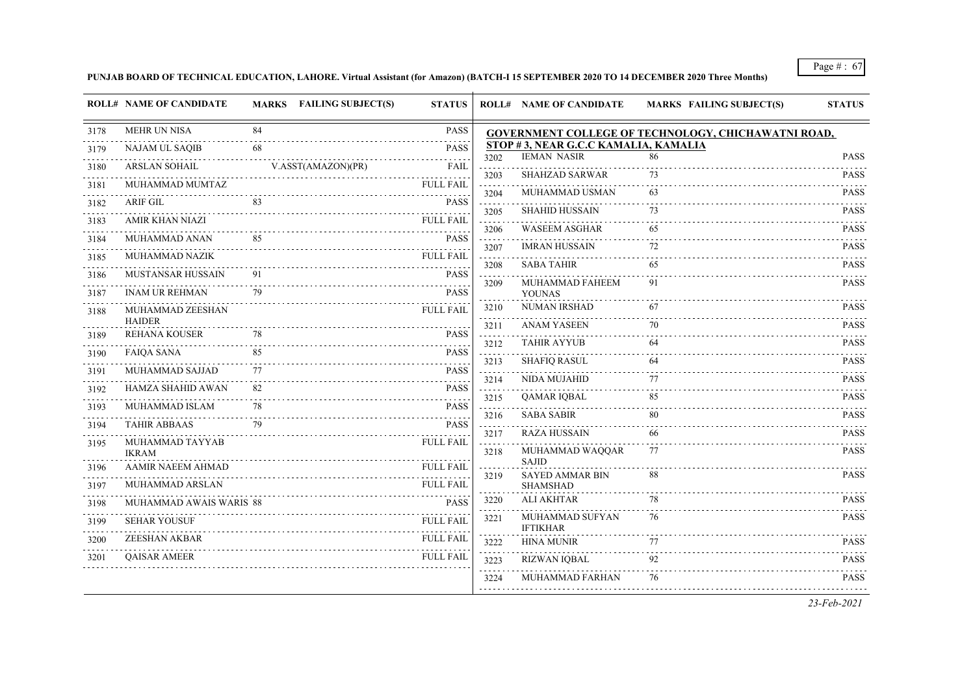**PUNJAB BOARD OF TECHNICAL EDUCATION, LAHORE. Virtual Assistant (for Amazon) (BATCH-I 15 SEPTEMBER 2020 TO 14 DECEMBER 2020 Three Months)**

|      | <b>ROLL# NAME OF CANDIDATE</b>    |    | MARKS FAILING SUBJECT(S) | <b>STATUS</b>    |           | <b>ROLL# NAME OF CANDIDATE</b>       | <b>MARKS FAILING SUBJECT(S)</b>                            | <b>STATUS</b>                                       |
|------|-----------------------------------|----|--------------------------|------------------|-----------|--------------------------------------|------------------------------------------------------------|-----------------------------------------------------|
| 3178 | <b>MEHR UN NISA</b>               | 84 |                          | <b>PASS</b>      |           |                                      | <b>GOVERNMENT COLLEGE OF TECHNOLOGY, CHICHAWATNI ROAD,</b> |                                                     |
| 3179 | NAJAM UL SAQIB                    | 68 |                          | <b>PASS</b>      |           | STOP #3, NEAR G.C.C KAMALIA, KAMALIA |                                                            |                                                     |
| 3180 | <b>ARSLAN SOHAIL</b>              |    | V.ASST(AMAZON)(PR)       | FAIL             | 3202      | <b>IEMAN NASIR</b>                   | 86                                                         | <b>PASS</b>                                         |
| 3181 | MUHAMMAD MUMTAZ                   |    |                          | <b>FULL FAIL</b> | 3203      | <b>SHAHZAD SARWAR</b>                | 73                                                         | <b>PASS</b>                                         |
| 3182 | ARIF GIL                          | 83 |                          | <b>PASS</b>      | 3204<br>. | <b>MUHAMMAD USMAN</b>                | 63                                                         | <b>PASS</b><br>$\omega$ is a second set of $\omega$ |
| 3183 | AMIR KHAN NIAZI                   |    |                          | <b>FULL FAIL</b> | 3205      | <b>SHAHID HUSSAIN</b>                | 73                                                         | <b>PASS</b>                                         |
| 3184 | MUHAMMAD ANAN                     | 85 |                          | <b>PASS</b>      | 3206      | <b>WASEEM ASGHAR</b>                 | 65                                                         | <b>PASS</b>                                         |
| 3185 | <b>MUHAMMAD NAZIK</b>             |    |                          | <b>FULL FAIL</b> | 3207<br>. | <b>IMRAN HUSSAIN</b>                 | 72                                                         | <b>PASS</b>                                         |
| 3186 | <b>MUSTANSAR HUSSAIN</b>          | 91 |                          | <b>PASS</b>      | 3208      | <b>SABA TAHIR</b>                    | 65                                                         | <b>PASS</b><br>.                                    |
|      | <b>INAM UR REHMAN</b>             | 79 |                          | <b>PASS</b>      | 3209      | MUHAMMAD FAHEEM                      | 91                                                         | <b>PASS</b>                                         |
| 3187 | MUHAMMAD ZEESHAN                  |    |                          | <b>FULL FAIL</b> | 3210      | <b>YOUNAS</b><br><b>NUMAN IRSHAD</b> | 67                                                         | <b>PASS</b>                                         |
| 3188 | <b>HAIDER</b>                     |    |                          |                  | 3211      | <b>ANAM YASEEN</b>                   | 70                                                         | <b>PASS</b>                                         |
| 3189 | <b>REHANA KOUSER</b>              | 78 |                          | <b>PASS</b>      | 3212      | <b>TAHIR AYYUB</b>                   | 64                                                         | <b>PASS</b>                                         |
| 3190 | <b>FAIQA SANA</b>                 | 85 |                          | <b>PASS</b>      | .<br>3213 | <b>SHAFIQ RASUL</b>                  | 64                                                         | <b>PASS</b>                                         |
| 3191 | MUHAMMAD SAJJAD                   | 77 |                          | <b>PASS</b>      | 3214      | <b>NIDA MUJAHID</b>                  | 77                                                         | .<br><b>PASS</b>                                    |
| 3192 | HAMZA SHAHID AWAN                 | 82 |                          | <b>PASS</b>      | 3215      | QAMAR IQBAL                          | 85                                                         | <b>PASS</b>                                         |
| 3193 | MUHAMMAD ISLAM                    | 78 |                          | <b>PASS</b>      | .         | <b>SABA SABIR</b>                    | 80                                                         | .<br><b>PASS</b>                                    |
| 3194 | <b>TAHIR ABBAAS</b>               | 79 |                          | <b>PASS</b>      | 3216      |                                      |                                                            |                                                     |
| 3195 | MUHAMMAD TAYYAB                   |    |                          | <b>FULL FAIL</b> | 3217      | <b>RAZA HUSSAIN</b>                  | 66                                                         | <b>PASS</b>                                         |
|      | <b>IKRAM</b><br>AAMIR NAEEM AHMAD |    |                          | <b>FULL FAIL</b> | 3218      | MUHAMMAD WAQQAR<br><b>SAJID</b>      | 77                                                         | <b>PASS</b>                                         |
| 3196 |                                   |    |                          |                  | 3219      | <b>SAYED AMMAR BIN</b>               | 88                                                         | <b>PASS</b>                                         |
| 3197 | <b>MUHAMMAD ARSLAN</b>            |    |                          | <b>FULL FAIL</b> | 3220      | <b>SHAMSHAD</b><br><b>ALI AKHTAR</b> | 78                                                         | <b>PASS</b>                                         |
| 3198 | MUHAMMAD AWAIS WARIS 88           |    |                          | <b>PASS</b>      |           | MUHAMMAD SUFYAN                      | 76                                                         | <b>PASS</b>                                         |
| 3199 | <b>SEHAR YOUSUF</b>               |    |                          | <b>FULL FAIL</b> | 3221      | <b>IFTIKHAR</b>                      |                                                            |                                                     |
| 3200 | <b>ZEESHAN AKBAR</b>              |    |                          | <b>FULL FAIL</b> | 3222      | <b>HINA MUNIR</b>                    | 77                                                         | <b>PASS</b>                                         |
| 3201 | <b>OAISAR AMEER</b>               |    |                          | <b>FULL FAIL</b> | 3223      | <b>RIZWAN IQBAL</b>                  | 92                                                         | <b>PASS</b>                                         |
|      |                                   |    |                          |                  | 3224      | MUHAMMAD FARHAN                      | 76                                                         | <b>PASS</b>                                         |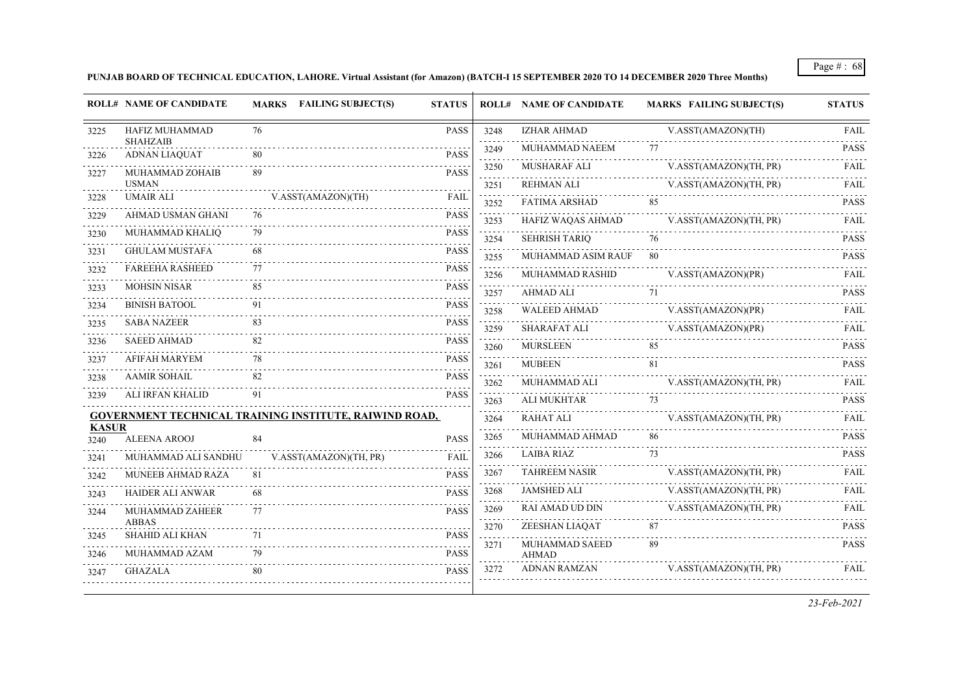#### **PUNJAB BOARD OF TECHNICAL EDUCATION, LAHORE. Virtual Assistant (for Amazon) (BATCH-I 15 SEPTEMBER 2020 TO 14 DECEMBER 2020 Three Months)**

|                      | <b>ROLL# NAME OF CANDIDATE</b>                                |    | <b>MARKS</b> FAILING SUBJECT(S) | <b>STATUS</b>                       |                                                                                                                                                                       | <b>ROLL# NAME OF CANDIDATE</b> |    | <b>MARKS FAILING SUBJECT(S)</b> | <b>STATUS</b>    |
|----------------------|---------------------------------------------------------------|----|---------------------------------|-------------------------------------|-----------------------------------------------------------------------------------------------------------------------------------------------------------------------|--------------------------------|----|---------------------------------|------------------|
| 3225                 | HAFIZ MUHAMMAD<br><b>SHAHZAIB</b>                             | 76 |                                 | <b>PASS</b>                         | 3248<br>$\mathcal{L}^{\mathcal{A}}\left( \mathcal{L}^{\mathcal{A}}\right) \mathcal{L}^{\mathcal{A}}\left( \mathcal{L}^{\mathcal{A}}\right) \mathcal{L}^{\mathcal{A}}$ | IZHAR AHMAD                    |    | V.ASST(AMAZON)(TH)              | <b>FAIL</b><br>. |
| 3226                 | <b>ADNAN LIAQUAT</b>                                          | 80 |                                 | <b>PASS</b>                         | 3249<br>$-1 - 1 - 1$                                                                                                                                                  | MUHAMMAD NAEEM                 | 77 |                                 | <b>PASS</b>      |
| 3227                 | MUHAMMAD ZOHAIB                                               | 89 |                                 | <b>PASS</b>                         | 3250                                                                                                                                                                  | MUSHARAF ALI                   |    | V.ASST(AMAZON)(TH, PR)          | FAIL             |
|                      | <b>USMAN</b>                                                  |    |                                 |                                     | 3251                                                                                                                                                                  | REHMAN ALI                     |    | V.ASST(AMAZON)(TH, PR)          | <b>FAIL</b>      |
| 3228                 | <b>UMAIR ALI</b>                                              |    | V.ASST(AMAZON)(TH)              | FAII                                | 3252                                                                                                                                                                  | <b>FATIMA ARSHAD</b>           | 85 |                                 | <b>PASS</b>      |
| 3229                 | AHMAD USMAN GHANI                                             | 76 |                                 | <b>PASS</b>                         | 3253                                                                                                                                                                  | HAFIZ WAQAS AHMAD              |    | V.ASST(AMAZON)(TH, PR)          | FAIL             |
| 3230                 | MUHAMMAD KHALIQ                                               | 79 |                                 | <b>PASS</b>                         | 3254                                                                                                                                                                  | <b>SEHRISH TARIQ</b>           | 76 |                                 | <b>PASS</b>      |
| 3231                 | <b>GHULAM MUSTAFA</b>                                         |    |                                 | <b>PASS</b>                         | 3255                                                                                                                                                                  | MUHAMMAD ASIM RAUF             | 80 |                                 | <b>PASS</b>      |
| 3232                 | <b>FAREEHA RASHEED</b>                                        | 77 |                                 | <b>PASS</b>                         | 3256                                                                                                                                                                  | MUHAMMAD RASHID                |    | V.ASST(AMAZON)(PR)              | FAIL             |
| 3233                 | <b>MOHSIN NISAR</b><br>.                                      | 85 |                                 | <b>PASS</b>                         | 3257                                                                                                                                                                  | AHMAD ALI                      | 71 |                                 | <b>PASS</b>      |
| 3234                 | <b>BINISH BATOOL</b>                                          | 91 |                                 | <b>PASS</b>                         | 3258                                                                                                                                                                  | <b>WALEED AHMAD</b>            |    | V.ASST(AMAZON)(PR)              | <b>FAIL</b>      |
| 3235                 | <b>SABA NAZEER</b>                                            |    |                                 | <b>PASS</b>                         | 3259                                                                                                                                                                  | <b>SHARAFAT ALI</b>            |    | V.ASST(AMAZON)(PR)              | <b>FAIL</b>      |
| 3236                 | <b>SAEED AHMAD</b><br>.                                       |    |                                 | <b>PASS</b>                         | 3260                                                                                                                                                                  | <b>MURSLEEN</b>                | 85 |                                 | <b>PASS</b>      |
| 3237                 | AFIFAH MARYEM                                                 | 78 |                                 | <b>PASS</b>                         | 3261                                                                                                                                                                  | <b>MUBEEN</b>                  | 81 |                                 | <b>PASS</b>      |
| 3238                 | <b>AAMIR SOHAIL</b>                                           |    |                                 | <b>PASS</b>                         | 3262                                                                                                                                                                  | MUHAMMAD ALI                   |    | V.ASST(AMAZON)(TH, PR)          | <b>FAIL</b>      |
| 3239                 | ALI IRFAN KHALID                                              | 91 |                                 | <b>PASS</b>                         | $\omega_{\rm{eff}}=\omega_{\rm{eff}}\omega_{\rm{eff}}$<br>3263                                                                                                        | <b>ALI MUKHTAR</b>             | 73 |                                 | <b>PASS</b>      |
|                      | <b>GOVERNMENT TECHNICAL TRAINING INSTITUTE, RAIWIND ROAD,</b> |    |                                 |                                     | 3264                                                                                                                                                                  | <b>RAHAT ALI</b>               |    | V.ASST(AMAZON)(TH, PR)          | <b>FAIL</b>      |
| <b>KASUR</b><br>3240 | <b>ALEENA AROOJ</b>                                           | 84 |                                 | <b>PASS</b>                         | 3265                                                                                                                                                                  | MUHAMMAD AHMAD                 | 86 |                                 | <b>PASS</b>      |
| 3241                 | MUHAMMAD ALI SANDHU                                           |    | V.ASST(AMAZON)(TH, PR)          | <b>FAII</b>                         | 3266                                                                                                                                                                  | <b>LAIBA RIAZ</b>              | 73 |                                 | <b>PASS</b>      |
| 3242                 | MUNEEB AHMAD RAZA                                             | 81 |                                 | <b>PASS</b>                         | 3267                                                                                                                                                                  | <b>TAHREEM NASIR</b>           |    | V.ASST(AMAZON)(TH, PR)          | <b>FAIL</b>      |
| 3243                 | <b>HAIDER ALI ANWAR</b>                                       |    |                                 | <b>PASS</b>                         | 3268                                                                                                                                                                  | <b>JAMSHED ALI</b>             |    | V.ASST(AMAZON)(TH, PR)          | <b>FAIL</b>      |
| 3244                 | MUHAMMAD ZAHEER                                               |    |                                 | <b>PASS</b>                         | $\mathcal{L}^{\mathcal{A}}\mathcal{L}^{\mathcal{A}}\mathcal{L}^{\mathcal{A}}\mathcal{L}^{\mathcal{A}}\mathcal{L}^{\mathcal{A}}\mathcal{L}^{\mathcal{A}}$<br>3269      | RAI AMAD UD DIN                |    | V.ASST(AMAZON)(TH, PR)          | FAIL             |
|                      | <b>ABBAS</b>                                                  |    |                                 | $\omega$ is a set of<br><b>PASS</b> | 3270                                                                                                                                                                  | ZEESHAN LIAQAT                 | 87 |                                 | <b>PASS</b>      |
| 3245                 | <b>SHAHID ALI KHAN</b>                                        | 71 |                                 |                                     | 3271                                                                                                                                                                  | MUHAMMAD SAEED                 | 89 |                                 | <b>PASS</b>      |
| 3246                 | MUHAMMAD AZAM                                                 |    |                                 | <b>PASS</b>                         | 3272                                                                                                                                                                  | <b>AHMAD</b><br>ADNAN RAMZAN   |    | V.ASST(AMAZON)(TH, PR)          | FAIL.            |
| 3247                 | <b>GHAZALA</b>                                                | 80 |                                 | <b>PASS</b>                         |                                                                                                                                                                       |                                |    |                                 |                  |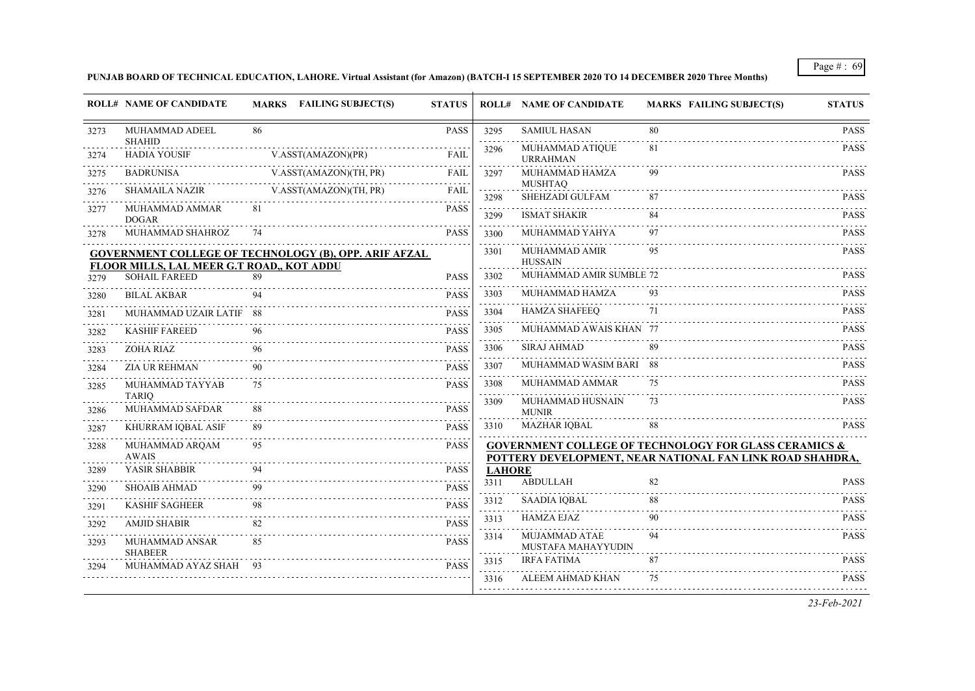#### **PUNJAB BOARD OF TECHNICAL EDUCATION, LAHORE. Virtual Assistant (for Amazon) (BATCH-I 15 SEPTEMBER 2020 TO 14 DECEMBER 2020 Three Months)**

|      | <b>ROLL# NAME OF CANDIDATE</b>                   |    | MARKS FAILING SUBJECT(S)                                     | <b>STATUS</b> |               | <b>ROLL# NAME OF CANDIDATE</b>      | <b>MARKS FAILING SUBJECT(S)</b>                                                                                               | <b>STATUS</b>    |
|------|--------------------------------------------------|----|--------------------------------------------------------------|---------------|---------------|-------------------------------------|-------------------------------------------------------------------------------------------------------------------------------|------------------|
| 3273 | MUHAMMAD ADEEL<br><b>SHAHID</b>                  | 86 |                                                              | <b>PASS</b>   | 3295          | <b>SAMIUL HASAN</b>                 | 80                                                                                                                            | <b>PASS</b>      |
| 3274 | <b>HADIA YOUSIF</b>                              |    | V.ASST(AMAZON)(PR)<br>.                                      | <b>FAIL</b>   | 3296          | MUHAMMAD ATIQUE<br><b>URRAHMAN</b>  | 81                                                                                                                            | <b>PASS</b>      |
| 3275 | <b>BADRUNISA</b>                                 |    | V.ASST(AMAZON)(TH, PR)                                       | <b>FAIL</b>   | 3297          | MUHAMMAD HAMZA<br><b>MUSHTAQ</b>    | 99                                                                                                                            | PASS             |
| 3276 | <b>SHAMAILA NAZIR</b>                            |    | V.ASST(AMAZON)(TH, PR)                                       | <b>FAIL</b>   | 3298          | SHEHZADI GULFAM                     | 87                                                                                                                            | <b>PASS</b>      |
| 3277 | MUHAMMAD AMMAR<br><b>DOGAR</b>                   | 81 |                                                              | <b>PASS</b>   | 3299          | <b>ISMAT SHAKIR</b>                 | 84                                                                                                                            | <b>PASS</b>      |
| 3278 | MUHAMMAD SHAHROZ                                 | 74 |                                                              | <b>PASS</b>   | 3300          | MUHAMMAD YAHYA                      | 97                                                                                                                            | <b>PASS</b>      |
|      | <b>FLOOR MILLS, LAL MEER G.T ROAD,, KOT ADDU</b> |    | <b>GOVERNMENT COLLEGE OF TECHNOLOGY (B), OPP. ARIF AFZAL</b> |               | 3301          | MUHAMMAD AMIR<br><b>HUSSAIN</b>     | 95                                                                                                                            | <b>PASS</b>      |
| 3279 | <b>SOHAIL FAREED</b>                             | 89 |                                                              | <b>PASS</b>   | 3302          | MUHAMMAD AMIR SUMBLE 72             |                                                                                                                               | <b>PASS</b>      |
| 3280 | <b>BILAL AKBAR</b>                               | 94 |                                                              | <b>PASS</b>   | 3303          | MUHAMMAD HAMZA                      | 93                                                                                                                            | <b>PASS</b>      |
| 3281 | MUHAMMAD UZAIR LATIF 88                          |    |                                                              | <b>PASS</b>   | 3304          | <b>HAMZA SHAFEEQ</b>                | 71                                                                                                                            | <b>PASS</b>      |
| 3282 | <b>KASHIF FAREED</b>                             | 96 |                                                              | <b>PASS</b>   | 3305          | MUHAMMAD AWAIS KHAN 77              |                                                                                                                               | <b>PASS</b>      |
| 3283 | ZOHA RIAZ                                        | 96 |                                                              | <b>PASS</b>   | 3306          | SIRAJ AHMAD                         | 89                                                                                                                            | <b>PASS</b>      |
| 3284 | <b>ZIA UR REHMAN</b>                             | 90 |                                                              | <b>PASS</b>   | 3307          | MUHAMMAD WASIM BARI 88              |                                                                                                                               | <b>PASS</b>      |
| 3285 | MUHAMMAD TAYYAB<br><b>TARIQ</b>                  | 75 |                                                              | <b>PASS</b>   | 3308          | MUHAMMAD AMMAR                      | 75                                                                                                                            | <b>PASS</b>      |
| 3286 | MUHAMMAD SAFDAR                                  |    |                                                              | <b>PASS</b>   | 3309          | MUHAMMAD HUSNAIN<br><b>MUNIR</b>    | 73                                                                                                                            | <b>PASS</b>      |
| 3287 | KHURRAM IQBAL ASIF                               |    |                                                              | <b>PASS</b>   | 3310          | <b>MAZHAR IQBAL</b>                 | 88                                                                                                                            | <b>PASS</b>      |
| 3288 | MUHAMMAD ARQAM<br>AWAIS                          | 95 |                                                              | <b>PASS</b>   |               |                                     | <b>GOVERNMENT COLLEGE OF TECHNOLOGY FOR GLASS CERAMICS &amp;</b><br>POTTERY DEVELOPMENT, NEAR NATIONAL FAN LINK ROAD SHAHDRA, |                  |
| 3289 | YASIR SHABBIR                                    | 94 |                                                              | <b>PASS</b>   | <b>LAHORE</b> |                                     |                                                                                                                               |                  |
| 3290 | <b>SHOAIB AHMAD</b>                              | 99 |                                                              | <b>PASS</b>   | 3311          | <b>ABDULLAH</b>                     | 82                                                                                                                            | <b>PASS</b>      |
| 3291 | <b>KASHIF SAGHEER</b>                            | 98 |                                                              | <b>PASS</b>   | 3312          | <b>SAADIA IQBAL</b>                 | 88                                                                                                                            | <b>PASS</b>      |
| 3292 | <b>AMJID SHABIR</b>                              | 82 |                                                              | <b>PASS</b>   | 3313          | <b>HAMZA EJAZ</b>                   | 90                                                                                                                            | PASS             |
| 3293 | MUHAMMAD ANSAR<br><b>SHABEER</b>                 | 85 |                                                              | <b>PASS</b>   | 3314          | MUJAMMAD ATAE<br>MUSTAFA MAHAYYUDIN | 94                                                                                                                            | <b>PASS</b>      |
| 3294 | MUHAMMAD AYAZ SHAH                               |    |                                                              | <b>PASS</b>   | 3315          | <b>IRFA FATIMA</b>                  | 87                                                                                                                            | <b>PASS</b><br>. |
|      |                                                  |    |                                                              |               | 3316          | ALEEM AHMAD KHAN                    | 75                                                                                                                            | <b>PASS</b>      |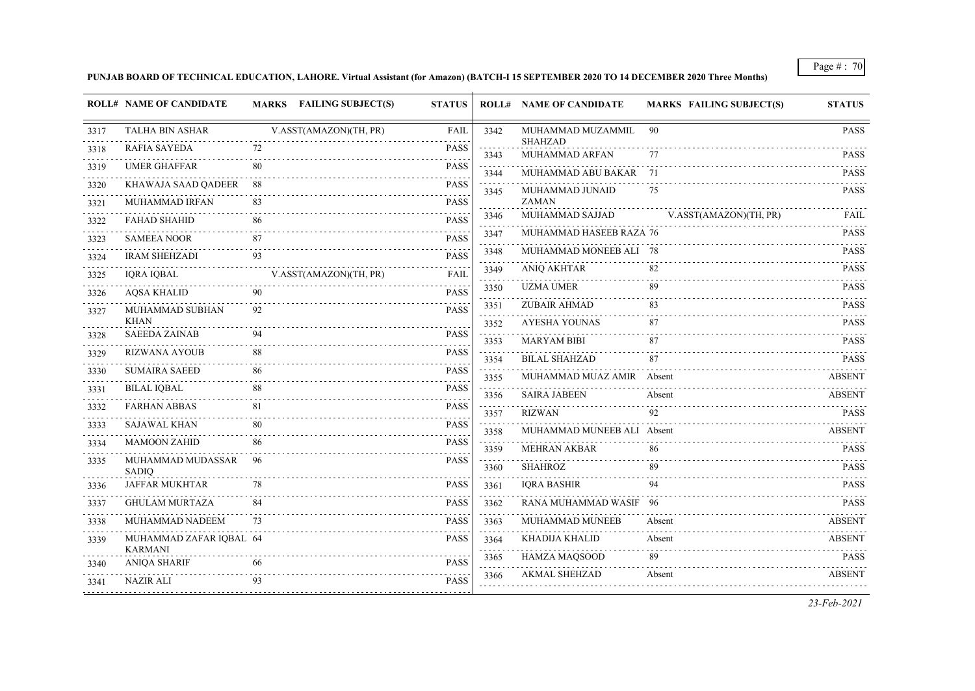**PUNJAB BOARD OF TECHNICAL EDUCATION, LAHORE. Virtual Assistant (for Amazon) (BATCH-I 15 SEPTEMBER 2020 TO 14 DECEMBER 2020 Three Months)**

|      | <b>ROLL# NAME OF CANDIDATE</b>            |     | MARKS FAILING SUBJECT(S)    | <b>STATUS</b>    |                                     | <b>ROLL# NAME OF CANDIDATE</b> | <b>MARKS FAILING SUBJECT(S)</b> | <b>STATUS</b>         |
|------|-------------------------------------------|-----|-----------------------------|------------------|-------------------------------------|--------------------------------|---------------------------------|-----------------------|
| 3317 | <b>TALHA BIN ASHAR</b>                    |     | V.ASST(AMAZON)(TH, PR)<br>. | FAIL             | 3342                                | MUHAMMAD MUZAMMIL<br>SHAHZAD   | 90                              | <b>PASS</b>           |
| 3318 | <b>RAFIA SAYEDA</b>                       | 72  |                             | <b>PASS</b><br>. | 3343                                | MUHAMMAD ARFAN                 | 77                              | <b>PASS</b>           |
| 3319 | <b>UMER GHAFFAR</b>                       | 80  |                             | <b>PASS</b>      | 3344                                | MUHAMMAD ABU BAKAR 71          |                                 | <b>PASS</b>           |
| 3320 | KHAWAJA SAAD QADEER                       | -88 |                             | PASS             | 3345                                | MUHAMMAD JUNAID                | 75                              | <b>PASS</b>           |
| 3321 | MUHAMMAD IRFAN                            | 83  |                             | <b>PASS</b>      |                                     | ZAMAN                          |                                 |                       |
| 3322 | <b>FAHAD SHAHID</b>                       | 86  |                             | <b>PASS</b>      | 3346                                | MUHAMMAD SAJJAD                | V.ASST(AMAZON)(TH, PR)          | FAIL                  |
| 3323 | <b>SAMEEA NOOR</b>                        | 87  |                             | <b>PASS</b>      | 3347                                | MUHAMMAD HASEEB RAZA 76        |                                 | <b>PASS</b>           |
| 3324 | <b>IRAM SHEHZADI</b>                      | 93  |                             | <b>PASS</b>      | 3348                                | MUHAMMAD MONEEB ALI 78         |                                 | <b>PASS</b><br>111111 |
| 3325 | IQRA IQBAL                                |     | V.ASST(AMAZON)(TH, PR)      | <b>FAIL</b>      | 3349                                | <b>ANIQ AKHTAR</b>             | 82                              | <b>PASS</b>           |
| 3326 | <b>AQSA KHALID</b>                        | 90  |                             | <b>PASS</b>      | 3350<br>$\sim$ $\sim$ $\sim$ $\sim$ | <b>UZMA UMER</b>               | 89                              | <b>PASS</b>           |
| 3327 | MUHAMMAD SUBHAN                           | 92  |                             | <b>PASS</b>      | 3351                                | ZUBAIR AHMAD                   | 83                              | <b>PASS</b>           |
|      | <b>KHAN</b>                               |     |                             | .                | 3352                                | <b>AYESHA YOUNAS</b>           | 87                              | <b>PASS</b>           |
| 3328 | <b>SAEEDA ZAINAB</b>                      | 94  |                             | <b>PASS</b>      | 3353                                | <b>MARYAM BIBI</b>             | 87                              | <b>PASS</b>           |
| 3329 | <b>RIZWANA AYOUB</b>                      | 88  |                             | <b>PASS</b>      | 3354                                | <b>BILAL SHAHZAD</b>           | 87                              | <b>PASS</b>           |
| 3330 | <b>SUMAIRA SAEED</b>                      | 86  |                             | <b>PASS</b>      | 3355                                | MUHAMMAD MUAZ AMIR Absent      |                                 | <b>ABSENT</b>         |
| 3331 | <b>BILAL IQBAL</b>                        | 88  |                             | <b>PASS</b>      | 3356                                | <b>SAIRA JABEEN</b>            | Absent                          | <b>ABSENT</b>         |
| 3332 | <b>FARHAN ABBAS</b>                       | 81  |                             | <b>PASS</b>      | 3357                                | <b>RIZWAN</b>                  | 92                              | <b>PASS</b>           |
| 3333 | <b>SAJAWAL KHAN</b>                       | 80  |                             | <b>PASS</b>      | 3358                                | MUHAMMAD MUNEEB ALI Absent     |                                 | <b>ABSENT</b>         |
| 3334 | <b>MAMOON ZAHID</b>                       | 86  |                             | <b>PASS</b>      | 3359                                | <b>MEHRAN AKBAR</b>            | 86                              | <b>PASS</b>           |
| 3335 | MUHAMMAD MUDASSAR<br><b>SADIO</b>         | 96  |                             | <b>PASS</b>      | 3360                                | <b>SHAHROZ</b>                 | 89                              | <b>PASS</b>           |
| 3336 | <b>JAFFAR MUKHTAR</b>                     | 78  |                             | <b>PASS</b>      | 3361                                | <b>IQRA BASHIR</b>             | 94                              | <b>PASS</b>           |
| 3337 | <b>GHULAM MURTAZA</b>                     | 84  |                             | <b>PASS</b>      | 3362                                | RANA MUHAMMAD WASIF 96         |                                 | <b>PASS</b>           |
| 3338 | MUHAMMAD NADEEM                           | 73  |                             | <b>PASS</b>      | 3363                                | MUHAMMAD MUNEEB                | Absent                          | <b>ABSENT</b>         |
| 3339 | MUHAMMAD ZAFAR IQBAL 64<br><b>KARMANI</b> |     |                             | <b>PASS</b>      | 3364<br>.                           | KHADIJA KHALID                 | Absent                          | <b>ABSENT</b>         |
| 3340 | <b>ANIQA SHARIF</b>                       | 66  |                             | .<br><b>PASS</b> | 3365                                | HAMZA MAQSOOD                  | 89                              | <b>PASS</b>           |
| 3341 | <b>NAZIR ALI</b>                          | 93  |                             | <b>PASS</b>      | 3366                                | <b>AKMAL SHEHZAD</b>           | Absent                          | <b>ABSENT</b>         |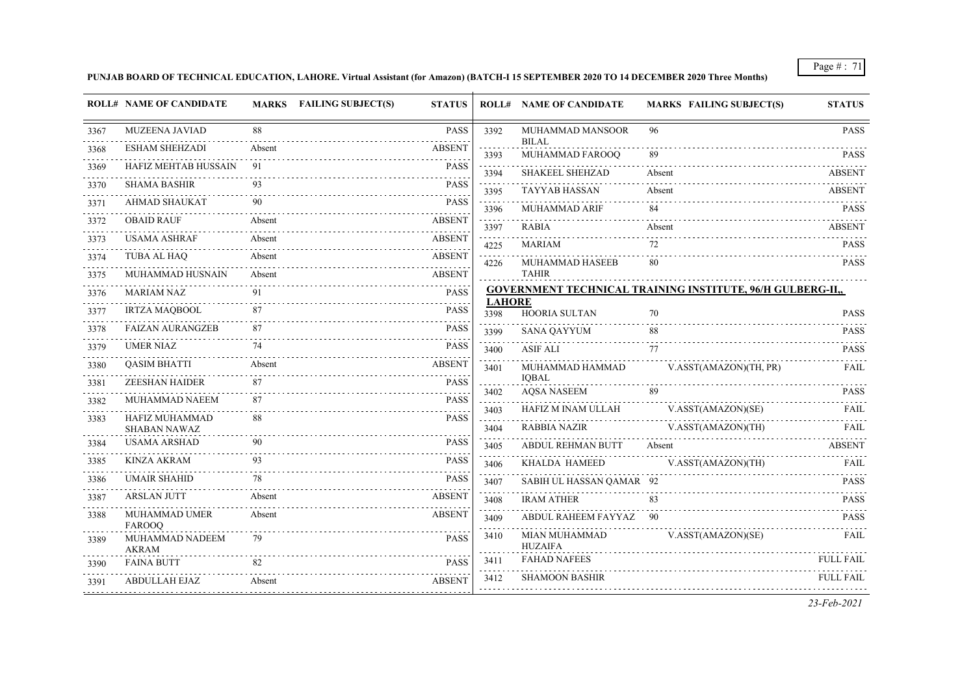**PUNJAB BOARD OF TECHNICAL EDUCATION, LAHORE. Virtual Assistant (for Amazon) (BATCH-I 15 SEPTEMBER 2020 TO 14 DECEMBER 2020 Three Months)**

|      | <b>ROLL# NAME OF CANDIDATE</b>        |        | MARKS FAILING SUBJECT(S) | <b>STATUS</b>    |                | <b>ROLL# NAME OF CANDIDATE</b>   | <b>MARKS FAILING SUBJECT(S)</b>                                   | <b>STATUS</b>    |
|------|---------------------------------------|--------|--------------------------|------------------|----------------|----------------------------------|-------------------------------------------------------------------|------------------|
| 3367 | MUZEENA JAVIAD                        | 88     |                          | <b>PASS</b>      | 3392           | MUHAMMAD MANSOOR<br><b>BILAL</b> | 96                                                                | <b>PASS</b>      |
| 3368 | <b>ESHAM SHEHZADI</b>                 | Absent |                          | <b>ABSENT</b>    | 3393           | MUHAMMAD FAROOQ                  | 89                                                                | <b>PASS</b>      |
| 3369 | HAFIZ MEHTAB HUSSAIN                  | 91     |                          | <b>PASS</b>      | 3394           | <b>SHAKEEL SHEHZAD</b>           | Absent                                                            | <b>ABSENT</b>    |
| 3370 | <b>SHAMA BASHIR</b>                   | 93     |                          | <b>PASS</b>      | 3395           | <b>TAYYAB HASSAN</b>             | Absent                                                            | <b>ABSENT</b>    |
| 3371 | <b>AHMAD SHAUKAT</b>                  | 90     |                          | <b>PASS</b>      | 3396           | MUHAMMAD ARIF                    | 84                                                                | <b>PASS</b>      |
| 3372 | <b>OBAID RAUF</b>                     | Absent |                          | <b>ABSENT</b>    | 3397           | <b>RABIA</b>                     | Absent                                                            | <b>ABSENT</b>    |
| 3373 | <b>USAMA ASHRAF</b>                   | Absent |                          | <b>ABSENT</b>    | 4225           | <b>MARIAM</b>                    | 72                                                                | <b>PASS</b>      |
| 3374 | TUBA AL HAQ                           | Absent |                          | <b>ABSENT</b>    | 4226           | MUHAMMAD HASEEB                  | 80                                                                | <b>PASS</b>      |
| 3375 | MUHAMMAD HUSNAIN                      | Absent |                          | <b>ABSENT</b>    |                | <b>TAHIR</b>                     |                                                                   |                  |
| 3376 | MARIAM NAZ                            | 91     |                          | <b>PASS</b>      | <b>LAHORE</b>  |                                  | <b>GOVERNMENT TECHNICAL TRAINING INSTITUTE, 96/H GULBERG-II,,</b> |                  |
| 3377 | <b>IRTZA MAQBOOL</b>                  | 87     |                          | <b>PASS</b>      | 3398           | <b>HOORIA SULTAN</b>             | 70                                                                | <b>PASS</b>      |
| 3378 | <b>FAIZAN AURANGZEB</b>               | 87     |                          | <b>PASS</b>      | 3399           | <b>SANA QAYYUM</b>               | 88                                                                | <b>PASS</b>      |
| 3379 | <b>UMER NIAZ</b>                      | 74     |                          | <b>PASS</b>      | 3400           | <b>ASIF ALI</b>                  | 77                                                                | <b>PASS</b>      |
| 3380 | <b>QASIM BHATTI</b>                   | Absent |                          | <b>ABSENT</b>    | 3401           | MUHAMMAD HAMMAD                  | V.ASST(AMAZON)(TH, PR)                                            | <b>FAIL</b>      |
| 3381 | <b>ZEESHAN HAIDER</b>                 | 87     |                          | <b>PASS</b><br>. | 3402           | <b>IOBAL</b><br>AQSA NASEEM      | 89                                                                | <b>PASS</b>      |
| 3382 | MUHAMMAD NAEEM                        | 87     |                          | <b>PASS</b>      | لأعاجب<br>3403 | HAFIZ M INAM ULLAH               | V.ASST(AMAZON)(SE)                                                | FAIL             |
| 3383 | HAFIZ MUHAMMAD<br><b>SHABAN NAWAZ</b> | 88     |                          | <b>PASS</b>      | 3404           | RABBIA NAZIR                     | V.ASST(AMAZON)(TH)                                                | FAIL             |
| 3384 | <b>USAMA ARSHAD</b>                   | 90     |                          | <b>PASS</b>      | 3405           | <b>ABDUL REHMAN BUTT</b>         | Absent                                                            | <b>ABSENT</b>    |
| 3385 | KINZA AKRAM                           | 93     |                          | <b>PASS</b>      | 3406           | KHALDA HAMEED                    | V.ASST(AMAZON)(TH)                                                | FAIL             |
| 3386 | <b>UMAIR SHAHID</b>                   | 78     |                          | <b>PASS</b>      | 3407           | SABIH UL HASSAN QAMAR 92         |                                                                   | .<br><b>PASS</b> |
| 3387 | <b>ARSLAN JUTT</b>                    | Absent |                          | <b>ABSENT</b>    | 3408           | <b>IRAM ATHER</b>                | 83                                                                | <b>PASS</b>      |
| 3388 | MUHAMMAD UMER                         | Absent |                          | <b>ABSENT</b>    | 3409           | ABDUL RAHEEM FAYYAZ 90           |                                                                   | <b>PASS</b>      |
|      | <b>FAROOO</b>                         |        |                          |                  | 3410           | MIAN MUHAMMAD                    | V.ASST(AMAZON)(SE)                                                | FAIL             |
| 3389 | MUHAMMAD NADEEM<br><b>AKRAM</b>       | 79     |                          | <b>PASS</b>      |                | <b>HUZAIFA</b>                   |                                                                   |                  |
| 3390 | <b>FAINA BUTT</b>                     | 82     |                          | <b>PASS</b>      | 3411           | <b>FAHAD NAFEES</b>              |                                                                   | <b>FULL FAIL</b> |
| 3391 | ABDULLAH EJAZ                         | Absent |                          | <b>ABSENT</b>    | 3412           | <b>SHAMOON BASHIR</b>            |                                                                   | <b>FULL FAIL</b> |
|      |                                       |        |                          |                  |                |                                  |                                                                   |                  |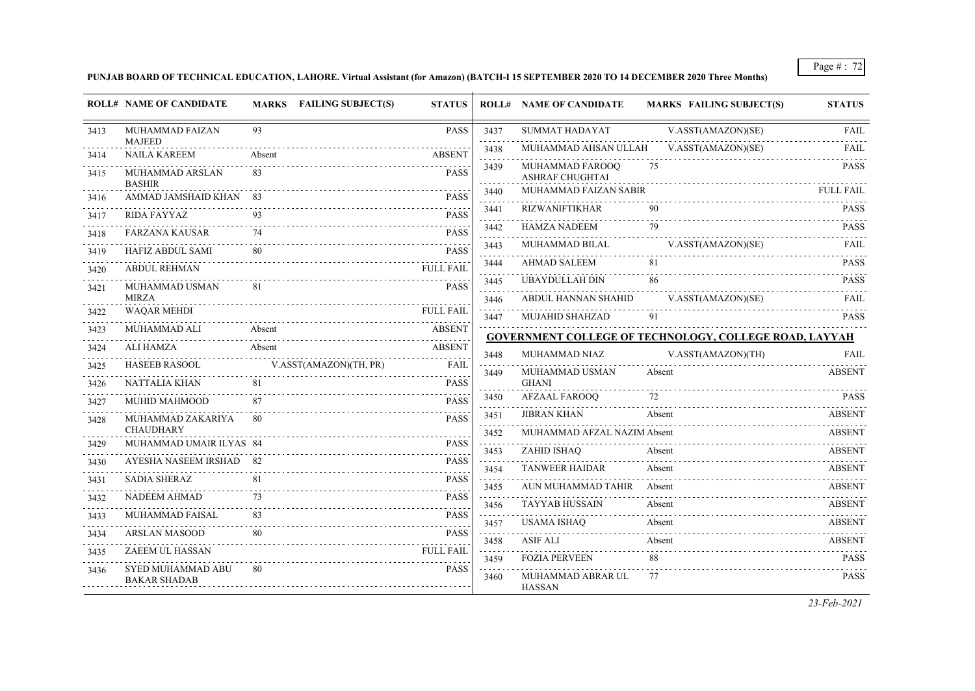**PUNJAB BOARD OF TECHNICAL EDUCATION, LAHORE. Virtual Assistant (for Amazon) (BATCH-I 15 SEPTEMBER 2020 TO 14 DECEMBER 2020 Three Months)**

|           | <b>ROLL# NAME OF CANDIDATE</b>           | MARKS FAILING SUBJECT(S) | <b>STATUS</b>    |                     | <b>ROLL# NAME OF CANDIDATE</b>            | <b>MARKS FAILING SUBJECT(S)</b>                               | <b>STATUS</b>    |
|-----------|------------------------------------------|--------------------------|------------------|---------------------|-------------------------------------------|---------------------------------------------------------------|------------------|
| 3413      | MUHAMMAD FAIZAN<br><b>MAJEED</b>         | 93                       | PASS             | 3437<br>.           | <b>SUMMAT HADAYAT</b>                     | V.ASST(AMAZON)(SE)                                            | FAIL             |
| 3414      | <b>NAILA KAREEM</b>                      | Absent                   | <b>ABSENT</b>    | 3438<br>.           | MUHAMMAD AHSAN ULLAH                      | V.ASST(AMAZON)(SE)                                            | FAII.            |
| 3415      | MUHAMMAD ARSLAN<br><b>BASHIR</b>         | 83                       | <b>PASS</b>      | 3439                | MUHAMMAD FAROOQ<br><b>ASHRAF CHUGHTAI</b> | 75                                                            | <b>PASS</b>      |
| 3416      | AMMAD JAMSHAID KHAN 83                   |                          | <b>PASS</b>      | 3440<br>.           | MUHAMMAD FAIZAN SABIR                     |                                                               | <b>FULL FAIL</b> |
| 3417      | RIDA FAYYAZ                              | 93                       | <b>PASS</b>      | 3441                | <b>RIZWANIFTIKHAR</b>                     |                                                               | <b>PASS</b>      |
| 3418      | <b>FARZANA KAUSAR</b>                    |                          | <b>PASS</b>      | 3442                | <b>HAMZA NADEEM</b>                       | 79                                                            | <b>PASS</b>      |
| 3419      | HAFIZ ABDUL SAMI                         | 80                       | <b>PASS</b>      | 3443                | MUHAMMAD BILAL                            | V.ASST(AMAZON)(SE)                                            | FAIL             |
| 3420      | <b>ABDUL REHMAN</b>                      |                          | <b>FULL FAIL</b> | and a state<br>3444 | <b>AHMAD SALEEM</b>                       |                                                               | <b>PASS</b>      |
|           | MUHAMMAD USMAN                           |                          | <b>PASS</b>      | 3445                | <b>UBAYDULLAH DIN</b>                     | 86                                                            | <b>PASS</b>      |
| 3421      | <b>MIRZA</b>                             |                          |                  | 3446                | ABDUL HANNAN SHAHID                       | V.ASST(AMAZON)(SE)                                            | FAIL             |
| 3422      | <b>WAQAR MEHDI</b>                       |                          | <b>FULL FAIL</b> | 3447                | <b>MUJAHID SHAHZAD</b>                    | 91                                                            | <b>PASS</b>      |
| 3423      | MUHAMMAD ALI<br>Absent                   |                          | <b>ABSENT</b>    |                     |                                           | <b>GOVERNMENT COLLEGE OF TECHNOLOGY, COLLEGE ROAD, LAYYAH</b> |                  |
| 3424      | <b>ALI HAMZA</b>                         | Absent                   | <b>ABSENT</b>    | 3448                | MUHAMMAD NIAZ                             | V.ASST(AMAZON)(TH)                                            | FAIL             |
| 3425      | <b>HASEEB RASOOL</b>                     | V.ASST(AMAZON)(TH, PR)   | FAIL             | .<br>3449           | MUHAMMAD USMAN                            | Absent                                                        | <b>ABSENT</b>    |
| 3426      | NATTALIA KHAN                            |                          | <b>PASS</b>      |                     | <b>GHANI</b>                              |                                                               |                  |
| 3427      | MUHID MAHMOOD                            |                          | <b>PASS</b>      | 3450                | AFZAAL FAROOQ                             | 72                                                            | <b>PASS</b>      |
| 3428      | MUHAMMAD ZAKARIYA                        | -80                      | <b>PASS</b>      | 3451                | <b>JIBRAN KHAN</b>                        | Absent                                                        | <b>ABSENT</b>    |
|           | <b>CHAUDHARY</b>                         |                          |                  | 3452                | MUHAMMAD AFZAL NAZIM Absent               |                                                               | <b>ABSENT</b>    |
| 3429      | MUHAMMAD UMAIR ILYAS 84                  |                          | <b>PASS</b>      | 3453                | <b>ZAHID ISHAQ</b>                        | Absent                                                        | <b>ABSENT</b>    |
| 3430      | AYESHA NASEEM IRSHAD 82                  |                          | <b>PASS</b>      | .<br>3454           | <b>TANWEER HAIDAR</b>                     | Absent                                                        | <b>ABSENT</b>    |
| 3431      | <b>SADIA SHERAZ</b>                      | 81                       | <b>PASS</b>      | 3455                | AUN MUHAMMAD TAHIR Absent                 |                                                               | <b>ABSENT</b>    |
| 3432      | <b>NADEEM AHMAD</b>                      | 73                       | <b>PASS</b>      | 3456                | <b>TAYYAB HUSSAIN</b>                     | Absent                                                        | ABSENT           |
| 3433<br>. | MUHAMMAD FAISAL                          |                          | <b>PASS</b>      | .<br>3457           | <b>USAMA ISHAQ</b>                        | Absent                                                        | <b>ABSENT</b>    |
| 3434      | <b>ARSLAN MASOOD</b>                     | 80                       | <b>PASS</b>      | 3458                | ASIF ALI                                  | Absent                                                        | ABSENT           |
| 3435      | ZAEEM UL HASSAN                          |                          | <b>FULL FAIL</b> | 3459                | <b>FOZIA PERVEEN</b>                      | 88                                                            | <b>PASS</b>      |
| 3436      | SYED MUHAMMAD ABU<br><b>BAKAR SHADAB</b> | -80                      | <b>PASS</b>      | 3460                | MUHAMMAD ABRAR UL<br><b>HASSAN</b>        | 77                                                            | <b>PASS</b>      |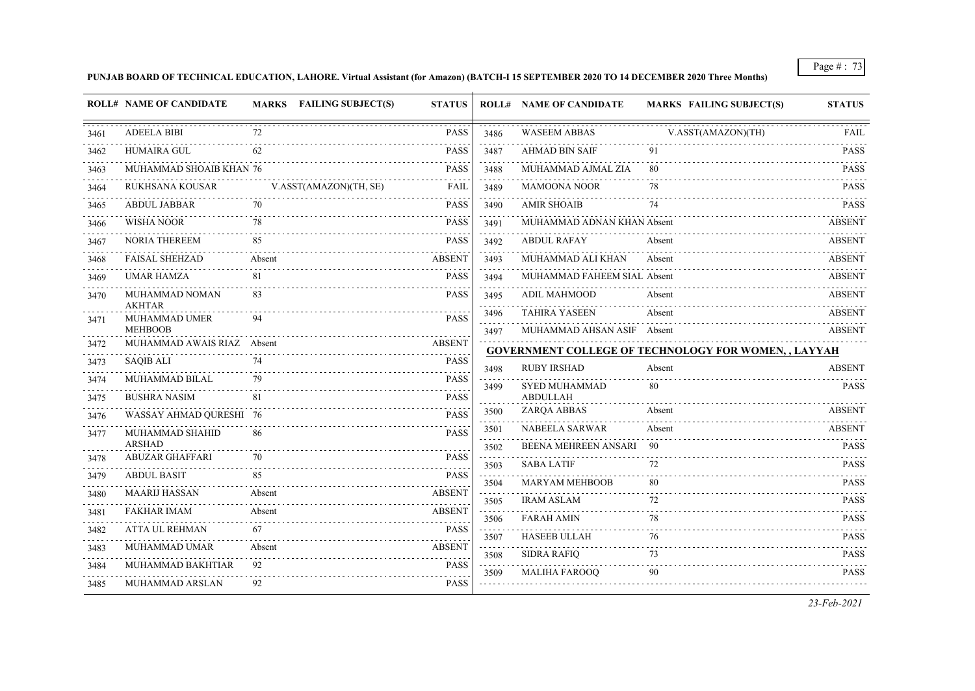## **PUNJAB BOARD OF TECHNICAL EDUCATION, LAHORE. Virtual Assistant (for Amazon) (BATCH-I 15 SEPTEMBER 2020 TO 14 DECEMBER 2020 Three Months)**

|           | <b>ROLL# NAME OF CANDIDATE</b>          | MARKS FAILING SUBJECT(S) | <b>STATUS</b>    |                                                                                                                                                                                         | <b>ROLL# NAME OF CANDIDATE</b>                     | <b>MARKS FAILING SUBJECT(S)</b>                             | <b>STATUS</b>                  |
|-----------|-----------------------------------------|--------------------------|------------------|-----------------------------------------------------------------------------------------------------------------------------------------------------------------------------------------|----------------------------------------------------|-------------------------------------------------------------|--------------------------------|
| 3461      | <b>ADEELA BIBI</b>                      | 72                       | PASS             | 3486<br>.                                                                                                                                                                               | <b>WASEEM ABBAS</b>                                | V.ASST(AMAZON)(TH)                                          | FAIL                           |
| 3462      | <b>HUMAIRA GUL</b>                      | 62                       | PASS             | 3487                                                                                                                                                                                    | <b>AHMAD BIN SAIF</b>                              | 91                                                          | <b>PASS</b>                    |
| 3463      | MUHAMMAD SHOAIB KHAN 76                 |                          | PASS             | $\frac{1}{2} \left( \frac{1}{2} \right) \left( \frac{1}{2} \right) \left( \frac{1}{2} \right) \left( \frac{1}{2} \right) \left( \frac{1}{2} \right) \left( \frac{1}{2} \right)$<br>3488 | MUHAMMAD AJMAL ZIA                                 | 80                                                          | <b>PASS</b>                    |
| 3464      | RUKHSANA KOUSAR                         | V.ASST(AMAZON)(TH, SE)   | FAIL             | .<br>3489                                                                                                                                                                               | <b>MAMOONA NOOR</b>                                |                                                             | <b>PASS</b>                    |
| 3465      | <b>ABDUL JABBAR</b>                     | 70                       | <b>PASS</b>      | 3490                                                                                                                                                                                    | <b>AMIR SHOAIB</b>                                 | 74                                                          | <b>PASS</b>                    |
| 3466      | <b>WISHA NOOR</b>                       | 78                       | <b>PASS</b>      | .<br>3491                                                                                                                                                                               | MUHAMMAD ADNAN KHAN Absent                         |                                                             | <b>ABSENT</b>                  |
| 3467      | <b>NORIA THEREEM</b>                    | 85                       | <b>PASS</b>      | .<br>3492                                                                                                                                                                               | <b>ABDUL RAFAY</b>                                 | Absent                                                      | <b>ABSENT</b>                  |
| 3468      | <b>FAISAL SHEHZAD</b>                   | Absent                   | <b>ABSENT</b>    | 3493                                                                                                                                                                                    | MUHAMMAD ALI KHAN                                  | Absent                                                      | <b>ABSENT</b>                  |
| 3469      | <b>UMAR HAMZA</b>                       | 81                       | <b>PASS</b>      | 222222<br>3494                                                                                                                                                                          | MUHAMMAD FAHEEM SIAL Absent                        |                                                             | <b>ABSENT</b>                  |
| 3470      | MUHAMMAD NOMAN<br><b>AKHTAR</b>         | 83                       | <b>PASS</b>      | .<br>3495                                                                                                                                                                               | <b>ADIL MAHMOOD</b>                                | Absent                                                      | <b>ABSENT</b>                  |
| 3471      | MUHAMMAD UMER<br><b>MEHBOOB</b>         | 94                       | PASS             | 3496<br>.<br>3497                                                                                                                                                                       | <b>TAHIRA YASEEN</b><br>MUHAMMAD AHSAN ASIF Absent | Absent                                                      | <b>ABSENT</b><br><b>ABSENT</b> |
| 3472      | MUHAMMAD AWAIS RIAZ Absent              |                          | <b>ABSENT</b>    |                                                                                                                                                                                         |                                                    |                                                             |                                |
| 3473      | SAQIB ALI                               | 74                       | <b>PASS</b>      |                                                                                                                                                                                         |                                                    | <b>GOVERNMENT COLLEGE OF TECHNOLOGY FOR WOMEN, , LAYYAH</b> |                                |
| 3474      | MUHAMMAD BILAL                          | 79                       | <b>PASS</b>      | 3498                                                                                                                                                                                    | <b>RUBY IRSHAD</b>                                 | Absent                                                      | <b>ABSENT</b>                  |
| 3475      | <b>BUSHRA NASIM</b>                     | 81                       | PASS             | 3499                                                                                                                                                                                    | SYED MUHAMMAD<br><b>ABDULLAH</b>                   | 80                                                          | <b>PASS</b>                    |
| .<br>3476 | WASSAY AHMAD QURESHI 76                 |                          | .<br><b>PASS</b> | 3500                                                                                                                                                                                    | ZARQA ABBAS                                        | Absent                                                      | <b>ABSENT</b>                  |
| 3477      | MUHAMMAD SHAHID                         | 86                       | <b>PASS</b>      | 3501                                                                                                                                                                                    | <b>NABEELA SARWAR</b>                              | Absent                                                      | <b>ABSENT</b>                  |
|           | <b>ARSHAD</b><br><b>ABUZAR GHAFFARI</b> | 70                       | <b>PASS</b>      | 3502<br>.                                                                                                                                                                               | BEENA MEHREEN ANSARI                               | 90                                                          | <b>PASS</b>                    |
| 3478      | <b>ABDUL BASIT</b>                      | 85                       | <b>PASS</b>      | 3503<br>.                                                                                                                                                                               | <b>SABA LATIF</b>                                  | 72                                                          | <b>PASS</b>                    |
| 3479      | <b>MAARIJ HASSAN</b>                    | Absent                   | <b>ABSENT</b>    | 3504                                                                                                                                                                                    | <b>MARYAM MEHBOOB</b>                              | 80                                                          | <b>PASS</b>                    |
| 3480      | <b>FAKHAR IMAM</b>                      | Absent                   | <b>ABSENT</b>    | 3505                                                                                                                                                                                    | <b>IRAM ASLAM</b>                                  | 72                                                          | <b>PASS</b>                    |
| 3481      |                                         |                          | <b>PASS</b>      | 3506<br>.                                                                                                                                                                               | <b>FARAH AMIN</b>                                  | 78                                                          | <b>PASS</b>                    |
| 3482      | ATTA UL REHMAN<br><b>MUHAMMAD UMAR</b>  | 67                       | <b>ABSENT</b>    | 3507<br>.                                                                                                                                                                               | <b>HASEEB ULLAH</b>                                | 76                                                          | <b>PASS</b>                    |
| 3483      |                                         | Absent                   | <b>PASS</b>      | 3508<br>.                                                                                                                                                                               | <b>SIDRA RAFIQ</b>                                 | 73                                                          | <b>PASS</b>                    |
| 3484      | MUHAMMAD BAKHTIAR                       | 92                       |                  | 3509                                                                                                                                                                                    | <b>MALIHA FAROOQ</b>                               | 90                                                          | <b>PASS</b>                    |
| 3485      | MUHAMMAD ARSLAN                         | 92                       | PASS             |                                                                                                                                                                                         |                                                    |                                                             |                                |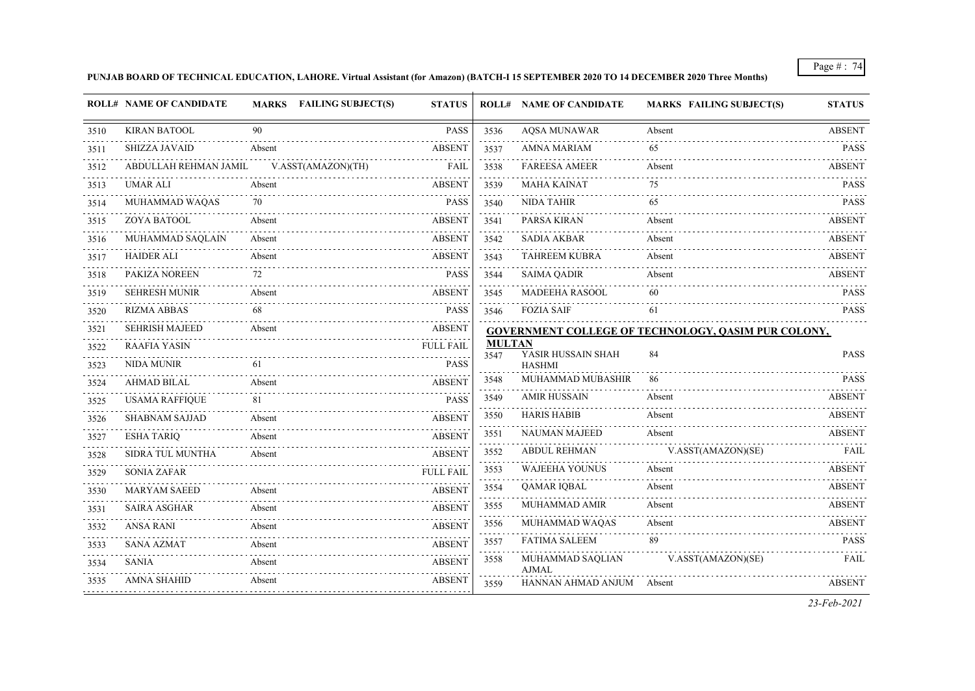## **PUNJAB BOARD OF TECHNICAL EDUCATION, LAHORE. Virtual Assistant (for Amazon) (BATCH-I 15 SEPTEMBER 2020 TO 14 DECEMBER 2020 Three Months)**

|      | <b>ROLL# NAME OF CANDIDATE</b> |        | MARKS FAILING SUBJECT(S) | <b>STATUS</b>    |                       | <b>ROLL# NAME OF CANDIDATE</b>   | <b>MARKS FAILING SUBJECT(S)</b>                            | <b>STATUS</b> |
|------|--------------------------------|--------|--------------------------|------------------|-----------------------|----------------------------------|------------------------------------------------------------|---------------|
| 3510 | <b>KIRAN BATOOL</b>            | 90     |                          | <b>PASS</b>      | 3536                  | <b>AQSA MUNAWAR</b>              | Absent                                                     | <b>ABSENT</b> |
| 3511 | SHIZZA JAVAID                  | Absent |                          | <b>ABSENT</b>    | 3537                  | <b>AMNA MARIAM</b>               | 65                                                         | <b>PASS</b>   |
| 3512 | ABDULLAH REHMAN JAMIL          |        | V.ASST(AMAZON)(TH)       | <b>FAIL</b>      | 2.2.2.2.1<br>3538     | <b>FAREESA AMEER</b>             | Absent                                                     | <b>ABSENT</b> |
| 3513 | <b>UMAR ALI</b>                | Absent |                          | <b>ABSENT</b>    | 3539                  | <b>MAHA KAINAT</b>               | 75                                                         | <b>PASS</b>   |
| 3514 | MUHAMMAD WAQAS                 | 70     |                          | <b>PASS</b>      | 3540                  | <b>NIDA TAHIR</b>                | 65                                                         | <b>PASS</b>   |
| 3515 | ZOYA BATOOL                    | Absent |                          | <b>ABSENT</b>    | 3541                  | PARSA KIRAN                      | Absent                                                     | <b>ABSENT</b> |
| 3516 | MUHAMMAD SAQLAIN               | Absent |                          | <b>ABSENT</b>    | 3542                  | <b>SADIA AKBAR</b>               | Absent                                                     | <b>ABSENT</b> |
| 3517 | <b>HAIDER ALI</b>              | Absent |                          | <b>ABSENT</b>    | 3543                  | <b>TAHREEM KUBRA</b>             | Absent                                                     | <b>ABSENT</b> |
| 3518 | PAKIZA NOREEN                  | 72     |                          | <b>PASS</b>      | 3544                  | <b>SAIMA QADIR</b>               | Absent                                                     | <b>ABSENT</b> |
| 3519 | <b>SEHRESH MUNIR</b>           | Absent |                          | <b>ABSENT</b>    | 3545                  | MADEEHA RASOOL                   | 60                                                         | <b>PASS</b>   |
| 3520 | <b>RIZMA ABBAS</b>             | 68     |                          | <b>PASS</b>      | 3546                  | <b>FOZIA SAIF</b>                | 61                                                         | <b>PASS</b>   |
| 3521 | <b>SEHRISH MAJEED</b>          | Absent |                          | <b>ABSENT</b>    |                       |                                  | <b>GOVERNMENT COLLEGE OF TECHNOLOGY, QASIM PUR COLONY,</b> |               |
| 3522 | <b>RAAFIA YASIN</b>            |        |                          | <b>FULL FAIL</b> | <b>MULTAN</b><br>3547 | YASIR HUSSAIN SHAH               | 84                                                         | <b>PASS</b>   |
| 3523 | <b>NIDA MUNIR</b>              | 61     |                          | <b>PASS</b>      |                       | <b>HASHMI</b>                    |                                                            |               |
| 3524 | AHMAD BILAL                    | Absent |                          | <b>ABSENT</b>    | 3548                  | MUHAMMAD MUBASHIR                | 86                                                         | <b>PASS</b>   |
| 3525 | <b>USAMA RAFFIQUE</b>          | 81     |                          | <b>PASS</b>      | 3549                  | <b>AMIR HUSSAIN</b>              | Absent                                                     | <b>ABSENT</b> |
| 3526 | <b>SHABNAM SAJJAD</b>          | Absent |                          | <b>ABSENT</b>    | 3550                  | <b>HARIS HABIB</b>               | Absent                                                     | <b>ABSENT</b> |
| 3527 | <b>ESHA TARIQ</b>              | Absent |                          | <b>ABSENT</b>    | 3551                  | <b>NAUMAN MAJEED</b>             | Absent                                                     | <b>ABSENT</b> |
| 3528 | SIDRA TUL MUNTHA               | Absent |                          | <b>ABSENT</b>    | 3552                  | ABDUL REHMAN                     | V.ASST(AMAZON)(SE)                                         | FAIL          |
| 3529 | <b>SONIA ZAFAR</b>             |        |                          | <b>FULL FAIL</b> | 3553                  | <b>WAJEEHA YOUNUS</b>            | Absent                                                     | <b>ABSENT</b> |
| 3530 | <b>MARYAM SAEED</b>            | Absent |                          | <b>ABSENT</b>    | 3554                  | <b>QAMAR IQBAL</b>               | Absent                                                     | <b>ABSENT</b> |
| 3531 | <b>SAIRA ASGHAR</b>            | Absent |                          | <b>ABSENT</b>    | 3555                  | MUHAMMAD AMIR                    | Absent                                                     | <b>ABSENT</b> |
| 3532 | <b>ANSA RANI</b>               | Absent |                          | <b>ABSENT</b>    | 3556                  | MUHAMMAD WAQAS                   | Absent                                                     | <b>ABSENT</b> |
| 3533 | <b>SANA AZMAT</b>              | Absent |                          | <b>ABSENT</b>    | 3557                  | <b>FATIMA SALEEM</b>             | 89                                                         | <b>PASS</b>   |
| 3534 | .<br>SANIA                     | Absent |                          | <b>ABSENT</b>    | 3558                  | MUHAMMAD SAQLIAN<br><b>AJMAL</b> | V.ASST(AMAZON)(SE)                                         | <b>FAIL</b>   |
| 3535 | <b>AMNA SHAHID</b>             | Absent |                          | <b>ABSENT</b>    | 3559                  | HANNAN AHMAD ANJUM Absent        |                                                            | <b>ABSENT</b> |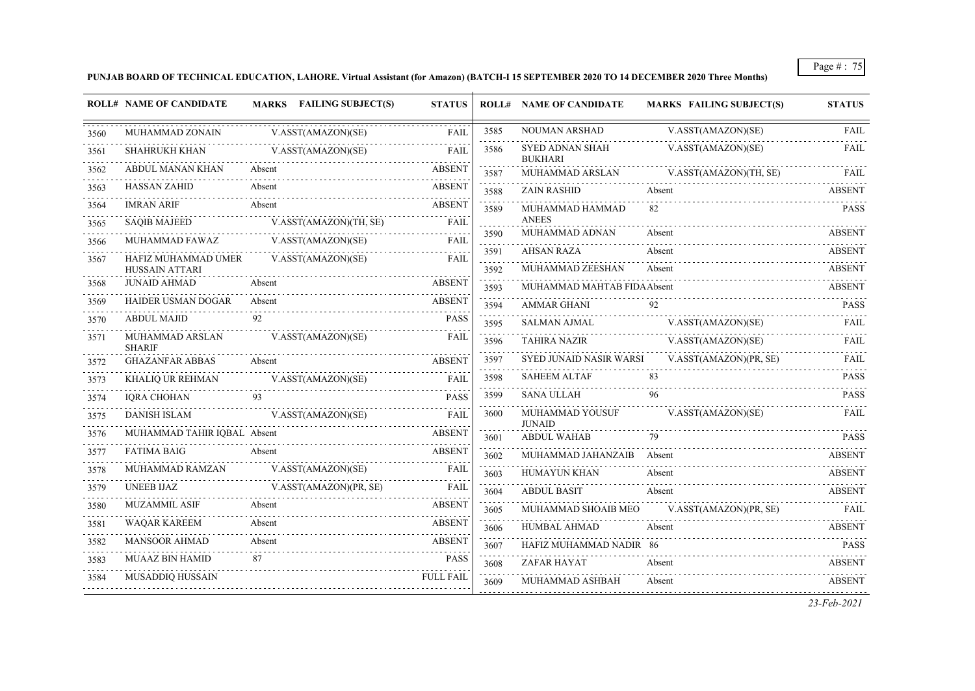**PUNJAB BOARD OF TECHNICAL EDUCATION, LAHORE. Virtual Assistant (for Amazon) (BATCH-I 15 SEPTEMBER 2020 TO 14 DECEMBER 2020 Three Months)**

|      | <b>ROLL# NAME OF CANDIDATE</b>               | <b>MARKS</b> FAILING SUBJECT(S) | <b>STATUS</b>    |                              | <b>ROLL# NAME OF CANDIDATE</b>    | <b>MARKS FAILING SUBJECT(S)</b> | <b>STATUS</b> |
|------|----------------------------------------------|---------------------------------|------------------|------------------------------|-----------------------------------|---------------------------------|---------------|
| 3560 | MUHAMMAD ZONAIN                              | V.ASST(AMAZON)(SE)              | <b>FAIL</b>      | 3585                         | NOUMAN ARSHAD                     | V.ASST(AMAZON)(SE)              | <b>FAIL</b>   |
| 3561 | SHAHRUKH KHAN                                | V.ASST(AMAZON)(SE)              | FAIL             | 3586                         | SYED ADNAN SHAH<br><b>BUKHARI</b> | V.ASST(AMAZON)(SE)              | FAIL          |
| 3562 | ABDUL MANAN KHAN                             | Absent                          | <b>ABSENT</b>    | 3587                         | MUHAMMAD ARSLAN                   | V.ASST(AMAZON)(TH, SE)          | FAIL          |
| 3563 | <b>HASSAN ZAHID</b>                          | Absent                          | <b>ABSENT</b>    | 3588                         | <b>ZAIN RASHID</b>                | Absent                          | <b>ABSENT</b> |
| 3564 | <b>IMRAN ARIF</b>                            | Absent                          | <b>ABSENT</b>    | 3589                         | MUHAMMAD HAMMAD                   | 82                              | <b>PASS</b>   |
| 3565 | <b>SAQIB MAJEED</b>                          | V.ASST(AMAZON)(TH, SE)          | <b>FAIL</b>      | 3590                         | <b>ANEES</b><br>MUHAMMAD ADNAN    | Absent                          | <b>ABSENT</b> |
| 3566 | MUHAMMAD FAWAZ                               | V.ASST(AMAZON)(SE)              | <b>FAIL</b>      | 3591                         | <b>AHSAN RAZA</b>                 | Absent                          | <b>ABSENT</b> |
| 3567 | HAFIZ MUHAMMAD UMER                          | V.ASST(AMAZON)(SE)              | FAIL             | $\omega$ is a single<br>3592 | MUHAMMAD ZEESHAN                  | Absent                          | <b>ABSENT</b> |
| 3568 | <b>HUSSAIN ATTARI</b><br><b>JUNAID AHMAD</b> | Absent                          | <b>ABSENT</b>    | 3593                         | MUHAMMAD MAHTAB FIDA Absent       |                                 | <b>ABSENT</b> |
| 3569 | <b>HAIDER USMAN DOGAR</b>                    | Absent                          | <b>ABSENT</b>    | 3594                         | AMMAR GHANI                       | 92                              | <b>PASS</b>   |
| 3570 | ABDUL MAJID                                  | 92                              | <b>PASS</b>      | 3595                         | <b>SALMAN AJMAL</b>               | V.ASST(AMAZON)(SE)              | FAIL          |
| 3571 | MUHAMMAD ARSLAN<br><b>SHARIF</b>             | V.ASST(AMAZON)(SE)              | FAIL             | 3596                         | <b>TAHIRA NAZIR</b>               | V.ASST(AMAZON)(SE)              | FAIL          |
| 3572 | <b>GHAZANFAR ABBAS</b>                       | Absent                          | <b>ABSENT</b>    | 3597                         | SYED JUNAID NASIR WARSI           | V.ASST(AMAZON)(PR, SE)          | FAIL          |
| 3573 | <b>KHALIQ UR REHMAN</b>                      | V.ASST(AMAZON)(SE)              | <b>FAIL</b>      | 3598                         | <b>SAHEEM ALTAF</b>               | 83                              | <b>PASS</b>   |
| 3574 | <b>IQRA CHOHAN</b>                           | 93                              | <b>PASS</b>      | 3599                         | <b>SANA ULLAH</b>                 | 96                              | <b>PASS</b>   |
| 3575 | <b>DANISH ISLAM</b>                          | V.ASST(AMAZON)(SE)              | FAIL             | 3600                         | MUHAMMAD YOUSUF<br><b>JUNAID</b>  | V.ASST(AMAZON)(SE)              | FAIL          |
| 3576 | MUHAMMAD TAHIR IQBAL Absent                  |                                 | <b>ABSENT</b>    | 3601                         | ABDUL WAHAB                       | 79                              | <b>PASS</b>   |
| 3577 | <b>FATIMA BAIG</b>                           | Absent                          | <b>ABSENT</b>    | 3602                         | MUHAMMAD JAHANZAIB Absent         |                                 | <b>ABSENT</b> |
| 3578 | MUHAMMAD RAMZAN                              | V.ASST(AMAZON)(SE)              | FAIL             | 3603                         | HUMAYUN KHAN                      | Absent                          | <b>ABSENT</b> |
| 3579 | <b>UNEEB IJAZ</b>                            | V.ASST(AMAZON)(PR, SE)          | <b>FAIL</b>      | 3604                         | <b>ABDUL BASIT</b>                | Absent                          | ABSENT        |
| 3580 | <b>MUZAMMIL ASIF</b>                         | Absent                          | <b>ABSENT</b>    | 3605                         | MUHAMMAD SHOAIB MEO               | V.ASST(AMAZON)(PR, SE)          | FAIL          |
| 3581 | <b>WAQAR KAREEM</b>                          | Absent                          | <b>ABSENT</b>    | 3606                         | HUMBAL AHMAD                      | Absent                          | <b>ABSENT</b> |
| 3582 | <b>MANSOOR AHMAD</b>                         | Absent                          | <b>ABSENT</b>    | 3607                         | HAFIZ MUHAMMAD NADIR 86           |                                 | <b>PASS</b>   |
| 3583 | MUAAZ BIN HAMID                              | 87                              | <b>PASS</b>      | 3608                         | ZAFAR HAYAT                       | Absent                          | <b>ABSENT</b> |
| 3584 | MUSADDIQ HUSSAIN                             |                                 | <b>FULL FAIL</b> | 3609                         | MUHAMMAD ASHBAH                   | Absent                          | <b>ABSENT</b> |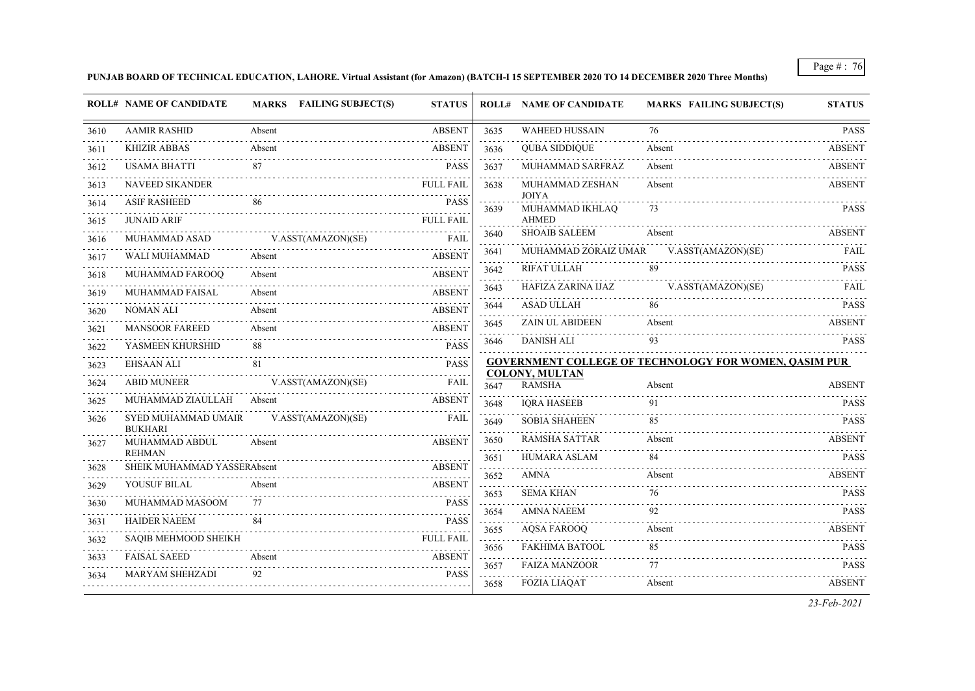**PUNJAB BOARD OF TECHNICAL EDUCATION, LAHORE. Virtual Assistant (for Amazon) (BATCH-I 15 SEPTEMBER 2020 TO 14 DECEMBER 2020 Three Months)**

|      | <b>ROLL# NAME OF CANDIDATE</b>               | <b>MARKS</b> FAILING SUBJECT(S) | <b>STATUS</b>    |                                          | <b>ROLL# NAME OF CANDIDATE</b>         | <b>MARKS FAILING SUBJECT(S)</b>                              | <b>STATUS</b>                    |
|------|----------------------------------------------|---------------------------------|------------------|------------------------------------------|----------------------------------------|--------------------------------------------------------------|----------------------------------|
| 3610 | <b>AAMIR RASHID</b>                          | Absent                          | <b>ABSENT</b>    | 3635                                     | <b>WAHEED HUSSAIN</b>                  | 76                                                           | <b>PASS</b>                      |
| 3611 | <b>KHIZIR ABBAS</b>                          | Absent                          | <b>ABSENT</b>    | 3636                                     | <b>QUBA SIDDIQUE</b>                   | Absent                                                       | <b>ABSENT</b>                    |
| 3612 | <b>USAMA BHATTI</b>                          | 87                              | <b>PASS</b>      | and a series<br>3637                     | MUHAMMAD SARFRAZ                       | Absent                                                       | a a a a a a a a<br><b>ABSENT</b> |
| 3613 | <b>NAVEED SIKANDER</b>                       |                                 | <b>FULL FAIL</b> | 3638                                     | MUHAMMAD ZESHAN                        | Absent                                                       | <b>ABSENT</b>                    |
| 3614 | <b>ASIF RASHEED</b>                          | 86                              | <b>PASS</b>      | 3639                                     | <b>JOIYA</b><br>MUHAMMAD IKHLAQ        | 73                                                           | <b>PASS</b>                      |
| 3615 | <b>JUNAID ARIF</b>                           |                                 | <b>FULL FAIL</b> |                                          | <b>AHMED</b>                           |                                                              |                                  |
| 3616 | MUHAMMAD ASAD                                | V.ASST(AMAZON)(SE)              | FAIL             | 3640<br>المتحدث والمنا                   | <b>SHOAIB SALEEM</b>                   | Absent                                                       | <b>ABSENT</b>                    |
| 3617 | WALI MUHAMMAD                                | Absent                          | <b>ABSENT</b>    | 3641                                     | MUHAMMAD ZORAIZ UMAR                   | V.ASST(AMAZON)(SE)                                           | FAIL                             |
| 3618 | MUHAMMAD FAROOQ                              | Absent                          | <b>ABSENT</b>    | 3642<br>والمتعاملات                      | RIFAT ULLAH                            | 89                                                           | <b>PASS</b>                      |
| 3619 | <b>MUHAMMAD FAISAL</b>                       | Absent                          | <b>ABSENT</b>    | 3643                                     | HAFIZA ZARINA IJAZ                     | V.ASST(AMAZON)(SE)                                           | <b>FAIL</b>                      |
| 3620 | <b>NOMAN ALI</b>                             | Absent                          | <b>ABSENT</b>    | 3644                                     | <b>ASAD ULLAH</b>                      |                                                              | <b>PASS</b>                      |
| 3621 | <b>MANSOOR FAREED</b>                        | Absent                          | <b>ABSENT</b>    | 3645                                     | <b>ZAIN UL ABIDEEN</b>                 | Absent                                                       | <b>ABSENT</b>                    |
| 3622 | YASMEEN KHURSHID                             | 88                              | <b>PASS</b>      | 3646                                     | DANISH ALI                             | 93                                                           | <b>PASS</b>                      |
| 3623 | <b>EHSAAN ALI</b>                            | 81                              | <b>PASS</b>      |                                          |                                        | <b>GOVERNMENT COLLEGE OF TECHNOLOGY FOR WOMEN, OASIM PUR</b> |                                  |
| 3624 | <b>ABID MUNEER</b>                           | V.ASST(AMAZON)(SE)              | FAIL             | 3647                                     | <b>COLONY, MULTAN</b><br><b>RAMSHA</b> | Absent                                                       | <b>ABSENT</b>                    |
| 3625 | MUHAMMAD ZIAULLAH                            | Absent                          | <b>ABSENT</b>    | 3648                                     | <b>IQRA HASEEB</b>                     | 91                                                           | <b>PASS</b>                      |
| 3626 | SYED MUHAMMAD UMAIR<br><b>BUKHARI</b>        | V.ASST(AMAZON)(SE)              | <b>FAIL</b>      | 3649                                     | <b>SOBIA SHAHEEN</b>                   | 85                                                           | <b>PASS</b>                      |
| 3627 | MUHAMMAD ABDUL                               | Absent                          | <b>ABSENT</b>    | 3650<br><b>Service</b>                   | <b>RAMSHA SATTAR</b>                   | Absent                                                       | <b>ABSENT</b>                    |
| 3628 | <b>REHMAN</b><br>SHEIK MUHAMMAD YASSERAbsent |                                 | <b>ABSENT</b>    | 3651<br>الدعاء والمالي                   | <b>HUMARA ASLAM</b>                    | 84                                                           | <b>PASS</b>                      |
| 3629 | YOUSUF BILAL                                 | Absent                          | <b>ABSENT</b>    | 3652                                     | <b>AMNA</b>                            | Absent                                                       | <b>ABSENT</b>                    |
| 3630 | MUHAMMAD MASOOM                              | 77                              | <b>PASS</b>      | 3653                                     | <b>SEMA KHAN</b>                       | 76                                                           | <b>PASS</b>                      |
| 3631 | <b>HAIDER NAEEM</b>                          | 84                              | <b>PASS</b>      | 3654<br>$\omega$ is $\omega$ in $\omega$ | <b>AMNA NAEEM</b>                      | 92                                                           | <b>PASS</b>                      |
| 3632 | <b>SAQIB MEHMOOD SHEIKH</b>                  |                                 | <b>FULL FAIL</b> | 3655                                     | <b>AQSA FAROOQ</b>                     | Absent                                                       | <b>ABSENT</b>                    |
| 3633 | <b>FAISAL SAEED</b>                          | Absent                          | <b>ABSENT</b>    | 3656<br>1.11111                          | <b>FAKHIMA BATOOL</b>                  | 85                                                           | <b>PASS</b>                      |
| 3634 | MARYAM SHEHZADI                              | 92                              | <b>PASS</b>      | 3657<br>2.2.2.2                          | <b>FAIZA MANZOOR</b>                   | 77                                                           | <b>PASS</b>                      |
|      |                                              |                                 |                  | 3658                                     | <b>FOZIA LIAQAT</b>                    | Absent                                                       | <b>ABSENT</b>                    |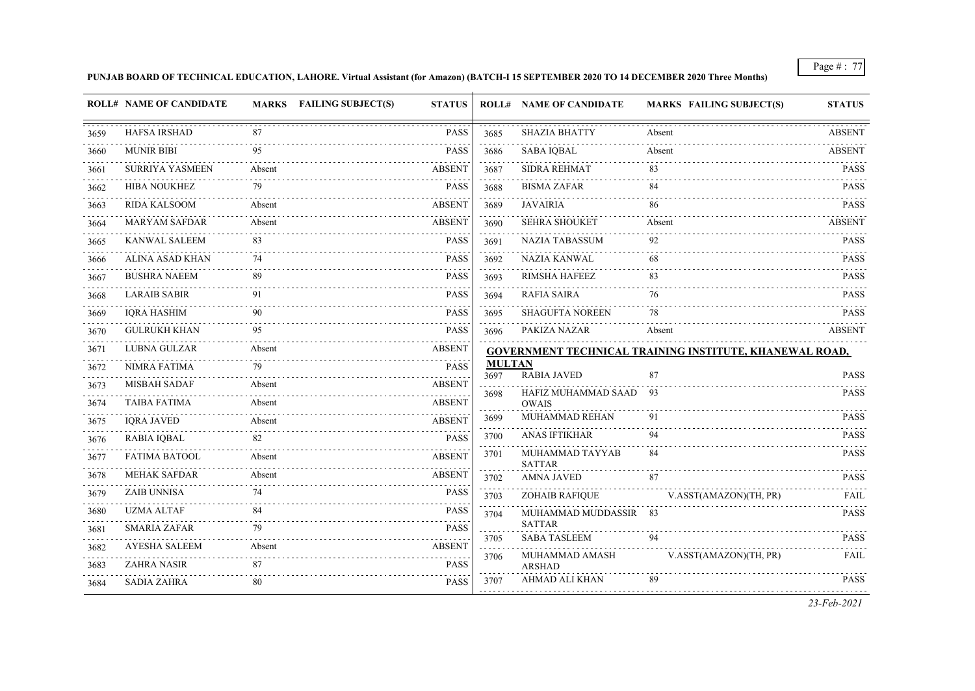# **PUNJAB BOARD OF TECHNICAL EDUCATION, LAHORE. Virtual Assistant (for Amazon) (BATCH-I 15 SEPTEMBER 2020 TO 14 DECEMBER 2020 Three Months)**

|      | <b>ROLL# NAME OF CANDIDATE</b> |        | MARKS FAILING SUBJECT(S) | <b>STATUS</b> |                                 | <b>ROLL# NAME OF CANDIDATE</b>       | <b>MARKS FAILING SUBJECT(S)</b>                                | <b>STATUS</b> |
|------|--------------------------------|--------|--------------------------|---------------|---------------------------------|--------------------------------------|----------------------------------------------------------------|---------------|
| 3659 | <b>HAFSA IRSHAD</b>            | 87     |                          | <b>PASS</b>   | 3685                            | <b>SHAZIA BHATTY</b>                 | Absent                                                         | <b>ABSENT</b> |
| 3660 | <b>MUNIR BIBI</b>              | 95     |                          | <b>PASS</b>   | 3686                            | <b>SABA IOBAL</b>                    | Absent                                                         | ABSENT        |
| 3661 | <b>SURRIYA YASMEEN</b>         | Absent |                          | <b>ABSENT</b> | د د د د د<br>3687               | <b>SIDRA REHMAT</b>                  | 83                                                             | <b>PASS</b>   |
| 3662 | <b>HIBA NOUKHEZ</b>            | 79     |                          | <b>PASS</b>   | 3688                            | <b>BISMA ZAFAR</b>                   | 84                                                             | <b>PASS</b>   |
| 3663 | <b>RIDA KALSOOM</b>            | Absent |                          | ABSENT        | 3689                            | <b>JAVAIRIA</b>                      | 86                                                             | <b>PASS</b>   |
| 3664 | <b>MARYAM SAFDAR</b>           | Absent |                          | <b>ABSENT</b> | 3690                            | <b>SEHRA SHOUKET</b>                 | Absent                                                         | <b>ABSENT</b> |
| 3665 | <b>KANWAL SALEEM</b>           | 83     |                          | <b>PASS</b>   | $\sim 100$ km s $^{-1}$<br>3691 | <b>NAZIA TABASSUM</b>                | 92                                                             | <b>PASS</b>   |
| 3666 | ALINA ASAD KHAN                |        |                          | <b>PASS</b>   | 3692                            | NAZIA KANWAL                         | 68                                                             | <b>PASS</b>   |
| 3667 | <b>BUSHRA NAEEM</b>            | 89     |                          | <b>PASS</b>   | 3693                            | <b>RIMSHA HAFEEZ</b>                 | 83                                                             | <b>PASS</b>   |
| 3668 | <b>LARAIB SABIR</b>            | 91     |                          | <b>PASS</b>   | 3694                            | <b>RAFIA SAIRA</b>                   | 76                                                             | <b>PASS</b>   |
| 3669 | <b>IQRA HASHIM</b>             |        |                          | <b>PASS</b>   | 3695                            | <b>SHAGUFTA NOREEN</b>               | 78                                                             | <b>PASS</b>   |
| 3670 | <b>GULRUKH KHAN</b>            | 95     |                          | <b>PASS</b>   | 3696                            | PAKIZA NAZAR                         | Absent                                                         | <b>ABSENT</b> |
| 3671 | LUBNA GULZAR                   | Absent |                          | <b>ABSENT</b> |                                 |                                      | <b>GOVERNMENT TECHNICAL TRAINING INSTITUTE, KHANEWAL ROAD,</b> |               |
| 3672 | NIMRA FATIMA                   | 79     |                          | <b>PASS</b>   | <b>MULTAN</b><br>3697           | <b>RABIA JAVED</b>                   | 87                                                             | <b>PASS</b>   |
| 3673 | <b>MISBAH SADAF</b>            | Absent |                          | ABSENT        | 3698                            | HAFIZ MUHAMMAD SAAD                  | 93                                                             | <b>PASS</b>   |
| 3674 | <b>TAIBA FATIMA</b>            | Absent |                          | ABSENT        |                                 | <b>OWAIS</b>                         |                                                                |               |
| 3675 | <b>IORA JAVED</b>              | Absent |                          | <b>ABSENT</b> | 3699                            | MUHAMMAD REHAN                       | 91                                                             | <b>PASS</b>   |
| 3676 | <b>RABIA IQBAL</b>             | 82     |                          | <b>PASS</b>   | 3700                            | ANAS IFTIKHAR                        | 94                                                             | <b>PASS</b>   |
| 3677 | <b>FATIMA BATOOL</b>           | Absent |                          | <b>ABSENT</b> | 3701                            | MUHAMMAD TAYYAB<br><b>SATTAR</b>     | 84                                                             | <b>PASS</b>   |
| 3678 | <b>MEHAK SAFDAR</b>            | Absent |                          | ABSENT        | 3702                            | <b>AMNA JAVED</b>                    | 87                                                             | <b>PASS</b>   |
| 3679 | <b>ZAIB UNNISA</b>             |        |                          | <b>PASS</b>   | 3703                            | <b>ZOHAIB RAFIQUE</b>                | V.ASST(AMAZON)(TH, PR)                                         | FAIL          |
| 3680 | <b>UZMA ALTAF</b>              | 84     |                          | <b>PASS</b>   | 3704                            | MUHAMMAD MUDDASSIR 83                |                                                                | <b>PASS</b>   |
| 3681 | <b>SMARIA ZAFAR</b>            |        |                          | <b>PASS</b>   | 3705                            | <b>SATTAR</b><br><b>SABA TASLEEM</b> | 94                                                             | <b>PASS</b>   |
| 3682 | <b>AYESHA SALEEM</b>           | Absent |                          | ABSENT        | 3706                            | MUHAMMAD AMASH                       | V.ASST(AMAZON)(TH, PR)                                         | FAIL          |
| 3683 | <b>ZAHRA NASIR</b>             | 87     |                          | <b>PASS</b>   |                                 | <b>ARSHAD</b>                        |                                                                |               |
| 3684 | <b>SADIA ZAHRA</b>             | 80     |                          | <b>PASS</b>   | 3707                            | AHMAD ALI KHAN                       | 89                                                             | <b>PASS</b>   |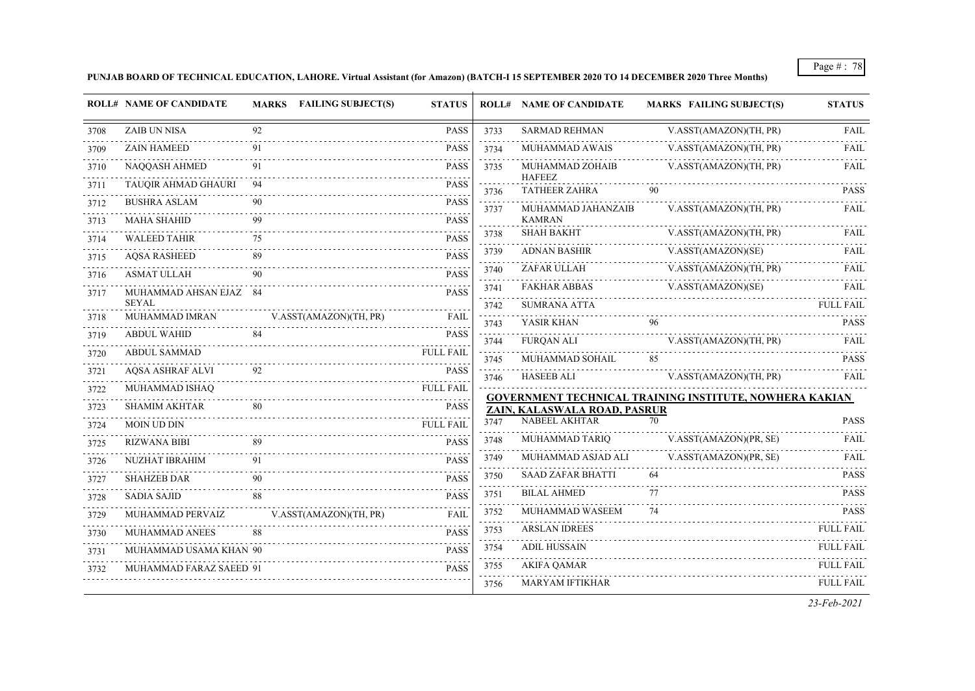**PUNJAB BOARD OF TECHNICAL EDUCATION, LAHORE. Virtual Assistant (for Amazon) (BATCH-I 15 SEPTEMBER 2020 TO 14 DECEMBER 2020 Three Months)**

|      | <b>ROLL# NAME OF CANDIDATE</b>         |    | MARKS FAILING SUBJECT(S) | <b>STATUS</b>    |      | <b>ROLL# NAME OF CANDIDATE</b>        | <b>MARKS FAILING SUBJECT(S)</b>                                | <b>STATUS</b>    |
|------|----------------------------------------|----|--------------------------|------------------|------|---------------------------------------|----------------------------------------------------------------|------------------|
| 3708 | <b>ZAIB UN NISA</b>                    | 92 |                          | <b>PASS</b>      | 3733 | <b>SARMAD REHMAN</b>                  | V.ASST(AMAZON)(TH, PR)                                         | FAIL             |
| 3709 | <b>ZAIN HAMEED</b>                     | 91 |                          | <b>PASS</b>      | 3734 | MUHAMMAD AWAIS                        | V.ASST(AMAZON)(TH, PR)                                         | FAIL             |
| 3710 | NAQQASH AHMED                          |    |                          | <b>PASS</b>      | 3735 | MUHAMMAD ZOHAIB                       | V.ASST(AMAZON)(TH, PR)                                         | FAIL             |
| 3711 | TAUQIR AHMAD GHAURI                    | 94 |                          | <b>PASS</b>      | 3736 | <b>HAFEEZ</b><br><b>TATHEER ZAHRA</b> | 90                                                             | <b>PASS</b>      |
| 3712 | <b>BUSHRA ASLAM</b>                    |    |                          | <b>PASS</b>      | 3737 | MUHAMMAD JAHANZAIB                    | V.ASST(AMAZON)(TH, PR)                                         | FAIL             |
| 3713 | <b>MAHA SHAHID</b>                     |    | .                        | <b>PASS</b>      |      | <b>KAMRAN</b>                         |                                                                |                  |
| 3714 | <b>WALEED TAHIR</b>                    | 75 |                          | <b>PASS</b>      | 3738 | <b>SHAH BAKHT</b>                     | V.ASST(AMAZON)(TH, PR)                                         | FAIL             |
| 3715 | <b>AOSA RASHEED</b>                    |    |                          | <b>PASS</b>      | 3739 | <b>ADNAN BASHIR</b>                   | V.ASST(AMAZON)(SE)                                             | FAIL             |
| 3716 | <b>ASMAT ULLAH</b>                     |    |                          | <b>PASS</b>      | 3740 | ZAFAR ULLAH                           | V.ASST(AMAZON)(TH, PR)                                         | FAIL             |
| 3717 | MUHAMMAD AHSAN EJAZ 84<br><b>SEYAL</b> |    |                          | <b>PASS</b>      | 3741 | <b>FAKHAR ABBAS</b>                   | V.ASST(AMAZON)(SE)                                             | <b>FAIL</b>      |
| 3718 | MUHAMMAD IMRAN                         |    | V.ASST(AMAZON)(TH, PR)   | <b>FAIL</b>      | 3742 | <b>SUMRANA ATTA</b>                   |                                                                | <b>FULL FAIL</b> |
| 3719 | <b>ABDUL WAHID</b>                     | 84 |                          | <b>PASS</b>      | 3743 | YASIR KHAN                            | 96                                                             | <b>PASS</b>      |
| 3720 | <b>ABDUL SAMMAD</b>                    |    |                          | <b>FULL FAIL</b> | 3744 | <b>FURQAN ALI</b>                     | V.ASST(AMAZON)(TH, PR)                                         | <b>FAIL</b>      |
| 3721 | <b>AQSA ASHRAF ALVI</b>                |    |                          | <b>PASS</b>      | 3745 | MUHAMMAD SOHAIL                       | 85                                                             | <b>PASS</b>      |
| 3722 | MUHAMMAD ISHAO                         |    |                          | <b>FULL FAIL</b> | 3746 | <b>HASEEB ALI</b>                     | V.ASST(AMAZON)(TH, PR)                                         | FAIL             |
| 3723 | <b>SHAMIM AKHTAR</b>                   | 80 |                          | <b>PASS</b>      |      | ZAIN, KALASWALA ROAD, PASRUR          | <b>GOVERNMENT TECHNICAL TRAINING INSTITUTE, NOWHERA KAKIAN</b> |                  |
| 3724 | <b>MOIN UD DIN</b>                     |    |                          | <b>FULL FAIL</b> | 3747 | <b>NABEEL AKHTAR</b>                  | 70                                                             | <b>PASS</b>      |
| 3725 | <b>RIZWANA BIBI</b>                    |    |                          | <b>PASS</b>      | 3748 | MUHAMMAD TARIQ                        | V.ASST(AMAZON)(PR, SE)                                         | FAIL             |
| 3726 | NUZHAT IBRAHIM                         | 91 |                          | <b>PASS</b>      | 3749 | MUHAMMAD ASJAD ALI                    | V.ASST(AMAZON)(PR, SE)                                         | FAIL             |
| 3727 | <b>SHAHZEB DAR</b>                     | 90 |                          | <b>PASS</b>      | 3750 | <b>SAAD ZAFAR BHATTI</b>              | 64                                                             | <b>PASS</b>      |
| 3728 | <b>SADIA SAJID</b>                     | 88 |                          | <b>PASS</b>      | 3751 | <b>BILAL AHMED</b>                    | 77                                                             | <b>PASS</b>      |
| 3729 | MUHAMMAD PERVAIZ                       |    | V.ASST(AMAZON)(TH, PR)   | FAIL             | 3752 | MUHAMMAD WASEEM                       | 74                                                             | <b>PASS</b>      |
| 3730 | MUHAMMAD ANEES                         |    |                          | <b>PASS</b>      | 3753 | <b>ARSLAN IDREES</b>                  |                                                                | <b>FULL FAIL</b> |
| 3731 | MUHAMMAD USAMA KHAN 90                 |    |                          | <b>PASS</b>      | 3754 | <b>ADIL HUSSAIN</b>                   |                                                                | <b>FULL FAIL</b> |
| 3732 | MUHAMMAD FARAZ SAEED 91                |    |                          | <b>PASS</b>      | 3755 | <b>AKIFA QAMAR</b>                    |                                                                | <b>FULL FAIL</b> |
|      |                                        |    |                          |                  | 3756 | <b>MARYAM IFTIKHAR</b>                |                                                                | <b>FULL FAIL</b> |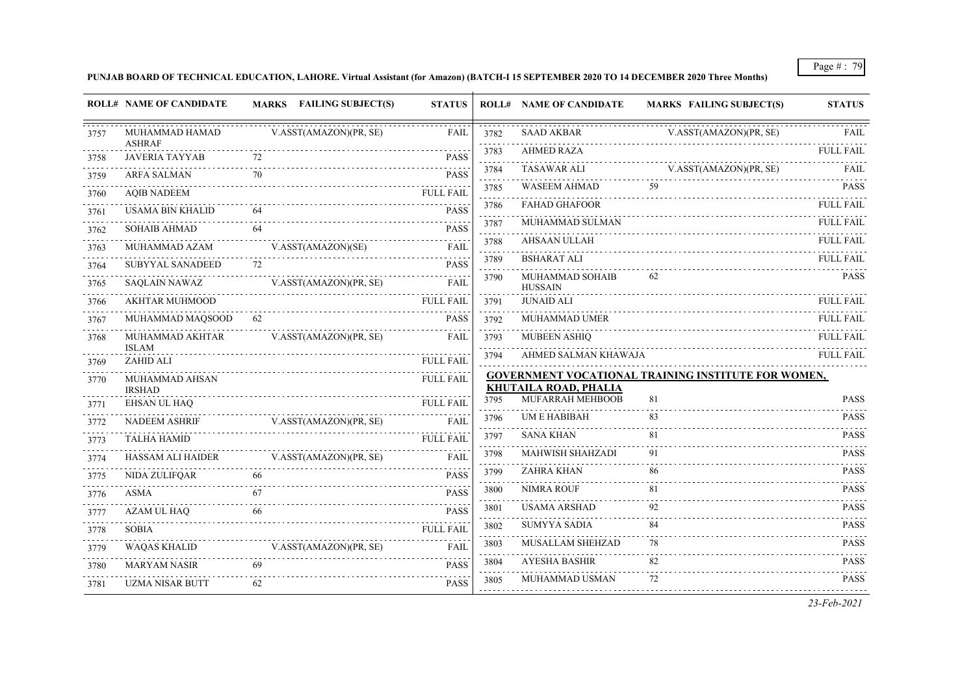**PUNJAB BOARD OF TECHNICAL EDUCATION, LAHORE. Virtual Assistant (for Amazon) (BATCH-I 15 SEPTEMBER 2020 TO 14 DECEMBER 2020 Three Months)**

| V.ASST(AMAZON)(PR, SE)<br>MUHAMMAD HAMAD<br>V.ASST(AMAZON)(PR, SE)<br>FAIL<br>3782<br>SAAD AKBAR<br><b>ASHRAF</b><br>.<br><b>AHMED RAZA</b><br>3783<br><b>JAVERIA TAYYAB</b><br>72<br><b>PASS</b><br>3758<br>.<br>د د د د د<br>V.ASST(AMAZON)(PR, SE)<br><b>TASAWAR ALI</b><br>3784<br><b>ARFA SALMAN</b><br>70<br><b>PASS</b><br>3759<br>$\alpha$ , $\alpha$ , $\alpha$ , $\alpha$<br>59<br><b>WASEEM AHMAD</b><br>3785<br><b>AOIB NADEEM</b><br><b>FULL FAIL</b><br>3760<br>1.111<br><b>FAHAD GHAFOOR</b><br>3786<br><b>USAMA BIN KHALID</b><br>64<br><b>PASS</b><br>3761<br>الداعات عامات<br><b>MUHAMMAD SULMAN</b><br>3787<br>64<br><b>PASS</b><br><b>SOHAIB AHMAD</b><br>3762<br>.<br><b>AHSAAN ULLAH</b><br>3788<br>MUHAMMAD AZAM<br>V.ASST(AMAZON)(SE)<br>FAIL<br>3763<br>and a state<br><b>BSHARAT ALI</b><br>3789<br>72<br><b>SUBYYAL SANADEED</b><br>PASS<br>3764<br>MUHAMMAD SOHAIB<br>62<br>3790<br><b>SAOLAIN NAWAZ</b><br>V.ASST(AMAZON)(PR, SE)<br><b>FAIL</b><br><b>HUSSAIN</b><br><b>AKHTAR MUHMOOD</b><br><b>JUNAID ALI</b><br><b>FULL FAIL</b><br>3791<br>.<br>62<br><b>PASS</b><br>MUHAMMAD MAQSOOD<br>3792<br>MUHAMMAD UMER<br>V.ASST(AMAZON)(PR, SE)<br>MUHAMMAD AKHTAR<br><b>FAIL</b><br>3793<br><b>MUBEEN ASHIO</b><br><b>ISLAM</b><br>.<br>3794<br>AHMED SALMAN KHAWAJA<br>ZAHID ALI<br><b>FULL FAIL</b><br><b>GOVERNMENT VOCATIONAL TRAINING INSTITUTE FOR WOMEN,</b><br><b>FULL FAIL</b><br>MUHAMMAD AHSAN<br><b>KHUTAILA ROAD, PHALIA</b><br><b>IRSHAD</b><br>MUFARRAH MEHBOOB<br>81<br>3795<br>EHSAN UL HAQ<br><b>FULL FAIL</b><br><b>UME HABIBAH</b><br>83<br>3796<br><b>NADEEM ASHRIF</b><br>V.ASST(AMAZON)(PR, SE)<br>FAIL<br>SANA KHAN<br>81<br>3797<br><b>FULL FAIL</b><br><b>TALHA HAMID</b><br>$-1 - 1 - 1 - 1$<br>.<br>91<br><b>MAHWISH SHAHZADI</b><br>3798<br><b>HASSAM ALI HAIDER</b><br>V.ASST(AMAZON)(PR, SE)<br>FAIL<br><b>ZAHRA KHAN</b><br>86<br>3799<br><b>PASS</b><br>NIDA ZULIFQAR<br>NIMRA ROUF<br>81<br>3800<br><b>PASS</b><br>67<br>ASMA<br><b>USAMA ARSHAD</b><br>92<br>3801<br><b>AZAM UL HAO</b><br><b>PASS</b><br>66<br>2.2.2.2<br><b>SUMYYA SADIA</b><br>84<br>3802<br><b>FULL FAIL</b><br><b>SOBIA</b><br>$\sim$ $\sim$ $\sim$ $\sim$<br><b>MUSALLAM SHEHZAD</b><br>78<br>3803<br>WAQAS KHALID<br>V.ASST(AMAZON)(PR, SE)<br>FAIL<br><b>AYESHA BASHIR</b><br>82<br>3804<br><b>MARYAM NASIR</b><br>69<br><b>PASS</b><br>2.2.2.2<br>72<br>MUHAMMAD USMAN<br>3805<br><b>UZMA NISAR BUTT</b><br>62<br><b>PASS</b> |      | <b>ROLL# NAME OF CANDIDATE</b> | <b>MARKS</b> FAILING SUBJECT(S) | <b>STATUS</b> | <b>ROLL# NAME OF CANDIDATE</b> | <b>MARKS FAILING SUBJECT(S)</b> | <b>STATUS</b>    |
|-----------------------------------------------------------------------------------------------------------------------------------------------------------------------------------------------------------------------------------------------------------------------------------------------------------------------------------------------------------------------------------------------------------------------------------------------------------------------------------------------------------------------------------------------------------------------------------------------------------------------------------------------------------------------------------------------------------------------------------------------------------------------------------------------------------------------------------------------------------------------------------------------------------------------------------------------------------------------------------------------------------------------------------------------------------------------------------------------------------------------------------------------------------------------------------------------------------------------------------------------------------------------------------------------------------------------------------------------------------------------------------------------------------------------------------------------------------------------------------------------------------------------------------------------------------------------------------------------------------------------------------------------------------------------------------------------------------------------------------------------------------------------------------------------------------------------------------------------------------------------------------------------------------------------------------------------------------------------------------------------------------------------------------------------------------------------------------------------------------------------------------------------------------------------------------------------------------------------------------------------------------------------------------------------------------------------------------------------------------------------------------------------------------------------------------------------------------------------|------|--------------------------------|---------------------------------|---------------|--------------------------------|---------------------------------|------------------|
|                                                                                                                                                                                                                                                                                                                                                                                                                                                                                                                                                                                                                                                                                                                                                                                                                                                                                                                                                                                                                                                                                                                                                                                                                                                                                                                                                                                                                                                                                                                                                                                                                                                                                                                                                                                                                                                                                                                                                                                                                                                                                                                                                                                                                                                                                                                                                                                                                                                                       | 3757 |                                |                                 |               |                                |                                 | FAIL             |
|                                                                                                                                                                                                                                                                                                                                                                                                                                                                                                                                                                                                                                                                                                                                                                                                                                                                                                                                                                                                                                                                                                                                                                                                                                                                                                                                                                                                                                                                                                                                                                                                                                                                                                                                                                                                                                                                                                                                                                                                                                                                                                                                                                                                                                                                                                                                                                                                                                                                       |      |                                |                                 |               |                                |                                 | <b>FULL FAIL</b> |
|                                                                                                                                                                                                                                                                                                                                                                                                                                                                                                                                                                                                                                                                                                                                                                                                                                                                                                                                                                                                                                                                                                                                                                                                                                                                                                                                                                                                                                                                                                                                                                                                                                                                                                                                                                                                                                                                                                                                                                                                                                                                                                                                                                                                                                                                                                                                                                                                                                                                       |      |                                |                                 |               |                                |                                 | <b>FAIL</b>      |
|                                                                                                                                                                                                                                                                                                                                                                                                                                                                                                                                                                                                                                                                                                                                                                                                                                                                                                                                                                                                                                                                                                                                                                                                                                                                                                                                                                                                                                                                                                                                                                                                                                                                                                                                                                                                                                                                                                                                                                                                                                                                                                                                                                                                                                                                                                                                                                                                                                                                       |      |                                |                                 |               |                                |                                 | <b>PASS</b>      |
|                                                                                                                                                                                                                                                                                                                                                                                                                                                                                                                                                                                                                                                                                                                                                                                                                                                                                                                                                                                                                                                                                                                                                                                                                                                                                                                                                                                                                                                                                                                                                                                                                                                                                                                                                                                                                                                                                                                                                                                                                                                                                                                                                                                                                                                                                                                                                                                                                                                                       |      |                                |                                 |               |                                |                                 | <b>FULL FAIL</b> |
|                                                                                                                                                                                                                                                                                                                                                                                                                                                                                                                                                                                                                                                                                                                                                                                                                                                                                                                                                                                                                                                                                                                                                                                                                                                                                                                                                                                                                                                                                                                                                                                                                                                                                                                                                                                                                                                                                                                                                                                                                                                                                                                                                                                                                                                                                                                                                                                                                                                                       |      |                                |                                 |               |                                |                                 | <b>FULL FAIL</b> |
|                                                                                                                                                                                                                                                                                                                                                                                                                                                                                                                                                                                                                                                                                                                                                                                                                                                                                                                                                                                                                                                                                                                                                                                                                                                                                                                                                                                                                                                                                                                                                                                                                                                                                                                                                                                                                                                                                                                                                                                                                                                                                                                                                                                                                                                                                                                                                                                                                                                                       |      |                                |                                 |               |                                |                                 | <b>FULL FAIL</b> |
|                                                                                                                                                                                                                                                                                                                                                                                                                                                                                                                                                                                                                                                                                                                                                                                                                                                                                                                                                                                                                                                                                                                                                                                                                                                                                                                                                                                                                                                                                                                                                                                                                                                                                                                                                                                                                                                                                                                                                                                                                                                                                                                                                                                                                                                                                                                                                                                                                                                                       |      |                                |                                 |               |                                |                                 | <b>FULL FAIL</b> |
|                                                                                                                                                                                                                                                                                                                                                                                                                                                                                                                                                                                                                                                                                                                                                                                                                                                                                                                                                                                                                                                                                                                                                                                                                                                                                                                                                                                                                                                                                                                                                                                                                                                                                                                                                                                                                                                                                                                                                                                                                                                                                                                                                                                                                                                                                                                                                                                                                                                                       | 3765 |                                |                                 |               |                                |                                 | <b>PASS</b>      |
|                                                                                                                                                                                                                                                                                                                                                                                                                                                                                                                                                                                                                                                                                                                                                                                                                                                                                                                                                                                                                                                                                                                                                                                                                                                                                                                                                                                                                                                                                                                                                                                                                                                                                                                                                                                                                                                                                                                                                                                                                                                                                                                                                                                                                                                                                                                                                                                                                                                                       | 3766 |                                |                                 |               |                                |                                 | <b>FULL FAIL</b> |
|                                                                                                                                                                                                                                                                                                                                                                                                                                                                                                                                                                                                                                                                                                                                                                                                                                                                                                                                                                                                                                                                                                                                                                                                                                                                                                                                                                                                                                                                                                                                                                                                                                                                                                                                                                                                                                                                                                                                                                                                                                                                                                                                                                                                                                                                                                                                                                                                                                                                       | 3767 |                                |                                 |               |                                |                                 | <b>FULL FAIL</b> |
|                                                                                                                                                                                                                                                                                                                                                                                                                                                                                                                                                                                                                                                                                                                                                                                                                                                                                                                                                                                                                                                                                                                                                                                                                                                                                                                                                                                                                                                                                                                                                                                                                                                                                                                                                                                                                                                                                                                                                                                                                                                                                                                                                                                                                                                                                                                                                                                                                                                                       | 3768 |                                |                                 |               |                                |                                 | <b>FULL FAIL</b> |
|                                                                                                                                                                                                                                                                                                                                                                                                                                                                                                                                                                                                                                                                                                                                                                                                                                                                                                                                                                                                                                                                                                                                                                                                                                                                                                                                                                                                                                                                                                                                                                                                                                                                                                                                                                                                                                                                                                                                                                                                                                                                                                                                                                                                                                                                                                                                                                                                                                                                       | 3769 |                                |                                 |               |                                |                                 | <b>FULL FAIL</b> |
|                                                                                                                                                                                                                                                                                                                                                                                                                                                                                                                                                                                                                                                                                                                                                                                                                                                                                                                                                                                                                                                                                                                                                                                                                                                                                                                                                                                                                                                                                                                                                                                                                                                                                                                                                                                                                                                                                                                                                                                                                                                                                                                                                                                                                                                                                                                                                                                                                                                                       | 3770 |                                |                                 |               |                                |                                 |                  |
|                                                                                                                                                                                                                                                                                                                                                                                                                                                                                                                                                                                                                                                                                                                                                                                                                                                                                                                                                                                                                                                                                                                                                                                                                                                                                                                                                                                                                                                                                                                                                                                                                                                                                                                                                                                                                                                                                                                                                                                                                                                                                                                                                                                                                                                                                                                                                                                                                                                                       | 3771 |                                |                                 |               |                                |                                 | <b>PASS</b>      |
|                                                                                                                                                                                                                                                                                                                                                                                                                                                                                                                                                                                                                                                                                                                                                                                                                                                                                                                                                                                                                                                                                                                                                                                                                                                                                                                                                                                                                                                                                                                                                                                                                                                                                                                                                                                                                                                                                                                                                                                                                                                                                                                                                                                                                                                                                                                                                                                                                                                                       | 3772 |                                |                                 |               |                                |                                 | <b>PASS</b>      |
|                                                                                                                                                                                                                                                                                                                                                                                                                                                                                                                                                                                                                                                                                                                                                                                                                                                                                                                                                                                                                                                                                                                                                                                                                                                                                                                                                                                                                                                                                                                                                                                                                                                                                                                                                                                                                                                                                                                                                                                                                                                                                                                                                                                                                                                                                                                                                                                                                                                                       | 3773 |                                |                                 |               |                                |                                 | <b>PASS</b>      |
|                                                                                                                                                                                                                                                                                                                                                                                                                                                                                                                                                                                                                                                                                                                                                                                                                                                                                                                                                                                                                                                                                                                                                                                                                                                                                                                                                                                                                                                                                                                                                                                                                                                                                                                                                                                                                                                                                                                                                                                                                                                                                                                                                                                                                                                                                                                                                                                                                                                                       | 3774 |                                |                                 |               |                                |                                 | <b>PASS</b>      |
|                                                                                                                                                                                                                                                                                                                                                                                                                                                                                                                                                                                                                                                                                                                                                                                                                                                                                                                                                                                                                                                                                                                                                                                                                                                                                                                                                                                                                                                                                                                                                                                                                                                                                                                                                                                                                                                                                                                                                                                                                                                                                                                                                                                                                                                                                                                                                                                                                                                                       | 3775 |                                |                                 |               |                                |                                 | <b>PASS</b>      |
|                                                                                                                                                                                                                                                                                                                                                                                                                                                                                                                                                                                                                                                                                                                                                                                                                                                                                                                                                                                                                                                                                                                                                                                                                                                                                                                                                                                                                                                                                                                                                                                                                                                                                                                                                                                                                                                                                                                                                                                                                                                                                                                                                                                                                                                                                                                                                                                                                                                                       | 3776 |                                |                                 |               |                                |                                 | <b>PASS</b>      |
|                                                                                                                                                                                                                                                                                                                                                                                                                                                                                                                                                                                                                                                                                                                                                                                                                                                                                                                                                                                                                                                                                                                                                                                                                                                                                                                                                                                                                                                                                                                                                                                                                                                                                                                                                                                                                                                                                                                                                                                                                                                                                                                                                                                                                                                                                                                                                                                                                                                                       | 3777 |                                |                                 |               |                                |                                 | <b>PASS</b>      |
|                                                                                                                                                                                                                                                                                                                                                                                                                                                                                                                                                                                                                                                                                                                                                                                                                                                                                                                                                                                                                                                                                                                                                                                                                                                                                                                                                                                                                                                                                                                                                                                                                                                                                                                                                                                                                                                                                                                                                                                                                                                                                                                                                                                                                                                                                                                                                                                                                                                                       | 3778 |                                |                                 |               |                                |                                 | <b>PASS</b>      |
|                                                                                                                                                                                                                                                                                                                                                                                                                                                                                                                                                                                                                                                                                                                                                                                                                                                                                                                                                                                                                                                                                                                                                                                                                                                                                                                                                                                                                                                                                                                                                                                                                                                                                                                                                                                                                                                                                                                                                                                                                                                                                                                                                                                                                                                                                                                                                                                                                                                                       | 3779 |                                |                                 |               |                                |                                 | <b>PASS</b>      |
|                                                                                                                                                                                                                                                                                                                                                                                                                                                                                                                                                                                                                                                                                                                                                                                                                                                                                                                                                                                                                                                                                                                                                                                                                                                                                                                                                                                                                                                                                                                                                                                                                                                                                                                                                                                                                                                                                                                                                                                                                                                                                                                                                                                                                                                                                                                                                                                                                                                                       | 3780 |                                |                                 |               |                                |                                 | <b>PASS</b>      |
|                                                                                                                                                                                                                                                                                                                                                                                                                                                                                                                                                                                                                                                                                                                                                                                                                                                                                                                                                                                                                                                                                                                                                                                                                                                                                                                                                                                                                                                                                                                                                                                                                                                                                                                                                                                                                                                                                                                                                                                                                                                                                                                                                                                                                                                                                                                                                                                                                                                                       | 3781 |                                |                                 |               |                                |                                 | <b>PASS</b>      |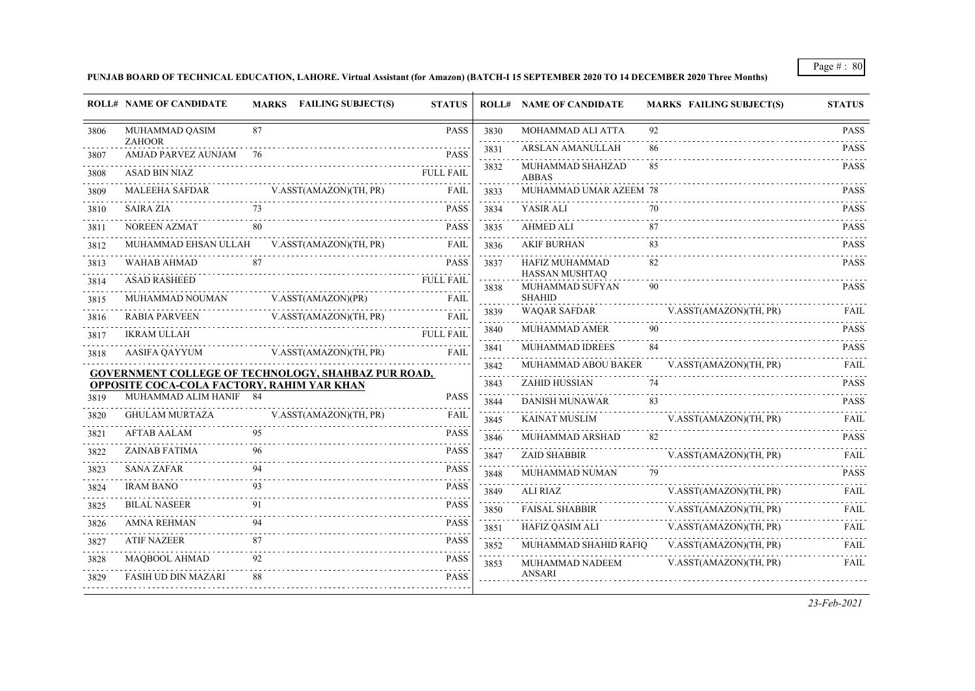**PUNJAB BOARD OF TECHNICAL EDUCATION, LAHORE. Virtual Assistant (for Amazon) (BATCH-I 15 SEPTEMBER 2020 TO 14 DECEMBER 2020 Three Months)**

|      | <b>ROLL# NAME OF CANDIDATE</b>                             |    | <b>MARKS</b> FAILING SUBJECT(S) | <b>STATUS</b>    |                           | <b>ROLL# NAME OF CANDIDATE</b>   | <b>MARKS FAILING SUBJECT(S)</b> | <b>STATUS</b>                                                                                  |
|------|------------------------------------------------------------|----|---------------------------------|------------------|---------------------------|----------------------------------|---------------------------------|------------------------------------------------------------------------------------------------|
| 3806 | MUHAMMAD QASIM                                             | 87 |                                 | <b>PASS</b>      | 3830                      | MOHAMMAD ALI ATTA                | 92                              | <b>PASS</b>                                                                                    |
| 3807 | <b>ZAHOOR</b><br>AMJAD PARVEZ AUNJAM 76                    |    |                                 | <b>PASS</b>      | 3831                      | <b>ARSLAN AMANULLAH</b>          | 86                              | <b>PASS</b>                                                                                    |
| 3808 | ASAD BIN NIAZ                                              |    |                                 | <b>FULL FAIL</b> | 3832                      | MUHAMMAD SHAHZAD<br><b>ABBAS</b> | 85                              | <b>PASS</b>                                                                                    |
| 3809 | <b>MALEEHA SAFDAR</b>                                      |    | V.ASST(AMAZON)(TH, PR)          | <b>FAIL</b>      | 3833                      | MUHAMMAD UMAR AZEEM 78           |                                 | <b>PASS</b>                                                                                    |
| 3810 | <b>SAIRA ZIA</b>                                           |    |                                 | <b>PASS</b>      | 3834                      | YASIR ALI                        | 70                              | <b>PASS</b>                                                                                    |
| 3811 | NOREEN AZMAT                                               | 80 |                                 | <b>PASS</b>      | 3835                      | <b>AHMED ALI</b>                 | 87                              | <b>PASS</b>                                                                                    |
| 3812 | MUHAMMAD EHSAN ULLAH V.ASST(AMAZON)(TH, PR)                |    |                                 | FAIL             | 3836                      | <b>AKIF BURHAN</b>               | 83                              | <b>PASS</b>                                                                                    |
| 3813 | WAHAB AHMAD                                                |    |                                 | <b>PASS</b>      | 3837                      | HAFIZ MUHAMMAD<br>HASSAN MUSHTAQ | 82                              | <b>PASS</b>                                                                                    |
| 3814 | <b>ASAD RASHEED</b>                                        |    |                                 | <b>FULL FAIL</b> | 3838                      | MUHAMMAD SUFYAN                  | 90                              | <b>PASS</b>                                                                                    |
| 3815 | MUHAMMAD NOUMAN                                            |    | V.ASST(AMAZON)(PR)              | FAIL             |                           | <b>SHAHID</b>                    |                                 |                                                                                                |
| 3816 | <b>RABIA PARVEEN</b>                                       |    | V.ASST(AMAZON)(TH, PR)          | FAIL             | 3839                      | <b>WAQAR SAFDAR</b>              | V.ASST(AMAZON)(TH, PR)          | FAII.                                                                                          |
| 3817 | <b>IKRAM ULLAH</b>                                         |    |                                 | <b>FULL FAIL</b> | 3840<br><b>Contractor</b> | <b>MUHAMMAD AMER</b>             | 90                              | <b>PASS</b><br>$\begin{array}{cccccccccc} \bot & \bot & \bot & \bot & \bot & \bot \end{array}$ |
| 3818 | AASIFA QAYYUM                                              |    | V.ASST(AMAZON)(TH, PR)          | <b>FAIL</b>      | 3841                      | <b>MUHAMMAD IDREES</b>           | 84                              | <b>PASS</b>                                                                                    |
|      | <b>GOVERNMENT COLLEGE OF TECHNOLOGY, SHAHBAZ PUR ROAD,</b> |    |                                 |                  | 3842                      | MUHAMMAD ABOU BAKER              | V.ASST(AMAZON)(TH, PR)          | <b>FAIL</b>                                                                                    |
|      | <b>OPPOSITE COCA-COLA FACTORY, RAHIM YAR KHAN</b>          |    |                                 |                  | 3843                      | ZAHID HUSSIAN                    | 74                              | <b>PASS</b>                                                                                    |
| 3819 | MUHAMMAD ALIM HANIF 84                                     |    |                                 | <b>PASS</b>      | 3844                      | <b>DANISH MUNAWAR</b>            | 83                              | <b>PASS</b>                                                                                    |
| 3820 | <b>GHULAM MURTAZA</b>                                      |    | V.ASST(AMAZON)(TH, PR)          | <b>FAIL</b>      | 3845                      | <b>KAINAT MUSLIM</b>             | V.ASST(AMAZON)(TH, PR)          | FAIL                                                                                           |
| 3821 | <b>AFTAB AALAM</b>                                         | 95 |                                 | <b>PASS</b>      | 3846                      | MUHAMMAD ARSHAD                  | 82                              | <b>PASS</b>                                                                                    |
| 3822 | <b>ZAINAB FATIMA</b>                                       |    |                                 | <b>PASS</b>      | 3847                      | <b>ZAID SHABBIR</b>              | V.ASST(AMAZON)(TH, PR)          | FAIL                                                                                           |
| 3823 | <b>SANA ZAFAR</b>                                          |    |                                 | <b>PASS</b>      | 3848                      | MUHAMMAD NUMAN                   | 79                              | <b>PASS</b>                                                                                    |
| 3824 | <b>IRAM BANO</b>                                           |    |                                 | <b>PASS</b>      | 3849                      | ALI RIAZ                         | V.ASST(AMAZON)(TH, PR)          | FAIL                                                                                           |
| 3825 | <b>BILAL NASEER</b>                                        | 91 |                                 | <b>PASS</b>      | 3850                      | <b>FAISAL SHABBIR</b>            | V.ASST(AMAZON)(TH, PR)          | FAIL                                                                                           |
| 3826 | <b>AMNA REHMAN</b>                                         |    |                                 | <b>PASS</b>      | 3851                      | HAFIZ QASIM ALI                  | V.ASST(AMAZON)(TH, PR)          | FAIL                                                                                           |
| 3827 | <b>ATIF NAZEER</b>                                         | 87 | .                               | PASS             | 3852                      | MUHAMMAD SHAHID RAFIO            | V.ASST(AMAZON)(TH, PR)          | FAIL                                                                                           |
| 3828 | <b>MAQBOOL AHMAD</b>                                       | 92 |                                 | <b>PASS</b>      | 3853                      | MUHAMMAD NADEEM                  | V.ASST(AMAZON)(TH, PR)          | FAIL                                                                                           |
| 3829 | <b>FASIH UD DIN MAZARI</b>                                 | 88 |                                 | <b>PASS</b>      |                           | <b>ANSARI</b>                    |                                 |                                                                                                |
|      |                                                            |    |                                 |                  |                           |                                  |                                 |                                                                                                |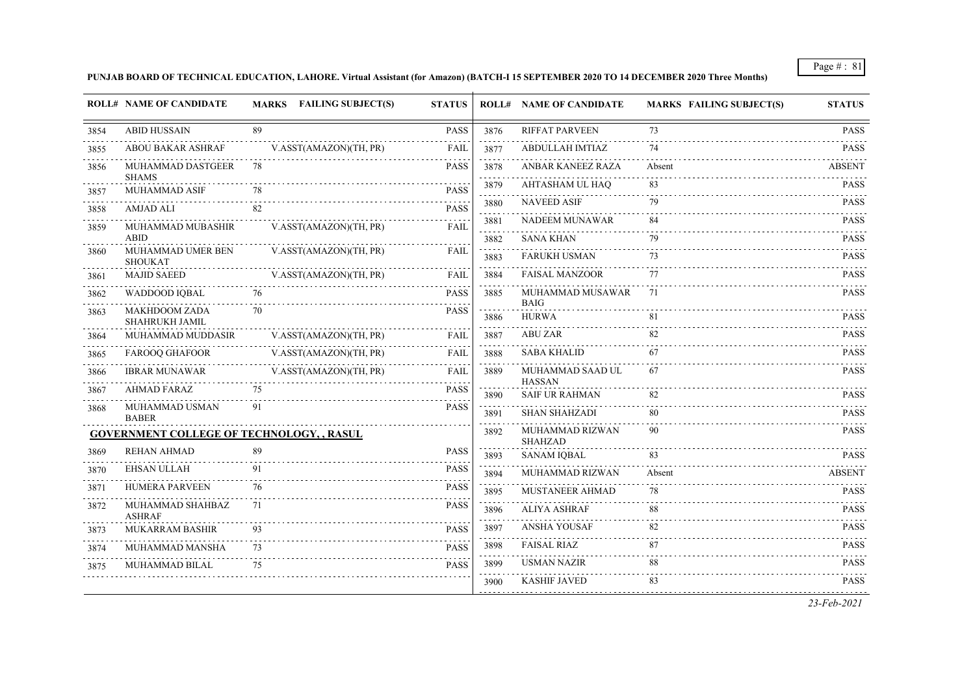**PUNJAB BOARD OF TECHNICAL EDUCATION, LAHORE. Virtual Assistant (for Amazon) (BATCH-I 15 SEPTEMBER 2020 TO 14 DECEMBER 2020 Three Months)**

|      | <b>ROLL# NAME OF CANDIDATE</b>                   |    | MARKS FAILING SUBJECT(S) | <b>STATUS</b> |                                     | <b>ROLL# NAME OF CANDIDATE</b>         | <b>MARKS FAILING SUBJECT(S)</b> | <b>STATUS</b>    |
|------|--------------------------------------------------|----|--------------------------|---------------|-------------------------------------|----------------------------------------|---------------------------------|------------------|
| 3854 | <b>ABID HUSSAIN</b>                              | 89 |                          | <b>PASS</b>   | 3876                                | <b>RIFFAT PARVEEN</b>                  | 73                              | <b>PASS</b>      |
| 3855 | <b>ABOU BAKAR ASHRAF</b>                         |    | V.ASST(AMAZON)(TH, PR)   | <b>FAIL</b>   | 3877                                | ABDULLAH IMTIAZ                        | 74                              | <b>PASS</b>      |
| 3856 | MUHAMMAD DASTGEER                                | 78 |                          | <b>PASS</b>   | 3878<br>$\sim$ $\sim$ $\sim$ $\sim$ | ANBAR KANEEZ RAZA                      | Absent                          | <b>ABSENT</b>    |
| 3857 | <b>SHAMS</b><br>MUHAMMAD ASIF                    | 78 |                          | <b>PASS</b>   | 3879                                | AHTASHAM UL HAO                        | 83                              | <b>PASS</b>      |
| 3858 | AMJAD ALI                                        | 82 |                          | <b>PASS</b>   | 3880                                | <b>NAVEED ASIF</b>                     | 79                              | <b>PASS</b>      |
| 3859 | MUHAMMAD MUBASHIR                                |    | V.ASST(AMAZON)(TH, PR)   | FAIL          | 3881                                | NADEEM MUNAWAR                         | 84                              | <b>PASS</b>      |
|      | <b>ABID</b>                                      |    |                          |               | 3882                                | <b>SANA KHAN</b>                       | 79                              | <b>PASS</b>      |
| 3860 | MUHAMMAD UMER BEN<br><b>SHOUKAT</b>              |    | V.ASST(AMAZON)(TH, PR)   | FAIL          | 3883                                | <b>FARUKH USMAN</b>                    | 73                              | <b>PASS</b>      |
| 3861 | <b>MAJID SAEED</b>                               |    | V.ASST(AMAZON)(TH, PR)   | FAIL          | 3884                                | <b>FAISAL MANZOOR</b>                  | 77                              | <b>PASS</b>      |
| 3862 | WADDOOD IQBAL                                    | 76 |                          | <b>PASS</b>   | 3885                                | MUHAMMAD MUSAWAR<br><b>BAIG</b>        | 71                              | <b>PASS</b>      |
| 3863 | <b>MAKHDOOM ZADA</b><br>SHAHRUKH JAMIL           | 70 |                          | <b>PASS</b>   | 3886                                | <b>HURWA</b>                           |                                 | .<br><b>PASS</b> |
| 3864 | MUHAMMAD MUDDASIR                                |    | V.ASST(AMAZON)(TH, PR)   | FAIL          | 3887                                | <b>ABU ZAR</b>                         | 82                              | <b>PASS</b>      |
| 3865 | <b>FAROOQ GHAFOOR</b>                            |    | V.ASST(AMAZON)(TH, PR)   | <b>FAIL</b>   | 3888                                | <b>SABA KHALID</b>                     | 67                              | <b>PASS</b>      |
| 3866 | <b>IBRAR MUNAWAR</b>                             |    | V.ASST(AMAZON)(TH, PR)   | <b>FAIL</b>   | 3889                                | MUHAMMAD SAAD UL                       | 67                              | <b>PASS</b>      |
| 3867 | <b>AHMAD FARAZ</b>                               | 75 |                          | <b>PASS</b>   | 3890                                | <b>HASSAN</b><br><b>SAIF UR RAHMAN</b> | 82                              | <b>PASS</b>      |
| 3868 | MUHAMMAD USMAN<br><b>BABER</b>                   | 91 |                          | <b>PASS</b>   | 3891                                | <b>SHAN SHAHZADI</b>                   | 80                              | <b>PASS</b>      |
|      | <b>GOVERNMENT COLLEGE OF TECHNOLOGY, , RASUL</b> |    |                          |               | 3892                                | MUHAMMAD RIZWAN<br>SHAHZAD             | 90                              | <b>PASS</b>      |
| 3869 | <b>REHAN AHMAD</b>                               | 89 |                          | <b>PASS</b>   | 3893                                | <b>SANAM IQBAL</b>                     | 83                              | <b>PASS</b>      |
| 3870 | EHSAN ULLAH                                      | 91 |                          | <b>PASS</b>   | 3894                                | MUHAMMAD RIZWAN                        | Absent                          | <b>ABSENT</b>    |
| 3871 | HUMERA PARVEEN                                   | 76 |                          | <b>PASS</b>   | 3895                                | MUSTANEER AHMAD                        | 78                              | <b>PASS</b>      |
| 3872 | MUHAMMAD SHAHBAZ<br><b>ASHRAF</b>                | 71 |                          | <b>PASS</b>   | 3896                                | <b>ALIYA ASHRAF</b>                    | 88                              | <b>PASS</b>      |
| 3873 | MUKARRAM BASHIR                                  |    |                          | <b>PASS</b>   | 3897                                | ANSHA YOUSAF                           | 82                              | <b>PASS</b>      |
| 3874 | MUHAMMAD MANSHA                                  | 73 |                          | <b>PASS</b>   | 3898                                | <b>FAISAL RIAZ</b>                     | 87                              | <b>PASS</b>      |
| 3875 | .<br>MUHAMMAD BILAL                              | 75 |                          | <b>PASS</b>   | 3899                                | <b>USMAN NAZIR</b>                     | 88                              | <b>PASS</b>      |
|      |                                                  |    |                          |               | 3900                                | <b>KASHIF JAVED</b>                    | 83                              | <b>PASS</b>      |
|      |                                                  |    |                          |               |                                     |                                        |                                 | 22E12021         |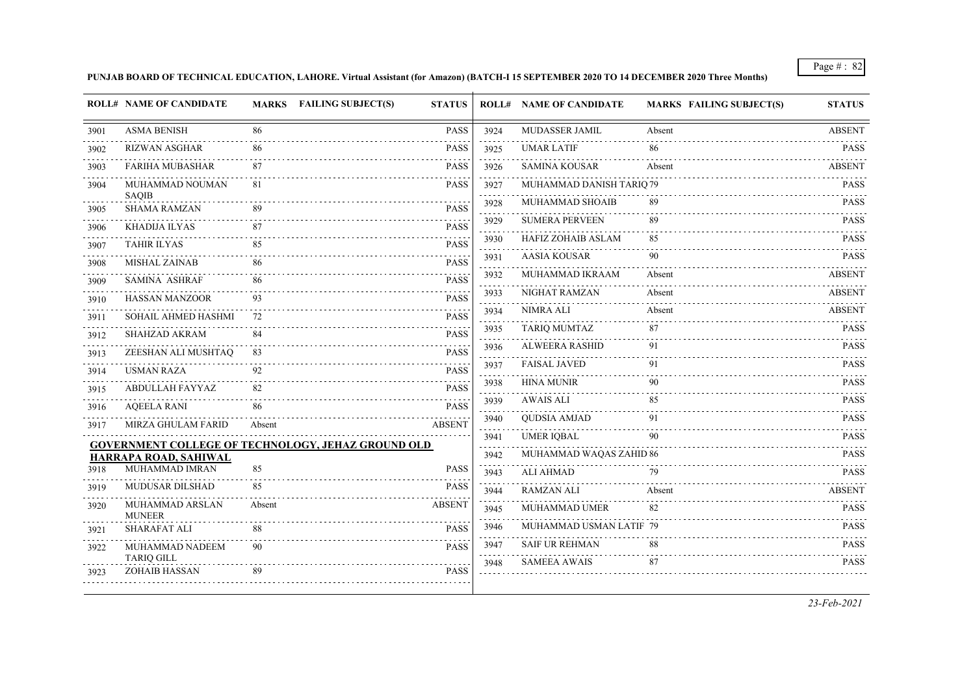**PUNJAB BOARD OF TECHNICAL EDUCATION, LAHORE. Virtual Assistant (for Amazon) (BATCH-I 15 SEPTEMBER 2020 TO 14 DECEMBER 2020 Three Months)**

|      | <b>ROLL# NAME OF CANDIDATE</b>       |        | MARKS FAILING SUBJECT(S)<br><b>STATUS</b>                 |                                     | <b>ROLL# NAME OF CANDIDATE</b> | <b>MARKS FAILING SUBJECT(S)</b> | <b>STATUS</b> |
|------|--------------------------------------|--------|-----------------------------------------------------------|-------------------------------------|--------------------------------|---------------------------------|---------------|
| 3901 | <b>ASMA BENISH</b>                   | 86     | PASS                                                      | 3924                                | MUDASSER JAMIL                 | Absent                          | <b>ABSENT</b> |
| 3902 | <b>RIZWAN ASGHAR</b>                 | 86     | <b>PASS</b>                                               | 3925                                | <b>UMAR LATIF</b>              | 86                              | <b>PASS</b>   |
| 3903 | <b>FARIHA MUBASHAR</b>               | 87     | <b>PASS</b>                                               | 3926                                | <b>SAMINA KOUSAR</b>           | Absent                          | <b>ABSENT</b> |
| 3904 | MUHAMMAD NOUMAN<br><b>SAQIB</b>      | 81     | <b>PASS</b>                                               | 3927<br>$\sim$ $\sim$ $\sim$ $\sim$ | MUHAMMAD DANISH TARIQ 79       |                                 | <b>PASS</b>   |
| 3905 | <b>SHAMA RAMZAN</b>                  | 89     | <b>PASS</b>                                               | 3928                                | MUHAMMAD SHOAIB                | 89                              | <b>PASS</b>   |
| 3906 | KHADIJA ILYAS                        | 87     | <b>PASS</b>                                               | 3929                                | <b>SUMERA PERVEEN</b>          | 89                              | <b>PASS</b>   |
| 3907 | <b>TAHIR ILYAS</b>                   | 85     | <b>PASS</b>                                               | 3930                                | <b>HAFIZ ZOHAIB ASLAM</b>      | 85                              | <b>PASS</b>   |
| 3908 | <b>MISHAL ZAINAB</b>                 | 86     | <b>PASS</b>                                               | 3931                                | <b>AASIA KOUSAR</b>            | 90                              | <b>PASS</b>   |
| 3909 | <b>SAMINA ASHRAF</b>                 | 86     | <b>PASS</b>                                               | 3932                                | MUHAMMAD IKRAAM                | Absent                          | ABSENT        |
| 3910 | <b>HASSAN MANZOOR</b>                | 93     | <b>PASS</b>                                               | 3933                                | NIGHAT RAMZAN                  | Absent                          | <b>ABSENT</b> |
| 3911 | SOHAIL AHMED HASHMI                  | 72     | <b>PASS</b>                                               | 3934                                | <b>NIMRA ALI</b>               | Absent                          | <b>ABSENT</b> |
| 3912 | SHAHZAD AKRAM                        | 84     | <b>PASS</b>                                               | 3935                                | <b>TARIQ MUMTAZ</b>            | 87                              | <b>PASS</b>   |
| 3913 | ZEESHAN ALI MUSHTAQ                  | 83     | <b>PASS</b>                                               | 3936                                | <b>ALWEERA RASHID</b>          | 91                              | <b>PASS</b>   |
| 3914 | <b>USMAN RAZA</b>                    | 92     | <b>PASS</b>                                               | 3937                                | <b>FAISAL JAVED</b>            | 91                              | <b>PASS</b>   |
| 3915 | ABDULLAH FAYYAZ                      | 82     | <b>PASS</b>                                               | 3938                                | <b>HINA MUNIR</b>              | 90                              | <b>PASS</b>   |
| 3916 | <b>AQEELA RANI</b>                   | 86     | <b>PASS</b>                                               | 3939                                | <b>AWAIS ALI</b>               | 85                              | <b>PASS</b>   |
| 3917 | MIRZA GHULAM FARID                   | Absent | <b>ABSENT</b>                                             | 3940                                | <b>QUDSIA AMJAD</b>            | 91                              | <b>PASS</b>   |
|      |                                      |        | <b>GOVERNMENT COLLEGE OF TECHNOLOGY, JEHAZ GROUND OLD</b> | 3941<br>والأبادي                    | <b>UMER IQBAL</b>              | 90                              | <b>PASS</b>   |
|      | HARRAPA ROAD, SAHIWAL                |        |                                                           | 3942                                | MUHAMMAD WAQAS ZAHID 86        |                                 | <b>PASS</b>   |
| 3918 | MUHAMMAD IMRAN                       | 85     | <b>PASS</b>                                               | 3943                                | <b>ALI AHMAD</b>               | 79                              | <b>PASS</b>   |
| 3919 | MUDUSAR DILSHAD                      | 85     | <b>PASS</b>                                               | 3944                                | <b>RAMZAN ALI</b>              | Absent                          | <b>ABSENT</b> |
| 3920 | MUHAMMAD ARSLAN<br><b>MUNEER</b>     | Absent | <b>ABSENT</b>                                             | 3945                                | MUHAMMAD UMER                  | 82                              | <b>PASS</b>   |
| 3921 | SHARAFAT ALI                         | 88     | <b>PASS</b>                                               | 3946                                | MUHAMMAD USMAN LATIF 79        |                                 | <b>PASS</b>   |
| 3922 | MUHAMMAD NADEEM<br><b>TARIQ GILL</b> | 90     | <b>PASS</b>                                               | 3947                                | <b>SAIF UR REHMAN</b>          | 88                              | <b>PASS</b>   |
| 3923 | ZOHAIB HASSAN                        | 89     | <b>PASS</b>                                               | 3948                                | <b>SAMEEA AWAIS</b>            | 87                              | <b>PASS</b>   |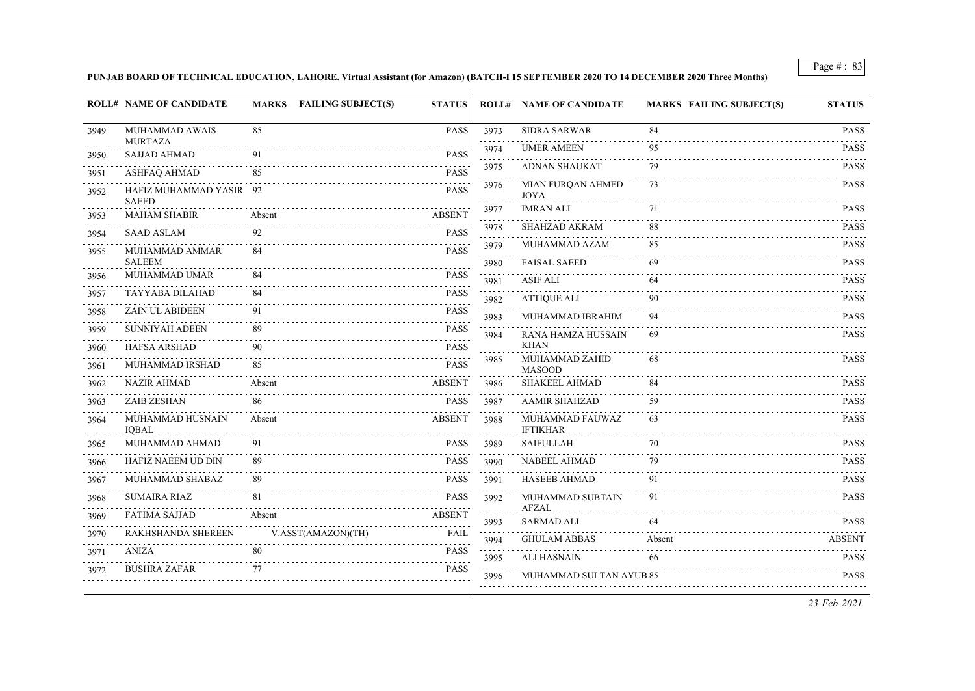## **PUNJAB BOARD OF TECHNICAL EDUCATION, LAHORE. Virtual Assistant (for Amazon) (BATCH-I 15 SEPTEMBER 2020 TO 14 DECEMBER 2020 Three Months)**

|      | <b>ROLL# NAME OF CANDIDATE</b>          | MARKS FAILING SUBJECT(S) | <b>STATUS</b>                            |                              | <b>ROLL# NAME OF CANDIDATE</b>     | <b>MARKS FAILING SUBJECT(S)</b> | <b>STATUS</b>               |
|------|-----------------------------------------|--------------------------|------------------------------------------|------------------------------|------------------------------------|---------------------------------|-----------------------------|
| 3949 | <b>MUHAMMAD AWAIS</b>                   | 85                       | <b>PASS</b>                              | 3973<br>.                    | <b>SIDRA SARWAR</b>                | 84                              | <b>PASS</b><br>.            |
| 3950 | <b>MURTAZA</b><br><b>SAJJAD AHMAD</b>   | 91                       | <b>PASS</b>                              | 3974<br>.                    | <b>UMER AMEEN</b>                  | 95                              | <b>PASS</b>                 |
| 3951 | ASHFAQ AHMAD                            | 85                       | <b>PASS</b>                              | 3975                         | ADNAN SHAUKAT                      | 79                              | <b>PASS</b>                 |
| 3952 | HAFIZ MUHAMMAD YASIR 92<br><b>SAEED</b> |                          | <b>PASS</b>                              | 3976<br>.                    | MIAN FURQAN AHMED<br><b>JOYA</b>   | 73                              | <b>PASS</b>                 |
| 3953 | <b>MAHAM SHABIR</b>                     | Absent                   | <b>ABSENT</b>                            | 3977<br>الداعات الدائدة      | <b>IMRAN ALI</b>                   | 71                              | <b>PASS</b>                 |
| 3954 | <b>SAAD ASLAM</b>                       | 92                       | <b>PASS</b>                              | 3978                         | SHAHZAD AKRAM                      | 88                              | <b>PASS</b>                 |
| 3955 | MUHAMMAD AMMAR                          | 84                       | <b>PASS</b>                              | 3979<br>$\sim$ $\sim$ $\sim$ | MUHAMMAD AZAM                      | 85                              | <b>PASS</b>                 |
|      | <b>SALEEM</b>                           |                          |                                          | 3980                         | <b>FAISAL SAEED</b>                | 69                              | <b>PASS</b>                 |
| 3956 | <b>MUHAMMAD UMAR</b>                    | 84                       | <b>PASS</b><br>$\sim$                    | 3981                         | <b>ASIF ALI</b>                    | 64                              | <b>PASS</b>                 |
| 3957 | TAYYABA DILAHAD                         | 84                       | <b>PASS</b>                              | 3982                         | <b>ATTIQUE ALI</b>                 | 90                              | <b>PASS</b>                 |
| 3958 | <b>ZAIN UL ABIDEEN</b>                  | 91                       | <b>PASS</b>                              | 3983                         | MUHAMMAD IBRAHIM                   | 94                              | <b>PASS</b>                 |
| 3959 | <b>SUNNIYAH ADEEN</b>                   | 89                       | <b>PASS</b><br>$\omega$ is $\omega$ in . | 3984                         | RANA HAMZA HUSSAIN                 | 69                              | <b>PASS</b>                 |
| 3960 | <b>HAFSA ARSHAD</b>                     | 90                       | <b>PASS</b>                              |                              | <b>KHAN</b>                        |                                 |                             |
| 3961 | MUHAMMAD IRSHAD                         | 85                       | <b>PASS</b>                              | 3985                         | MUHAMMAD ZAHID<br><b>MASOOD</b>    | 68                              | <b>PASS</b>                 |
| 3962 | <b>NAZIR AHMAD</b>                      | Absent                   | <b>ABSENT</b>                            | 3986                         | <b>SHAKEEL AHMAD</b>               | 84                              | <b>PASS</b>                 |
| 3963 | <b>ZAIB ZESHAN</b>                      | 86                       | <b>PASS</b>                              | 3987                         | <b>AAMIR SHAHZAD</b>               | 59                              | <b>PASS</b>                 |
| 3964 | MUHAMMAD HUSNAIN<br><b>IQBAL</b>        | Absent                   | <b>ABSENT</b>                            | 3988                         | MUHAMMAD FAUWAZ<br><b>IFTIKHAR</b> | 63                              | <b>PASS</b>                 |
| 3965 | MUHAMMAD AHMAD                          | 91                       | <b>PASS</b>                              | 3989                         | <b>SAIFULLAH</b>                   | 70                              | <b>PASS</b>                 |
| 3966 | HAFIZ NAEEM UD DIN                      | 89                       | <b>PASS</b>                              | 3990                         | NABEEL AHMAD                       | 79                              | <b>PASS</b>                 |
| 3967 | MUHAMMAD SHABAZ                         | 89                       | <b>PASS</b>                              | 3991                         | HASEEB AHMAD                       | 91                              | <b>PASS</b>                 |
| 3968 | <b>SUMAIRA RIAZ</b>                     | 81                       | <b>PASS</b>                              | 3992                         | MUHAMMAD SUBTAIN                   | 91                              | <b>PASS</b>                 |
| 3969 | <b>FATIMA SAJJAD</b>                    | Absent                   | <b>ABSENT</b>                            | 3993                         | AFZAL<br>SARMAD ALI                | 64                              | <b>PASS</b>                 |
| 3970 | RAKHSHANDA SHEREEN                      | V.ASST(AMAZON)(TH)       | FAIL                                     | 3994                         | <b>GHULAM ABBAS</b>                | Absent                          | <b>ABSENT</b>               |
| 3971 | <b>ANIZA</b>                            | 80                       | <b>PASS</b>                              |                              | <b>ALI HASNAIN</b>                 | 66                              | <b>PASS</b>                 |
| 3972 | <b>BUSHRA ZAFAR</b>                     | 77                       | <b>PASS</b>                              | 3995<br>1.1.1.1<br>3996      | MUHAMMAD SULTAN AYUB 85            |                                 | . <b>.</b> .<br><b>PASS</b> |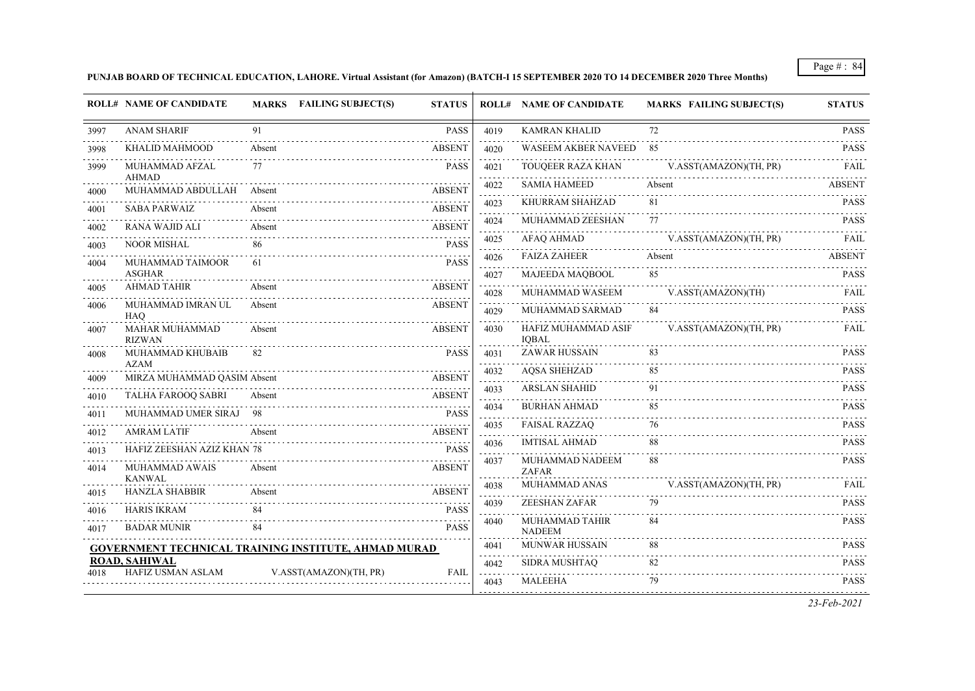## **PUNJAB BOARD OF TECHNICAL EDUCATION, LAHORE. Virtual Assistant (for Amazon) (BATCH-I 15 SEPTEMBER 2020 TO 14 DECEMBER 2020 Three Months)**

|      | <b>ROLL# NAME OF CANDIDATE</b>             | <b>MARKS</b> FAILING SUBJECT(S)                             | <b>STATUS</b>    |                                 | <b>ROLL# NAME OF CANDIDATE</b>      | <b>MARKS FAILING SUBJECT(S)</b> | <b>STATUS</b> |
|------|--------------------------------------------|-------------------------------------------------------------|------------------|---------------------------------|-------------------------------------|---------------------------------|---------------|
| 3997 | <b>ANAM SHARIF</b>                         | 91                                                          | <b>PASS</b>      | 4019                            | <b>KAMRAN KHALID</b>                | 72                              | <b>PASS</b>   |
| 3998 | KHALID MAHMOOD                             | Absent                                                      | <b>ABSENT</b>    | 4020                            | WASEEM AKBER NAVEED                 | -85                             | <b>PASS</b>   |
| 3999 | MUHAMMAD AFZAL                             | 77                                                          | <b>PASS</b>      | 4021                            | TOUOEER RAZA KHAN                   | V.ASST(AMAZON)(TH, PR)          | FAIL          |
| 4000 | <b>AHMAD</b><br>MUHAMMAD ABDULLAH          | Absent                                                      | <b>ABSENT</b>    | 4022                            | <b>SAMIA HAMEED</b>                 | Absent                          | <b>ABSENT</b> |
| 4001 | <b>SABA PARWAIZ</b>                        | Absent                                                      | <b>ABSENT</b>    | 4023                            | KHURRAM SHAHZAD                     | 81                              | <b>PASS</b>   |
| 4002 | <b>RANA WAJID ALI</b>                      | Absent                                                      | <b>ABSENT</b>    | 4024<br>$\sim$ $\sim$ $\sim$    | MUHAMMAD ZEESHAN                    | 77                              | <b>PASS</b>   |
| 4003 | <b>NOOR MISHAL</b>                         | 86                                                          | <b>PASS</b>      | 4025                            | <b>AFAQ AHMAD</b>                   | V.ASST(AMAZON)(TH, PR)          | FAIL          |
| 4004 | MUHAMMAD TAIMOOR                           | 61                                                          | <b>PASS</b>      | 4026                            | <b>FAIZA ZAHEER</b>                 | Absent                          | <b>ABSENT</b> |
|      | <b>ASGHAR</b><br><b>AHMAD TAHIR</b>        | Absent                                                      | <b>ABSENT</b>    | 4027                            | MAJEEDA MAQBOOL                     | 85                              | <b>PASS</b>   |
| 4005 |                                            |                                                             |                  | 4028                            | MUHAMMAD WASEEM                     | V.ASST(AMAZON)(TH)              | FAIL          |
| 4006 | MUHAMMAD IMRAN UL<br><b>HAO</b>            | Absent                                                      | <b>ABSENT</b>    | 4029                            | MUHAMMAD SARMAD                     | 84                              | <b>PASS</b>   |
| 4007 | <b>MAHAR MUHAMMAD</b><br><b>RIZWAN</b>     | Absent                                                      | <b>ABSENT</b>    | 4030                            | HAFIZ MUHAMMAD ASIF<br><b>IOBAL</b> | V.ASST(AMAZON)(TH, PR)          | FAIL          |
| 4008 | MUHAMMAD KHUBAIB                           | 82                                                          | <b>PASS</b>      | 4031<br>.                       | <b>ZAWAR HUSSAIN</b>                | 83                              | <b>PASS</b>   |
| 4009 | <b>AZAM</b><br>MIRZA MUHAMMAD QASIM Absent |                                                             | <b>ABSENT</b>    | 4032<br>$\omega$ is $\omega$ in | <b>AQSA SHEHZAD</b>                 | 85                              | <b>PASS</b>   |
| 4010 | TALHA FAROOQ SABRI                         | Absent                                                      | <b>ABSENT</b>    | 4033                            | <b>ARSLAN SHAHID</b>                | 91                              | <b>PASS</b>   |
| 4011 | MUHAMMAD UMER SIRAJ 98                     |                                                             | <b>PASS</b>      | 4034                            | <b>BURHAN AHMAD</b>                 | 85                              | <b>PASS</b>   |
| 4012 | <b>AMRAM LATIF</b>                         | Absent                                                      | <b>ABSENT</b>    | 4035<br>$\omega$ is a $\omega$  | <b>FAISAL RAZZAQ</b>                | 76                              | <b>PASS</b>   |
| 4013 | HAFIZ ZEESHAN AZIZ KHAN 78                 |                                                             | <b>PASS</b>      | 4036                            | <b>IMTISAL AHMAD</b>                | 88                              | <b>PASS</b>   |
| 4014 | MUHAMMAD AWAIS<br><b>KANWAL</b>            | Absent                                                      | <b>ABSENT</b>    | 4037                            | MUHAMMAD NADEEM<br><b>ZAFAR</b>     | 88                              | <b>PASS</b>   |
| 4015 | <b>HANZLA SHABBIR</b>                      | Absent                                                      | <b>ABSENT</b>    | 4038                            | MUHAMMAD ANAS                       | V.ASST(AMAZON)(TH, PR)          | FAIL          |
| 4016 | <b>HARIS IKRAM</b>                         | 84                                                          | <b>PASS</b>      | 4039                            | ZEESHAN ZAFAR                       | 79                              | <b>PASS</b>   |
| 4017 | <b>BADAR MUNIR</b>                         | 84                                                          | .<br><b>PASS</b> | 4040                            | MUHAMMAD TAHIR<br><b>NADEEM</b>     | 84                              | <b>PASS</b>   |
|      |                                            | <b>GOVERNMENT TECHNICAL TRAINING INSTITUTE, AHMAD MURAD</b> |                  | 4041                            | <b>MUNWAR HUSSAIN</b>               | 88<br>.                         | <b>PASS</b>   |
|      | <b>ROAD, SAHIWAL</b><br>HAFIZ USMAN ASLAM  | V.ASST(AMAZON)(TH, PR)                                      | <b>FAIL</b>      | 4042                            | SIDRA MUSHTAQ                       | 82                              | <b>PASS</b>   |
|      |                                            |                                                             |                  | 4043                            | <b>MALEEHA</b>                      | 79                              | <b>PASS</b>   |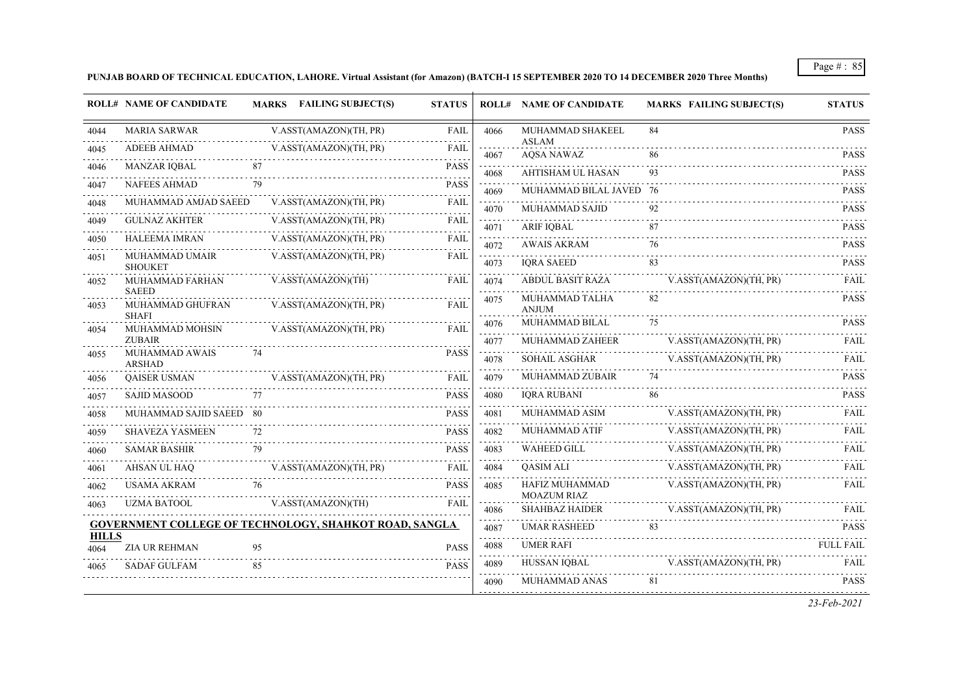## **PUNJAB BOARD OF TECHNICAL EDUCATION, LAHORE. Virtual Assistant (for Amazon) (BATCH-I 15 SEPTEMBER 2020 TO 14 DECEMBER 2020 Three Months)**

|                      | <b>ROLL# NAME OF CANDIDATE</b>                   |    | <b>MARKS</b> FAILING SUBJECT(S)                               | <b>STATUS</b> |                                                            | <b>ROLL# NAME OF CANDIDATE</b>       | <b>MARKS FAILING SUBJECT(S)</b> | <b>STATUS</b> |
|----------------------|--------------------------------------------------|----|---------------------------------------------------------------|---------------|------------------------------------------------------------|--------------------------------------|---------------------------------|---------------|
| 4044                 | <b>MARIA SARWAR</b>                              |    | V.ASST(AMAZON)(TH, PR)                                        | <b>FAIL</b>   | 4066                                                       | MUHAMMAD SHAKEEL                     | 84                              | <b>PASS</b>   |
| 4045                 | <b>ADEEB AHMAD</b>                               |    | V.ASST(AMAZON)(TH, PR)                                        | FAIL          | 4067                                                       | ASLAM<br><b>AQSA NAWAZ</b>           | 86                              | <b>PASS</b>   |
| 4046                 | MANZAR IOBAL                                     | 87 |                                                               | <b>PASS</b>   | $\omega_{\rm c} = \omega_{\rm c} = \omega_{\rm c}$<br>4068 | AHTISHAM UL HASAN                    | 93                              | <b>PASS</b>   |
| 4047                 | <b>NAFEES AHMAD</b>                              | 79 |                                                               | <b>PASS</b>   | 4069                                                       | MUHAMMAD BILAL JAVED 76              |                                 | <b>PASS</b>   |
| 4048                 | MUHAMMAD AMJAD SAEED                             |    | V.ASST(AMAZON)(TH, PR)                                        | <b>FAIL</b>   | 4070                                                       | MUHAMMAD SAJID                       | 92                              | <b>PASS</b>   |
| 4049                 | <b>GULNAZ AKHTER</b>                             |    | V.ASST(AMAZON)(TH, PR)                                        | FAIL          | 4071                                                       | ARIF IOBAL                           | 87                              | <b>PASS</b>   |
| 4050                 | HALEEMA IMRAN                                    |    | V.ASST(AMAZON)(TH, PR)                                        | <b>FAIL</b>   | 4072                                                       | <b>AWAIS AKRAM</b>                   | 76                              | <b>PASS</b>   |
| 4051                 | MUHAMMAD UMAIR<br><b>SHOUKET</b>                 |    | V.ASST(AMAZON)(TH, PR)                                        | <b>FAIL</b>   | 4073                                                       | <b>IORA SAEED</b>                    |                                 | <b>PASS</b>   |
| 4052                 | MUHAMMAD FARHAN                                  |    | V.ASST(AMAZON)(TH)                                            | FAIL          | 4074                                                       | ABDUL BASIT RAZA                     | V.ASST(AMAZON)(TH, PR)          | FAIL          |
| 4053                 | <b>SAEED</b><br>MUHAMMAD GHUFRAN<br><b>SHAFI</b> |    | V.ASST(AMAZON)(TH, PR)                                        | <b>FAIL</b>   | 4075                                                       | MUHAMMAD TALHA<br><b>ANJUM</b>       | 82                              | <b>PASS</b>   |
| 4054                 | MUHAMMAD MOHSIN                                  |    | V.ASST(AMAZON)(TH, PR)                                        | FAIL          | 4076                                                       | MUHAMMAD BILAL                       | 75                              | <b>PASS</b>   |
|                      | <b>ZUBAIR</b>                                    |    |                                                               |               | 4077                                                       | MUHAMMAD ZAHEER                      | V.ASST(AMAZON)(TH, PR)          | <b>FAIL</b>   |
| 4055                 | MUHAMMAD AWAIS<br><b>ARSHAD</b>                  | 74 |                                                               | <b>PASS</b>   | 4078                                                       | <b>SOHAIL ASGHAR</b>                 | V.ASST(AMAZON)(TH, PR)          | FAIL          |
| 4056                 | <b>OAISER USMAN</b>                              |    | V.ASST(AMAZON)(TH, PR)                                        | <b>FAIL</b>   | 4079                                                       | <b>MUHAMMAD ZUBAIR</b>               | 74                              | <b>PASS</b>   |
| 4057                 | <b>SAJID MASOOD</b>                              | 77 |                                                               | <b>PASS</b>   | 4080                                                       | <b>IORA RUBANI</b>                   | 86                              | <b>PASS</b>   |
| 4058                 | MUHAMMAD SAJID SAEED 80                          |    |                                                               | <b>PASS</b>   | 4081                                                       | MUHAMMAD ASIM                        | V.ASST(AMAZON)(TH, PR)          | FAIL          |
| 4059                 | <b>SHAVEZA YASMEEN</b>                           | 72 |                                                               | <b>PASS</b>   | 4082                                                       | MUHAMMAD ATIF                        | V.ASST(AMAZON)(TH, PR)          | FAII.         |
| 4060                 | <b>SAMAR BASHIR</b>                              | 79 |                                                               | <b>PASS</b>   | 4083                                                       | <b>WAHEED GILL</b>                   | V.ASST(AMAZON)(TH, PR)          | FAIL          |
| 4061                 | AHSAN UL HAQ                                     |    | V.ASST(AMAZON)(TH, PR)                                        | <b>FAIL</b>   | 4084                                                       | <b>OASIM ALI</b>                     | V.ASST(AMAZON)(TH, PR)          | FAIL          |
| 4062                 | USAMA AKRAM                                      | 76 |                                                               | <b>PASS</b>   | 4085                                                       | HAFIZ MUHAMMAD<br><b>MOAZUM RIAZ</b> | V.ASST(AMAZON)(TH, PR)          | FAIL          |
| 4063                 | <b>UZMA BATOOL</b>                               |    | V.ASST(AMAZON)(TH)                                            | <b>FAIL</b>   | 4086                                                       | <b>SHAHBAZ HAIDER</b>                | V.ASST(AMAZON)(TH, PR)          | <b>FAIL</b>   |
|                      |                                                  |    | <b>GOVERNMENT COLLEGE OF TECHNOLOGY, SHAHKOT ROAD, SANGLA</b> |               | 4087                                                       | <b>UMAR RASHEED</b>                  | 83                              | <b>PASS</b>   |
| <b>HILLS</b><br>4064 | <b>ZIA UR REHMAN</b>                             | 95 |                                                               | <b>PASS</b>   | 4088                                                       | <b>UMER RAFI</b>                     |                                 | FULL FAIL     |
| 4065                 | <b>SADAF GULFAM</b>                              | 85 |                                                               | <b>PASS</b>   | 4089                                                       | HUSSAN IOBAL                         | V.ASST(AMAZON)(TH, PR)          | FAIL          |
|                      |                                                  |    |                                                               |               | 4090                                                       | MUHAMMAD ANAS                        | 81                              | <b>PASS</b>   |
|                      |                                                  |    |                                                               |               | .                                                          |                                      |                                 |               |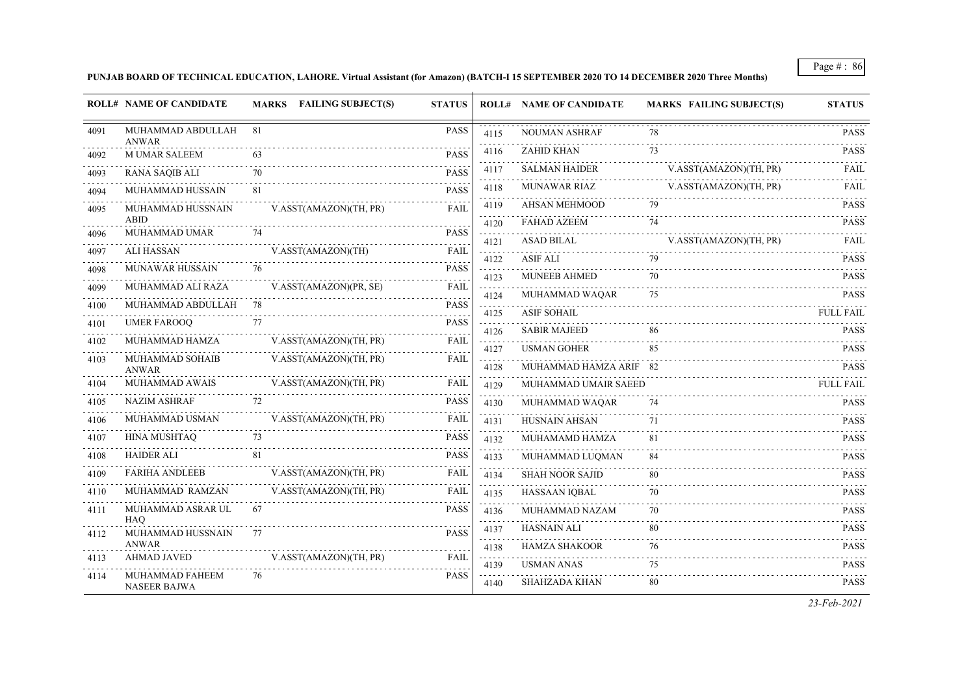## **PUNJAB BOARD OF TECHNICAL EDUCATION, LAHORE. Virtual Assistant (for Amazon) (BATCH-I 15 SEPTEMBER 2020 TO 14 DECEMBER 2020 Three Months)**

|      | <b>ROLL# NAME OF CANDIDATE</b>         |    | <b>MARKS</b> FAILING SUBJECT(S) | <b>STATUS</b>           |                        | <b>ROLL# NAME OF CANDIDATE</b>     | <b>MARKS FAILING SUBJECT(S)</b> | <b>STATUS</b>              |
|------|----------------------------------------|----|---------------------------------|-------------------------|------------------------|------------------------------------|---------------------------------|----------------------------|
| 4091 | MUHAMMAD ABDULLAH<br>ANWAR             | 81 |                                 | <b>PASS</b>             | 4115                   | <b>NOUMAN ASHRAF</b>               | 78                              | <b>PASS</b><br>.           |
| 4092 | <b>M UMAR SALEEM</b>                   | 63 |                                 | <b>PASS</b>             | 4116                   | <b>ZAHID KHAN</b>                  | 73                              | <b>PASS</b>                |
| 4093 | <b>RANA SAQIB ALI</b>                  | 70 |                                 | <b>PASS</b>             | 4117                   | <b>SALMAN HAIDER</b>               | V.ASST(AMAZON)(TH, PR)          | FAIL                       |
| 4094 | MUHAMMAD HUSSAIN                       | 81 |                                 | <b>PASS</b>             | 4118                   | MUNAWAR RIAZ                       | V.ASST(AMAZON)(TH, PR)          | FAIL                       |
| 4095 | MUHAMMAD HUSSNAIN                      |    | V.ASST(AMAZON)(TH, PR)          | <b>FAIL</b>             | 4119                   | <b>AHSAN MEHMOOD</b>               | 79                              | <b>PASS</b>                |
|      | <b>ABID</b><br>MUHAMMAD UMAR           | 74 |                                 | <b>PASS</b>             | 4120<br>.              | <b>FAHAD AZEEM</b>                 | 74                              | <b>PASS</b>                |
| 4096 | <b>ALI HASSAN</b>                      |    | V.ASST(AMAZON)(TH)              | FAIL                    | 4121<br>.              | ASAD BILAL                         | V.ASST(AMAZON)(TH, PR)          | <b>FAIL</b>                |
| 4097 | MUNAWAR HUSSAIN                        | 76 |                                 | <b>PASS</b>             | 4122<br>.              | <b>ASIF ALI</b>                    | 79                              | <b>PASS</b>                |
| 4098 | MUHAMMAD ALI RAZA                      |    |                                 |                         | 4123                   | <b>MUNEEB AHMED</b>                | 70                              | <b>PASS</b><br>.           |
| 4099 |                                        |    | V.ASST(AMAZON)(PR, SE)          | <b>FAIL</b>             | .<br>4124              | MUHAMMAD WAQAR                     | 75                              | <b>PASS</b>                |
| 4100 | MUHAMMAD ABDULLAH 78                   |    |                                 | <b>PASS</b><br><u>.</u> | 4125                   | <b>ASIF SOHAIL</b>                 |                                 | <b>FULL FAIL</b>           |
| 4101 | <b>UMER FAROOO</b>                     | 77 |                                 | <b>PASS</b>             | 4126                   | <b>SABIR MAJEED</b>                | 86                              | <b>PASS</b>                |
| 4102 | MUHAMMAD HAMZA                         |    | V.ASST(AMAZON)(TH, PR)          | <b>FAIL</b>             | .<br>4127              | <b>USMAN GOHER</b>                 | 85                              | <b>PASS</b>                |
| 4103 | MUHAMMAD SOHAIB<br>ANWAR               |    | V.ASST(AMAZON)(TH, PR)          | <b>FAIL</b>             | 4128                   | MUHAMMAD HAMZA ARIF 82             |                                 | <b>PASS</b>                |
| 4104 | MUHAMMAD AWAIS                         |    | V.ASST(AMAZON)(TH, PR)          | <b>FAIL</b>             | 4129                   | MUHAMMAD UMAIR SAEED               |                                 | <b>FULL FAIL</b>           |
| 4105 | <b>NAZIM ASHRAF</b>                    | 72 |                                 | <b>PASS</b>             | 4130                   | MUHAMMAD WAQAR                     | 74                              | <b>PASS</b>                |
| 4106 | MUHAMMAD USMAN                         |    | V.ASST(AMAZON)(TH, PR)          | <b>FAIL</b>             | 4131                   | <b>HUSNAIN AHSAN</b>               | 71                              | <b>PASS</b>                |
| 4107 | <b>HINA MUSHTAQ</b>                    | 73 |                                 | <b>PASS</b>             | 4132                   | MUHAMAMD HAMZA                     | 81                              | <b>PASS</b>                |
| 4108 | <b>HAIDER ALI</b>                      | 81 |                                 | <b>PASS</b>             | 4133                   | MUHAMMAD LUQMAN                    | 84                              | <b>PASS</b>                |
| 4109 | <b>FARIHA ANDLEEB</b>                  |    | V.ASST(AMAZON)(TH, PR)          | <b>FAIL</b>             | 4134                   | <b>SHAH NOOR SAJID</b>             | 80                              | <b>PASS</b>                |
| 4110 | MUHAMMAD RAMZAN                        |    | V.ASST(AMAZON)(TH, PR)          | <b>FAIL</b>             | 4135                   | <b>HASSAAN IQBAL</b>               | 70                              | <b>PASS</b>                |
| 4111 | MUHAMMAD ASRAR UL<br>HAO               | 67 |                                 | <b>PASS</b>             | 4136<br>.              | MUHAMMAD NAZAM                     | 70                              | <b>PASS</b>                |
| 4112 | MUHAMMAD HUSSNAIN<br><b>ANWAR</b>      | 77 |                                 | <b>PASS</b>             | 4137<br>الداعات الداري | <b>HASNAIN ALI</b>                 | 80                              | <b>PASS</b>                |
| 4113 | <b>AHMAD JAVED</b>                     |    | V.ASST(AMAZON)(TH, PR)          | <b>FAIL</b>             | 4138                   | <b>HAMZA SHAKOOR</b>               | 76                              | <b>PASS</b>                |
| 4114 | MUHAMMAD FAHEEM<br><b>NASEER BAJWA</b> | 76 |                                 | <b>PASS</b>             | 4139<br>4140           | <b>USMAN ANAS</b><br>SHAHZADA KHAN | 75<br>80                        | <b>PASS</b><br><b>PASS</b> |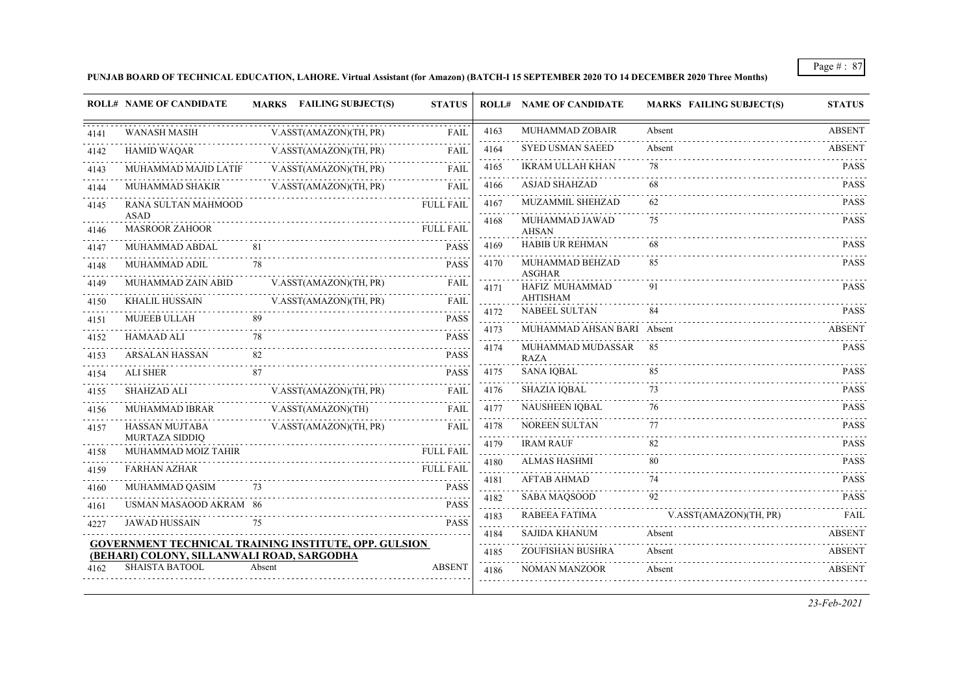# **PUNJAB BOARD OF TECHNICAL EDUCATION, LAHORE. Virtual Assistant (for Amazon) (BATCH-I 15 SEPTEMBER 2020 TO 14 DECEMBER 2020 Three Months)**

|           | <b>ROLL# NAME OF CANDIDATE</b>             | MARKS FAILING SUBJECT(S)                                     | <b>STATUS</b>    |                                | <b>ROLL# NAME OF CANDIDATE</b>          | <b>MARKS FAILING SUBJECT(S)</b> | <b>STATUS</b> |
|-----------|--------------------------------------------|--------------------------------------------------------------|------------------|--------------------------------|-----------------------------------------|---------------------------------|---------------|
| 4141      | <b>WANASH MASIH</b>                        | V.ASST(AMAZON)(TH, PR)                                       | <b>FAIL</b>      | 4163                           | MUHAMMAD ZOBAIR                         | Absent                          | <b>ABSENT</b> |
| 4142      | <b>HAMID WAQAR</b>                         | V.ASST(AMAZON)(TH, PR)                                       | <b>FAIL</b>      | 4164                           | <b>SYED USMAN SAEED</b>                 | Absent                          | <b>ABSENT</b> |
| 4143      | MUHAMMAD MAJID LATIF                       | V.ASST(AMAZON)(TH, PR)                                       | <b>FAIL</b>      | 4165                           | <b>IKRAM ULLAH KHAN</b>                 | 78                              | <b>PASS</b>   |
| 4144      | MUHAMMAD SHAKIR                            | V.ASST(AMAZON)(TH, PR)                                       | <b>FAIL</b>      | 4166                           | <b>ASJAD SHAHZAD</b>                    | 68                              | <b>PASS</b>   |
| 4145      | RANA SULTAN MAHMOOD                        |                                                              | <b>FULL FAIL</b> | 4167                           | MUZAMMIL SHEHZAD                        | 62                              | <b>PASS</b>   |
| 4146      | <b>ASAD</b><br><b>MASROOR ZAHOOR</b>       |                                                              | <b>FULL FAIL</b> | 4168                           | MUHAMMAD JAWAD<br><b>AHSAN</b>          | 75                              | <b>PASS</b>   |
| 4147      | MUHAMMAD ABDAL                             | -81                                                          | <b>PASS</b>      | 4169                           | <b>HABIB UR REHMAN</b>                  | 68                              | <b>PASS</b>   |
| 4148      | MUHAMMAD ADIL                              | 78                                                           | <b>PASS</b>      | 4170                           | MUHAMMAD BEHZAD<br><b>ASGHAR</b>        | 85                              | <b>PASS</b>   |
| 4149      | MUHAMMAD ZAIN ABID                         | V.ASST(AMAZON)(TH, PR)                                       | <b>FAIL</b>      | 4171                           | HAFIZ MUHAMMAD                          | 91                              | <b>PASS</b>   |
| 4150      | <b>KHALIL HUSSAIN</b>                      | V.ASST(AMAZON)(TH, PR)                                       | FAIL             |                                | <b>AHTISHAM</b><br><b>NABEEL SULTAN</b> | 84                              | <b>PASS</b>   |
| 4151      | MUJEEB ULLAH                               | 89                                                           | <b>PASS</b>      | 4172                           |                                         |                                 |               |
| 4152      | <b>HAMAAD ALI</b>                          | 78                                                           | <b>PASS</b>      | 4173                           | MUHAMMAD AHSAN BARI Absent              |                                 | <b>ABSENT</b> |
| 4153      | <b>ARSALAN HASSAN</b>                      | 82                                                           | <b>PASS</b>      | 4174                           | MUHAMMAD MUDASSAR<br><b>RAZA</b>        | 85                              | <b>PASS</b>   |
| .<br>4154 | <b>ALI SHER</b>                            | 87                                                           | <b>PASS</b>      | 4175                           | <b>SANA IQBAL</b>                       | 85                              | <b>PASS</b>   |
| 4155      | <b>SHAHZAD ALI</b>                         | V.ASST(AMAZON)(TH, PR)                                       | <b>FAIL</b>      | 4176                           | <b>SHAZIA IQBAL</b>                     | 73                              | <b>PASS</b>   |
| 4156      | <b>MUHAMMAD IBRAR</b>                      | V.ASST(AMAZON)(TH)                                           | <b>FAIL</b>      | 4177                           | NAUSHEEN IQBAL                          | 76                              | <b>PASS</b>   |
| 4157      | .<br>HASSAN MUJTABA<br>MURTAZA SIDDIQ      | V.ASST(AMAZON)(TH, PR)                                       | <b>FAIL</b>      | 4178                           | NOREEN SULTAN                           | 77                              | <b>PASS</b>   |
| 4158      | MUHAMMAD MOIZ TAHIR                        |                                                              | <b>FULL FAIL</b> | 4179                           | <b>IRAM RAUF</b>                        | 82                              | <b>PASS</b>   |
| 4159      | <b>FARHAN AZHAR</b>                        |                                                              | <b>FULL FAIL</b> | 4180                           | ALMAS HASHMI                            | 80                              | <b>PASS</b>   |
| 4160      | MUHAMMAD QASIM                             | 73                                                           | <b>PASS</b>      | 4181<br>$\omega$ is a $\omega$ | <b>AFTAB AHMAD</b>                      | 74                              | <b>PASS</b>   |
| 4161      | USMAN MASAOOD AKRAM 86                     |                                                              | <b>PASS</b>      | 4182                           | <b>SABA MAQSOOD</b>                     | 92                              | <b>PASS</b>   |
| 4227      | .<br><b>JAWAD HUSSAIN</b>                  | 75                                                           | <b>PASS</b>      | 4183                           | RABEEA FATIMA                           | V.ASST(AMAZON)(TH, PR)          | FAIL          |
|           |                                            |                                                              |                  | 4184                           | SAJIDA KHANUM                           | Absent                          | <b>ABSENT</b> |
|           | (BEHARI) COLONY, SILLANWALI ROAD, SARGODHA | <b>GOVERNMENT TECHNICAL TRAINING INSTITUTE, OPP. GULSION</b> |                  | 4185                           | ZOUFISHAN BUSHRA                        | Absent                          | <b>ABSENT</b> |
| 4162.     | <b>SHAISTA BATOOL</b>                      | Absent                                                       | <b>ABSENT</b>    | 4186                           | <b>NOMAN MANZOOR</b>                    | .<br>Absent                     | <b>ABSENT</b> |